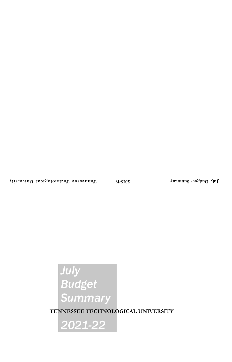# *July Budget Summary*

**TENNESSEE TECHNOLOGICAL UNIVERSITY**

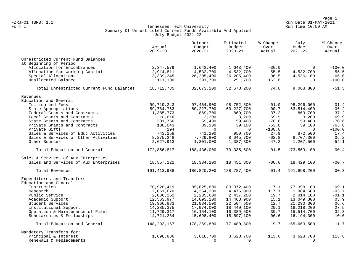Page 1<br>Run Date 01-MAY-2021 Run Date 01-MAY-2021 Run Date 01-MAY-2021 FZRJF01 TBR8: 1.1 Run Date 01-MAY-2021

#### Form I Georgian Communication of the Communication of Tennessee Tech University Communication Run Time 10:50 AM Summary Of Unrestricted Current Funds Available And Applied July Budget 2021-22

|                                                                | Actual<br>$2019 - 20$    | October<br>Budget<br>$2020 - 21$ | Estimated<br>Budget<br>$2020 - 21$ | % Change<br>Over<br>Actual | July<br>Budget<br>$2021 - 22$ | % Change<br>Over<br>Actual |
|----------------------------------------------------------------|--------------------------|----------------------------------|------------------------------------|----------------------------|-------------------------------|----------------------------|
| Unrestricted Current Fund Balances                             |                          |                                  |                                    |                            |                               |                            |
| at Beginning of Period                                         |                          |                                  |                                    |                            |                               |                            |
| Allocation for Encumbrances                                    | 2,347,579                | 1,643,400                        | 1,643,400                          | $-30.0$                    | $\Omega$                      | $-100.0$                   |
| Allocation for Working Capital                                 | 2,914,811                | 4,532,700                        | 4,532,700                          | 55.5                       | 4,532,700                     | 55.5                       |
| Special Allocations                                            | 13,339,245               | 26, 205, 400                     | 26, 205, 400                       | 96.5                       | 4,536,100                     | $-66.0$                    |
| Unallocated Balance                                            | 111,100                  | 291,700                          | 291,700                            | 162.6                      | $\Omega$                      | $-100.0$                   |
| Total Unrestricted Current Fund Balances                       | 18,712,735               | 32,673,200                       | 32,673,200                         | 74.6                       | 9,068,800                     | $-51.5$                    |
| Revenues                                                       |                          |                                  |                                    |                            |                               |                            |
| Education and General                                          |                          |                                  |                                    |                            |                               |                            |
| Tuition and Fees                                               | 99,719,243               | 97,464,900                       | 98,752,800                         | $-01.0$                    | 98,296,000                    | $-01.4$                    |
| State Appropriations                                           | 59,784,763               | 60, 227, 700                     | 60, 227, 700                       | 00.7                       | 63,514,400                    | 06.2                       |
| Federal Grants and Contracts                                   | 1,385,773                | 869,700                          | 869,700                            | $-37.2$                    | 869,700                       | $-37.2$                    |
| Local Grants and Contracts                                     | 10,616                   | 3,200                            | 3,200                              | $-69.9$                    | 3,200                         | $-69.9$                    |
| State Grants and Contracts                                     | 201,766                  | 59,400                           | 59,400                             | $-70.6$                    | 59,400                        | $-70.6$                    |
| Private Grants and Contracts                                   | 108,043                  | 39,100                           | 39,100                             | $-63.8$                    | 39,100                        | $-63.8$                    |
| Private Gifts                                                  | 194                      | $\Omega$                         | $\Omega$                           | $-100.0$                   | $\Omega$                      | $-100.0$                   |
| Sales & Services of Educ Activities                            | 743,258                  | 741,200                          | 950,700                            | 27.9                       | 872,500                       | 17.4                       |
| Sales & Services of Other Activities                           | 8,275,248                | 7,729,800                        | 8,045,700                          | $-02.8$                    | 8,707,300                     | 05.2                       |
| Other Sources                                                  | 2,627,913                | 1,301,000                        | 1,387,300                          | $-47.2$                    | 1,207,500                     | $-54.1$                    |
| Total Education and General                                    | 172,856,817              | 168,436,000                      | 170, 335, 600                      | $-01.5$                    | 173,569,100                   | 00.4                       |
| Sales & Services of Aux Enterprises                            |                          |                                  |                                    |                            |                               |                            |
| Sales and Services of Aux Enterprises                          | 18,557,121               | 18,384,200                       | 18,451,800                         | $-00.6$                    | 18,429,100                    | $-00.7$                    |
| Total Revenues                                                 | 191, 413, 938            | 186,820,200                      | 188,787,400                        | $-01.4$                    | 191,998,200                   | 00.3                       |
| Expenditures and Transfers                                     |                          |                                  |                                    |                            |                               |                            |
| Education and General                                          |                          |                                  |                                    |                            |                               |                            |
| Instruction                                                    | 70,928,419               | 85,825,800                       | 83,072,400                         | 17.1                       | 77,398,100                    | 09.1                       |
| Research                                                       | 2,061,670                | 4,354,200                        | 4,476,000                          | 117.1                      | 1,984,500                     | $-03.7$                    |
| Public Service                                                 | 2,036,262                | 2,285,600                        | 2,437,200                          | 19.7                       | 2,014,100                     | $-01.1$<br>03.9            |
| Academic Support<br>Student Services                           | 12,563,977               | 14,093,200                       | 14,463,900                         | 15.1                       | 13,049,300                    | 06.6                       |
|                                                                | 19,966,883               | 21,884,500                       | 22,504,600                         | 12.7                       | 21,290,300                    |                            |
| Institutional Support                                          | 14,285,375<br>11,729,317 | 17,974,000<br>16, 154, 100       | 18,440,100<br>16,389,500           | 29.1<br>39.7               | 18,218,200<br>15,514,700      | 27.5<br>32.3               |
| Operation & Maintenance of Plant<br>Scholarships & Fellowships | 14,721,264               | 15,698,400                       | 15,697,100                         | 06.6                       | 16,194,300                    | 10.0                       |
|                                                                |                          |                                  |                                    |                            |                               |                            |
| Total Education and General                                    | 148,293,167              | 178,269,800                      | 177,480,800                        | 19.7                       | 165,663,500                   | 11.7                       |
| Mandatory Transfers for:                                       |                          |                                  |                                    |                            |                               |                            |
| Principal & Interest                                           | 1,698,836                | 3,618,700                        | 3,628,700                          | 113.6                      | 3,628,700                     | 113.6                      |
| Renewals & Replacements                                        | $\Omega$                 | $\Omega$                         | $\Omega$                           |                            | $\Omega$                      |                            |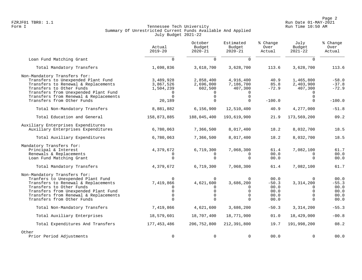Page 2<br>Run Date 01-MAY-2021 Run Date 01-MAY-2021 FZRJF01 TBR8: 1.1 Run Date 01-MAY-2021

# Form I Georgian Communication of the Communication of Tennessee Tech University Communication Run Time 10:50 AM Summary Of Unrestricted Current Funds Available And Applied July Budget 2021-22

|                                                                                                                                                                                                                                                     | Actual<br>$2019 - 20$                           | October<br>Budget<br>$2020 - 21$                                            | Estimated<br>Budget<br>$2020 - 21$ | % Change<br>Over<br>Actual                                                                                                                                                                                                                                                                                                                                                                                                                                                                                                                                                                                 | Budget<br>$2021 - 22$ | % Change<br>Over<br>Actual                      |
|-----------------------------------------------------------------------------------------------------------------------------------------------------------------------------------------------------------------------------------------------------|-------------------------------------------------|-----------------------------------------------------------------------------|------------------------------------|------------------------------------------------------------------------------------------------------------------------------------------------------------------------------------------------------------------------------------------------------------------------------------------------------------------------------------------------------------------------------------------------------------------------------------------------------------------------------------------------------------------------------------------------------------------------------------------------------------|-----------------------|-------------------------------------------------|
| Loan Fund Matching Grant                                                                                                                                                                                                                            | $\Omega$                                        | $\Omega$                                                                    | $\Omega$                           | July<br>$\Omega$<br>3,628,700<br>113.6<br>40.9<br>1,465,800<br>85.8<br>2,403,900<br>$-72.9$<br>407,300<br>$\mathbf 0$<br>$\Omega$<br>$\Omega$<br>$-100.0$<br>$\Omega$<br>40.9<br>4,277,000<br>173,569,200<br>21.9<br>8,032,700<br>18.2<br>18.2<br>8,032,700<br>7,082,100<br>61.4<br>00.0<br>$\Omega$<br>$\Omega$<br>$\Omega$<br>00.0<br>$\Omega$<br>61.4<br>7,082,100<br>00.0<br>0<br>$\Omega$<br>$-50.3$<br>3, 314, 200<br>00.0<br>$\Omega$<br>$\Omega$<br>0<br>00.0<br>$\Omega$<br>$\Omega$<br>00.0<br>$\Omega$<br>00.0<br>$\Omega$<br>3,314,200<br>$-50.3$<br>01.0<br>18,429,000<br>191,998,200<br>19.7 |                       |                                                 |
| Total Mandatory Transfers                                                                                                                                                                                                                           | 1,698,836                                       | 3,618,700                                                                   | 3,628,700                          |                                                                                                                                                                                                                                                                                                                                                                                                                                                                                                                                                                                                            |                       | 113.6                                           |
| Non-Mandatory Transfers for:<br>Transfers to Unexpended Plant Fund<br>Transfers to Renewal & Replacements<br>Transfers to Other Funds<br>Transfers from Unexpended Plant Fund<br>Transfers from Renewal & Replacements                              | 3,489,928<br>3,867,526<br>1,504,239<br>$\Omega$ | 2,858,400<br>2,696,000<br>602,500<br><sup>n</sup><br>$\Omega$               | 4,916,400<br>7,186,700<br>407,300  |                                                                                                                                                                                                                                                                                                                                                                                                                                                                                                                                                                                                            |                       | $-58.0$<br>$-37.8$<br>$-72.9$                   |
| Transfers from Other Funds                                                                                                                                                                                                                          | 20,189                                          | $\Omega$                                                                    |                                    |                                                                                                                                                                                                                                                                                                                                                                                                                                                                                                                                                                                                            |                       | $-100.0$                                        |
| Total Non-Mandatory Transfers                                                                                                                                                                                                                       | 8,881,882                                       | 6, 156, 900                                                                 | 12,510,400                         |                                                                                                                                                                                                                                                                                                                                                                                                                                                                                                                                                                                                            |                       | $-51.8$                                         |
| Total Education and General                                                                                                                                                                                                                         | 158,873,885                                     | 188,045,400                                                                 | 193,619,900                        |                                                                                                                                                                                                                                                                                                                                                                                                                                                                                                                                                                                                            |                       | 09.2                                            |
| Auxiliary Enterprises Expenditures<br>Auxiliary Enterprises Expenditures                                                                                                                                                                            | 6,780,063                                       | 7,366,500                                                                   | 8,017,400                          |                                                                                                                                                                                                                                                                                                                                                                                                                                                                                                                                                                                                            |                       | 18.5                                            |
| Total Auxiliary Expenditures                                                                                                                                                                                                                        | 6,780,063                                       | 7,366,500                                                                   | 8,017,400                          |                                                                                                                                                                                                                                                                                                                                                                                                                                                                                                                                                                                                            |                       | 18.5                                            |
| Mandatory Transfers for:                                                                                                                                                                                                                            |                                                 |                                                                             |                                    |                                                                                                                                                                                                                                                                                                                                                                                                                                                                                                                                                                                                            |                       |                                                 |
| Principal & Interest                                                                                                                                                                                                                                | 4,379,672                                       | 6,719,300                                                                   | 7,068,300                          |                                                                                                                                                                                                                                                                                                                                                                                                                                                                                                                                                                                                            |                       | 61.7                                            |
| Renewals & Replacements                                                                                                                                                                                                                             |                                                 |                                                                             |                                    |                                                                                                                                                                                                                                                                                                                                                                                                                                                                                                                                                                                                            |                       | 00.0                                            |
| Loan Fund Matching Grant                                                                                                                                                                                                                            | $\Omega$                                        | $\Omega$                                                                    |                                    |                                                                                                                                                                                                                                                                                                                                                                                                                                                                                                                                                                                                            |                       | 00.0                                            |
| Total Mandatory Transfers                                                                                                                                                                                                                           | 4,379,672                                       | 6,719,300                                                                   | 7,068,300                          |                                                                                                                                                                                                                                                                                                                                                                                                                                                                                                                                                                                                            |                       | 61.7                                            |
| Non-Mandatory Transfers for:<br>Tranfers to Unexpended Plant Fund<br>Transfers to Renewal & Replacements<br>Transfers to Other Funds<br>Transfers from Unexpended Plant Fund<br>Transfers from Renewal & Replacements<br>Transfers from Other Funds | $\Omega$<br>7,419,866<br>$\Omega$<br>$\Omega$   | $\mathbf 0$<br>4,621,600<br>$\Omega$<br>$\mathbf 0$<br>$\Omega$<br>$\Omega$ | 3,686,200                          |                                                                                                                                                                                                                                                                                                                                                                                                                                                                                                                                                                                                            |                       | 00.0<br>$-55.3$<br>00.0<br>00.0<br>00.0<br>00.0 |
| Total Non-Mandatory Transfers                                                                                                                                                                                                                       | 7,419,866                                       | 4,621,600                                                                   | 3,686,200                          |                                                                                                                                                                                                                                                                                                                                                                                                                                                                                                                                                                                                            |                       | $-55.3$                                         |
| Total Auxiliary Enterprises                                                                                                                                                                                                                         | 18,579,601                                      | 18,707,400                                                                  | 18,771,900                         |                                                                                                                                                                                                                                                                                                                                                                                                                                                                                                                                                                                                            |                       | $-00.8$                                         |
| Total Expenditures And Transfers                                                                                                                                                                                                                    | 177,453,486                                     | 206,752,800                                                                 | 212,391,800                        |                                                                                                                                                                                                                                                                                                                                                                                                                                                                                                                                                                                                            |                       | 08.2                                            |
| Other<br>Prior Period Adjustments                                                                                                                                                                                                                   | 0                                               | $\mathbf 0$                                                                 | $\mathbf 0$                        | 00.0                                                                                                                                                                                                                                                                                                                                                                                                                                                                                                                                                                                                       | $\Omega$              | 00.0                                            |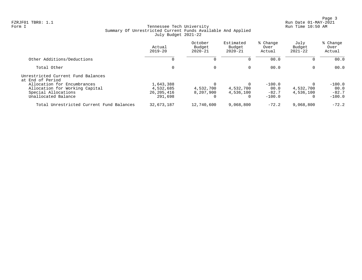Page 3<br>Run Date 01-MAY-2021 Run Date 01-MAY-2021

# Form I Georgian Communication of the Communication of Tennessee Tech University Communication Run Time 10:50 AM Summary Of Unrestricted Current Funds Available And Applied July Budget 2021-22

|                                                                                                             | Actual<br>$2019 - 20$                             | October<br>Budget<br>$2020 - 21$ | Estimated<br>Budget<br>$2020 - 21$ | % Change<br>Over<br>Actual              | July<br>Budget<br>$2021 - 22$                  | % Change<br>Over<br>Actual              |
|-------------------------------------------------------------------------------------------------------------|---------------------------------------------------|----------------------------------|------------------------------------|-----------------------------------------|------------------------------------------------|-----------------------------------------|
| Other Additions/Deductions                                                                                  | 0                                                 |                                  |                                    | 00.0                                    | 0                                              | 00.0                                    |
| Total Other                                                                                                 | 0                                                 | $\Omega$                         | $\Omega$                           | 00.0                                    | $\mathbf{0}$                                   | 00.0                                    |
| Unrestricted Current Fund Balances<br>at End of Period                                                      |                                                   |                                  |                                    |                                         |                                                |                                         |
| Allocation for Encumbrances<br>Allocation for Working Capital<br>Special Allocations<br>Unallocated Balance | 1,643,388<br>4,532,685<br>26, 205, 416<br>291,698 | 4,532,700<br>8,207,900           | 4,532,700<br>4,536,100<br>0        | $-100.0$<br>00.0<br>$-82.7$<br>$-100.0$ | $\Omega$<br>4,532,700<br>4,536,100<br>$\Omega$ | $-100.0$<br>00.0<br>$-82.7$<br>$-100.0$ |
| Total Unrestricted Current Fund Balances                                                                    | 32,673,187                                        | 12,740,600                       | 9,068,800                          | $-72.2$                                 | 9,068,800                                      | $-72.2$                                 |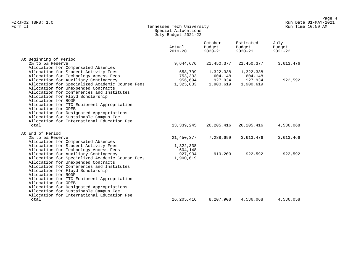# Form II Tennessee Tech University Run Time 10:59 AM Special Allocations July Budget 2021-22

|                                                                                  | Actual<br>$2019 - 20$ | October<br>Budget<br>$2020 - 21$ | Estimated<br>Budget<br>$2020 - 21$ | July<br>Budget<br>$2021 - 22$ |
|----------------------------------------------------------------------------------|-----------------------|----------------------------------|------------------------------------|-------------------------------|
| At Beginning of Period                                                           |                       |                                  |                                    |                               |
| 2% to 5% Reserve                                                                 | 9,644,676             | 21,450,377                       | 21,450,377                         | 3,613,476                     |
| Allocation for Compensated Absences                                              |                       |                                  |                                    |                               |
| Allocation for Student Activity Fees                                             | 658,709               | 1,322,338                        | 1,322,338                          |                               |
| Allocation for Technology Access Fees                                            | 753,333               | 604,148                          | 604,148                            |                               |
| Allocation for Auxiliary Contingency                                             | 956,694               | 927,934                          | 927,934                            | 922,592                       |
| Allocation for Specialized Academic Course Fees                                  | 1,325,833             | 1,900,619                        | 1,900,619                          |                               |
| Allocation for Unexpended Contracts<br>Allocation for Conferences and Institutes |                       |                                  |                                    |                               |
| Allocation for Floyd Scholarship                                                 |                       |                                  |                                    |                               |
| Allocation for RODP                                                              |                       |                                  |                                    |                               |
| Allocation for TTC Equipment Appropriation                                       |                       |                                  |                                    |                               |
| Allocation for OPEB                                                              |                       |                                  |                                    |                               |
| Allocation for Designated Appropriations                                         |                       |                                  |                                    |                               |
| Allocation for Sustainable Campus Fee                                            |                       |                                  |                                    |                               |
| Allocation for International Education Fee                                       |                       |                                  |                                    |                               |
| Total                                                                            | 13,339,245            | 26,205,416                       | 26, 205, 416                       | 4,536,068                     |
|                                                                                  |                       |                                  |                                    |                               |
| At End of Period                                                                 |                       |                                  |                                    |                               |
| 2% to 5% Reserve<br>Allocation for Compensated Absences                          | 21,450,377            | 7,288,699                        | 3,613,476                          | 3,613,466                     |
| Allocation for Student Activity Fees                                             | 1,322,338             |                                  |                                    |                               |
| Allocation for Technology Access Fees                                            | 604,148               |                                  |                                    |                               |
| Allocation for Auxiliary Contingency                                             | 927,934               | 919,209                          | 922,592                            | 922,592                       |
| Allocation for Specialized Academic Course Fees                                  | 1,900,619             |                                  |                                    |                               |
| Allocation for Unexpended Contracts                                              |                       |                                  |                                    |                               |
| Allocation for Conferences and Institutes                                        |                       |                                  |                                    |                               |
| Allocation for Floyd Scholarship                                                 |                       |                                  |                                    |                               |
| Allocation for RODP                                                              |                       |                                  |                                    |                               |
| Allocation for TTC Equipment Appropriation                                       |                       |                                  |                                    |                               |
| Allocation for OPEB                                                              |                       |                                  |                                    |                               |
| Allocation for Designated Appropriations                                         |                       |                                  |                                    |                               |
| Allocation for Sustainable Campus Fee                                            |                       |                                  |                                    |                               |
| Allocation for International Education Fee                                       |                       |                                  |                                    |                               |
| Total                                                                            | 26, 205, 416          | 8,207,908                        | 4,536,068                          | 4,536,058                     |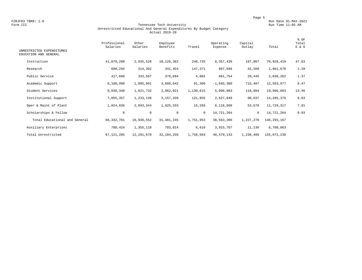FZRJF03 TBR8: 1.0<br>Form III Run Date 01-MAY-2021 Run Date 01-MAY-2021<br>Run Time 11:05 AM Run Time 11:05 AM

#### Form III Tennessee Tech University Run Time 11:05 AM Unrestricted Educational And General Expenditures By Budget Category Actual 2019-20

| UNRESTRICTED EXPENDITURES<br>EDUCATION AND GENERAL | Professional<br>Salaries | Other<br>Salaries | Employee<br>Benefits | Travel    | Operating<br>Expense | Capital<br>Outlay | Total         | % OF<br>Total<br>E & G |
|----------------------------------------------------|--------------------------|-------------------|----------------------|-----------|----------------------|-------------------|---------------|------------------------|
| Instruction                                        | 41,079,288               | 2,935,528         | 18, 128, 362         | 240,735   | 8,357,439            | 187,067           | 70,928,419    | 47.83                  |
| Research                                           | 608,294                  | 314,302           | 341,454              | 147,371   | 607,689              | 42,560            | 2,061,670     | 1.39                   |
| Public Service                                     | 417,660                  | 333,507           | 378,094              | 4,802     | 881,754              | 20,445            | 2,036,262     | 1.37                   |
| Academic Support                                   | 8,108,998                | 1,805,001         | 3,688,642            | 91,309    | $-1,845,380$         | 715,407           | 12,563,977    | 8.47                   |
| Student Services                                   | 8,038,348                | 1,621,732         | 3,962,021            | 1,130,615 | 5,096,083            | 118,084           | 19,966,883    | 13.46                  |
| Institutional Support                              | 7,055,357                | 1,233,138         | 3,157,339            | 121,855   | 2,627,649            | 90,037            | 14, 285, 375  | 9.63                   |
| Oper & Maint of Plant                              | 1,024,836                | 2,693,344         | 1,825,333            | 15,266    | 6,116,868            | 53,670            | 11,729,317    | 7.91                   |
| Scholarships & Fellow                              | $\mathbf 0$              | $\mathbf 0$       | $\mathbf 0$          | $\circ$   | 14,721,264           | $\mathbf{0}$      | 14,721,264    | 9.93                   |
| Total Educational and General                      | 66, 332, 781             | 10,936,552        | 31, 481, 245         | 1,751,953 | 36, 563, 366         | 1,227,270         | 148, 293, 167 |                        |
| Auxiliary Enterprises                              | 788,424                  | 1,355,118         | 703,014              | 6,610     | 3,915,767            | 11,130            | 6,780,063     |                        |
| Total Unrestricted                                 | 67, 121, 205             | 12,291,670        | 32, 184, 259         | 1,758,563 | 40, 479, 133         | 1,238,400         | 155,073,230   |                        |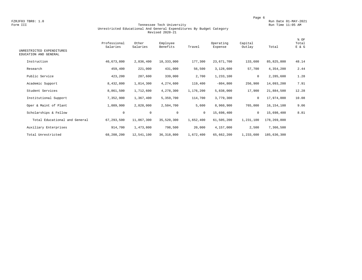FZRJF03 TBR8: 1.0<br>Form III Run Date 01-MAY-2021 Run Date 01-MAY-2021<br>Run Time 11:05 AM Run Time 11:05 AM

#### Form III Tennessee Tech University Run Time 11:05 AM Unrestricted Educational And General Expenditures By Budget Category Revised 2020-21

| UNRESTRICTED EXPENDITURES     | Professional<br>Salaries | Other<br>Salaries | Employee<br>Benefits | Travel    | Operating<br>Expense | Capital<br>Outlay | Total       | % OF<br>Total<br>E & G |
|-------------------------------|--------------------------|-------------------|----------------------|-----------|----------------------|-------------------|-------------|------------------------|
| EDUCATION AND GENERAL         |                          |                   |                      |           |                      |                   |             |                        |
| Instruction                   | 40,673,800               | 2,836,400         | 18,333,000           | 177,300   | 23,671,700           | 133,600           | 85,825,800  | 48.14                  |
| Research                      | 459,400                  | 221,000           | 431,000              | 56,500    | 3,128,600            | 57,700            | 4,354,200   | 2.44                   |
| Public Service                | 423,200                  | 287,600           | 339,000              | 2,700     | 1,233,100            | 0                 | 2,285,600   | 1.28                   |
| Academic Support              | 8,432,800                | 1,814,300         | 4,274,600            | 119,400   | $-804, 800$          | 256,900           | 14,093,200  | 7.91                   |
| Student Services              | 8,861,500                | 1,712,600         | 4,278,300            | 1,176,200 | 5,838,000            | 17,900            | 21,884,500  | 12.28                  |
| Institutional Support         | 7,352,900                | 1,367,400         | 5,359,700            | 114,700   | 3,779,300            | 0                 | 17,974,000  | 10.08                  |
| Oper & Maint of Plant         | 1,089,900                | 2,828,000         | 2,504,700            | 5,600     | 8,960,900            | 765,000           | 16,154,100  | 9.06                   |
| Scholarships & Fellow         | $\mathbf 0$              | $\mathbf 0$       | 0                    | $\circ$   | 15,698,400           | 0                 | 15,698,400  | 8.81                   |
| Total Educational and General | 67,293,500               | 11,067,300        | 35,520,300           | 1,652,400 | 61,505,200           | 1,231,100         | 178,269,800 |                        |
| Auxiliary Enterprises         | 914,700                  | 1,473,800         | 798,500              | 20,000    | 4,157,000            | 2,500             | 7,366,500   |                        |
| Total Unrestricted            | 68,208,200               | 12,541,100        | 36, 318, 800         | 1,672,400 | 65,662,200           | 1,233,600         | 185,636,300 |                        |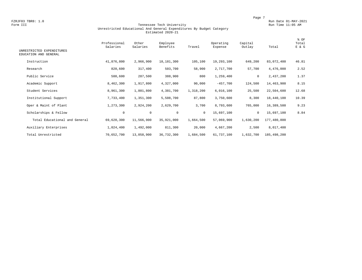FZRJF03 TBR8: 1.0<br>Form III Run Date 01-MAY-2021 Run Date 01-MAY-2021<br>Run Time 11:05 AM Run Time 11:05 AM

#### Form III Tennessee Tech University Run Time 11:05 AM Unrestricted Educational And General Expenditures By Budget Category Estimated 2020-21

| UNRESTRICTED EXPENDITURES<br>EDUCATION AND GENERAL | Professional<br>Salaries | Other<br>Salaries | Employee<br>Benefits | Travel    | Operating<br>Expense | Capital<br>Outlay | Total       | % OF<br>Total<br>E & G |
|----------------------------------------------------|--------------------------|-------------------|----------------------|-----------|----------------------|-------------------|-------------|------------------------|
| Instruction                                        | 41,876,800               | 2,966,900         | 18,181,300           | 105,100   | 19,293,100           | 649,200           | 83,072,400  | 46.81                  |
| Research                                           | 820,600                  | 317,400           | 503,700              | 58,900    | 2,717,700            | 57,700            | 4,476,000   | 2.52                   |
| Public Service                                     | 500,600                  | 287,500           | 388,900              | 800       | 1,259,400            | 0                 | 2,437,200   | 1.37                   |
| Academic Support                                   | 8,462,300                | 1,917,800         | 4,327,000            | 90,000    | $-457,700$           | 124,500           | 14,463,900  | 8.15                   |
| Student Services                                   | 8,961,300                | 1,801,800         | 4,381,700            | 1,318,200 | 6,016,100            | 25,500            | 22,504,600  | 12.68                  |
| Institutional Support                              | 7,733,400                | 1,351,300         | 5,508,700            | 87,800    | 3,750,600            | 8,300             | 18,440,100  | 10.39                  |
| Oper & Maint of Plant                              | 1,273,300                | 2,924,200         | 2,629,700            | 3,700     | 8,793,600            | 765,000           | 16,389,500  | 9.23                   |
| Scholarships & Fellow                              | $\mathbf 0$              | $\circ$           | $\mathbf 0$          | $\circ$   | 15,697,100           | 0                 | 15,697,100  | 8.84                   |
| Total Educational and General                      | 69,628,300               | 11,566,900        | 35,921,000           | 1,664,500 | 57,069,900           | 1,630,200         | 177,480,800 |                        |
| Auxiliary Enterprises                              | 1,024,400                | 1,492,000         | 811,300              | 20,000    | 4,667,200            | 2,500             | 8,017,400   |                        |
| Total Unrestricted                                 | 70,652,700               | 13,058,900        | 36,732,300           | 1,684,500 | 61,737,100           | 1,632,700         | 185,498,200 |                        |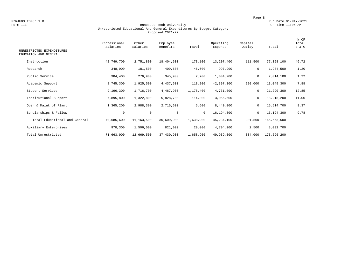FZRJF03 TBR8: 1.0<br>Form III Run Date 01-MAY-2021<br>Form III Run Time 11:05 AM

#### Tennessee Tech University Unrestricted Educational And General Expenditures By Budget Category Proposed 2021-22

| UNRESTRICTED EXPENDITURES<br>EDUCATION AND GENERAL | Professional<br>Salaries | Other<br>Salaries | Employee<br>Benefits | Travel       | Operating<br>Expense | Capital<br>Outlay | Total       | % OF<br>Total<br>E & G |
|----------------------------------------------------|--------------------------|-------------------|----------------------|--------------|----------------------|-------------------|-------------|------------------------|
| Instruction                                        | 42,749,700               | 2,751,800         | 18,404,600           | 173,100      | 13,207,400           | 111,500           | 77,398,100  | 46.72                  |
| Research                                           | 348,900                  | 181,500           | 409,600              | 46,600       | 997,900              | 0                 | 1,984,500   | 1.20                   |
| Public Service                                     | 384,400                  | 276,900           | 345,900              | 2,700        | 1,004,200            | 0                 | 2,014,100   | 1.22                   |
| Academic Support                                   | 8,745,300                | 1,925,500         | 4,437,600            | 118,200      | $-2, 397, 300$       | 220,000           | 13,049,300  | 7.88                   |
| Student Services                                   | 9,196,300                | 1,716,700         | 4,467,900            | 1,178,400    | 4,731,000            | $\mathbf 0$       | 21,290,300  | 12.85                  |
| Institutional Support                              | 7,895,800                | 1,322,800         | 5,828,700            | 114,300      | 3,056,600            | 0                 | 18,218,200  | 11.00                  |
| Oper & Maint of Plant                              | 1,365,200                | 2,988,300         | 2,715,600            | 5,600        | 8,440,000            | 0                 | 15,514,700  | 9.37                   |
| Scholarships & Fellow                              | $\circ$                  | $\mathbf 0$       | $\mathbf 0$          | $\mathbf{0}$ | 16,194,300           | $\mathbf 0$       | 16,194,300  | 9.78                   |
| Total Educational and General                      | 70,685,600               | 11,163,500        | 36,609,900           | 1,638,900    | 45, 234, 100         | 331,500           | 165,663,500 |                        |
| Auxiliary Enterprises                              | 978,300                  | 1,506,000         | 821,000              | 20,000       | 4,704,900            | 2,500             | 8,032,700   |                        |
| Total Unrestricted                                 | 71,663,900               | 12,669,500        | 37,430,900           | 1,658,900    | 49,939,000           | 334,000           | 173,696,200 |                        |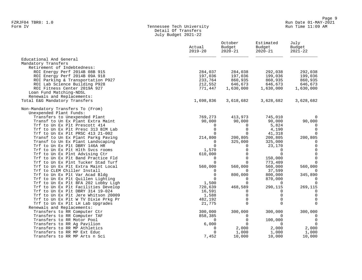#### Form IV Tennessee Tech University Run Time 11:09 AM Detail Of Transfers July Budget 2021-22

|                                                                         | Actual<br>$2019 - 20$ | October<br>Budget<br>$2020 - 21$ | Estimated<br>Budget<br>$2020 - 21$ | July<br>Budget<br>$2021 - 22$ |
|-------------------------------------------------------------------------|-----------------------|----------------------------------|------------------------------------|-------------------------------|
| Educational And General                                                 |                       |                                  |                                    |                               |
| Mandatory Transfers                                                     |                       |                                  |                                    |                               |
| Retirement of Indebtedness:<br>ROI Energy Perf 2014B 08B 915            | 284,037               | 284,038                          | 292,038                            | 292,038                       |
| ROI Energy Perf 2014B 09A 918                                           | 197,036               | 197,036                          | 199,036                            | 199,036                       |
| ROI Parking & Transportation P927                                       | 233,764               | 860,935                          | 860,935                            | 860,935                       |
| ROI Lab Science Building P928                                           | 212,552               | 646,673                          | 646,673                            | 646,673                       |
| ROI Fitness Center 2019A 927                                            | 771,447               | 1,630,000                        | 1,630,000                          | 1,630,000                     |
| Loan Fund Matching-NDSL                                                 |                       |                                  |                                    |                               |
| Renewals and Replacements:                                              |                       |                                  |                                    |                               |
| Total E&G Mandatory Transfers                                           | 1,698,836             | 3,618,682                        | 3,628,682                          | 3,628,682                     |
| Non-Mandatory Transfers To (From)                                       |                       |                                  |                                    |                               |
| Unexpended Plant Funds:                                                 |                       |                                  |                                    |                               |
| Transfers to Unexpended Plant                                           | 769,273               | 413,973                          | 745,010                            | $\Omega$                      |
| Transf to Un Ex Plant Extra Maint                                       | 90,000                | 90,000                           | 90,000                             | 90,000<br>$\Omega$            |
| Trf to Un Ex Plt Prescott 414<br>Trf to Un Ex Plt Presc 313 BIM Lab     | $\Omega$<br>$\Omega$  | $\Omega$<br>$\mathbf 0$          | 5,824<br>4,190                     | $\Omega$                      |
| Trf to Un Ex Plt PRSC 413 21-002                                        | $\Omega$              | $\mathbf 0$                      | 41,318                             | $\Omega$                      |
| Transf to Un Ex Plant Parkg Paving                                      | 214,800               | 200,805                          | 200,805                            | 200,805                       |
| Transf to Un Ex Plant Landscaping                                       | 0                     | 325,000                          | 325,000                            | $\Omega$                      |
| Trf to Un Ex Plt DBRY 146A HR                                           | $\Omega$              | 0                                | 23,170                             | $\mathbf 0$                   |
| Trf to Un Ex Plt Hlth Svcs rooms                                        | 1,570                 | $\Omega$                         | $\Omega$                           | $\mathbf 0$                   |
| Trf to Un Ex Plnt Advising Ctr                                          | 610,000               | $\mathbf 0$                      | $\Omega$                           | $\mathbf 0$                   |
| Trf to Un Ex Plt Band Practice Fld                                      | 0                     | $\Omega$                         | 150,000                            | $\mathbf 0$                   |
| Trf to Un Ex Plnt Tucker Stad Turf                                      | $\Omega$              | $\Omega$                         | 773,409                            | $\Omega$                      |
| Trf to Un Ex Plt Extra Maint Local                                      | 560,000               | 560,000                          | 560,000                            | 560,000                       |
| Trf to CLEM Chiller Install                                             | 0                     | $\Omega$                         | 37,599                             |                               |
| Trf to Un Ex Plt Var Acad Bldg                                          | $\Omega$              | 800,000                          | 800,000                            | 345,890                       |
| Trf to Un Ex Plt Quillen Lighting                                       | $\Omega$              | $\Omega$                         | 870,000                            | $\Omega$                      |
| Trf to Un Ex Plt BFA 202 Lobby Ligh                                     | 1,500                 | $\Omega$                         | $\Omega$                           | $\Omega$                      |
| Trf to Un Ex Plt Facilities Develop                                     | 720,639               | 468,589                          | 290,115                            | 269,115                       |
| Trf to Un Ex Plt DBRY 314 19-024                                        | 16,591                | 0                                | 0                                  | $\mathbf 0$                   |
| Trf to Un Ex Plt Jere Whitson 20009                                     | 1,588                 | $\mathbf 0$                      | $\Omega$<br>$\Omega$               | $\mathbf 0$<br>$\mathbf 0$    |
| Trf to Un Ex Plt W TV Dixie Prkg Pr<br>Trf to Un Ex Plt LH Lab Upgrades | 482,192<br>21,775     | $\mathbf 0$<br>$\Omega$          | $\Omega$                           | $\Omega$                      |
| Renewals and Replacements:                                              |                       |                                  |                                    |                               |
| Transfers to RR Computer Ctr                                            | 300,000               | 300,000                          | 300,000                            | 300,000                       |
| Transfers to RR Computer TAF                                            | 858,385               | $\Omega$                         | $\Omega$                           |                               |
| Transfers to RR Motor Pool                                              | $\Omega$              | $\mathbf 0$                      | 100,000                            | $\Omega$                      |
| Transfers to RR Ag Pavilion                                             | 6,000                 | $\Omega$                         | <sup>0</sup>                       | $\Omega$                      |
| Transfers to RR MP Athletics                                            | 0                     | 2,000                            | 2,000                              | 2,000                         |
| Transfers to RR MP Ext Educ                                             | 0                     | 1,000                            | 1,000                              | 1,000                         |
| Transfers to RR MP Arts n Sci                                           | 7,452                 | 10,000                           | 10,000                             | 10,000                        |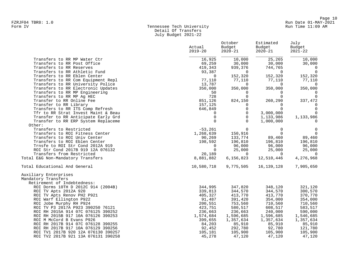#### Form IV Tennessee Tech University Run Time 11:09 AM Detail Of Transfers July Budget 2021-22

|                                     | Actual<br>$2019 - 20$ | October<br>Budget<br>$2020 - 21$ | Estimated<br>Budget<br>$2020 - 21$ | July<br>Budget<br>$2021 - 22$ |
|-------------------------------------|-----------------------|----------------------------------|------------------------------------|-------------------------------|
| Transfers to RR MP Water Ctr        | 16,925                | 10,000                           | 25,265                             | 10,000                        |
| Transfers to RR Post Office         | 69,259                | 30,000                           | 30,000                             | 30,000                        |
| Transfers to RR Reserves            | 419,343               | 939,376                          | 744,765                            | $\overline{0}$                |
| Transfers to RR Athletic Fund       | 93,387                | $\Omega$                         | $\Omega$                           | $\overline{0}$                |
| Transfers to RR Eblen Center        | $\Omega$              | 152,320                          | 152,320                            | 152,320                       |
| Transfers to RR Com Equipment Repl  | 77,110                | 77,110                           | 77,110                             | 77,110                        |
| Transfers to RR University Police   | 13,787                | $\Omega$                         | $\Omega$                           | $\overline{0}$                |
| Transfers to RR Electronic Updates  | 350,000               | 350,000                          | 350,000                            | 350,000                       |
| Transfers to RR MP Engineering      | 50                    | $\Omega$                         | $\Omega$                           | 0                             |
| Transfers to RR MP Aq HEC           | 728                   | $\mathbf 0$                      | $\Omega$                           | $\mathbf 0$                   |
| Transfer to RR Online Fee           | 851,126               | 824,150                          | 260,290                            | 337,472                       |
| Transfer to RR Library              | 157,125               | 0                                | $\Omega$                           | $\Omega$                      |
| Transfers to RR ITS Comp Refresh    | 646,849               | $\Omega$                         | $\Omega$                           | $\mathbf 0$                   |
| Tfr to RR Strat Invest Maint & Beau | 0                     | 0                                | 3,000,000                          | $\Omega$                      |
| Transfer to RR Anticipate Early Grd | $\Omega$              | $\Omega$                         | 1,133,986                          | 1,133,986                     |
| Transfer to RR ERP System Replaceme | $\Omega$              | $\Omega$                         | 1,000,000                          | $\Omega$                      |
| Other:                              |                       |                                  |                                    |                               |
| Transfers to Restricted             | $-53,261$             | $\overline{0}$                   | 0                                  | 0                             |
| Transfers to ROI Fitness Center     | 1,268,639             | 150,916                          | $\Omega$                           | $\overline{0}$                |
| Transfers to ROI Univ Center        | 90,269                | 133,774                          | 89,460                             | 89,460                        |
| Transfers to ROI Eblen Center       | 198,592               | 196,810                          | 196,810                            | 196,810                       |
| Trnsfe to ROI Str Cond 2012A 919    | $\Omega$              | 96,000                           | 96,000                             | 96,000                        |
| ROI Str Cond 2017B 919 12A 076132   | $\mathbf 0$           | 25,000                           | 25,000                             | 25,000                        |
| Transfers from Restricted           | 20,189                | $\Omega$                         | $\Omega$                           | $\Omega$                      |
| Total E&G Non-Mandatory Transfers   | 8,881,882             | 6,156,823                        | 12,510,446                         | 4,276,968                     |
| Total Educational And General       | 10,580,718            | 9,775,505                        | 16, 139, 128                       | 7,905,650                     |
| Auxiliary Enterprises               |                       |                                  |                                    |                               |
| Mandatory Transfers                 |                       |                                  |                                    |                               |
| Retirement of Indebtedness:         |                       |                                  |                                    |                               |
| ROI Dorms 10TH D 2012C 914 (2004B)  | 344,995               | 347,820                          | 348,120                            | 321,120                       |
| ROI TV Apts 2012A 920               | 339,813               | 344,570                          | 344,570                            | 300,570                       |
| ROI TV Apts Renov PH2 P921          | 405,327               | 413,770                          | 413,770                            | 370,770                       |
| ROI Warf Ellington P922             | 91,487                | 391,420                          | 354,000                            | 354,000                       |
| ROI Jobe Murphy RH P924             | 200,551               | 753,560                          | 710,560                            | 710,560                       |
| ROI TV P3 2017A P923 390250 76121   | 423,751               | 580,517                          | 608,517                            | 583,517                       |
| ROI RH 2015A 914 07C 076125 390252  | 236,663               | 236,663                          | 240,000                            | 590,000                       |
| ROI RH 2015B 917 10A 076126 390253  | 1,574,684             | 1,596,685                        | 1,596,685                          | 1,546,685                     |
| ROI M McCord B Evans P926           | 399,655               | 1,357,634                        | 1,357,634                          | 1,357,634                     |
| ROI RH 2017B 914 07C 076128 390255  | 84,203                | 85,910                           | 85,910                             | 85,910                        |
| ROI RH 2017B 917 10A 076129 390256  | 92,452                | 292,780                          | 92,780                             | 121,780                       |
| ROI TV1 2017B 920 12A 076130 390257 | 105,181               | 105,900                          | 105,900                            | 105,900                       |
| ROI TV2 2017B 921 13A 076131 390258 | 45,278                | 47,120                           | 47,120                             | 47,120                        |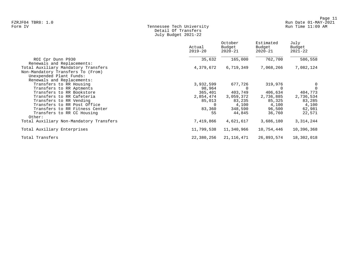#### Form IV Tennessee Tech University Run Time 11:09 AM Detail Of Transfers July Budget 2021-22

|                                         | Actual<br>$2019 - 20$ | October<br>Budget<br>2020-21 | Estimated<br>Budget<br>$2020 - 21$ | July<br>Budget<br>$2021 - 22$ |
|-----------------------------------------|-----------------------|------------------------------|------------------------------------|-------------------------------|
| ROI Cpr Dunn P930                       | 35,632                | 165,000                      | 762,700                            | 586,558                       |
| Renewals and Replacements:              |                       |                              |                                    |                               |
| Total Auxiliary Mandatory Transfers     | 4,379,672             | 6,719,349                    | 7,068,266                          | 7,082,124                     |
| Non-Mandatory Transfers To (From)       |                       |                              |                                    |                               |
| Unexpended Plant Funds:                 |                       |                              |                                    |                               |
| Renewals and Replacements:              |                       |                              |                                    |                               |
| Transfers to RR Housing                 | 3,932,599             | 677,726                      | 319,976                            | 0                             |
| Transfers to RR Aptments                | 98,964                |                              |                                    | $\mathbf 0$                   |
| Transfers to RR Bookstore               | 365,401               | 403,749                      | 406,634                            | 404,773                       |
| Transfers to RR Cafeteria               | 2,854,474             | 3,059,372                    | 2,736,885                          | 2,736,534                     |
| Transfers to RR Vending                 | 85,013                | 83,235                       | 85,325                             | 83,285                        |
| Transfers to RR Post Office             | 0                     | 4,100                        | 4,100                              | 4,100                         |
| Transfers to RR Fitness Center          | 83,360                | 348,590                      | 96,500                             | 62,981                        |
| Transfers to RR CC Housing<br>Other:    | 55                    | 44,845                       | 36,760                             | 22,571                        |
| Total Auxiliary Non-Mandatory Transfers | 7,419,866             | 4,621,617                    | 3,686,180                          | 3, 314, 244                   |
| Total Auxiliary Enterprises             | 11,799,538            | 11,340,966                   | 10,754,446                         | 10,396,368                    |
| Total Transfers                         | 22,380,256            | 21,116,471                   | 26,893,574                         | 18,302,018                    |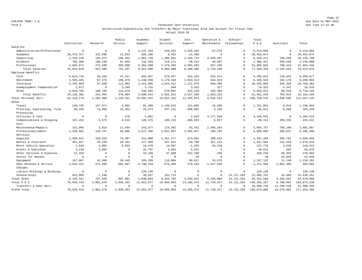Page 12 FZRJF05 TBR8: 1.0 Run Date 01-MAY-2021

#### Form V Tennessee Tech University Run Time 11:15 AM Unrestricted Expenditures And Transfers By Major Functional Area And Account For Fiscal Year Actual 2019-20

|                             |              |                | Public    | Academic     | Student      | Inst.        | Operation &    | Scholar/     | Total         |              |               |
|-----------------------------|--------------|----------------|-----------|--------------|--------------|--------------|----------------|--------------|---------------|--------------|---------------|
|                             | Instruction  | Research       | Service   | Support      | Services     | Support      | Maintenance    | Fellowships  | $E$ & G       | Auxiliary    | Total         |
| Salaries                    |              |                |           |              |              |              |                |              |               |              |               |
| Administrative/Professional | $\mathbf 0$  | $\circ$        | $\Omega$  | 2,137,294    | 449,631      | 2,529,284    | 97,676         | $\Omega$     | 5, 213, 885   | $\circ$      | 5, 213, 885   |
| Academic                    | 38, 475, 317 | 332,696        | 23,852    | 589,106      | 9,423        | 22,480       | $\Omega$       | $\Omega$     | 39, 452, 874  | $\mathbb O$  | 39, 452, 874  |
| Supporting                  | 2,150,228    | 126,072        | 266,462   | 1,662,718    | 1,406,561    | 1,184,723    | 2,643,447      | $\Omega$     | 9,440,211     | 705,569      | 10, 145, 780  |
| Students                    | 785,300      | 188,230        | 67,045    | 142,283      | 215,171      | 48,415       | 49,897         | $\Omega$     | 1,496,341     | 649,549      | 2,145,890     |
| Professional                | 2,603,971    | 275,598        | 393,808   | 5,382,598    | 7,579,294    | 4,503,593    | 927,160        | $\Omega$     | 21,666,022    | 788,424      | 22, 454, 446  |
| Total Salaries              | 44,014,816   | 922,596        | 751,167   | 9,913,999    | 9,660,080    | 8,288,495    | 3,718,180      | $\Omega$     | 77, 269, 333  | 2,143,542    | 79, 412, 875  |
| Employee Benefits           |              |                |           |              |              |              |                |              |               |              |               |
| FICA                        | 3,015,719    | 48,436         | 47,237    | 682,957      | 679,267      | 552,194      | 263, 214       | $\Omega$     | 5,289,024     | 110,653      | 5,399,677     |
| Retirement                  | 4,920,101    | 67,275         | 100,870   | 1,240,030    | 1,179,410    | 1,054,314    | 544,923        | $\Omega$     | 9,106,923     | 182,170      | 9,289,093     |
| Insurance                   | 5, 345, 685  | 57,038         | 112,962   | 1,422,885    | 1,524,312    | 1,121,679    | 850,495        | $\Omega$     | 10,435,056    | 325,326      | 10,760,382    |
| Unemployment Compensation   | 2,071        | $\mathbb O$    | 3,346     | 3,725        | 940          | 3,932        | 317            | $\mathbf{0}$ | 14,331        | 4,347        | 18,678        |
| Other                       | 4,844,786    | 168,705        | 113,679   | 339,045      | 578,092      | 425,220      | 166,384        | $\Omega$     | 6,635,911     | 80,518       | 6,716,429     |
| Total Benefits              | 18, 128, 362 | 341,454        | 378,094   | 3,688,642    | 3,962,021    | 3,157,339    | 1,825,333      | $\Omega$     | 31, 481, 245  | 703,014      | 32, 184, 259  |
| Total Personal Serv.        | 62, 143, 178 | 1,264,050      | 1,129,261 | 13,602,641   | 13,622,101   | 11, 445, 834 | 5,543,513      | $\Omega$     | 108, 750, 578 | 2,846,556    | 111,597,134   |
| Other                       |              |                |           |              |              |              |                |              |               |              |               |
| Travel                      | 240,735      | 147,371        | 4,802     | 91,309       | 1,130,615    | 121,855      | 15,266         | $\Omega$     | 1,751,953     | 6,610        | 1,758,563     |
| Printing, Duplicating, Film | 60,460       | 13,038         | 12,401    | 19,574       | 297,151      | $-308,982$   | 3,169          | $\Omega$     | 96,811        | 8,509        | 105,320       |
| Processing                  |              |                |           |              |              |              |                |              |               |              |               |
| Utilities & Fuel            | $\mathbf 0$  | $\mathbf 0$    | 378       | 4,001        | $\mathbf{0}$ | 2.616        | 4,177,529      | $\Omega$     | 4.184.524     | $\mathbf{0}$ | 4,184,524     |
| Communications & Shipping   | 187,252      | $-3,572$       | 8,524     | 140,575      | 106,133      | $-488, 843$  | 9,817          | $\circ$      | $-40,114$     | 495,255      | 455,141       |
| Cost                        |              |                |           |              |              |              |                |              |               |              |               |
| Maintenance/Repairs         | 221,906      | 5,013          | 11,644    | 143,977      | 124,501      | 91,432       | 2,496,284      | $\Omega$     | 3,094,757     | 788,100      | 3,882,857     |
| Professional/Admin.         | 1,329,501    | 128,767        | 66,009    | 2,872,206    | 2,031,697    | 2,265,927    | 196,752        | $\Omega$     | 8,890,859     | 295,637      | 9,186,496     |
| Services                    |              |                |           |              |              |              |                |              |               |              |               |
| Supplies                    | 1,558,541    | 159,323        | 74,367    | 514,908      | 1,457,177    | 473,961      | 208,912        | $\circ$      | 4, 447, 189   | 203,761      | 4,650,950     |
| Rental & Insurance          | 381,557      | 29,220         | 20,451    | 127,350      | 337,015      | 94,790       | 457,121        | $\Omega$     | 1,447,504     | 131,440      | 1,578,944     |
| Motor Vehicle Operation     | 1,529        | 3,055          | 5,933     | 19,478       | 14,597       | $-1,326$     | 94,510         | $\Omega$     | 137,776       | 2,536        | 140,312       |
| Grants & Subsidies          | 3,138        | 5,994          | $\circ$   | 31,797       | 3,053        | 5,631        | $\overline{0}$ | $\Omega$     | 49,613        | 465          | 50,078        |
| Other Services & Expenses   | 27,319       | $\overline{0}$ | $\circ$   | 23,250       | 47,690       | 222,180      | $-190$         | $\circ$      | 320,249       | 58,353       | 378,602       |
| Stores for Resale           | $\circ$      | $\circ$        | $\Omega$  | $\Omega$     | $\mathbf{0}$ | 20           | $\Omega$       | $\Omega$     | 20            | 42,826       | 42,846        |
| Equipment                   | 187,067      | 42,560         | 20,445    | 595,269      | 118,084      | 90,037       | 53,670         | $\Omega$     | 1,107,132     | 11,130       | 1,118,262     |
| Dept Revenue & Service      | 4,044,241    | 274,099        | 682,047   | $-5,790,533$ | 575,356      | 270,243      | $-1,527,036$   | $\Omega$     | $-1,471,583$  | 1,864,385    | 392,802       |
| Charges                     |              |                |           |              |              |              |                |              |               |              |               |
| Library Holdings & Bindings | $\mathbf 0$  | $\mathbf 0$    | $\Omega$  | 120,138      | $\mathbf{0}$ | $\mathbf 0$  | $\overline{0}$ | $\circ$      | 120.138       | $\circ$      | 120,138       |
| Scholarships                | 541,995      | $-7, 248$      | $\Omega$  | 48,037       | 101,713      | $\Omega$     | $\mathbf 0$    | 14,721,264   | 15, 405, 761  | 24,500       | 15, 430, 261  |
| Total Other                 | 8,785,241    | 797,620        | 907,001   | $-1,038,664$ | 6,344,782    | 2,839,541    | 6,185,804      | 14,721,264   | 39,542,589    | 3,933,507    | 43, 476, 096  |
| Total E & G                 | 70,928,419   | 2,061,670      | 2,036,262 | 12,563,977   | 19,966,883   | 14, 285, 375 | 11,729,317     | 14,721,264   | 148, 293, 167 | 6,780,063    | 155,073,230   |
| Transfers & Debt Serv.      | $\mathbf 0$  | $\overline{0}$ | $\circ$   | $^{\circ}$   | $\circ$      | $^{\circ}$   | $^{\circ}$     | $\Omega$     | 10,580,718    | 11,799,538   | 22,380,256    |
| Grand Total                 | 70,928,419   | 2,061,670      | 2,036,262 | 12,563,977   | 19,966,883   | 14, 285, 375 | 11,729,317     | 14,721,264   | 158,873,885   | 18,579,601   | 177, 453, 486 |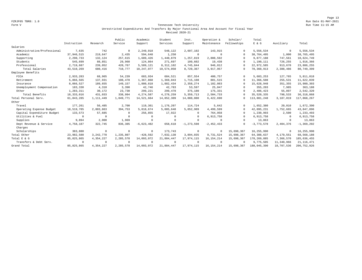Page 13 FZRJF05 TBR8: 1.0 Run Date 01-MAY-2021

#### Form V Tennessee Tech University Run Time 11:15 AM Unrestricted Expenditures And Transfers By Major Functional Area And Account For Fiscal Year Revised 2020-21

|                             |                |             | Public     | Academic     | Student     | Inst.          | Operation &    | Scholar/    | Total         |            |                |
|-----------------------------|----------------|-------------|------------|--------------|-------------|----------------|----------------|-------------|---------------|------------|----------------|
|                             | Instruction    | Research    | Service    | Support      | Services    | Support        | Maintenance    | Fellowships | $E$ & $G$     | Auxiliary  | Total          |
| Salaries                    |                |             |            |              |             |                |                |             |               |            |                |
| Administrative/Professional | 7,635          | 742         | $^{\circ}$ | 2,249,018    | 548,122     | 2,607,102      | 143,915        | $\Omega$    | 5,556,534     | $^{\circ}$ | 5,556,534      |
| Academic                    | 37,946,515     | 219,647     | 2,435      | 594.648      | 1,250       | $\overline{0}$ | $\overline{0}$ | $\Omega$    | 38,764,495    | 1,000      | 38,765,495     |
| Supporting                  | 2,290,733      | 132,124     | 257,615    | 1,689,426    | 1,440,879   | 1,257,819      | 2,808,592      | $\Omega$    | 9,877,188     | 747,561    | 10,624,749     |
| Students                    | 545,699        | 88,851      | 29,960     | 124,864      | 271,697     | 109,602        | 19,438         | $\Omega$    | 1,190,111     | 726,255    | 1,916,366      |
| Professional                | 2.719.687      | 239,052     | 420.767    | 5,589,121    | 8.312.102   | 4,745,844      | 946.012        | $\Omega$    | 22,972,585    | 913,670    | 23,886,255     |
| Total Salaries              | 43,510,269     | 680,416     | 710,777    | 10,247,077   | 10,574,050  | 8,720,367      | 3,917,957      | $\Omega$    | 78,360,913    | 2,388,486  | 80,749,399     |
| Employee Benefits           |                |             |            |              |             |                |                |             |               |            |                |
| FICA                        | 2,933,283      | 68,965      | 54,239     | 683,934      | 684,521     | 857,554        | 400,757        | $\Omega$    | 5,683,253     | 127,765    | 5,811,018      |
| Retirement                  | 5,866,565      | 137,931     | 108,478    | 1,367,868    | 1,369,043   | 1,715,108      | 801,515        | $^{\circ}$  | 11,366,508    | 255,531    | 11,622,039     |
| Insurance                   | 8,066,527      | 189,655     | 149,157    | 1,880,818    | 1,882,434   | 2,358,274      | 1,102,083      | $\Omega$    | 15,628,948    | 351,355    | 15,980,303     |
| Unemployment Compensation   | 183,330        | 4,310       | 3,390      | 42,746       | 42,783      | 53,597         | 25,047         | $\cap$      | 355,203       | 7,985      | 363,188        |
| Other                       | 1,283,311      | 30,172      | 23,730     | 299,221      | 299,478     | 375,180        | 175,331        | $\Omega$    | 2,486,423     | 55,897     | 2,542,320      |
| Total Benefits              | 18, 333, 016   | 431,033     | 338,994    | 4,274,587    | 4,278,259   | 5, 359, 713    | 2,504,733      | $\Omega$    | 35,520,335    | 798,533    | 36, 318, 868   |
| Total Personal Serv.        | 61,843,285     | 1,111,449   | 1,049,771  | 14,521,664   | 14,852,309  | 14,080,080     | 6,422,690      | $^{\circ}$  | 113,881,248   | 3,187,019  | 117,068,267    |
| Other                       |                |             |            |              |             |                |                |             |               |            |                |
| Travel                      | 177,261        | 56,485      | 2,700      | 119,361      | 1,176,207   | 114,724        | 5,642          | $\Omega$    | 1,652,380     | 20,010     | 1,672,390      |
| Operating Expense Budget    | 18,519,785     | 2,803,863   | 394,753    | 5,818,674    | 5,005,648   | 5,052,909      | 4,499,599      | $\Omega$    | 42,095,231    | 1,752,665  | 43,847,896     |
| Capital Expenditure Budget  | 133,573        | 57,685      | $^{\circ}$ | 256,855      | 17,922      | $\Omega$       | 764,958        | $\Omega$    | 1,230,993     | 2,500      | 1,233,493      |
| Utilities & Fuel            | $\overline{0}$ | $^{\circ}$  | $\Omega$   | $\Omega$     | $\mathbf 0$ | $\Omega$       | 6,913,758      | $\Omega$    | 6,913,758     | $^{\circ}$ | 6,913,758      |
| Supplies                    | 9,894          | 2,000       | 1,969      | $^{\circ}$   | $^{\circ}$  | $\Omega$       | $\Omega$       | $\cap$      | 13,863        | $^{\circ}$ | 13,863         |
| Dept Revenue & Service      | 4,758,187      | 322,745     | 836,385    | $-6,623,482$ | 658,618     | $-1, 273, 598$ | $-2,452,433$   | $\Omega$    | $-3,773,578$  | 2,404,376  | $-1, 369, 202$ |
| Charges                     |                |             |            |              |             |                |                |             |               |            |                |
| Scholarships                | 383,880        | $\circ$     | $^{\circ}$ | $\mathbf 0$  | 173,743     | $^{\circ}$     | $^{\circ}$     | 15,698,367  | 16,255,990    | $^{\circ}$ | 16,255,990     |
| Total Other                 | 23,982,580     | 3, 242, 778 | 1,235,807  | $-428,592$   | 7,032,138   | 3,894,035      | 9,731,524      | 15,698,367  | 64, 388, 637  | 4,179,551  | 68,568,188     |
| Total E & G                 | 85, 825, 865   | 4,354,227   | 2,285,578  | 14,093,072   | 21,884,447  | 17,974,115     | 16, 154, 214   | 15,698,367  | 178, 269, 885 | 7,366,570  | 185,636,455    |
| Transfers & Debt Serv.      | $\Omega$       | $^{\circ}$  | $\Omega$   | $^{\circ}$   | $^{\circ}$  | $\Omega$       | $\Omega$       | $\Omega$    | 9,775,505     | 11,340,966 | 21, 116, 471   |
| Grand Total                 | 85, 825, 865   | 4,354,227   | 2,285,578  | 14,093,072   | 21,884,447  | 17.974.115     | 16, 154, 214   | 15,698,367  | 188,045,390   | 18,707,536 | 206, 752, 926  |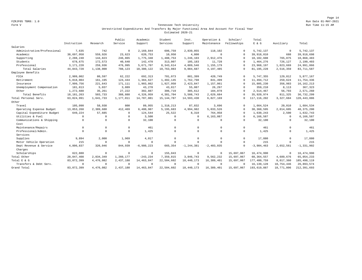Page 14 FZRJF05 TBR8: 1.0 Run Date 01-MAY-2021

#### Form V Tennessee Tech University Run Time 11:15 AM Unrestricted Expenditures And Transfers By Major Functional Area And Account For Fiscal Year Estimated 2020-21

|                             |              |                | Public    | Academic     | Student      | Inst.          | Operation &  | Scholar/    | Total         |              |                |
|-----------------------------|--------------|----------------|-----------|--------------|--------------|----------------|--------------|-------------|---------------|--------------|----------------|
|                             | Instruction  | Research       | Service   | Support      | Services     | Support        | Maintenance  | Fellowships | $E$ & $G$     | Auxiliary    | Total          |
| Salaries                    |              |                |           |              |              |                |              |             |               |              |                |
| Administrative/Professional | 7,635        | 742            | $\circ$   | 2,169,844    | 606,759      | 2,839,055      | 118,102      | $\Omega$    | 5,742,137     | $\circ$      | 5,742,137      |
| Academic                    | 38,697,958   | 559,926        | 23,623    | 620,753      | 10,950       | 4,800          | $\Omega$     |             | 39,918,010    | 688          | 39,918,698     |
| Supporting                  | 2,288,240    | 144,823        | 246,865   | 1,775,348    | 1,488,753    | 1,246,103      | 2,912,476    | $\Omega$    | 10,102,608    | 765,875      | 10,868,483     |
| Students                    | 678,675      | 172,573        | 40,640    | 142,470      | 313,007      | 105,183        | 11,728       | $\Omega$    | 1,464,276     | 726,127      | 2,190,403      |
| Professional                | 3, 171, 220  | 259,936        | 476,995   | 5,671,707    | 8,343,614    | 4,889,546      | 1,155,179    |             | 23,968,197    | 1,023,669    | 24,991,866     |
| Total Salaries              | 44,843,728   | 1,138,000      | 788,123   | 10,380,122   | 10,763,083   | 9,084,687      | 4,197,485    | $\Omega$    | 81, 195, 228  | 2,516,359    | 83, 711, 587   |
| Employee Benefits           |              |                |           |              |              |                |              |             |               |              |                |
| FICA                        | 2,909,002    | 80,597         | 62,222    | 692,313      | 701,073      | 881,399        | 420,749      | $\cap$      | 5,747,355     | 129,812      | 5,877,167      |
| Retirement                  | 5,818,004    | 161,195        | 124,444   | 1,384,627    | 1,402,145    | 1,762,798      | 841,499      | $\cup$      | 11, 494, 712  | 259,624      | 11,754,336     |
| Insurance                   | 7,999,756    | 221,643        | 171,111   | 1,903,862    | 1,927,950    | 2,423,847      | 1,157,061    | $\Omega$    | 15,805,230    | 356,983      | 16, 162, 213   |
| Unemployment Compensation   | 181,813      | 5,037          | 3,889     | 43,270       | 43,817       | 55,087         | 26,297       |             | 359,210       | 8,113        | 367,323        |
| Other                       | 1,272,688    | 35,261         | 27,222    | 302,887      | 306,719      | 385,612        | 184,078      | $\Omega$    | 2,514,467     | 56,793       | 2,571,260      |
| Total Benefits              | 18, 181, 263 | 503,733        | 388,888   | 4,326,959    | 4,381,704    | 5,508,743      | 2,629,684    |             | 35,920,974    | 811,325      | 36,732,299     |
| Total Personal Serv.        | 63,024,991   | 1,641,733      | 1,177,011 | 14,707,081   | 15, 144, 787 | 14,593,430     | 6,827,169    | $\Omega$    | 117, 116, 202 | 3,327,684    | 120, 443, 886  |
| Other                       |              |                |           |              |              |                |              |             |               |              |                |
| Travel                      | 105,090      | 58,938         | 800       | 89,955       | 1,318,213    | 87,832         | 3,696        |             | 1,664,524     | 20,010       | 1,684,534      |
| Operating Expense Budget    | 13,853,268   | 2,389,680      | 412,469   | 6,480,987    | 5,195,683    | 4,994,982      | 5,033,526    |             | 38, 360, 595  | 2,014,605    | 40, 375, 200   |
| Capital Expenditure Budget  | 649,224      | 57,685         |           | 124,544      | 25,522       | 8,310          | 764,958      | $\Omega$    | 1,630,243     | 2,500        | 1,632,743      |
| Utilities & Fuel            | $\Omega$     | $\Omega$       | $\Omega$  | 3,500        | $\Omega$     | $\Omega$       | 6,163,087    | $\Omega$    | 6,166,587     | $\circ$      | 6,166,587      |
| Communications & Shipping   | $\Omega$     | $\Omega$       | $\Omega$  | 32,100       | $\Omega$     | $\Omega$       | $\Omega$     | $\Omega$    | 32,100        | $^{\circ}$   | 32,100         |
| Cost                        |              |                |           |              |              |                |              |             |               |              |                |
| Maintenance/Repairs         | $\Omega$     | $\Omega$       | $\Omega$  | 461          | $\circ$      | $\Omega$       | $\Omega$     | $\Omega$    | 461           | $\mathbf{0}$ | 461            |
| Professional/Admin.         | $\Omega$     | $\overline{0}$ | $\circ$   | 1,425        | $\mathbf{0}$ | $\Omega$       | 0            | $^{\circ}$  | 1,425         | $^{\circ}$   | 1,425          |
| Services                    |              |                |           |              |              |                |              |             |               |              |                |
| Supplies                    | 9,894        | 2,000          | 1,969     | 4.017        | $\Omega$     | $\circ$        | $\Omega$     | $\Omega$    | 17,880        | $^{\circ}$   | 17,880         |
| Motor Vehicle Operation     | 215          | $^{\circ}$     | $\Omega$  | $\Omega$     | $\Omega$     | $\Omega$       | $\Omega$     | $\Omega$    | 215           | $^{\circ}$   | 215            |
| Dept Revenue & Service      | 4,806,837    | 326,046        | 844,939   | $-6,980,223$ | 665,354      | $-1, 244, 381$ | $-2,403,035$ | $\Omega$    | $-3,984,463$  | 2,652,561    | $-1, 331, 902$ |
| Charges                     |              |                |           |              |              |                |              |             |               |              |                |
| Scholarships                | 622,880      | $\mathbb O$    | $\Omega$  | $\mathbb O$  | 155,043      | $\overline{0}$ | $^{\circ}$   | 15,697,067  | 16,474,990    | $^{\circ}$   | 16,474,990     |
| Total Other                 | 20,047,408   | 2,834,349      | 1,260,177 | $-243, 234$  | 7,359,815    | 3,846,743      | 9,562,232    | 15,697,067  | 60, 364, 557  | 4,689,676    | 65,054,233     |
| Total E & G                 | 83,072,399   | 4,476,082      | 2,437,188 | 14, 463, 847 | 22,504,602   | 18,440,173     | 16,389,401   | 15,697,067  | 177,480,759   | 8,017,360    | 185, 498, 119  |
| Transfers & Debt Serv.      | $^{\circ}$   | $\overline{0}$ | $\circ$   | $\mathbf 0$  | $\circ$      | $\overline{0}$ | $^{\circ}$   | $\Omega$    | 16, 139, 128  | 10,754,446   | 26,893,574     |
| Grand Total                 | 83,072,399   | 4,476,082      | 2,437,188 | 14, 463, 847 | 22,504,602   | 18,440,173     | 16,389,401   | 15,697,067  | 193,619,887   | 18,771,806   | 212, 391, 693  |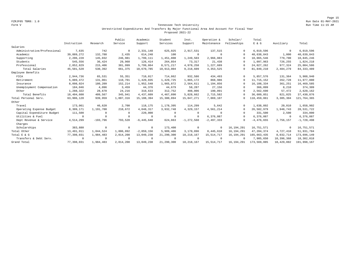Page 15 FZRJF05 TBR8: 1.0 Run Date 01-MAY-2021

#### Form V Tennessee Tech University Run Time 11:15 AM Unrestricted Expenditures And Transfers By Major Functional Area And Account For Fiscal Year Proposed 2021-22

|                             |              |            | Public       | Academic       | Student     | Inst.          | Operation &  | Scholar/     | Total        |            |              |
|-----------------------------|--------------|------------|--------------|----------------|-------------|----------------|--------------|--------------|--------------|------------|--------------|
|                             | Instruction  | Research   | Service      | Support        | Services    | Support        | Maintenance  | Fellowships  | E & G        | Auxiliary  | Total        |
| Salaries                    |              |            |              |                |             |                |              |              |              |            |              |
| Administrative/Professional | 7,635        | 742        | $\mathbf{0}$ | 2,331,148      | 625,025     | 2,917,531      | 137,515      | $\Omega$     | 6,019,596    | $^{\circ}$ | 6,019,596    |
| Academic                    | 39,889,272   | 132,788    | 2,435        | 614,248        | 100         | $^{\circ}$     | $\Omega$     | $\cap$       | 40,638,843   | 1,000      | 40,639,843   |
| Supporting                  | 2,206,228    | 145,032    | 246,981      | 1,799,111      | 1,451,808   | 1,249,503      | 2,966,883    | $\cap$       | 10,065,546   | 779,700    | 10,845,246   |
| Students                    | 545,556      | 36,424     | 29,960       | 126,414        | 264,854     | 73,317         | 21,438       | $\Omega$     | 1,097,963    | 726,255    | 1,824,218    |
| Professional                | 2,852,829    | 215,406    | 381,999      | 5,799,864      | 8,571,217   | 4,978,258      | 1,227,689    | $\Omega$     | 24,027,262   | 977,324    | 25,004,586   |
| Total Salaries              | 45,501,520   | 530,392    | 661,375      | 10,670,785     | 10,913,004  | 9,218,609      | 4,353,525    | $\Omega$     | 81,849,210   | 2,484,279  | 84, 333, 489 |
| Employee Benefits           |              |            |              |                |             |                |              |              |              |            |              |
| FICA                        | 2,944,736    | 65,531     | 55,351       | 710,017        | 714,862     | 932,586        | 434,493      | $\Omega$     | 5,857,576    | 131,364    | 5,988,940    |
| Retirement                  | 5,889,472    | 131,061    | 110,701      | 1,420,035      | 1,429,725   | 1,865,172      | 868,986      | $\Omega$     | 11,715,152   | 262,728    | 11,977,880   |
| Insurance                   | 8,098,024    | 180,209    | 152,214      | 1,952,548      | 1,965,872   | 2,564,611      | 1,194,856    | $\Omega$     | 16,108,334   | 361,251    | 16, 469, 585 |
| Unemployment Compensation   | 184,046      | 4,096      | 3,459        | 44,376         | 44,679      | 58.287         | 27,156       | $\cap$       | 366,099      | 8,210      | 374,309      |
| Other                       | 1,288,322    | 28,670     | 24,216       | 310,633        | 312,752     | 408,006        | 190,091      | $\cap$       | 2,562,690    | 57,472     | 2,620,162    |
| Total Benefits              | 18,404,600   | 409,567    | 345,941      | 4,437,609      | 4,467,890   | 5,828,662      | 2,715,582    | $\Omega$     | 36,609,851   | 821,025    | 37, 430, 876 |
| Total Personal Serv.        | 63,906,120   | 939,959    | 1,007,316    | 15,108,394     | 15,380,894  | 15,047,271     | 7,069,107    | $\Omega$     | 118,459,061  | 3,305,304  | 121,764,365  |
| Other                       |              |            |              |                |             |                |              |              |              |            |              |
| Travel                      | 173,061      | 46,620     | 2,700        | 118,175        | 1,178,395   | 114,299        | 5,642        | $\cap$       | 1,638,892    | 20,010     | 1,658,902    |
| Operating Expense Budget    | 8,309,171    | 1,191,700  | 210,672      | 4,048,317      | 3,932,748   | 4,329,157      | 4,561,214    | $\Omega$     | 26,582,979   | 1,948,743  | 28,531,722   |
| Capital Expenditure Budget  | 111,500      | $^{\circ}$ | $\Omega$     | 220,000        | $\mathbf 0$ | $\Omega$       | $\Omega$     | $\Omega$     | 331,500      | 2,500      | 334,000      |
| Utilities & Fuel            | $\Omega$     | $^{\circ}$ | $\Omega$     | 0              | $^{\circ}$  | $\Omega$       | 6,376,087    | $\Omega$     | 6,376,087    | $^{\circ}$ | 6,376,087    |
| Dept Revenue & Service      | 4,514,299    | $-193,796$ | 793,520      | $-6, 445, 648$ | 624,863     | $-1, 272, 560$ | $-2,497,333$ | $\Omega$     | $-4,476,655$ | 2,756,157  | $-1,720,498$ |
| Charges                     |              |            |              |                |             |                |              |              |              |            |              |
| Scholarships                | 383,880      | $^{\circ}$ | $\Omega$     | $^{\circ}$     | 173,400     | $^{\circ}$     | $^{\circ}$   | 16, 194, 291 | 16,751,571   | $\Omega$   | 16,751,571   |
| Total Other                 | 13, 491, 911 | 1,044,524  | 1,006,892    | $-2,059,156$   | 5,909,406   | 3,170,896      | 8,445,610    | 16, 194, 291 | 47, 204, 374 | 4,727,410  | 51,931,784   |
| Total E & G                 | 77,398,031   | 1,984,483  | 2,014,208    | 13,049,238     | 21,290,300  | 18, 218, 167   | 15, 514, 717 | 16, 194, 291 | 165,663,435  | 8,032,714  | 173,696,149  |
| Transfers & Debt Serv.      | $^{\circ}$   | $^{\circ}$ | $\Omega$     | $\mathbf 0$    | $^{\circ}$  | $^{\circ}$     | $\Omega$     | $\Omega$     | 7,905,650    | 10,396,368 | 18,302,018   |
| Grand Total                 | 77,398,031   | 1,984,483  | 2,014,208    | 13,049,238     | 21,290,300  | 18, 218, 167   | 15, 514, 717 | 16, 194, 291 | 173,569,085  | 18,429,082 | 191,998,167  |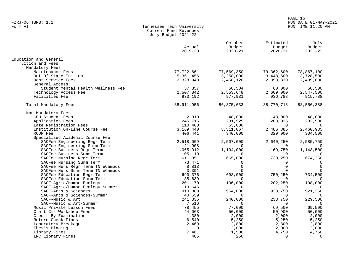#### PAGE 16 FZRJF06 TBR8: 1.1 RUN DATE 01-MAY-2021 RUN TIME 11:20 AM

| Form VI | Tennessee Tech University |
|---------|---------------------------|
|         | Current Fund Revenues     |
|         | July Budget 2021-22       |

|                                                                      | Actual<br>$2019 - 20$ | October<br>Budget<br>$2020 - 21$ | Estimated<br>Budget<br>$2020 - 21$ | July<br>Budget<br>$2021 - 22$ |
|----------------------------------------------------------------------|-----------------------|----------------------------------|------------------------------------|-------------------------------|
| Education and General                                                |                       |                                  |                                    |                               |
| Tuition and Fees                                                     |                       |                                  |                                    |                               |
| Mandatory Fees                                                       |                       |                                  |                                    |                               |
| Maintenance Fees                                                     | 77,722,661            | 77,569,350                       | 79,362,600                         | 78,867,100                    |
| Out-Of-State Tuition                                                 | 5,361,456             | 3,258,000                        | 3,448,500                          | 3,728,500                     |
| Debt Service Fees<br>General Access                                  | 2,328,948             | 2,458,120                        | 2,353,830                          | 2,439,000                     |
| Student Mental Health Wellness Fee                                   | 57,857                | 58,584                           | 60,000                             | 58,500                        |
| Technology Access Fee                                                | 2,507,842             | 2,553,648                        | 2,609,000                          | 2,547,500                     |
| Facilities Fee                                                       | 933,192               | 977,931                          | 936,788                            | 915,788                       |
|                                                                      |                       |                                  |                                    |                               |
| Total Mandatory Fees                                                 | 88, 911, 956          | 86,875,633                       | 88,770,718                         | 88,556,388                    |
| Non-Mandatory Fees                                                   |                       |                                  |                                    |                               |
| CEU Student Fees                                                     | 2,910                 | 48,000                           | 48,000                             | 48,000                        |
| Application Fees                                                     | 245,715               | 231,525                          | 203,025                            | 202,500                       |
| Late Registration Fees                                               | 110,400               | 53,000                           | $\Omega$                           | $\Omega$                      |
| Institution On-Line Course Fee                                       | 3,169,440             | 3,311,067                        | 2,486,385                          | 2,460,935                     |
| RODP Fee                                                             | 406,441               | 340,000                          | 329,000                            | 304,500                       |
| Specialized Academic Course Fee                                      |                       |                                  |                                    |                               |
| SACFee Engineering Regr Term                                         | 2,518,009             | 2,507,000                        | 2,640,250                          | 2,585,750                     |
| SACFee Engineering Summ Term                                         | 121,908               | $\Omega$                         | $\Omega$                           | $\Omega$                      |
| SACFee Business Regr Term                                            | 1,065,012             | 1,104,000                        | 1,169,750                          | 1,143,500                     |
| SACFee Business Summ Term                                            | 105,119               | $\Omega$                         | $\Omega$                           | $\Omega$                      |
| SACFee Nursing Regr Term                                             | 611,951               | 665,000<br>$\Omega$              | 739,250                            | 674,250<br>$\Omega$           |
| SACFee Nursing Summ Term                                             | 73,471                | $\Omega$                         | $\Omega$<br>$\Omega$               | $\mathbf 0$                   |
| SACFee Nurs Regr Term TN eCampus<br>SACFee Nurs Summ Term TN eCampus | 8,813<br>3,391        | $\Omega$                         |                                    |                               |
| SACFee Education Regr Term                                           | 690,376               | 698,000                          | 750,250                            | 734,500                       |
| SACFee Education Summ Term                                           | 35,639                | $\Omega$                         | $\Omega$                           |                               |
| SACF-Agric/Human Ecology                                             | 201,170               | 196,000                          | 202,250                            | 198,000                       |
| SACF-Agric/Human Ecology-Summer                                      | 13,646                | $\Omega$                         | $\Omega$                           | $\Omega$                      |
| SACF-Arts & Sciences                                                 | 910,388               | 954,000                          | 938,750                            | 921,250                       |
| SACF-Arts & Sciences-Summer                                          | 40,659                | $\Omega$                         | $\Omega$                           | $\Omega$                      |
| SACF-Music & Art                                                     | 241,335               | 240,000                          | 233,750                            | 229,500                       |
| SACF-Music & Art-Summer                                              | 7,516                 | $\Omega$                         | $\Omega$                           | $\overline{0}$                |
| Music Private Lesson Fees                                            | 78,455                | 77,000                           | 69,500                             | 69,500                        |
| Craft Ctr Workshop Fees                                              | 44,063                | 50,000                           | 50,900                             | 50,000                        |
| Credit By Examination                                                | 1,380                 | 2,000                            | 2,000                              | 2,000                         |
| Return Check Fines                                                   | 6,540                 | 5,250                            | 5,250                              | 5,250                         |
| Laboratory Breakage                                                  | 2,469                 | 2,800                            | 2,800                              | 2,800                         |
| Thesis Binding                                                       | $\Omega$              | 2,000                            | 2,000                              | 2,000                         |
| Library Fines                                                        | 7,461                 | 1,500                            | 4,750                              | 4,750                         |
| LRC Library Fines                                                    | 405                   | 250                              | $\Omega$                           | $\mathbf 0$                   |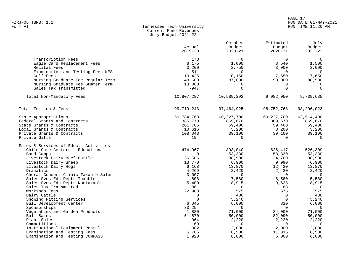# PAGE 17 FZRJF06 TBR8: 1.1 RUN DATE 01-MAY-2021

# Tennessee Tech University Current Fund Revenues July Budget 2021-22

|                                                                                                       | Actual<br>$2019 - 20$        | October<br>Budget<br>$2020 - 21$       | Estimated<br>Budget<br>$2020 - 21$     | July<br>Budget<br>$2021 - 22$                |
|-------------------------------------------------------------------------------------------------------|------------------------------|----------------------------------------|----------------------------------------|----------------------------------------------|
| Transcription Fees<br>Eagle Card Replacement Fees<br>Recital Fees<br>Examination and Testing Fees NES | 173<br>8,175<br>3,200<br>511 | $\Omega$<br>1,000<br>2,750<br>$\Omega$ | $\Omega$<br>3,540<br>3,000<br>$\Omega$ | $\Omega$<br>1,500<br>3,000<br>$\overline{0}$ |
| Golf Fees<br>Nursing Graduate Fee Regular Term<br>Nursing Graduate Fee Summer Term                    | 10,425<br>48,600<br>13,068   | 10,150<br>87,000<br>0                  | 7,650<br>90,000<br>$\Omega$            | 7,650<br>88,500<br>$\mathbf 0$               |
| Sales Tax Transmitted                                                                                 | $-947$                       | $\Omega$                               | $\Omega$                               | $\mathbf 0$                                  |
| Total Non-Mandatory Fees                                                                              | 10,807,287                   | 10,589,292                             | 9,982,050                              | 9,739,635                                    |
| Total Tuition & Fees                                                                                  | 99,719,243                   | 97, 464, 925                           | 98,752,768                             | 98,296,023                                   |
| State Appropriations                                                                                  | 59,784,763                   | 60, 227, 700                           | 60, 227, 700                           | 63,514,400                                   |
| Federal Grants and Contracts                                                                          | 1,385,773                    | 869,670                                | 869,670                                | 869,670                                      |
| State Grants & Contracts                                                                              | 201,766                      | 59,400                                 | 59,400                                 | 59,400                                       |
| Local Grants & Contracts<br>Private Grants & Contracts                                                | 10,616<br>108,043            | 3,200<br>39,100                        | 3,200<br>39,100                        | 3,200<br>39,100                              |
| Private Gifts                                                                                         | 194                          | $\Omega$                               | $\Omega$                               | $\Omega$                                     |
| Sales & Services of Educ. Activities                                                                  |                              |                                        |                                        |                                              |
| Child Care Centers - Educational                                                                      | 474,967                      | 393,040                                | 626,417                                | 526,309                                      |
| Band Camps                                                                                            | $\Omega$                     | 53,330                                 | 53,330                                 | 53,330                                       |
| Livestock Dairy Beef Cattle                                                                           | 36,506                       | 38,900                                 | 34,700                                 | 38,900                                       |
| Livestock Dairy Sheep                                                                                 | 13,770                       | 6,900                                  | 9,990                                  | 6,900                                        |
| Livestock Dairy Hogs                                                                                  | 6,168                        | 13,870                                 | 12,420                                 | 13,870                                       |
| Dramatics                                                                                             | 4,269                        | 2,420                                  | 2,420                                  | 2,420                                        |
| Choral Concert Clinic Taxable Sales                                                                   | 3,007                        | 0                                      | $\Omega$                               | $\overline{0}$                               |
| Sales Svcs Edu Depts Taxable                                                                          | 1,808                        | 7,580                                  | 8,580                                  | 5,580                                        |
| Sales Svcs Edu Depts Nontaxable                                                                       | 5,400                        | 8,915                                  | 9,628                                  | 8,915                                        |
| Sales Tax Transmitted<br>Workshop Fees                                                                | $-861$<br>22,983             | $\Omega$<br>575                        | $-88$<br>575                           | $\Omega$<br>575                              |
| Dairy Cattle                                                                                          | $\Omega$                     | 430                                    | $\Omega$                               | 430                                          |
| Showing Fitting Services                                                                              | $\Omega$                     | 5,240                                  | $\Omega$                               | 5,240                                        |
| Bull Development Center                                                                               | 6,045                        | 6,000                                  | 810                                    | 6,000                                        |
| Sponsorships                                                                                          | 33,254                       | $\Omega$                               | $\Omega$                               | $\Omega$                                     |
| Vegetables and Garden Products                                                                        | 1,880                        | 71,000                                 | 24,000                                 | 71,000                                       |
| Bull Sales                                                                                            | 51,870                       | 50,000                                 | 82,090                                 | 50,000                                       |
| Plant Sales                                                                                           | 964                          | 2,220                                  | 2,220                                  | 2,220                                        |
| Competitions                                                                                          | 69                           | $\Omega$                               | $\Omega$                               | $\Omega$                                     |
| Instructional Equipment Rental                                                                        | 1,382                        | 2,000                                  | 2,000                                  | 2,000                                        |
| Examination and Testing Fees                                                                          | 5,705                        | 8,500                                  | 11,315                                 | 8,500                                        |
| Examination and Testing COMPASS                                                                       | 1,920                        | 6,000                                  | 6,000                                  | 6,000                                        |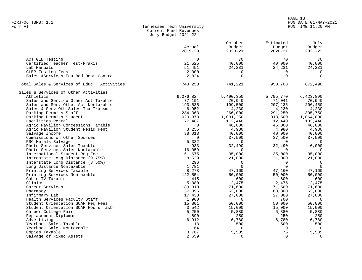#### PAGE 18 FZRJF06 TBR8: 1.1 RUN DATE 01-MAY-2021 RUN TIME 11:20 AM

| Form VI | Tennessee Tech University |
|---------|---------------------------|
|         | Current Fund Revenues     |
|         | July Budget 2021-22       |

|                                            |                | October     | Estimated      | July           |
|--------------------------------------------|----------------|-------------|----------------|----------------|
|                                            | Actual         | Budget      | Budget         | Budget         |
|                                            | $2019 - 20$    | $2020 - 21$ | $2020 - 21$    | $2021 - 22$    |
|                                            |                |             |                |                |
| ACT GED Testing                            | $\mathbf 0$    | 70          | 70             | 70             |
| Certified Teacher Test/Praxis              | 21,525         | 40,000      | 40,000         | 40,000         |
| Lab Manuals                                | 51,451         | 24,231      | 24,231         | 24,231         |
| CLEP Testing Fees                          | 2,000          | $\Omega$    | $\Omega$       | $\Omega$       |
| Sales &Services Edu Bad Debt Contra        | $-2,824$       | $\Omega$    | $\Omega$       | $\Omega$       |
|                                            |                |             |                |                |
| Total Sales & Services of Educ. Activities | 743,258        | 741,221     | 950,708        | 872,490        |
| Sales & Services of Other Activities       |                |             |                |                |
| Athletics                                  | 6,076,824      | 5,490,350   | 5,795,770      | 6,423,890      |
| Sales and Service Other Act Taxable        | 77,191         | 70,940      | 71,041         | 70,940         |
| Sales and Serv Other Act Nontaxable        | 193,535        | 199,500     | 207,135        | 206,450        |
| Sales & Serv Oth Sales Tax Transmit        | $-6,952$       | $-4,230$    | $-4,230$       | $-4,230$       |
| Parking Permits-Staff                      |                |             |                | 305,750        |
|                                            | 284,363        | 266,000     | 291,250        |                |
| Parking Permits-Student                    | 1,020,373      | 1,031,250   | 1,013,500      | 1,064,000      |
| Facilities Rental                          | 77,487         | 112,440     | 112,440        | 103,440        |
| Agric Pavilion Concessions Taxable         | $\mathbf 0$    | 46,000      | 46,000         | 46,000         |
| Agric Pavilion Student Resid Rent          | 3,255          | 4,980       | 4,980          | 4,980          |
| Salvage Income                             | 38,013         | 40,000      | 40,000         | 40,000         |
| Commissions on Other Sources               | $\overline{0}$ | 37,500      | 37,500         | 37,500         |
| PSC Metals Salvage                         | 5,322          | $\Omega$    | $\overline{0}$ | $\overline{0}$ |
| Photo Services Sales Taxable               | 933            | 32,490      | 32,490         | 6,000          |
| Photo Services Sales Nontaxable            | 16,059         | $\Omega$    |                |                |
| International Student Reg Fee              | 61,675         | 35,000      | 35,000         | 35,000         |
| Intrastate Long Distance (9.75%)           | 8,529          | 21,000      | 21,000         | 21,000         |
| Interstate Long Distance (8.50%)           | 296            | $\Omega$    | $\Omega$       | $\overline{0}$ |
| Long Distance Nontaxable                   | 1,781          | $\Omega$    | $\Omega$       | $\overline{0}$ |
| Printing Services Taxable                  | 8,278          | 47,160      | 47,160         | 47,160         |
| Printing Services Nontaxable               | 122,554        | 50,000      | 50,000         | 50,000         |
| Cable TV Taxable                           | 415            | 600         | 600            | 600            |
| Clinics                                    | 5,080          | 2,475       | 2,475          | 2,475          |
| Career Services                            | 183,910        | 71,600      | 71,600         | 71,600         |
| Pharmacy                                   | 37,096         | 63,800      | 63,800         | 63,800         |
| Infirmary Lab                              | 17,433         | 27,000      | 27,000         | 27,000         |
|                                            | 1,900          | $\Omega$    | 700            | $\overline{0}$ |
| Health Services Faculty Staff              |                |             |                |                |
| Student Orientation SOAR Req Fees          | 15,801         | 50,000      | 50,000         | 50,000         |
| Student Orientation SOAR Hours Taxb        | 3,542          | 15,000      | 15,000         | 15,000         |
| Career College Fair                        | 5,250          | 5,880       | 5,880          | 5,880          |
| Replacement Diplomas                       | 1,890          | 250         | 250            | 250            |
| Advertising                                | 6,912          | 6,780       | 6,780          | 6,780          |
| Yearbook Sales Taxable                     | 13             | 500         | 500            | 500            |
| Yearbook Sales Nontaxable                  | 64             | $\Omega$    | $\Omega$       | $\Omega$       |
| Copies Taxable                             | 3,767          | 5,535       | 75             | 5,535          |
| Salvage of Fixed Assets                    | 2,659          | $\Omega$    | $\Omega$       | $\Omega$       |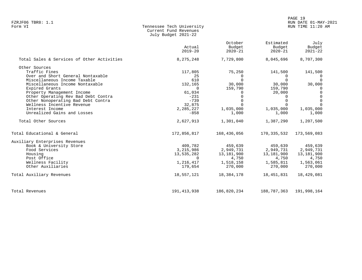# PAGE 19 FZRJF06 TBR8: 1.1 RUN DATE 01-MAY-2021

# Form VI Tennessee Tech University RUN TIME 11:20 AM Current Fund Revenues July Budget 2021-22

|                                            | Actual<br>$2019 - 20$ | October<br>Budget<br>$2020 - 21$ | Estimated<br>Budget<br>$2020 - 21$ | July<br>Budget<br>$2021 - 22$ |
|--------------------------------------------|-----------------------|----------------------------------|------------------------------------|-------------------------------|
| Total Sales & Services of Other Activities | 8,275,248             | 7,729,800                        | 8,045,696                          | 8,707,300                     |
| Other Sources                              |                       |                                  |                                    |                               |
| Traffic Fines                              | 117,805               | 75,250                           | 141,500                            | 141,500                       |
| Over and Short General Nontaxable          | 25                    | $\Omega$                         | $\Omega$                           |                               |
| Miscellaneous Income Taxable               | 610                   | $\Omega$                         | $\Omega$                           | $\Omega$                      |
| Miscellaneous Income Nontaxable            | 132,165               | 30,000                           | 30,000                             | 30,000                        |
| Expired Grants                             | $\Omega$              | 159,790                          | 159,790                            | $\Omega$                      |
| Property Management Income                 | 61,034                | 0                                | 20,000                             | $\Omega$                      |
| Other Operating Rev Bad Debt Contra        | $-231$                | $\Omega$                         | $\Omega$                           | $\Omega$                      |
| Other Nonoperating Bad Debt Contra         | $-739$                | 0                                | $\Omega$                           | $\Omega$                      |
| Wellness Incentive Revenue                 | 32,875                | $\Omega$                         |                                    | $\Omega$                      |
| Interest Income                            | 2,285,227             | 1,035,000                        | 1,035,000                          | 1,035,000                     |
| Unrealized Gains and Losses                | $-858$                | 1,000                            | 1,000                              | 1,000                         |
| Total Other Sources                        | 2,627,913             | 1,301,040                        | 1,387,290                          | 1,207,500                     |
| Total Educational & General                | 172,856,817           | 168,436,056                      | 170,335,532                        | 173,569,083                   |
| Auxiliary Enterprises Revenues             |                       |                                  |                                    |                               |
| Book & University Store                    | 409,782               | 459,639                          | 459,639                            | 459,639                       |
| Food Services                              | 3,215,986             | 2,949,731                        | 2,949,731                          | 2,949,731                     |
| Housing                                    | 13,535,282            | 13,181,900                       | 13,181,900                         | 13,181,900                    |
| Post Office                                | $\Omega$              | 4,750                            | 4,750                              | 4,750                         |
| Wellness Facility                          | 1,216,417             | 1,518,158                        | 1,585,811                          | 1,563,061                     |
| Other Auxiliaries                          | 179,654               | 270,000                          | 270,000                            | 270,000                       |
| Total Auxiliary Revenues                   | 18,557,121            | 18,384,178                       | 18,451,831                         | 18,429,081                    |
| Total Revenues                             | 191, 413, 938         | 186,820,234                      | 188,787,363                        | 191,998,164                   |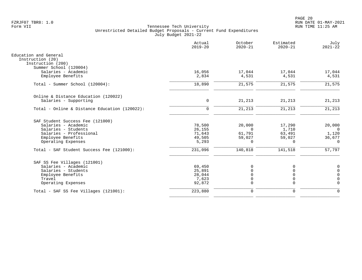|                                                                | Actual<br>$2019 - 20$ | October<br>$2020 - 21$ | Estimated<br>$2020 - 21$ | July<br>$2021 - 22$ |
|----------------------------------------------------------------|-----------------------|------------------------|--------------------------|---------------------|
| Education and General<br>Instruction (20)<br>Instruction (200) |                       |                        |                          |                     |
| Summer School (120004)                                         |                       |                        |                          |                     |
| Salaries - Academic                                            | 16,056                | 17,044                 | 17,044                   | 17,044              |
| Employee Benefits                                              | 2,834                 | 4,531                  | 4,531                    | 4,531               |
| Total - Summer School (120004):                                | 18,890                | 21,575                 | 21,575                   | 21,575              |
| Online & Distance Education (120022)                           |                       |                        |                          |                     |
| Salaries - Supporting                                          | 0                     | 21,213                 | 21,213                   | 21,213              |
| Total - Online & Distance Education (120022):                  | $\Omega$              | 21,213                 | 21,213                   | 21,213              |
| SAF Student Success Fee (121000)                               |                       |                        |                          |                     |
| Salaries - Academic                                            | 78,500                | 20,000                 | 17,290                   | 20,000              |
| Salaries - Students                                            | 26,155                | $\Omega$               | 1,710                    | $\Omega$            |
| Salaries - Professional                                        | 71,643                | 61,791                 | 63,491                   | 1,120               |
| Employee Benefits                                              | 49,505                | 59,027                 | 59,027                   | 36,677              |
| Operating Expenses                                             | 5,293                 | $\Omega$               | $\Omega$                 | $\Omega$            |
| Total - SAF Student Success Fee (121000):                      | 231,096               | 140,818                | 141,518                  | 57,797              |
| SAF SS Fee Villages (121001)                                   |                       |                        |                          |                     |
| Salaries - Academic                                            | 69,450                | $\Omega$               | $\Omega$                 | $\mathbf 0$         |
| Salaries - Students                                            | 25,891                | $\Omega$               | $\Omega$                 | $\mathbf 0$         |
| Employee Benefits                                              | 28,044                | $\Omega$               | $\Omega$                 | $\mathbf 0$         |
| Travel                                                         | 7,623                 | $\mathbf 0$            | $\mathbf 0$              | $\Omega$            |
| Operating Expenses                                             | 92,872                | $\Omega$               | $\mathbf 0$              | $\Omega$            |
| Total - SAF SS Fee Villages (121001):                          | 223,880               | $\mathbf 0$            | $\mathbf 0$              | $\Omega$            |
|                                                                |                       |                        |                          |                     |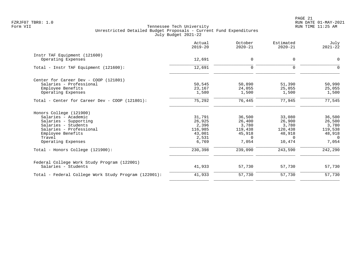|                                                      | Actual<br>$2019 - 20$ | October<br>$2020 - 21$ | Estimated<br>$2020 - 21$ | July<br>$2021 - 22$ |
|------------------------------------------------------|-----------------------|------------------------|--------------------------|---------------------|
| Instr TAF Equipment (121600)                         |                       |                        |                          |                     |
| Operating Expenses                                   | 12,691                | 0                      | 0                        | $\mathbf 0$         |
| Total - Instr TAF Equipment (121600):                | 12,691                | $\mathbf 0$            | $\Omega$                 | $\Omega$            |
| Center for Career Dev - COOP (121801)                |                       |                        |                          |                     |
| Salaries - Professional                              | 50,545                | 50,890                 | 51,390                   | 50,990              |
| Employee Benefits                                    | 23,167                | 24,055                 | 25,055                   | 25,055              |
| Operating Expenses                                   | 1,580                 | 1,500                  | 1,500                    | 1,500               |
| Total - Center for Career Dev - COOP (121801):       | 75,292                | 76,445                 | 77,945                   | 77,545              |
| Honors College (121900)                              |                       |                        |                          |                     |
| Salaries - Academic                                  | 31,791                | 36,500                 | 33,080                   | 36,500              |
| Salaries - Supporting                                | 26,925                | 26,400                 | 26,900                   | 26,500              |
| Salaries - Students                                  | 2,396                 | 3,780                  | 3,780                    | 3,780               |
| Salaries - Professional                              | 116,985               | 119,438                | 120,438                  | 119,538             |
| Employee Benefits                                    | 43,001                | 45,918                 | 48,918                   | 48,918              |
| Travel                                               | 2,531                 | $\Omega$               | $\Omega$                 | $\Omega$            |
| Operating Expenses                                   | 6,769                 | 7,054                  | 10,474                   | 7,054               |
| Total - Honors College (121900):                     | 230,398               | 239,090                | 243,590                  | 242,290             |
| Federal College Work Study Program (122001)          |                       |                        |                          |                     |
| Salaries - Students                                  | 41,933                | 57,730                 | 57,730                   | 57,730              |
| Total - Federal College Work Study Program (122001): | 41,933                | 57,730                 | 57,730                   | 57,730              |
|                                                      |                       |                        |                          |                     |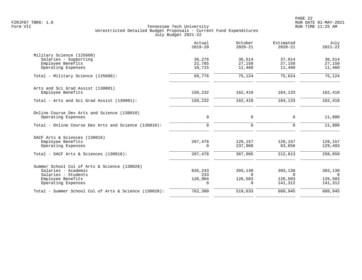|                                                       | Actual<br>$2019 - 20$ | October<br>$2020 - 21$ | Estimated<br>$2020 - 21$ | July<br>$2021 - 22$ |
|-------------------------------------------------------|-----------------------|------------------------|--------------------------|---------------------|
| Military Science (125600)                             |                       |                        |                          |                     |
| Salaries - Supporting                                 | 36,276                | 36,514                 | 37,014                   | 36,514              |
| Employee Benefits                                     | 22,785                | 27,150                 | 27,150                   | 27,150              |
| Operating Expenses                                    | 10,715                | 11,460                 | 11,460                   | 11,460              |
| Total - Military Science (125600):                    | 69,776                | 75,124                 | 75,624                   | 75,124              |
| Arts and Sci Grad Assist (130001)                     |                       |                        |                          |                     |
| Employee Benefits                                     | 150,232               | 162,410                | 104,133                  | 162,410             |
| Total - Arts and Sci Grad Assist (130001):            | 150,232               | 162,410                | 104,133                  | 162,410             |
| Online Course Dev Arts and Science (130010)           |                       |                        |                          |                     |
| Operating Expenses                                    | 0                     | $\mathbf 0$            | $\mathbf 0$              | 11,800              |
| Total - Online Course Dev Arts and Science (130010):  | $\Omega$              | $\Omega$               | $\Omega$                 | 11,800              |
| SACF Arts & Sciences (130016)                         |                       |                        |                          |                     |
| Employee Benefits                                     | 207,478               | 129,157                | 129,157                  | 129,157             |
| Operating Expenses                                    | $\Omega$              | 237,908                | 83,656                   | 129,493             |
| Total - SACF Arts & Sciences (130016):                | 207,478               | 367,065                | 212,813                  | 258,650             |
| Summer School Col of Arts & Science (130028)          |                       |                        |                          |                     |
| Salaries - Academic                                   | 635,243               | 393,130                | 393,130                  | 393,130             |
| Salaries - Students                                   | 233                   | $\Omega$               | $\Omega$                 | $\Omega$            |
| Employee Benefits                                     | 126,904               | 126,503                | 126,503                  | 126,503             |
| Operating Expenses                                    | $\overline{0}$        | $\Omega$               | 141,312                  | 141,312             |
| Total - Summer School Col of Arts & Science (130028): | 762,380               | 519,633                | 660,945                  | 660,945             |
|                                                       |                       |                        |                          |                     |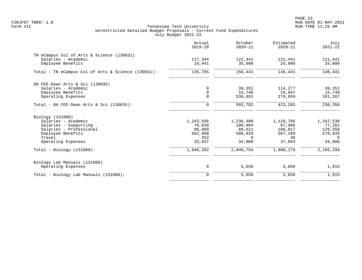|                                                    | Actual<br>$2019 - 20$ | October<br>$2020 - 21$ | Estimated<br>$2020 - 21$ | July<br>$2021 - 22$ |
|----------------------------------------------------|-----------------------|------------------------|--------------------------|---------------------|
| TN eCampus Col of Arts & Science (130031)          |                       |                        |                          |                     |
| Salaries - Academic                                | 117,344               | 121,441                | 121,441                  | 121,441             |
| Employee Benefits                                  | 18,441                | 35,000                 | 25,000                   | 25,000              |
| Total - TN eCampus Col of Arts & Science (130031): | 135,785               | 156,441                | 146,441                  | 146,441             |
| OA FEE-Dean Arts & Sci (130035)                    |                       |                        |                          |                     |
| Salaries - Academic                                | 0                     | 39,351                 | 114,277                  | 39,351              |
| Employee Benefits                                  | $\mathsf{O}$          | 15,740                 | 29,947                   | 15,740              |
| Operating Expenses                                 | $\Omega$              | 538,691                | 279,059                  | 181,267             |
| Total - OA FEE-Dean Arts & Sci $(130035)$ :        | $\mathbf 0$           | 593,782                | 423,283                  | 236,358             |
| Biology (131000)                                   |                       |                        |                          |                     |
| Salaries - Academic                                | 1,243,556             | 1,236,400              | 1,129,766                | 1,347,530           |
| Salaries - Supporting                              | 76,630                | 100,904                | 67,986                   | 77,281              |
| Salaries - Professional                            | 88,889                | 89,521                 | 106,017                  | 129,550             |
| Employee Benefits                                  | 502,908               | 588,929                | 567,299                  | 576,933             |
| Travel                                             | 352                   | $\Omega$               | 48                       | $\Omega$            |
| Operating Expenses                                 | 33,927                | 34,000                 | 37,063                   | 34,000              |
| $Total - Biology (131000):$                        | 1,946,262             | 2,049,754              | 1,908,179                | 2,165,294           |
| Biology Lab Manuals (131008)                       |                       |                        |                          |                     |
| Operating Expenses                                 | $\mathbf 0$           | 5,650                  | 5,650                    | 1,915               |
| Total - Biology Lab Manuals (131008):              | $\mathbf 0$           | 5,650                  | 5,650                    | 1,915               |
|                                                    |                       |                        |                          |                     |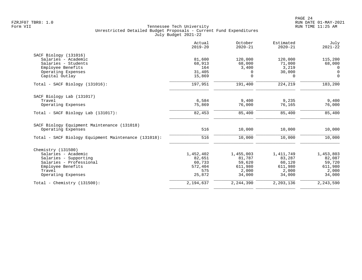|                                                      | Actual<br>$2019 - 20$ | October<br>$2020 - 21$ | Estimated<br>$2020 - 21$ | July<br>$2021 - 22$ |
|------------------------------------------------------|-----------------------|------------------------|--------------------------|---------------------|
| SACF Biology (131016)                                |                       |                        |                          |                     |
| Salaries - Academic                                  | 81,600                | 120,000                | 120,000                  | 115,200             |
| Salaries - Students                                  | 68,913                | 68,000                 | 71,000                   | 68,000              |
| Employee Benefits                                    | 164                   | 3,400                  | 3,219                    | $\Omega$            |
| Operating Expenses                                   | 31,405                | $\Omega$               | 30,000                   | $\Omega$            |
| Capital Outlay                                       | 15,869                | $\Omega$               | $\Omega$                 | $\Omega$            |
| Total - SACF Biology (131016):                       | 197,951               | 191,400                | 224,219                  | 183,200             |
| SACF Biology Lab (131017)                            |                       |                        |                          |                     |
| Travel                                               | 6,584                 | 9,400                  | 9,235                    | 9,400               |
| Operating Expenses                                   | 75,869                | 76,000                 | 76,165                   | 76,000              |
| Total - SACF Biology Lab (131017):                   | 82,453                | 85,400                 | 85,400                   | 85,400              |
| SACF Biology Equipment Maintenance (131018)          |                       |                        |                          |                     |
| Operating Expenses                                   | 516                   | 10,000                 | 10,000                   | 10,000              |
| Total - SACF Biology Equipment Maintenance (131018): | 516                   | 10,000                 | 10,000                   | 10,000              |
| Chemistry (131500)                                   |                       |                        |                          |                     |
| Salaries - Academic                                  | 1,452,402             | 1,455,003              | 1,411,749                | 1,453,803           |
| Salaries - Supporting                                | 82,651                | 81,787                 | 83,287                   | 82,087              |
| Salaries - Professional                              | 60,733                | 59,620                 | 60,120                   | 59,720              |
| Employee Benefits                                    | 572,404               | 611,980                | 611,980                  | 611,980             |
| Travel                                               | 575                   | 2,000                  | 2,000                    | 2,000               |
| Operating Expenses                                   | 25,872                | 34,000                 | 34,000                   | 34,000              |
| Total - Chemistry $(131500)$ :                       | 2,194,637             | 2,244,390              | 2,203,136                | 2,243,590           |
|                                                      |                       |                        |                          |                     |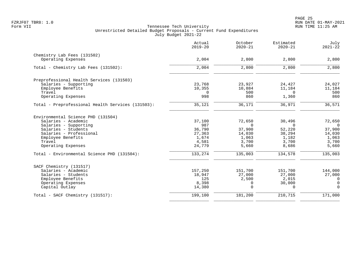|                                                   | Actual<br>$2019 - 20$ | October<br>$2020 - 21$ | Estimated<br>$2020 - 21$ | July<br>$2021 - 22$ |
|---------------------------------------------------|-----------------------|------------------------|--------------------------|---------------------|
| Chemistry Lab Fees (131502)                       |                       |                        |                          |                     |
| Operating Expenses                                | 2,004                 | 2,800                  | 2,800                    | 2,800               |
| Total - Chemistry Lab Fees (131502):              | 2,004                 | 2,800                  | 2,800                    | 2,800               |
| Preprofessional Health Services (131503)          |                       |                        |                          |                     |
| Salaries - Supporting                             | 23,768                | 23,927                 | 24,427                   | 24,027              |
| Employee Benefits                                 | 10,355                | 10,884                 | 11,184                   | 11,184              |
| Travel                                            | 0                     | 500                    | $\Omega$                 | 500                 |
| Operating Expenses                                | 998                   | 860                    | 1,360                    | 860                 |
| Total - Preprofessional Health Services (131503): | 35,121                | 36,171                 | 36,971                   | 36,571              |
| Environmental Science PHD (131504)                |                       |                        |                          |                     |
| Salaries - Academic                               | 37,100                | 72,650                 | 30,496                   | 72,650              |
| Salaries - Supporting                             | 987                   | $\Omega$               | $\Omega$                 | $\bigcirc$          |
| Salaries - Students                               | 36,790                | 37,900                 | 52,220                   | 37,900              |
| Salaries - Professional                           | 27,363                | 14,030                 | 38,294                   | 14,030              |
| Employee Benefits                                 | 1,674                 | 1,063                  | 1,182                    | 1,063               |
| Travel<br>Operating Expenses                      | 4,581<br>24,779       | 3,700<br>5,660         | 3,700<br>8,686           | 3,700<br>5,660      |
|                                                   |                       |                        |                          |                     |
| Total - Environmental Science PHD (131504):       | 133,274               | 135,003                | 134,578                  | 135,003             |
| SACF Chemistry (131517)                           |                       |                        |                          |                     |
| Salaries - Academic                               | 157,250               | 151,700                | 151,700                  | 144,000             |
| Salaries - Students                               | 18,947                | 27,000                 | 27,000                   | 27,000              |
| Employee Benefits                                 | 125                   | 2,500                  | 2,015                    | $\mathbf 0$         |
| Operating Expenses                                | 8,398                 | $\Omega$               | 30,000                   | $\overline{0}$      |
| Capital Outlay                                    | 14,380                | $\Omega$               | $\Omega$                 | $\Omega$            |
| Total - SACF Chemistry (131517):                  | 199,100               | 181,200                | 210,715                  | 171,000             |
|                                                   |                       |                        |                          |                     |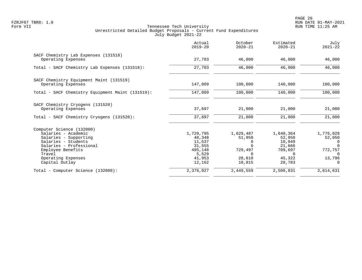|                                                  | Actual<br>$2019 - 20$ | October<br>$2020 - 21$ | Estimated<br>$2020 - 21$ | July<br>$2021 - 22$ |
|--------------------------------------------------|-----------------------|------------------------|--------------------------|---------------------|
| SACF Chemistry Lab Expenses (131518)             |                       |                        |                          |                     |
| Operating Expenses                               | 27,703                | 46,000                 | 46,000                   | 46,000              |
| Total - SACF Chemistry Lab Expenses (131518):    | 27,703                | 46,000                 | 46,000                   | 46,000              |
| SACF Chemistry Equipment Maint (131519)          |                       |                        |                          |                     |
| Operating Expenses                               | 147,009               | 100,000                | 140,000                  | 100,000             |
| Total - SACF Chemistry Equipment Maint (131519): | 147,009               | 100,000                | 140,000                  | 100,000             |
| SACF Chemistry Cryogens (131520)                 |                       |                        |                          |                     |
| Operating Expenses                               | 37,697                | 21,000                 | 21,000                   | 21,000              |
| Total - SACF Chemistry Cryogens (131520):        | 37,697                | 21,000                 | 21,000                   | 21,000              |
| Computer Science (132000)                        |                       |                        |                          |                     |
| Salaries - Academic                              | 1,729,795             | 1,629,487              | 1,640,364                | 1,776,028           |
| Salaries - Supporting                            | 48,348                | 51,950                 | 52,950                   | 52,050              |
| Salaries - Students                              | 11,537                | 0                      | 10,049                   | 0                   |
| Salaries - Professional                          | 31,555<br>495,148     | $\Omega$<br>729,497    | 21,666<br>709,697        | $\Omega$<br>772,757 |
| Employee Benefits<br>Travel                      | 5,529                 | $\Omega$               | $\Omega$                 | $\Omega$            |
| Operating Expenses                               | 41,953                | 28,610                 | 45,322                   | 13,796              |
| Capital Outlay                                   | 12,162                | 10,015                 | 28,783                   | $\Omega$            |
| Total - Computer Science (132000):               | 2,376,027             | 2,449,559              | 2,508,831                | 2,614,631           |
|                                                  |                       |                        |                          |                     |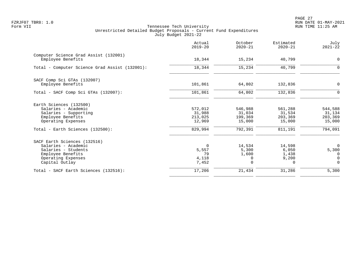PAGE 27 FZRJF07 TBR8: 1.0 RUN DATE 01-MAY-2021

|                                                                                                                                         | Actual<br>$2019 - 20$                     | October<br>$2020 - 21$                       | Estimated<br>$2020 - 21$                      | July<br>$2021 - 22$                               |
|-----------------------------------------------------------------------------------------------------------------------------------------|-------------------------------------------|----------------------------------------------|-----------------------------------------------|---------------------------------------------------|
| Computer Science Grad Assist (132001)<br>Employee Benefits                                                                              | 18,344                                    | 15,234                                       | 40,799                                        | $\mathbf 0$                                       |
| Total - Computer Science Grad Assist (132001):                                                                                          | 18,344                                    | 15,234                                       | 40,799                                        | $\mathbf 0$                                       |
| SACF Comp Sci GTAs (132007)<br>Employee Benefits                                                                                        | 101,861                                   | 64,802                                       | 132,836                                       | $\mathbf 0$                                       |
| Total - SACF Comp Sci GTAs (132007):                                                                                                    | 101,861                                   | 64,802                                       | 132,836                                       | 0                                                 |
| Earth Sciences (132500)<br>Salaries - Academic<br>Salaries - Supporting<br>Employee Benefits<br>Operating Expenses                      | 572,012<br>31,988<br>213,025<br>12,969    | 546,988<br>31,034<br>199,369<br>15,000       | 561,288<br>31,534<br>203,369<br>15,000        | 544,588<br>31,134<br>203,369<br>15,000            |
| Total - Earth Sciences (132500):                                                                                                        | 829,994                                   | 792,391                                      | 811,191                                       | 794,091                                           |
| SACF Earth Sciences (132516)<br>Salaries - Academic<br>Salaries - Students<br>Employee Benefits<br>Operating Expenses<br>Capital Outlay | $\Omega$<br>5,557<br>79<br>4,118<br>7,452 | 14,534<br>5,300<br>1,600<br>0<br>$\mathbf 0$ | 14,598<br>6,050<br>1,438<br>9,200<br>$\Omega$ | $\mathbf 0$<br>5,300<br>0<br>$\Omega$<br>$\Omega$ |
| Total - SACF Earth Sciences (132516):                                                                                                   | 17,206                                    | 21,434                                       | 31,286                                        | 5,300                                             |
|                                                                                                                                         |                                           |                                              |                                               |                                                   |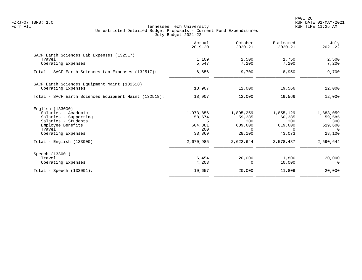|                                                       | Actual<br>$2019 - 20$ | October<br>$2020 - 21$ | Estimated<br>$2020 - 21$ | July<br>$2021 - 22$ |
|-------------------------------------------------------|-----------------------|------------------------|--------------------------|---------------------|
| SACF Earth Sciences Lab Expenses (132517)             |                       |                        |                          |                     |
| Travel<br>Operating Expenses                          | 1,109<br>5,547        | 2,500<br>7,200         | 1,750<br>7,200           | 2,500<br>7,200      |
| Total - SACF Earth Sciences Lab Expenses (132517):    | 6,656                 | 9,700                  | 8,950                    | 9,700               |
| SACF Earth Sciences Equipment Maint (132518)          |                       |                        |                          |                     |
| Operating Expenses                                    | 18,907                | 12,000                 | 19,566                   | 12,000              |
| Total - SACF Earth Sciences Equipment Maint (132518): | 18,907                | 12,000                 | 19,566                   | 12,000              |
| English (133000)                                      |                       |                        |                          |                     |
| Salaries - Academic                                   | 1,973,856             | 1,895,259              | 1,855,129                | 1,883,059           |
| Salaries - Supporting<br>Salaries - Students          | 58,674<br>.5          | 59,385<br>300          | 60,385<br>300            | 59,585              |
| Employee Benefits                                     | 604,381               | 639,600                | 619,600                  | 300<br>619,600      |
| Travel                                                | 200                   | $\Omega$               | $\Omega$                 | $\Omega$            |
| Operating Expenses                                    | 33,869                | 28,100                 | 43,073                   | 28,100              |
| Total - English $(133000)$ :                          | 2,670,985             | 2,622,644              | 2,578,487                | 2,590,644           |
| Speech (133001)                                       |                       |                        |                          |                     |
| Travel                                                | 6,454                 | 20,000                 | 1,806                    | 20,000              |
| Operating Expenses                                    | 4,203                 | $\Omega$               | 10,000                   | $\Omega$            |
| Total - Speech (133001):                              | 10,657                | 20,000                 | 11,806                   | 20,000              |
|                                                       |                       |                        |                          |                     |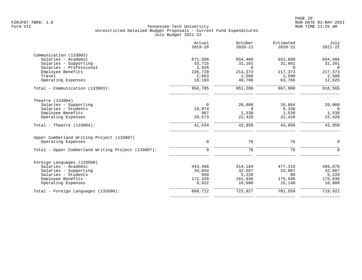|                                                    | Actual<br>$2019 - 20$ | October<br>$2020 - 21$ | Estimated<br>$2020 - 21$ | July<br>$2021 - 22$ |
|----------------------------------------------------|-----------------------|------------------------|--------------------------|---------------------|
| Communication (133003)                             |                       |                        |                          |                     |
| Salaries - Academic                                | 671,568               | 654,466                | 652,660                  | 654,666             |
| Salaries - Supporting                              | 33,715                | 31,101                 | 31,601                   | 31,201              |
| Salaries - Professional                            | 3,926                 | $\Omega$               | $\Omega$                 | $\Omega$            |
| Employee Benefits                                  | 226,720               | 214,373                | 217,373                  | 217,373             |
| Travel                                             | 2,663                 | 2,500                  | 2,500                    | 2,500               |
| Operating Expenses                                 | 18,193                | 48,766                 | 63,766                   | 12,825              |
| Total - Communication (133003):                    | 956,785               | 951,206                | 967,900                  | 918,565             |
| Theatre (133004)                                   |                       |                        |                          |                     |
| Salaries - Supporting                              | $\Omega$              | 20,000                 | 10,664                   | 20,000              |
| Salaries - Students                                | 19,974                | $\Omega$               | 9,336                    | $\overline{0}$      |
| Employee Benefits                                  | 987                   | 1,530                  | 1,530                    | 1,530               |
| Operating Expenses                                 | 20,573                | 22,420                 | 22,420                   | 22,420              |
| Total - Theatre $(133004)$ :                       | 41,534                | 43,950                 | 43,950                   | 43,950              |
| Upper Cumberland Writing Project (133007)          |                       |                        |                          |                     |
| Operating Expenses                                 | $\mathbf 0$           | 76                     | 76                       | $\Omega$            |
| Total - Upper Cumberland Writing Project (133007): | $\mathbf 0$           | 76                     | 76                       | $\Omega$            |
| Foreign Languages (133500)                         |                       |                        |                          |                     |
| Salaries - Academic                                | 443,468               | 514,184                | 477,316                  | 496,078             |
| Salaries - Supporting                              | 34,044                | 32,587                 | 33,087                   | 32,687              |
| Salaries - Students                                | 950                   | 5,220                  | 80                       | 5,220               |
| Employee Benefits                                  | 172,328               | 161,936                | 175,936                  | 175,936             |
| Operating Expenses                                 | 9,922                 | 10,000                 | 15,140                   | 10,000              |
| Total - Foreign Languages (133500):                | 660,712               | 723,927                | 701,559                  | 719,921             |
|                                                    |                       |                        |                          |                     |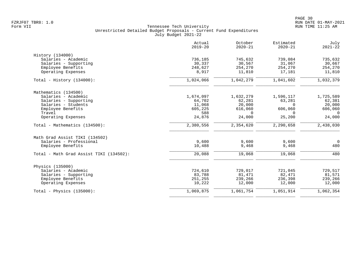|                                         | Actual<br>$2019 - 20$ | October<br>$2020 - 21$ | Estimated<br>$2020 - 21$ | July<br>$2021 - 22$ |
|-----------------------------------------|-----------------------|------------------------|--------------------------|---------------------|
| History (134000)                        |                       |                        |                          |                     |
| Salaries - Academic                     | 736,185               | 745,632                | 739,084                  | 735,632             |
| Salaries - Supporting                   | 30,337                | 30,567                 | 31,067                   | 30,667              |
| Employee Benefits                       | 248,627               | 254,270                | 254,270                  | 254,270             |
| Operating Expenses                      | 8,917                 | 11,810                 | 17,181                   | 11,810              |
| Total - History $(134000)$ :            | 1,024,066             | 1,042,279              | 1,041,602                | 1,032,379           |
| Mathematics (134500)                    |                       |                        |                          |                     |
| Salaries - Academic                     | 1,674,097             | 1,632,279              | 1,596,117                | 1,725,589           |
| Salaries - Supporting                   | 64,702                | 62,281                 | 63,281                   | 62,381              |
| Salaries - Students                     | 11,068                | 20,000                 | $\Omega$                 | 20,000              |
| Employee Benefits                       | 605,225               | 616,060                | 606,060                  | 606,060             |
| Travel                                  | 588                   | $\Omega$               | $\Omega$                 | $\Omega$            |
| Operating Expenses                      | 24,876                | 24,000                 | 25,200                   | 24,000              |
| Total - Mathematics (134500):           | 2,380,556             | 2,354,620              | 2,290,658                | 2,438,030           |
| Math Grad Assist TIKI (134502)          |                       |                        |                          |                     |
| Salaries - Professional                 | 9,600                 | 9,600                  | 9,600                    | $\overline{0}$      |
| Employee Benefits                       | 10,488                | 9,468                  | 9,468                    | 480                 |
| Total - Math Grad Assist TIKI (134502): | 20,088                | 19,068                 | 19,068                   | 480                 |
| Physics (135000)                        |                       |                        |                          |                     |
| Salaries - Academic                     | 724,610               | 729,017                | 721,045                  | 729,517             |
| Salaries - Supporting                   | 83,788                | 81,471                 | 82,471                   | 81,571              |
| Employee Benefits                       | 251,255               | 239,266                | 236,398                  | 239,266             |
| Operating Expenses                      | 10,222                | 12,000                 | 12,000                   | 12,000              |
| Total - Physics $(135000)$ :            | 1,069,875             | 1,061,754              | 1,051,914                | 1,062,354           |
|                                         |                       |                        |                          |                     |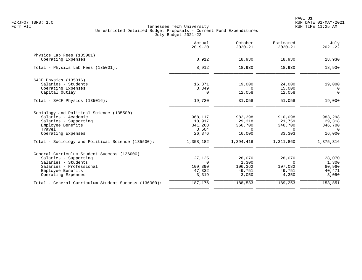|                                                      | Actual<br>$2019 - 20$ | October<br>$2020 - 21$ | Estimated<br>$2020 - 21$ | July<br>$2021 - 22$ |
|------------------------------------------------------|-----------------------|------------------------|--------------------------|---------------------|
| Physics Lab Fees (135001)                            |                       |                        |                          |                     |
| Operating Expenses                                   | 8,912                 | 18,930                 | 18,930                   | 18,930              |
| Total - Physics Lab Fees (135001):                   | 8,912                 | 18,930                 | 18,930                   | 18,930              |
| SACF Physics (135016)                                |                       |                        |                          |                     |
| Salaries - Students                                  | 16,371                | 19,000                 | 24,000                   | 19,000              |
| Operating Expenses                                   | 3,349                 | $\Omega$               | 15,000                   | $\Omega$            |
| Capital Outlay                                       | $\Omega$              | 12,058                 | 12,058                   | $\Omega$            |
| Total - SACF Physics (135016):                       | 19,720                | 31,058                 | 51,058                   | 19,000              |
| Sociology and Political Science (135500)             |                       |                        |                          |                     |
| Salaries - Academic                                  | 968,117               | 982,398                | 910,098                  | 983,298             |
| Salaries - Supporting                                | 18,917                | 29,318                 | 21,759                   | 29,318              |
| Employee Benefits                                    | 341,268               | 366,700                | 346,700                  | 346,700             |
| Travel                                               | 3,504                 | $\Omega$               | $\Omega$                 | $\Omega$            |
| Operating Expenses                                   | 26,376                | 16,000                 | 33,303                   | 16,000              |
| Total - Sociology and Political Science (135500):    | 1,358,182             | 1,394,416              | 1,311,860                | 1,375,316           |
| General Curriculum Student Success (136000)          |                       |                        |                          |                     |
| Salaries - Supporting                                | 27,135                | 28,070                 | 28,070                   | 28,070              |
| Salaries - Students                                  | $\Omega$              | 1,300                  | $\Omega$                 | 1,300               |
| Salaries - Professional                              | 109,390               | 106,362                | 107,082                  | 80,960              |
| Employee Benefits                                    | 47,332                | 49,751                 | 49,751                   | 40,471              |
| Operating Expenses                                   | 3,319                 | 3,050                  | 4,350                    | 3,050               |
| Total - General Curriculum Student Success (136000): | 187,176               | 188,533                | 189,253                  | 153,851             |
|                                                      |                       |                        |                          |                     |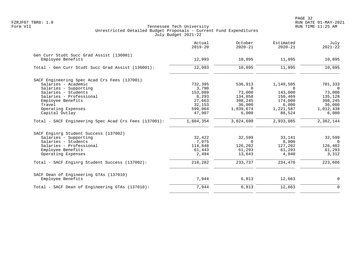|                                                       | Actual<br>$2019 - 20$ | October<br>$2020 - 21$ | Estimated<br>$2020 - 21$ | July<br>$2021 - 22$ |
|-------------------------------------------------------|-----------------------|------------------------|--------------------------|---------------------|
| Gen Curr Studt Succ Grad Assist (136001)              |                       |                        |                          |                     |
| Employee Benefits                                     | 12,993                | 10,895                 | 11,895                   | 10,895              |
| Total - Gen Curr Studt Succ Grad Assist (136001):     | 12,993                | 10,895                 | 11,895                   | 10,895              |
| SACF Engineering Spec Acad Crs Fees (137001)          |                       |                        |                          |                     |
| Salaries - Academic                                   | 732,395               | 536,913                | 1,149,505                | 701,333             |
| Salaries - Supporting                                 | 3,790                 | $\Omega$               | $\Omega$                 | $\Omega$            |
| Salaries - Students                                   | 153,089               | 73,000                 | 143,000                  | 73,000              |
| Salaries - Professional                               | 8,293                 | 134,858                | 150,469                  | 135,128             |
| Employee Benefits                                     | 27,663                | 398,245                | 174,000                  | 398,245             |
| Travel                                                | 32,153                | 36,000                 | 6,000                    | 36,000              |
| Operating Expenses                                    | 599,064               | 1,839,674              | 1,221,587                | 1,012,438           |
| Capital Outlay                                        | 47,907                | 6,000                  | 88,524                   | 6,000               |
| Total - SACF Engineering Spec Acad Crs Fees (137001): | 1,604,354             | 3,024,690              | 2,933,085                | 2,362,144           |
| SACF Enginrg Student Success (137002)                 |                       |                        |                          |                     |
| Salaries - Supporting                                 | 32,422                | 32,599                 | 33,141                   | 32,599              |
| Salaries - Students                                   | 7,075                 | $\Omega$               | 8,000                    | $\overline{0}$      |
| Salaries - Professional                               | 114,848               | 126,202                | 127,202                  | 126,402             |
| Employee Benefits                                     | 61,443                | 61,293                 | 61,293                   | 61,293              |
| Operating Expenses                                    | 2,494                 | 13,643                 | 4,840                    | 3,312               |
| Total - SACF Enginrg Student Success (137002):        | 218,282               | 233,737                | 234,476                  | 223,606             |
| SACF Dean of Engineering GTAs (137010)                |                       |                        |                          |                     |
| Employee Benefits                                     | 7,944                 | 6,813                  | 12,663                   | 0                   |
| Total - SACF Dean of Engineering GTAs (137010):       | 7,944                 | 6,813                  | 12,663                   | $\mathbf 0$         |
|                                                       |                       |                        |                          |                     |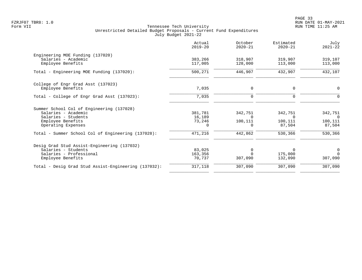|                                                      | Actual<br>$2019 - 20$ | October<br>$2020 - 21$ | Estimated<br>$2020 - 21$ | July<br>$2021 - 22$ |
|------------------------------------------------------|-----------------------|------------------------|--------------------------|---------------------|
| Engineering MOE Funding (137020)                     |                       |                        |                          |                     |
| Salaries - Academic                                  | 383,266               | 318,907                | 319,907                  | 319,107             |
| Employee Benefits                                    | 117,005               | 128,000                | 113,000                  | 113,000             |
| Total - Engineering MOE Funding (137020):            | 500,271               | 446,907                | 432,907                  | 432,107             |
| College of Engr Grad Asst (137023)                   |                       |                        |                          |                     |
| Employee Benefits                                    | 7,035                 | 0                      | 0                        | 0                   |
| Total - College of Engr Grad Asst (137023):          | 7,035                 | $\mathbf 0$            | $\Omega$                 | $\Omega$            |
| Summer School Col of Engineering (137028)            |                       |                        |                          |                     |
| Salaries - Academic                                  | 381,781               | 342,751                | 342,751                  | 342,751             |
| Salaries - Students                                  | 16,189                | $\Omega$               | $\Omega$                 | $\overline{0}$      |
| Employee Benefits                                    | 73,246                | 100,111                | 100,111                  | 100,111             |
| Operating Expenses                                   | $\cap$                | 0                      | 87,504                   | 87,504              |
| Total - Summer School Col of Engineering (137028):   | 471,216               | 442,862                | 530,366                  | 530,366             |
| Desig Grad Stud Assist-Engineering (137032)          |                       |                        |                          |                     |
| Salaries - Students                                  | 83,025                |                        | $\Omega$                 | 0                   |
| Salaries - Professional                              | 163,356               |                        | 175,000                  | $\Omega$            |
| Employee Benefits                                    | 70,737                | 307,090                | 132,090                  | 307,090             |
| Total - Desig Grad Stud Assist-Engineering (137032): | 317,118               | 307,090                | 307,090                  | 307,090             |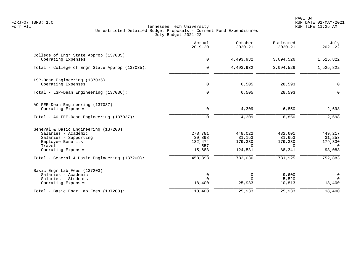|                                                                                                                                           | Actual<br>$2019 - 20$                         | October<br>$2020 - 21$                              | Estimated<br>$2020 - 21$                           | July<br>$2021 - 22$                                      |
|-------------------------------------------------------------------------------------------------------------------------------------------|-----------------------------------------------|-----------------------------------------------------|----------------------------------------------------|----------------------------------------------------------|
| College of Engr State Approp (137035)<br>Operating Expenses                                                                               | 0                                             | 4,493,932                                           | 3,094,526                                          | 1,525,822                                                |
| Total - College of Engr State Approp (137035):                                                                                            | 0                                             | 4,493,932                                           | 3,094,526                                          | 1,525,822                                                |
| LSP-Dean Engineering (137036)<br>Operating Expenses                                                                                       | $\mathbf 0$                                   | 6,505                                               | 28,593                                             | $\mathbf 0$                                              |
| Total - LSP-Dean Engineering (137036):                                                                                                    | $\Omega$                                      | 6,505                                               | 28,593                                             | $\Omega$                                                 |
| AO FEE-Dean Engineering (137037)<br>Operating Expenses                                                                                    | $\mathbf 0$                                   | 4,309                                               | 6,850                                              | 2,698                                                    |
| Total - AO FEE-Dean Engineering (137037):                                                                                                 | $\mathbf 0$                                   | 4,309                                               | 6,850                                              | 2,698                                                    |
| General & Basic Engineering (137200)<br>Salaries - Academic<br>Salaries - Supporting<br>Employee Benefits<br>Travel<br>Operating Expenses | 278,781<br>30,898<br>132,474<br>557<br>15,683 | 448,022<br>31,153<br>179,330<br>$\Omega$<br>124,531 | 432,601<br>31,653<br>179,330<br>$\Omega$<br>88,341 | 449,217<br>31,253<br>179,330<br>$\overline{0}$<br>93,083 |
| Total - General & Basic Engineering (137200):                                                                                             | 458,393                                       | 783,036                                             | 731,925                                            | 752,883                                                  |
| Basic Engr Lab Fees (137203)<br>Salaries - Academic<br>Salaries - Students<br>Operating Expenses                                          | 0<br>$\Omega$<br>18,400                       | 0<br>$\Omega$<br>25,933                             | 9,600<br>5,520<br>10,813                           | $\mathbf 0$<br>$\Omega$<br>18,400                        |
| Total - Basic Engr Lab Fees (137203):                                                                                                     | 18,400                                        | 25,933                                              | 25,933                                             | 18,400                                                   |
|                                                                                                                                           |                                               |                                                     |                                                    |                                                          |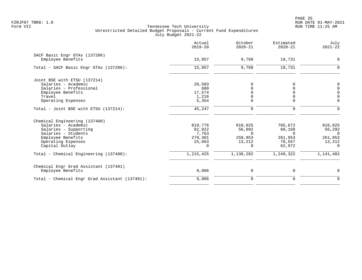PAGE 35 FZRJF07 TBR8: 1.0 RUN DATE 01-MAY-2021

| Actual<br>$2019 - 20$ | October<br>$2020 - 21$ | Estimated<br>$2020 - 21$ | July<br>$2021 - 22$ |
|-----------------------|------------------------|--------------------------|---------------------|
|                       |                        |                          |                     |
| 15,957                | 9,768                  | 19,731                   | $\Omega$            |
| 15,957                | 9,768                  | 19,731                   | $\Omega$            |
|                       |                        |                          |                     |
| 20,503                |                        |                          | 0                   |
| 600                   |                        |                          | $\Omega$            |
| 17,574                |                        |                          | $\Omega$            |
| 1,216                 |                        |                          | $\mathbf 0$         |
| 5,354                 |                        |                          | $\Omega$            |
| 45,247                | 0                      | $\mathbf 0$              | $\Omega$            |
|                       |                        |                          |                     |
| 819,776               | 810,025                | 785,672                  | 810,025             |
| 82,922                | 56,092                 | 68,168                   | 56,292              |
| 7,763                 | $\Omega$               | $\Omega$                 | $\Omega$            |
| 279,301               | 258,953                | 261,953                  | 261,953             |
| 25,663                | 13,212                 | 70,557                   | 13,212              |
| $\Omega$              | $\Omega$               |                          | $\Omega$            |
| 1, 215, 425           | 1,138,282              | 1,249,322                | 1,141,482           |
|                       |                        |                          |                     |
| 9,006                 | 0                      | 0                        | 0                   |
| 9,006                 | $\mathbf 0$            | $\Omega$                 | $\Omega$            |
|                       |                        |                          | 62,972              |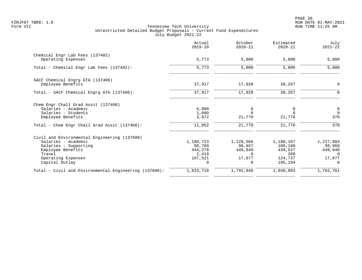en and the state of the state of the state of the state of the state of the state of the state of the state of the state of the state of the state of the state of the state of the state of the state of the state of the sta FZRJF07 TBR8: 1.0 RUN DATE 01-MAY-2021

|                                                       | Actual<br>$2019 - 20$ | October<br>$2020 - 21$ | Estimated<br>$2020 - 21$ | July<br>$2021 - 22$ |
|-------------------------------------------------------|-----------------------|------------------------|--------------------------|---------------------|
| Chemical Engr Lab Fees (137402)<br>Operating Expenses | 5,773                 | 5,800                  | 5,800                    | 5,800               |
|                                                       |                       |                        |                          |                     |
| Total - Chemical Engr Lab Fees (137402):              | 5,773                 | 5,800                  | 5,800                    | 5,800               |
| SACF Chemical Engrg GTA (137406)                      |                       |                        |                          |                     |
| Employee Benefits                                     | 37,917                | 17,028                 | 38,267                   | 0                   |
| Total - SACF Chemical Engrg GTA (137406):             | 37,917                | 17,028                 | 38,267                   | $\Omega$            |
| Chem Engr Chall Grad Assit (137408)                   |                       |                        |                          |                     |
| Salaries - Academic                                   | 6,000                 | $\mathbf 0$            |                          | $\overline{0}$      |
| Salaries - Students                                   | 1,080                 |                        |                          | $\overline{0}$      |
| Employee Benefits                                     | 3,972                 | 21,770                 | 21,770                   | 370                 |
| Total - Chem Engr Chall Grad Assit (137408):          | 11,052                | 21,770                 | 21,770                   | 370                 |
| Civil and Environmental Engineering (137600)          |                       |                        |                          |                     |
| Salaries - Academic                                   | 1,180,723             | 1,226,566              | 1,188,167                | 1,227,084           |
| Salaries - Supporting                                 | 98,769                | 98,657                 | 100,160                  | 98,960              |
| Employee Benefits                                     | 444,278               | 449,040                | 439,537                  | 449,040             |
| Travel                                                | 2,419                 | $\Omega$               | 208                      | $\Omega$            |
| Operating Expenses                                    | 107,521               | 17,677                 | 124,737                  | 17,677              |
| Capital Outlay                                        | 0                     | 0                      | 195,194                  | $\Omega$            |
| Total - Civil and Environmental Engineering (137600): | 1,833,710             | 1,791,940              | 2,048,003                | 1,792,761           |
|                                                       |                       |                        |                          |                     |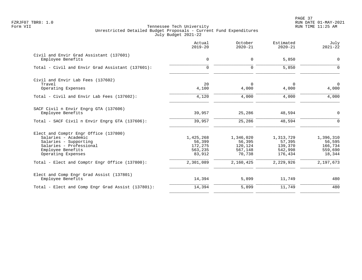PAGE 37 FZRJF07 TBR8: 1.0 RUN DATE 01-MAY-2021

|                                                               | Actual<br>$2019 - 20$ | October<br>$2020 - 21$ | Estimated<br>$2020 - 21$ | July<br>$2021 - 22$     |
|---------------------------------------------------------------|-----------------------|------------------------|--------------------------|-------------------------|
| Civil and Envir Grad Assistant (137601)<br>Employee Benefits  | 0                     | 0                      | 5,850                    | $\mathbf 0$             |
| Total - Civil and Envir Grad Assistant (137601):              | $\Omega$              | $\Omega$               | 5,850                    | $\Omega$                |
| Civil and Envir Lab Fees (137602)                             |                       |                        |                          |                         |
| Travel<br>Operating Expenses                                  | 20<br>4,100           | $\Omega$<br>4,000      | 0<br>4,000               | $\overline{0}$<br>4,000 |
| Total - Civil and Envir Lab Fees (137602):                    | 4,120                 | 4,000                  | 4,000                    | 4,000                   |
| SACF Civil n Envir Engrg GTA (137606)                         |                       |                        |                          |                         |
| Employee Benefits                                             | 39,957                | 25,286                 | 48,594                   | 0                       |
| Total - SACF Civil n Envir Engrg GTA (137606):                | 39,957                | 25,286                 | 48,594                   | $\mathbf 0$             |
| Elect and Comptr Engr Office (137800)                         |                       |                        |                          |                         |
| Salaries - Academic                                           | 1,425,268             | 1,346,020              | 1,313,729                | 1,396,310               |
| Salaries - Supporting<br>Salaries - Professional              | 56,399<br>172,275     | 56,395<br>120,124      | 57,395<br>139,370        | 56,595<br>166,734       |
| Employee Benefits                                             | 563,235               | 567,148                | 542,998                  | 559,690                 |
| Operating Expenses                                            | 83,912                | 70,738                 | 176,434                  | 18,344                  |
| Total - Elect and Comptr Engr Office (137800):                | 2,301,089             | 2,160,425              | 2,229,926                | 2,197,673               |
| Elect and Comp Engr Grad Assist (137801)<br>Employee Benefits | 14,394                | 5,899                  | 11,749                   | 480                     |
| Total - Elect and Comp Engr Grad Assist (137801):             | 14,394                | 5,899                  | 11,749                   | 480                     |
|                                                               |                       |                        |                          |                         |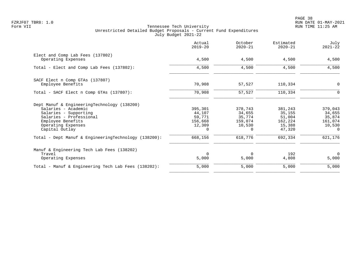PAGE 38 FZRJF07 TBR8: 1.0 RUN DATE 01-MAY-2021

|                                                                                                                                                                                     | Actual<br>$2019 - 20$                                        | October<br>$2020 - 21$                                       | Estimated<br>$2020 - 21$                                   | July<br>$2021 - 22$                                          |
|-------------------------------------------------------------------------------------------------------------------------------------------------------------------------------------|--------------------------------------------------------------|--------------------------------------------------------------|------------------------------------------------------------|--------------------------------------------------------------|
| Elect and Comp Lab Fees (137802)<br>Operating Expenses                                                                                                                              | 4,500                                                        | 4,500                                                        | 4,500                                                      | 4,500                                                        |
| Total - Elect and Comp Lab Fees (137802):                                                                                                                                           | 4,500                                                        | 4,500                                                        | 4,500                                                      | 4,500                                                        |
| SACF Elect n Comp GTAs (137807)<br>Employee Benefits                                                                                                                                | 70,908                                                       | 57,527                                                       | 110,334                                                    | $\mathbf 0$                                                  |
| Total - SACF Elect n Comp GTAs (137807):                                                                                                                                            | 70,908                                                       | 57,527                                                       | 110,334                                                    | $\Omega$                                                     |
| Dept Manuf & EngineeringTechnology (138200)<br>Salaries - Academic<br>Salaries - Supporting<br>Salaries - Professional<br>Employee Benefits<br>Operating Expenses<br>Capital Outlay | 395,301<br>44,107<br>59,771<br>156,668<br>12,309<br>$\Omega$ | 378,743<br>34,655<br>35,774<br>159,074<br>10,530<br>$\Omega$ | 381,243<br>35,155<br>51,004<br>162,224<br>15,388<br>47,320 | 379,043<br>34,655<br>35,874<br>161,074<br>10,530<br>$\Omega$ |
| Total - Dept Manuf & EngineeringTechnology (138200):                                                                                                                                | 668,156                                                      | 618,776                                                      | 692,334                                                    | 621,176                                                      |
| Manuf & Engineering Tech Lab Fees (138202)<br>Travel<br>Operating Expenses                                                                                                          | $\Omega$<br>5,000                                            | 0<br>5,000                                                   | 192<br>4,808                                               | $\overline{0}$<br>5,000                                      |
| Total - Manuf & Engineering Tech Lab Fees (138202):                                                                                                                                 | 5,000                                                        | 5,000                                                        | 5,000                                                      | 5,000                                                        |
|                                                                                                                                                                                     |                                                              |                                                              |                                                            |                                                              |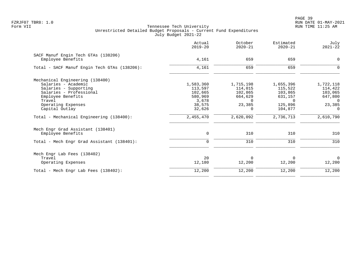| Actual<br>$2019 - 20$ | October<br>$2020 - 21$                        | Estimated<br>$2020 - 21$ | July<br>$2021 - 22$       |
|-----------------------|-----------------------------------------------|--------------------------|---------------------------|
|                       |                                               |                          |                           |
|                       |                                               |                          | 0                         |
| 4,161                 | 659                                           | 659                      | $\Omega$                  |
|                       |                                               |                          |                           |
| 1,583,360             | 1,715,198                                     | 1,655,396                | 1,722,118                 |
| 113,597               | 114,015                                       | 115,522                  | 114,422                   |
| 102,665               | 102,865                                       | 103,865                  | 103,065                   |
|                       | 664,629                                       | 631,157                  | 647,800                   |
|                       | $\Omega$                                      | $\cap$                   | $\Omega$                  |
|                       |                                               |                          | 23,385                    |
|                       | 0                                             |                          | $\Omega$                  |
| 2,455,470             | 2,620,092                                     | 2,736,713                | 2,610,790                 |
|                       |                                               |                          |                           |
| 0                     | 310                                           | 310                      | 310                       |
| $\mathbf 0$           | 310                                           | 310                      | 310                       |
|                       |                                               |                          |                           |
| 20                    | $\Omega$                                      | $\Omega$                 | $\overline{0}$            |
| 12,180                | 12,200                                        | 12,200                   | 12,200                    |
| 12,200                | 12,200                                        | 12,200                   | 12,200                    |
|                       | 4,161<br>580,969<br>3,678<br>38,575<br>32,626 | 659<br>23,385            | 659<br>125,896<br>104,877 |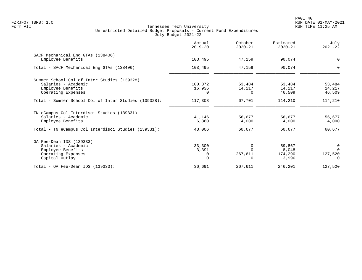|                                                      | Actual<br>$2019 - 20$ | October<br>$2020 - 21$ | Estimated<br>$2020 - 21$ | July<br>$2021 - 22$ |
|------------------------------------------------------|-----------------------|------------------------|--------------------------|---------------------|
| SACF Mechanical Eng GTAs (138406)                    |                       |                        |                          |                     |
| Employee Benefits                                    | 103,495               | 47,159                 | 90,074                   | 0                   |
| Total - SACF Mechanical Eng GTAs (138406):           | 103,495               | 47,159                 | 90,074                   | $\Omega$            |
| Summer School Col of Inter Studies (139328)          |                       |                        |                          |                     |
| Salaries - Academic                                  | 100,372               | 53,484                 | 53,484                   | 53,484              |
| Employee Benefits                                    | 16,936                | 14,217                 | 14,217                   | 14,217              |
| Operating Expenses                                   | 0                     | 0                      | 46,509                   | 46,509              |
| Total - Summer School Col of Inter Studies (139328): | 117,308               | 67,701                 | 114,210                  | 114,210             |
| TN eCampus Col Interdisci Studies (139331)           |                       |                        |                          |                     |
| Salaries - Academic                                  | 41,146                | 56,677                 | 56,677                   | 56,677              |
| Employee Benefits                                    | 6,860                 | 4,000                  | 4,000                    | 4,000               |
| Total - TN eCampus Col Interdisci Studies (139331):  | 48,006                | 60,677                 | 60,677                   | 60,677              |
| OA Fee-Dean IDS (139333)                             |                       |                        |                          |                     |
| Salaries - Academic                                  | 33,300                | $\Omega$               | 59,867                   | 0                   |
| Employee Benefits                                    | 3,391                 |                        | 8,048                    | $\Omega$            |
| Operating Expenses                                   |                       | 267,611                | 174,290                  | 127,520             |
| Capital Outlay                                       | $\Omega$              |                        | 3,996                    | $\Omega$            |
| Total - OA Fee-Dean IDS $(139333)$ :                 | 36,691                | 267,611                | 246,201                  | 127,520             |
|                                                      |                       |                        |                          |                     |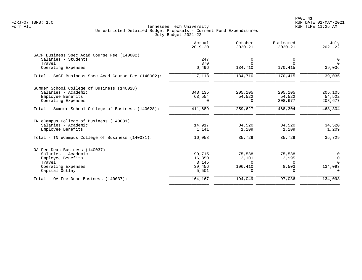PAGE 41 FZRJF07 TBR8: 1.0 RUN DATE 01-MAY-2021

|                                                      | Actual<br>$2019 - 20$ | October<br>$2020 - 21$ | Estimated<br>$2020 - 21$ | July<br>$2021 - 22$ |
|------------------------------------------------------|-----------------------|------------------------|--------------------------|---------------------|
| SACF Business Spec Acad Course Fee (140002)          |                       |                        |                          |                     |
| Salaries - Students                                  | 247                   | 0                      | 0                        | $\overline{0}$      |
| Travel                                               | 370                   | $\Omega$               | $\Omega$                 | $\Omega$            |
| Operating Expenses                                   | 6,496                 | 134,710                | 170,415                  | 39,036              |
| Total - SACF Business Spec Acad Course Fee (140002): | 7,113                 | 134,710                | 170,415                  | 39,036              |
| Summer School College of Business (140028)           |                       |                        |                          |                     |
| Salaries - Academic                                  | 348,135               | 205,105                | 205,105                  | 205,105             |
| Employee Benefits                                    | 63,554                | 54,522                 | 54,522                   | 54,522              |
| Operating Expenses                                   |                       | $\Omega$               | 208,677                  | 208,677             |
| Total - Summer School College of Business (140028):  | 411,689               | 259,627                | 468,304                  | 468,304             |
| TN eCampus College of Business (140031)              |                       |                        |                          |                     |
| Salaries - Academic                                  | 14,917                | 34,520                 | 34,520                   | 34,520              |
| Employee Benefits                                    | 1,141                 | 1,209                  | 1,209                    | 1,209               |
| Total - TN eCampus College of Business (140031):     | 16,058                | 35,729                 | 35,729                   | 35,729              |
| OA Fee-Dean Business (140037)                        |                       |                        |                          |                     |
| Salaries - Academic                                  | 99,715                | 75,538                 | 75,538                   | $\mathbf 0$         |
| Employee Benefits                                    | 16,350                | 12,101                 | 12,995                   | $\overline{0}$      |
| Travel                                               | 3,145                 | $\Omega$               | 0                        | $\Omega$            |
| Operating Expenses                                   | 39,456                | 106,410                | 8,503                    | 134,093             |
| Capital Outlay                                       | 5,501                 | $\Omega$               | 0                        | $\Omega$            |
| Total - OA Fee-Dean Business (140037):               | 164,167               | 194,049                | 97,036                   | 134,093             |
|                                                      |                       |                        |                          |                     |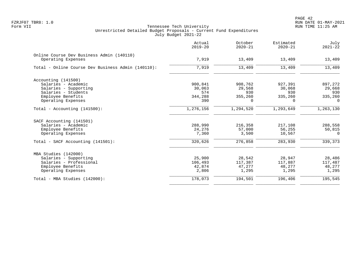| Actual<br>$2019 - 20$ | October<br>$2020 - 21$ | Estimated<br>$2020 - 21$ | July<br>$2021 - 22$ |
|-----------------------|------------------------|--------------------------|---------------------|
|                       |                        |                          | 13,409              |
|                       |                        |                          |                     |
| 7,919                 | 13,409                 | 13,409                   | 13,409              |
|                       |                        |                          |                     |
| 900,841               | 908,762                | 927,391                  | 897,272             |
| 30,063                | 29,568                 | 30,068                   | 29,668              |
| 574                   | 930                    | 930                      | 930                 |
| 344,288               | 355,260                | 335,260                  | 335,260             |
| 390                   | $\Omega$               | $\Omega$                 | $\Omega$            |
| 1,276,156             | 1,294,520              | 1,293,649                | 1,263,130           |
|                       |                        |                          |                     |
| 288,990               | 216,358                | 217,108                  | 288,558             |
| 24,276                | 57,000                 | 56,255                   | 50,815              |
| 7,360                 | 3,500                  | 10,567                   | $\Omega$            |
| 320,626               | 276,858                | 283,930                  | 339,373             |
|                       |                        |                          |                     |
|                       |                        |                          | 28,486              |
| 106,493               | 117,387                | 117,887                  | 117,487             |
| 42,874                | 47,277                 | 48,277                   | 48,277              |
| 2,806                 | 1,295                  | 1,295                    | 1,295               |
| 178,073               | 194,501                | 196,406                  | 195,545             |
|                       | 7,919<br>25,900        | 13,409<br>28,542         | 13,409<br>28,947    |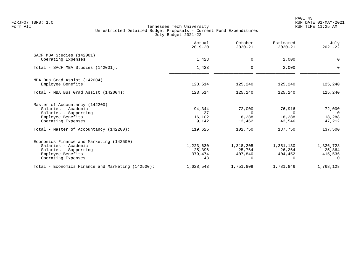|                                                                                                                                     | Actual<br>$2019 - 20$                | October<br>$2020 - 21$                     | Estimated<br>$2020 - 21$                       | July<br>$2021 - 22$                        |
|-------------------------------------------------------------------------------------------------------------------------------------|--------------------------------------|--------------------------------------------|------------------------------------------------|--------------------------------------------|
| SACF MBA Studies (142001)<br>Operating Expenses                                                                                     | 1,423                                | 0                                          | 2,000                                          | 0                                          |
| Total - SACF MBA Studies (142001):                                                                                                  | 1,423                                | $\mathbf 0$                                | 2,000                                          | $\Omega$                                   |
| MBA Bus Grad Assist (142004)<br>Employee Benefits                                                                                   | 123,514                              | 125,240                                    | 125,240                                        | 125,240                                    |
| Total - MBA Bus Grad Assist (142004):                                                                                               | 123,514                              | 125,240                                    | 125,240                                        | 125,240                                    |
| Master of Accountancy (142200)<br>Salaries - Academic<br>Salaries - Supporting<br>Employee Benefits<br>Operating Expenses           | 94,344<br>37<br>16,102<br>9,142      | 72,000<br>$\Omega$<br>18,288<br>12,462     | 76,916<br>18,288<br>42,546                     | 72,000<br>- 0<br>18,288<br>47,212          |
| Total - Master of Accountancy (142200):                                                                                             | 119,625                              | 102,750                                    | 137,750                                        | 137,500                                    |
| Economics Finance and Marketing (142500)<br>Salaries - Academic<br>Salaries - Supporting<br>Employee Benefits<br>Operating Expenses | 1,223,630<br>25,396<br>379,474<br>43 | 1,318,205<br>25,764<br>407,840<br>$\Omega$ | 1,351,130<br>26,264<br>404,452<br><sup>n</sup> | 1,326,728<br>25,864<br>415,536<br>$\Omega$ |
| Total - Economics Finance and Marketing (142500):                                                                                   | 1,628,543                            | 1,751,809                                  | 1,781,846                                      | 1,768,128                                  |
|                                                                                                                                     |                                      |                                            |                                                |                                            |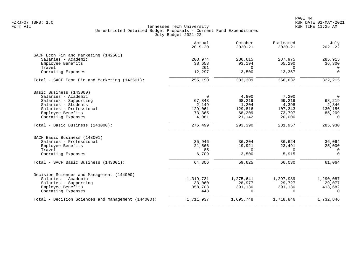|                                                    | Actual<br>$2019 - 20$ | October<br>$2020 - 21$ | Estimated<br>$2020 - 21$ | July<br>$2021 - 22$ |
|----------------------------------------------------|-----------------------|------------------------|--------------------------|---------------------|
| SACF Econ Fin and Marketing (142501)               |                       |                        |                          |                     |
| Salaries - Academic                                | 203,974               | 286,615                | 287,975                  | 285,915             |
| Employee Benefits                                  | 38,658                | 93,194                 | 65,290                   | 36,300              |
| Travel                                             | 261                   | $\Omega$               | $\Omega$                 | $\Omega$            |
| Operating Expenses                                 | 12,297                | 3,500                  | 13,367                   | $\Omega$            |
| Total - SACF Econ Fin and Marketing (142501):      | 255,190               | 383,309                | 366,632                  | 322,215             |
| Basic Business (143000)                            |                       |                        |                          |                     |
| Salaries - Academic                                | $\Omega$              | 4,800                  | 7,200                    | $\overline{0}$      |
| Salaries - Supporting                              | 67,843                | 68,219                 | 69,219                   | 68,219              |
| Salaries - Students                                | 2,149                 | 1,204                  | 4,398                    | 2,346               |
| Salaries - Professional                            | 129,061               | 129,816                | 107,343                  | 130,156             |
| Employee Benefits                                  | 73,365                | 68,209                 | 73,797                   | 85,209              |
| Operating Expenses                                 | 4,081                 | 21,142                 | 20,000                   | $\Omega$            |
| Total - Basic Business (143000):                   | 276,499               | 293,390                | 281,957                  | 285,930             |
| SACF Basic Business (143001)                       |                       |                        |                          |                     |
| Salaries - Professional                            | 35,946                | 36,204                 | 36,624                   | 36,064              |
| Employee Benefits                                  | 21,566                | 19,921                 | 23,491                   | 25,000              |
| Travel                                             | 85                    | $\overline{0}$         | $\mathbf 0$              | $\overline{0}$      |
| Operating Expenses                                 | 6,709                 | 3,500                  | 5,915                    | $\overline{0}$      |
| Total - SACF Basic Business (143001):              | 64,306                | 59,625                 | 66,030                   | 61,064              |
| Decision Sciences and Management (144000)          |                       |                        |                          |                     |
| Salaries - Academic                                | 1,319,731             | 1,275,641              | 1,297,989                | 1,290,087           |
| Salaries - Supporting                              | 33,060                | 28,977                 | 29,727                   | 29,077              |
| Employee Benefits                                  | 358,703               | 391,130                | 391,130                  | 413,682             |
| Operating Expenses                                 | 443                   | $\Omega$               | $\Omega$                 | $\Omega$            |
| Total - Decision Sciences and Management (144000): | 1,711,937             | 1,695,748              | 1,718,846                | 1,732,846           |
|                                                    |                       |                        |                          |                     |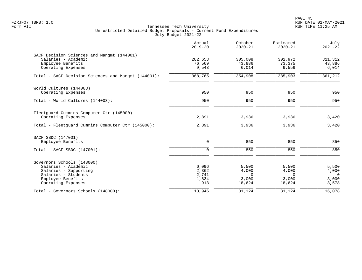PAGE 45 FZRJF07 TBR8: 1.0 RUN DATE 01-MAY-2021

|                                                                                                                                              | Actual<br>$2019 - 20$                   | October<br>$2020 - 21$                        | Estimated<br>$2020 - 21$                      | July<br>$2021 - 22$                          |
|----------------------------------------------------------------------------------------------------------------------------------------------|-----------------------------------------|-----------------------------------------------|-----------------------------------------------|----------------------------------------------|
| SACF Decision Sciences and Mangmt (144001)<br>Salaries - Academic<br>Employee Benefits<br>Operating Expenses                                 | 282,653<br>76,569<br>9,543              | 305,008<br>43,886<br>6,014                    | 302,972<br>73,375<br>9,556                    | 311,312<br>43,886<br>6,014                   |
| Total - SACF Decision Sciences and Mangmt (144001):                                                                                          | 368,765                                 | 354,908                                       | 385,903                                       | 361,212                                      |
| World Cultures (144003)<br>Operating Expenses                                                                                                | 950                                     | 950                                           | 950                                           | 950                                          |
| Total - World Cultures (144003):                                                                                                             | 950                                     | 950                                           | 950                                           | 950                                          |
| Fleetguard Cummins Computer Ctr (145000)<br>Operating Expenses                                                                               | 2,891                                   | 3,936                                         | 3,936                                         | 3,420                                        |
| Total - Fleetquard Cummins Computer Ctr (145000):                                                                                            | 2,891                                   | 3,936                                         | 3,936                                         | 3,420                                        |
| SACF SBDC (147001)<br>Employee Benefits                                                                                                      | 0                                       | 850                                           | 850                                           | 850                                          |
| Total - SACF SBDC (147001):                                                                                                                  | $\Omega$                                | 850                                           | 850                                           | 850                                          |
| Governors Schools (148000)<br>Salaries - Academic<br>Salaries - Supporting<br>Salaries - Students<br>Employee Benefits<br>Operating Expenses | 6,096<br>2,362<br>2,741<br>1,834<br>913 | 5,500<br>4,000<br>$\Omega$<br>3.000<br>18,624 | 5,500<br>4,000<br>$\Omega$<br>3,000<br>18,624 | 5,500<br>4,000<br>$\Omega$<br>3,000<br>3,578 |
| Total - Governors Schools (148000):                                                                                                          | 13,946                                  | 31,124                                        | 31,124                                        | 16,078                                       |
|                                                                                                                                              |                                         |                                               |                                               |                                              |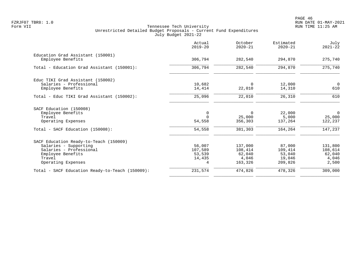|                                                 | Actual<br>$2019 - 20$ | October<br>$2020 - 21$ | Estimated<br>$2020 - 21$ | July<br>$2021 - 22$ |
|-------------------------------------------------|-----------------------|------------------------|--------------------------|---------------------|
| Education Grad Assistant (150001)               |                       |                        |                          |                     |
| Employee Benefits                               | 306,794               | 282,540                | 294,870                  | 275,740             |
| Total - Education Grad Assistant (150001):      | 306,794               | 282,540                | 294,870                  | 275,740             |
| Educ TIKI Grad Assistant (150002)               |                       |                        |                          |                     |
| Salaries - Professional                         | 10,682                | 0                      | 12,000                   | $\overline{0}$      |
| Employee Benefits                               | 14,414                | 22,010                 | 14,310                   | 610                 |
| Total - Educ TIKI Grad Assistant (150002):      | 25,096                | 22,010                 | 26,310                   | 610                 |
| SACF Education (150008)                         |                       |                        |                          |                     |
| Employee Benefits                               | $\Omega$              | $\Omega$               | 22,000                   | $\Omega$            |
| Travel                                          |                       | 25,000                 | 5,000                    | 25,000              |
| Operating Expenses                              | 54,558                | 356,303                | 137,264                  | 122,237             |
| Total - SACF Education (150008):                | 54,558                | 381,303                | 164,264                  | 147,237             |
| SACF Education Ready-to-Teach (150009)          |                       |                        |                          |                     |
| Salaries - Supporting                           | 56,007                | 137,000                | 87,000                   | 131,800             |
| Salaries - Professional                         | 107,589               | 108,414                | 109,414                  | 108,614             |
| Employee Benefits                               | 53,539                | 62,040                 | 53,040                   | 62,040              |
| Travel                                          | 14,435                | 4,046                  | 19,046                   | 4,046               |
| Operating Expenses                              | 4                     | 163,326                | 209,826                  | 2,500               |
| Total - SACF Education Ready-to-Teach (150009): | 231,574               | 474,826                | 478,326                  | 309,000             |
|                                                 |                       |                        |                          |                     |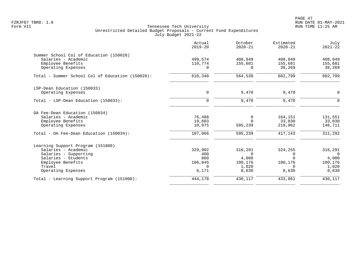PAGE 47 FZRJF07 TBR8: 1.0 RUN DATE 01-MAY-2021

|                                                  | Actual<br>$2019 - 20$ | October<br>$2020 - 21$ | Estimated<br>$2020 - 21$ | July<br>$2021 - 22$ |
|--------------------------------------------------|-----------------------|------------------------|--------------------------|---------------------|
| Summer School Col of Education (150028)          |                       |                        |                          |                     |
| Salaries - Academic                              | 499,574               | 408,849                | 408,849                  | 408,849             |
| Employee Benefits                                | 110,774               | 155,681                | 155,681                  | 155,681             |
| Operating Expenses                               | $\Omega$              | $\Omega$               | 38,269                   | 38,269              |
| Total - Summer School Col of Education (150028): | 610,348               | 564,530                | 602,799                  | 602,799             |
| LSP-Dean Education (150033)                      |                       |                        |                          |                     |
| Operating Expenses                               | 0                     | 9,470                  | 9,470                    | $\mathbf 0$         |
| Total - LSP-Dean Education (150033):             | 0                     | 9,470                  | 9,470                    | $\mathbf 0$         |
| OA Fee-Dean Education (150034)                   |                       |                        |                          |                     |
| Salaries - Academic                              | 76,488                | 0                      | 164,151                  | 131,551             |
| Employee Benefits                                | 19,603                | $\Omega$               | 33,030                   | 33,030              |
| Operating Expenses                               | 10,975                | 595,239                | 219,962                  | 146,711             |
| Total - OA Fee-Dean Education (150034):          | 107,066               | 595,239                | 417,143                  | 311,292             |
| Learning Support Program (151000)                |                       |                        |                          |                     |
| Salaries - Academic                              | 329,902               | 316,291                | 324,255                  | 316,291             |
| Salaries - Supporting                            | 400                   | $\Omega$               | $\Omega$                 | $\Omega$            |
| Salaries - Students                              | 860                   | 4,000                  | ∩                        | 4,000               |
| Employee Benefits                                | 106,845               | 100,176                | 100,176                  | 100,176             |
| Travel                                           | $\Omega$              | 1,020                  | 0                        | 1,020               |
| Operating Expenses                               | 6,171                 | 8,630                  | 8,630                    | 8,630               |
| Total - Learning Support Program (151000):       | 444,178               | 430,117                | 433,061                  | 430,117             |
|                                                  |                       |                        |                          |                     |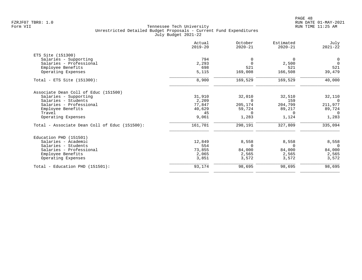|                                               | Actual<br>$2019 - 20$ | October<br>$2020 - 21$ | Estimated<br>$2020 - 21$ | July<br>$2021 - 22$ |
|-----------------------------------------------|-----------------------|------------------------|--------------------------|---------------------|
| ETS Site (151300)                             |                       |                        |                          |                     |
| Salaries - Supporting                         | 794                   | 0                      | $\Omega$                 | $\overline{0}$      |
| Salaries - Professional                       | 2,293                 | $\Omega$               | 2,500                    | $\overline{0}$      |
| Employee Benefits                             | 698                   | 521                    | 521                      | 521                 |
| Operating Expenses                            | 5,115                 | 169,008                | 166,508                  | 39,479              |
| Total - ETS Site (151300):                    | 8,900                 | 169,529                | 169,529                  | 40,000              |
| Associate Dean Coll of Educ (151500)          |                       |                        |                          |                     |
| Salaries - Supporting                         | 31,910                | 32,010                 | 32,510                   | 32,110              |
| Salaries - Students                           | 2,209                 | $\Omega$               | 159                      | $\bigcap$           |
| Salaries - Professional                       | 77,847                | 205,174                | 204,799                  | 211,977             |
| Employee Benefits                             | 40,629                | 59,724                 | 89,217                   | 89,724              |
| Travel                                        | 45                    | $\Omega$               | $\Omega$                 | $\Omega$            |
| Operating Expenses                            | 9,061                 | 1,283                  | 1,124                    | 1,283               |
| Total - Associate Dean Coll of Educ (151500): | 161,701               | 298,191                | 327,809                  | 335,094             |
| Education PHD (151501)                        |                       |                        |                          |                     |
| Salaries - Academic                           | 12,849                | 8,558                  | 8,558                    | 8,558               |
| Salaries - Students                           | 554                   | $\Omega$               | 0                        | $\overline{0}$      |
| Salaries - Professional                       | 73,855                | 84,000                 | 84,000                   | 84,000              |
| Employee Benefits                             | 2,065                 | 2,565                  | 2,565                    | 2,565               |
| Operating Expenses                            | 3,851                 | 3,572                  | 3,572                    | 3,572               |
| Total - Education PHD (151501):               | 93,174                | 98,695                 | 98,695                   | 98,695              |
|                                               |                       |                        |                          |                     |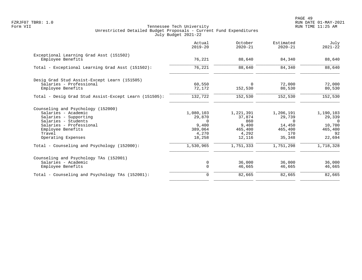|                                                              | Actual<br>$2019 - 20$ | October<br>$2020 - 21$ | Estimated<br>$2020 - 21$ | July<br>$2021 - 22$ |
|--------------------------------------------------------------|-----------------------|------------------------|--------------------------|---------------------|
| Exceptional Learning Grad Asst (151502)<br>Employee Benefits | 76,221                | 88,640                 | 84,340                   | 88,640              |
|                                                              |                       |                        |                          |                     |
| Total - Exceptional Learning Grad Asst (151502):             | 76,221                | 88,640                 | 84,340                   | 88,640              |
| Desig Grad Stud Assist-Except Learn (151505)                 |                       |                        |                          |                     |
| Salaries - Professional                                      | 60,550                | $\Omega$               | 72,000                   | 72,000              |
| Employee Benefits                                            | 72,172                | 152,530                | 80,530                   | 80,530              |
| Total - Desig Grad Stud Assist-Except Learn (151505):        | 132,722               | 152,530                | 152,530                  | 152,530             |
| Counseling and Psychology (152000)                           |                       |                        |                          |                     |
| Salaries - Academic                                          | 1,080,103             | 1,221,391              | 1,206,191                | 1,190,103           |
| Salaries - Supporting                                        | 29,870                | 37,874                 | 29,739                   | 29,339              |
| Salaries - Students                                          | $\cap$                | 860                    | $\Omega$                 | $\Omega$            |
| Salaries - Professional                                      | 9,400                 | 9,400                  | 14,450                   | 10,700              |
| Employee Benefits                                            | 389,064               | 465,400                | 465,400                  | 465,400             |
| Travel                                                       | 4,270                 | 4,292                  | 170                      | 92                  |
| Operating Expenses                                           | 18,258                | 12,116                 | 35,348                   | 22,694              |
| Total - Counseling and Psychology (152000):                  | 1,530,965             | 1,751,333              | 1,751,298                | 1,718,328           |
| Counseling and Psychology TAs (152001)                       |                       |                        |                          |                     |
| Salaries - Academic                                          | 0                     | 36,000                 | 36,000                   | 36,000              |
| Employee Benefits                                            | $\Omega$              | 46,665                 | 46,665                   | 46,665              |
| Total - Counseling and Psychology TAs (152001):              | $\mathbf 0$           | 82,665                 | 82,665                   | 82,665              |
|                                                              |                       |                        |                          |                     |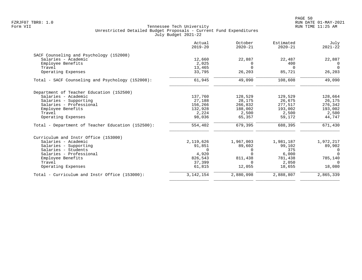|                                                   | Actual<br>$2019 - 20$ | October<br>$2020 - 21$ | Estimated<br>$2020 - 21$ | July<br>$2021 - 22$ |
|---------------------------------------------------|-----------------------|------------------------|--------------------------|---------------------|
| SACF Counseling and Psychology (152008)           |                       |                        |                          |                     |
| Salaries - Academic                               | 12,660                | 22,887                 | 22,487                   | 22,887              |
| Employee Benefits                                 | 2,025                 | O                      | 400                      | $\Omega$            |
| Travel                                            | 13,465                | U                      | $\Omega$                 | $\Omega$            |
| Operating Expenses                                | 33,795                | 26,203                 | 85,721                   | 26,203              |
| Total - SACF Counseling and Psychology (152008):  | 61,945                | 49,090                 | 108,608                  | 49,090              |
| Department of Teacher Education (152500)          |                       |                        |                          |                     |
| Salaries - Academic                               | 137,760               | 128,529                | 129,529                  | 128,664             |
| Salaries - Supporting                             | 27,188                | 28,175                 | 26,675                   | 26,175              |
| Salaries - Professional                           | 156,266               | 266,832                | 277,517                  | 276,342             |
| Employee Benefits                                 | 132,928               | 188,002                | 193,002                  | 193,002             |
| Travel                                            | 2,224                 | 2,500                  | 2,500                    | 2,500               |
| Operating Expenses                                | 98,036                | 65,357                 | 59,172                   | 44,747              |
| Total - Department of Teacher Education (152500): | 554,402               | 679,395                | 688,395                  | 671,430             |
| Curriculum and Instr Office (153000)              |                       |                        |                          |                     |
| Salaries - Academic                               | 2,119,626             | 1,967,003              | 1,981,187                | 1,972,217           |
| Salaries - Supporting                             | 91,851                | 89,602                 | 99,102                   | 89,902              |
| Salaries - Students                               | $\Omega$              | $\left( \right)$       | 375                      | $\Omega$            |
| Salaries - Professional                           | 4,920                 |                        | 6,000                    | $\Omega$            |
| Employee Benefits                                 | 826,543               | 811,438                | 781,438                  | 785,140             |
| Travel                                            | 37,399                | <sup>n</sup>           | 2,050                    | $\Omega$            |
| Operating Expenses                                | 61,815                | 12,055                 | 18,655                   | 18,080              |
| Total - Curriculum and Instr Office (153000):     | 3, 142, 154           | 2,880,098              | 2,888,807                | 2,865,339           |
|                                                   |                       |                        |                          |                     |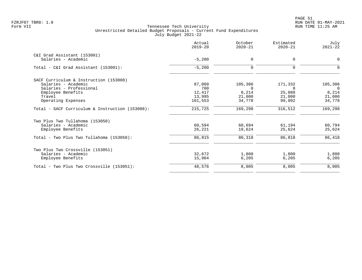PAGE 51 FZRJF07 TBR8: 1.0 RUN DATE 01-MAY-2021

|                                                 | Actual<br>$2019 - 20$ | October<br>$2020 - 21$ | Estimated<br>$2020 - 21$ | July<br>$2021 - 22$ |
|-------------------------------------------------|-----------------------|------------------------|--------------------------|---------------------|
| C&I Grad Assistant (153001)                     |                       |                        |                          |                     |
| Salaries - Academic                             | $-5,200$              | $\mathbf 0$            | $\Omega$                 | 0                   |
| Total - C&I Grad Assistant (153001):            | $-5,200$              | $\mathbf 0$            | $\Omega$                 | $\Omega$            |
| SACF Curriculum & Instruction (153008)          |                       |                        |                          |                     |
| Salaries - Academic                             | 87,060                | 105,306                | 171,332                  | 105,306             |
| Salaries - Professional                         | 700                   | $\Omega$               | $\Omega$                 | $\Omega$            |
| Employee Benefits                               | 12,417                | 8,214                  | 25,088                   | 8,214               |
| Travel                                          | 13,995                | 21,000                 | 21,000                   | 21,000              |
| Operating Expenses                              | 101,553               | 34,778                 | 99,092                   | 34,778              |
| Total - SACF Curriculum & Instruction (153008): | 215,725               | 169,298                | 316,512                  | 169,298             |
| Two Plus Two Tullahoma (153050)                 |                       |                        |                          |                     |
| Salaries - Academic                             | 60,594                | 60,694                 | 61,194                   | 60,794              |
| Employee Benefits                               | 26,221                | 19,624                 | 25,624                   | 25,624              |
| Total - Two Plus Two Tullahoma (153050):        | 86,815                | 80,318                 | 86,818                   | 86,418              |
| Two Plus Two Crossville (153051)                |                       |                        |                          |                     |
| Salaries - Academic                             | 32,672                | 1,800                  | 1,800                    | 1,800               |
| Employee Benefits                               | 15,904                | 6,205                  | 6,205                    | 6,205               |
| Total - Two Plus Two Crossville (153051):       | 48,576                | 8,005                  | 8,005                    | 8,005               |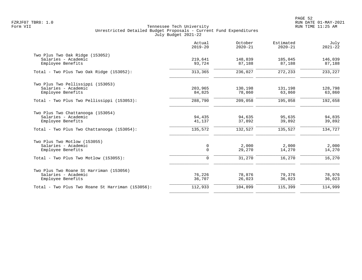|                                                                                     | Actual<br>$2019 - 20$      | October<br>$2020 - 21$ | Estimated<br>$2020 - 21$ | July<br>$2021 - 22$ |
|-------------------------------------------------------------------------------------|----------------------------|------------------------|--------------------------|---------------------|
| Two Plus Two Oak Ridge (153052)<br>Salaries - Academic<br>Employee Benefits         | 219,641<br>93,724          | 148,839<br>87,188      | 185,045<br>87,188        | 146,039<br>87,188   |
| Total - Two Plus Two Oak Ridge $(153052)$ :                                         | 313,365                    | 236,027                | 272,233                  | 233, 227            |
| Two Plus Two Pellissippi (153053)<br>Salaries - Academic<br>Employee Benefits       | 203,965<br>84,825          | 130,198<br>78,860      | 131,198<br>63,860        | 128,798<br>63,860   |
| Total - Two Plus Two Pellissippi (153053):                                          | 288,790                    | 209,058                | 195,058                  | 192,658             |
| Two Plus Two Chattanooga (153054)<br>Salaries - Academic<br>Employee Benefits       | 94,435<br>41,137           | 94,635<br>37,892       | 95,635<br>39,892         | 94,835<br>39,892    |
| Total - Two Plus Two Chattanooga (153054):                                          | 135,572                    | 132,527                | 135,527                  | 134,727             |
| Two Plus Two Motlow (153055)<br>Salaries - Academic<br>Employee Benefits            | $\mathbf 0$<br>$\mathbf 0$ | 2,000<br>29,270        | 2,000<br>14,270          | 2,000<br>14,270     |
| Total - Two Plus Two Motlow (153055):                                               | $\mathbf 0$                | 31,270                 | 16,270                   | 16,270              |
| Two Plus Two Roane St Harriman (153056)<br>Salaries - Academic<br>Employee Benefits | 76,226<br>36,707           | 78,876<br>26,023       | 79,376<br>36,023         | 78,976<br>36,023    |
| Total - Two Plus Two Roane St Harriman (153056):                                    | 112,933                    | 104,899                | 115,399                  | 114,999             |
|                                                                                     |                            |                        |                          |                     |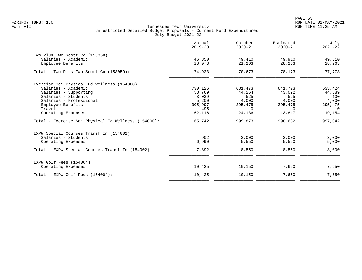PAGE 53 FZRJF07 TBR8: 1.0 RUN DATE 01-MAY-2021

|                                                     | Actual<br>$2019 - 20$ | October<br>$2020 - 21$ | Estimated<br>$2020 - 21$ | July<br>$2021 - 22$ |
|-----------------------------------------------------|-----------------------|------------------------|--------------------------|---------------------|
| Two Plus Two Scott Co (153059)                      |                       |                        |                          |                     |
| Salaries - Academic                                 | 46,850                | 49,410                 | 49,910                   | 49,510              |
| Employee Benefits                                   | 28,073                | 21,263                 | 28,263                   | 28,263              |
| Total - Two Plus Two Scott Co (153059):             | 74,923                | 70,673                 | 78,173                   | 77,773              |
| Exercise Sci Physical Ed Wellness (154000)          |                       |                        |                          |                     |
| Salaries - Academic                                 | 730,126               | 631,473                | 641,723                  | 633,424             |
| Salaries - Supporting                               | 58,769                | 44,264                 | 43,092                   | 44,889              |
| Salaries - Students                                 | 3,039                 | 525                    | 525                      | 100                 |
| Salaries - Professional                             | 5,200                 | 4,000                  | 4,000                    | 4,000               |
| Employee Benefits                                   | 305,997               | 295,475                | 295,475                  | 295,475             |
| Travel                                              | 495                   | $\Omega$               | $\Omega$                 | $\Omega$            |
| Operating Expenses                                  | 62,116                | 24,136                 | 13,817                   | 19,154              |
| Total - Exercise Sci Physical Ed Wellness (154000): | 1,165,742             | 999,873                | 998,632                  | 997,042             |
| EXPW Special Courses Transf In (154002)             |                       |                        |                          |                     |
| Salaries - Students                                 | 902                   | 3,000                  | 3,000                    | 3,000               |
| Operating Expenses                                  | 6,990                 | 5,550                  | 5,550                    | 5,000               |
| Total - EXPW Special Courses Transf In (154002):    | 7,892                 | 8,550                  | 8,550                    | 8,000               |
| EXPW Golf Fees (154004)                             |                       |                        |                          |                     |
| Operating Expenses                                  | 10,425                | 10,150                 | 7,650                    | 7,650               |
| Total - EXPW Golf Fees (154004):                    | 10,425                | 10,150                 | 7,650                    | 7,650               |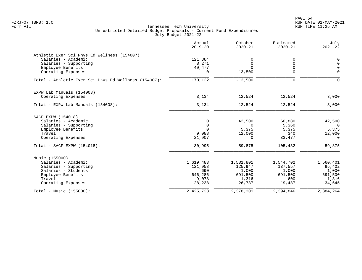|                                                      | Actual<br>$2019 - 20$ | October<br>$2020 - 21$  | Estimated<br>$2020 - 21$ | July<br>$2021 - 22$        |
|------------------------------------------------------|-----------------------|-------------------------|--------------------------|----------------------------|
| Athletic Exer Sci Phys Ed Wellness (154007)          |                       |                         |                          |                            |
| Salaries - Academic                                  | 121,384               | $\Omega$                | 0                        | 0                          |
| Salaries - Supporting<br>Employee Benefits           | 8,271<br>40,477       | $\mathbf 0$<br>$\Omega$ | $\Omega$<br>$\Omega$     | $\mathbf 0$<br>$\mathbf 0$ |
| Operating Expenses                                   | $\Omega$              | $-13,500$               | $\Omega$                 | $\Omega$                   |
| Total - Athletic Exer Sci Phys Ed Wellness (154007): | 170,132               | $-13,500$               | 0                        | $\Omega$                   |
| EXPW Lab Manuals (154008)                            |                       |                         |                          |                            |
| Operating Expenses                                   | 3,134                 | 12,524                  | 12,524                   | 3,000                      |
| Total - EXPW Lab Manuals (154008):                   | 3,134                 | 12,524                  | 12,524                   | 3,000                      |
| SACF EXPW (154018)                                   |                       |                         |                          |                            |
| Salaries - Academic                                  | $\mathbf 0$           | 42,500                  | 60,880                   | 42,500                     |
| Salaries - Supporting                                | $\mathbf 0$           | $\Omega$                | 5,360                    | $\overline{0}$             |
| Employee Benefits<br>Travel                          | $\Omega$<br>9,088     | 5,375<br>12,000         | 5,375<br>340             | 5,375<br>12,000            |
| Operating Expenses                                   | 21,907                | $\Omega$                | 33,477                   | $\Omega$                   |
| Total - SACF EXPW (154018):                          | 30,995                | 59,875                  | 105,432                  | 59,875                     |
| Music (155000)                                       |                       |                         |                          |                            |
| Salaries - Academic                                  | 1,619,483             | 1,531,801               | 1,544,702                | 1,560,401                  |
| Salaries - Supporting                                | 121,958               | 125,947                 | 137,557                  | 95,402                     |
| Salaries - Students<br>Employee Benefits             | 690<br>646,286        | 1,000<br>691,500        | 1,000<br>691,500         | 1,000<br>691,500           |
| Travel                                               | 9,078                 | 1,316                   | 600                      | 1,316                      |
| Operating Expenses                                   | 28,238                | 26,737                  | 19,487                   | 34,645                     |
| Total - Music (155000):                              | 2,425,733             | 2,378,301               | 2,394,846                | 2,384,264                  |
|                                                      |                       |                         |                          |                            |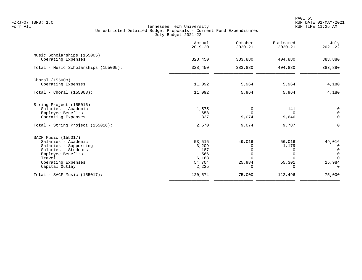PAGE 55 FZRJF07 TBR8: 1.0 RUN DATE 01-MAY-2021

|                                                   | Actual<br>$2019 - 20$ | October<br>$2020 - 21$ | Estimated<br>$2020 - 21$ | July<br>$2021 - 22$                  |
|---------------------------------------------------|-----------------------|------------------------|--------------------------|--------------------------------------|
| Music Scholarships (155005)<br>Operating Expenses | 328,450               | 383,880                | 404,880                  | 383,880                              |
|                                                   |                       |                        |                          |                                      |
| Total - Music Scholarships (155005):              | 328,450               | 383,880                | 404,880                  | 383,880                              |
| Choral (155008)                                   |                       |                        |                          |                                      |
| Operating Expenses                                | 11,092                | 5,964                  | 5,964                    | 4,180                                |
| Total - Choral $(155008):$                        | 11,092                | 5,964                  | 5,964                    | 4,180                                |
| String Project (155016)                           |                       |                        |                          |                                      |
| Salaries - Academic                               | 1,575                 | 0                      | 141                      | $\overline{0}$                       |
| Employee Benefits                                 | 658                   | $\Omega$               | $\Omega$                 | $\mathsf 0$                          |
| Operating Expenses                                | 337                   | 9,074                  | 9,646                    | $\mathbf 0$                          |
| Total - String Project (155016):                  | 2,570                 | 9,074                  | 9,787                    | $\mathbf 0$                          |
| SACF Music (155017)                               |                       |                        |                          |                                      |
| Salaries - Academic                               | 53,515                | 49,016                 | 56,016                   | 49,016                               |
| Salaries - Supporting                             | 3,209                 | $\Omega$               | 1,179                    | 0                                    |
| Salaries - Students                               | 187                   |                        |                          | $\begin{matrix} 0 \\ 0 \end{matrix}$ |
| Employee Benefits                                 | 566                   | 0                      |                          |                                      |
| Travel                                            | 6,168                 | $\Omega$               | $\Omega$                 | $\Omega$                             |
| Operating Expenses                                | 54,704                | 25,984                 | 55,301                   | 25,984                               |
| Capital Outlay                                    | 2,225                 | 0                      | 0                        | $\Omega$                             |
| $Total - SACF Music (155017):$                    | 120,574               | 75,000                 | 112,496                  | 75,000                               |
|                                                   |                       |                        |                          |                                      |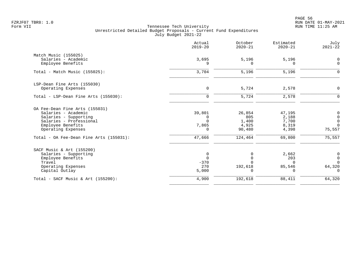en and the state of the state of the state of the state of the state of the state of the state of the state of the state of the state of the state of the state of the state of the state of the state of the state of the sta FZRJF07 TBR8: 1.0 RUN DATE 01-MAY-2021

|                                                  | Actual<br>$2019 - 20$ | October<br>$2020 - 21$ | Estimated<br>$2020 - 21$ | July<br>$2021 - 22$        |
|--------------------------------------------------|-----------------------|------------------------|--------------------------|----------------------------|
| Match Music (155025)<br>Salaries - Academic      | 3,695                 | 5,196                  | 5,196                    | $\Omega$                   |
| Employee Benefits                                | 9                     | <sup>0</sup>           | $\Omega$                 | $\Omega$                   |
| Total - Match Music (155025):                    | 3,704                 | 5,196                  | 5,196                    | $\Omega$                   |
| LSP-Dean Fine Arts (155030)                      |                       |                        |                          |                            |
| Operating Expenses                               | $\mathbf 0$           | 5,724                  | 2,578                    | $\mathbf 0$                |
| Total - LSP-Dean Fine Arts (155030):             | $\Omega$              | 5,724                  | 2,578                    | ∩                          |
| OA Fee-Dean Fine Arts (155031)                   |                       |                        |                          |                            |
| Salaries - Academic                              | 39,801                | 26,854<br>805          | 47,195                   | $\mathbf 0$                |
| Salaries - Supporting<br>Salaries - Professional | $\Omega$              | 1,400                  | 2,188<br>7,700           | $\mathbf 0$<br>$\mathbf 0$ |
| Employee Benefits                                | 7,865                 | 4,925                  | 8,319                    | $\Omega$                   |
| Operating Expenses                               | $\Omega$              | 90,480                 | 4,398                    | 75,557                     |
| Total - OA Fee-Dean Fine Arts (155031):          | 47,666                | 124,464                | 69,800                   | 75,557                     |
| SACF Music & Art (155200)                        |                       |                        |                          |                            |
| Salaries - Supporting                            | 0                     |                        | 2,662                    | $\mathbf 0$                |
| Employee Benefits                                | $\Omega$              |                        | 203                      | $\overline{0}$             |
| Travel<br>Operating Expenses                     | $-370$<br>270         | 192,618                | $\cap$<br>85,546         | $\Omega$<br>64,320         |
| Capital Outlay                                   | 5,000                 |                        | $\Omega$                 | $\Omega$                   |
| Total - SACF Music & Art $(155200)$ :            | 4,900                 | 192,618                | 88,411                   | 64,320                     |
|                                                  |                       |                        |                          |                            |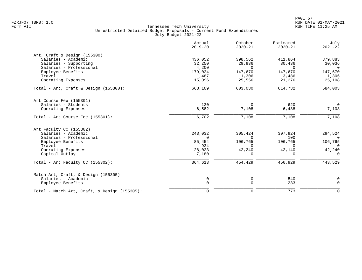|                                              | Actual<br>$2019 - 20$ | October<br>$2020 - 21$ | Estimated<br>$2020 - 21$ | July<br>$2021 - 22$ |
|----------------------------------------------|-----------------------|------------------------|--------------------------|---------------------|
| Art, Craft & Design (155300)                 |                       |                        |                          |                     |
| Salaries - Academic                          | 436,052               | 398,562                | 411,864                  | 379,883             |
| Salaries - Supporting                        | 32,250                | 29,936                 | 30,436                   | 30,036              |
| Salaries - Professional                      | 4,200                 | $\Omega$               | $\cap$                   | $\bigcap$           |
| Employee Benefits                            | 179,024               | 147,670                | 147,670                  | 147,670             |
| Travel                                       | 1,487                 | 1,306                  | 3,486                    | 1,306               |
| Operating Expenses                           | 15,096                | 25,556                 | 21,276                   | 25,108              |
| Total - Art, Craft & Design $(155300)$ :     | 668,109               | 603,030                | 614,732                  | 584,003             |
| Art Course Fee (155301)                      |                       |                        |                          |                     |
| Salaries - Students                          | 120                   | $\Omega$               | 620                      | $\Omega$            |
| Operating Expenses                           | 6,582                 | 7,108                  | 6,488                    | 7,108               |
| Total - Art Course Fee (155301):             | 6,702                 | 7,108                  | 7,108                    | 7,108               |
| Art Faculty CC (155302)                      |                       |                        |                          |                     |
| Salaries - Academic                          | 243,032               | 305,424                | 307,924                  | 294,524             |
| Salaries - Professional                      | $\Omega$              | $\Omega$               | 100                      | $\Omega$            |
| Employee Benefits                            | 85,454                | 106,765                | 106,765                  | 106,765             |
| Travel                                       | 924                   | $\Omega$               | $\Omega$                 | $\Omega$            |
| Operating Expenses                           | 28,023                | 42,240                 | 42,140                   | 42,240              |
| Capital Outlay                               | 7,180                 | $\Omega$               | $\cap$                   | $\Omega$            |
| Total - Art Faculty CC $(155302)$ :          | 364,613               | 454,429                | 456,929                  | 443,529             |
| Match Art, Craft, & Design (155305)          |                       |                        |                          |                     |
| Salaries - Academic                          | 0                     | 0                      | 540                      | 0                   |
| Employee Benefits                            | $\mathbf 0$           | $\mathbf 0$            | 233                      | $\mathbf 0$         |
| Total - Match Art, Craft, & Design (155305): | $\mathbf 0$           | $\mathbf 0$            | 773                      | $\mathbf 0$         |
|                                              |                       |                        |                          |                     |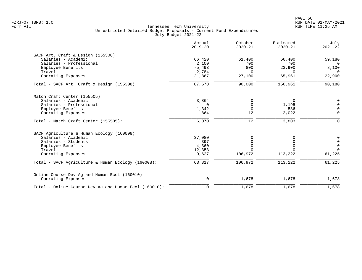|                                                       | Actual<br>$2019 - 20$ | October<br>$2020 - 21$ | Estimated<br>$2020 - 21$ | July<br>$2021 - 22$ |
|-------------------------------------------------------|-----------------------|------------------------|--------------------------|---------------------|
| SACF Art, Craft & Design (155308)                     |                       |                        |                          |                     |
| Salaries - Academic                                   | 66,420                | 61,400                 | 66,400                   | 59,180              |
| Salaries - Professional                               | 2,100                 | 700                    | 700                      | $\Omega$            |
| Employee Benefits                                     | $-5,493$              | 800                    | 23,900                   | 8,100               |
| Travel                                                | 2,784                 | $\Omega$               | $\Omega$                 | $\Omega$            |
| Operating Expenses                                    | 21,867                | 27,100                 | 65,961                   | 22,900              |
| Total - SACF Art, Craft & Design (155308):            | 87,678                | 90,000                 | 156,961                  | 90,180              |
| Match Craft Center (155505)                           |                       |                        |                          |                     |
| Salaries - Academic                                   | 3,864                 | 0                      | 0                        | $\mathbf 0$         |
| Salaries - Professional                               | $\Omega$              | 0                      | 1,195                    | $\mathbf 0$         |
| Employee Benefits                                     | 1,342                 | $\Omega$               | 586                      | $\Omega$            |
| Operating Expenses                                    | 864                   | 12                     | 2,022                    | 0                   |
| Total - Match Craft Center (155505):                  | 6,070                 | $12$                   | 3,803                    | $\mathbf 0$         |
| SACF Agriculture & Human Ecology (160008)             |                       |                        |                          |                     |
| Salaries - Academic                                   | 37,080                | 0                      | 0                        | 0                   |
| Salaries - Students                                   | 397                   | $\Omega$               | 0                        | $\mathsf{O}$        |
| Employee Benefits                                     | 4,360                 | $\Omega$               | 0                        | $\mathbf 0$         |
| Travel                                                | 12,353                |                        | U                        | $\Omega$            |
| Operating Expenses                                    | 9,627                 | 106,972                | 113,222                  | 61,225              |
| Total - SACF Agriculture & Human Ecology (160008):    | 63,817                | 106,972                | 113,222                  | 61,225              |
| Online Course Dev Ag and Human Ecol (160010)          |                       |                        |                          |                     |
| Operating Expenses                                    | 0                     | 1,678                  | 1,678                    | 1,678               |
| Total - Online Course Dev Ag and Human Ecol (160010): | 0                     | 1,678                  | 1,678                    | 1,678               |
|                                                       |                       |                        |                          |                     |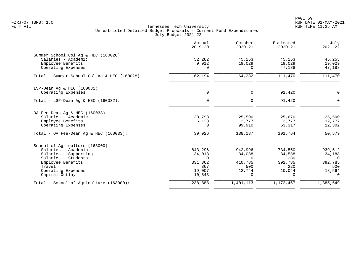PAGE 59 FZRJF07 TBR8: 1.0 RUN DATE 01-MAY-2021

|                                                            | Actual<br>$2019 - 20$ | October<br>$2020 - 21$ | Estimated<br>$2020 - 21$ | July<br>$2021 - 22$ |
|------------------------------------------------------------|-----------------------|------------------------|--------------------------|---------------------|
| Summer School Col Aq & HEC (160028)<br>Salaries - Academic | 52,282                | 45,253                 | 45,253                   | 45,253              |
| Employee Benefits<br>Operating Expenses                    | 9,912<br>$\Omega$     | 19,029<br>$\Omega$     | 19,029<br>47,188         | 19,029<br>47,188    |
| Total - Summer School Col Aq & HEC (160028):               | 62,194                | 64,282                 | 111,470                  | 111,470             |
| LSP-Dean Aq & HEC (160032)                                 |                       |                        |                          |                     |
| Operating Expenses                                         | 0                     | $\mathbf 0$            | 91,420                   | $\mathbf{0}$        |
| Total - LSP-Dean Aq & HEC $(160032)$ :                     | $\mathbf 0$           | $\Omega$               | 91,420                   | $\Omega$            |
| OA Fee-Dean Aq & HEC (160033)                              |                       |                        |                          |                     |
| Salaries - Academic                                        | 33,793                | 25,500                 | 25,670                   | 25,500              |
| Employee Benefits<br>Operating Expenses                    | 6,133<br>0            | 12,777<br>99,910       | 12,777<br>63,317         | 12,777<br>12,302    |
| Total - OA Fee-Dean Aq & HEC $(160033)$ :                  | 39,926                | 138,187                | 101,764                  | 50,579              |
| School of Agriculture (163000)                             |                       |                        |                          |                     |
| Salaries - Academic                                        | 843,296               | 942,996                | 734,550                  | 939,612             |
| Salaries - Supporting                                      | 34,013                | 34,088                 | 34,588                   | 34,188              |
| Salaries - Students<br>Employee Benefits                   | $\Omega$<br>331,362   | $\Omega$<br>410,785    | 280<br>392,785           | $\Omega$<br>392,785 |
| Travel                                                     | 367                   | 500                    | 220                      | 500                 |
| Operating Expenses                                         | 19,007                | 12,744                 | 10,044                   | 18,564              |
| Capital Outlay                                             | 10,843                | $\Omega$               | $\Omega$                 | $\Omega$            |
| Total - School of Agriculture (163000):                    | 1,238,888             | 1,401,113              | 1,172,467                | 1,385,649           |
|                                                            |                       |                        |                          |                     |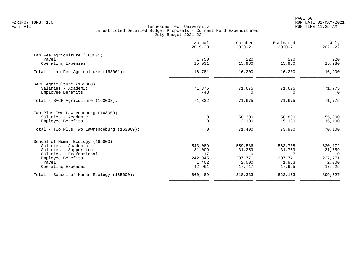|                                             | Actual<br>$2019 - 20$ | October<br>$2020 - 21$ | Estimated<br>$2020 - 21$ | July<br>$2021 - 22$ |
|---------------------------------------------|-----------------------|------------------------|--------------------------|---------------------|
| Lab Fee Agriculture (163001)                |                       |                        |                          |                     |
| Travel                                      | 1,750                 | 220                    | 220                      | 220                 |
| Operating Expenses                          | 15,031                | 15,980                 | 15,980                   | 15,980              |
| Total - Lab Fee Agriculture (163001):       | 16,781                | 16,200                 | 16,200                   | 16,200              |
| SACF Agriculture (163008)                   |                       |                        |                          |                     |
| Salaries - Academic                         | 71,375                | 71,675                 | 71,675                   | 71,775              |
| Employee Benefits                           | $-43$                 | $\Omega$               | $\Omega$                 | $\Omega$            |
| Total - SACF Agriculture (163008):          | 71,332                | 71,675                 | 71,675                   | 71,775              |
| Two Plus Two Lawrenceburg (163009)          |                       |                        |                          |                     |
| Salaries - Academic                         | 0                     | 58,300                 | 58,800                   | 55,000              |
| Employee Benefits                           | $\mathbf 0$           | 13,100                 | 15,100                   | 15,100              |
| Total - Two Plus Two Lawrenceburg (163009): | $\mathbf 0$           | 71,400                 | 73,900                   | 70,100              |
| School of Human Ecology (165000)            |                       |                        |                          |                     |
| Salaries - Academic                         | 543,089               | 559,586                | 563,708                  | 620,172             |
| Salaries - Supporting                       | 31,009                | 31,259                 | 31,759                   | 31,659              |
| Salaries - Professional                     | $-17$                 | $\Omega$               | 17                       | $\Omega$            |
| Employee Benefits                           | 242,045               | 207,771                | 207,771                  | 227,771             |
| Travel                                      | 1,402                 | 2,000                  | 1,983                    | 2,000               |
| Operating Expenses                          | 42,961                | 17,717                 | 17,925                   | 17,925              |
| Total - School of Human Ecology (165000):   | 860,489               | 818,333                | 823,163                  | 899,527             |
|                                             |                       |                        |                          |                     |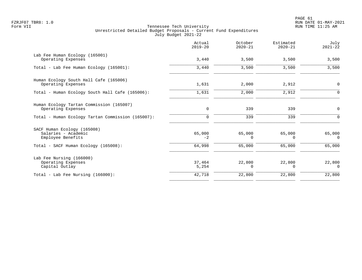|                                                                         | Actual<br>$2019 - 20$ | October<br>$2020 - 21$ | Estimated<br>$2020 - 21$ | July<br>$2021 - 22$ |
|-------------------------------------------------------------------------|-----------------------|------------------------|--------------------------|---------------------|
| Lab Fee Human Ecology (165001)<br>Operating Expenses                    | 3,440                 | 3,500                  | 3,500                    | 3,500               |
| Total - Lab Fee Human Ecology (165001):                                 | 3,440                 | 3,500                  | 3,500                    | 3,500               |
| Human Ecology South Hall Cafe (165006)<br>Operating Expenses            | 1,631                 | 2,000                  | 2,912                    | $\mathsf{O}$        |
| Total - Human Ecology South Hall Cafe (165006):                         | 1,631                 | 2,000                  | 2,912                    | $\mathbf 0$         |
| Human Ecology Tartan Commission (165007)<br>Operating Expenses          | 0                     | 339                    | 339                      | 0                   |
| Total - Human Ecology Tartan Commission (165007):                       | 0                     | 339                    | 339                      | $\Omega$            |
| SACF Human Ecology (165008)<br>Salaries - Academic<br>Employee Benefits | 65,000<br>$-2$        | 65,000<br>0            | 65,000<br>$\Omega$       | 65,000<br>$\Omega$  |
| Total - SACF Human Ecology (165008):                                    | 64,998                | 65,000                 | 65,000                   | 65,000              |
| Lab Fee Nursing (166000)<br>Operating Expenses<br>Capital Outlay        | 37,464<br>5,254       | 22,800<br>$\Omega$     | 22,800<br>$\Omega$       | 22,800<br>$\Omega$  |
| Total - Lab Fee Nursing (166000):                                       | 42,718                | 22,800                 | 22,800                   | 22,800              |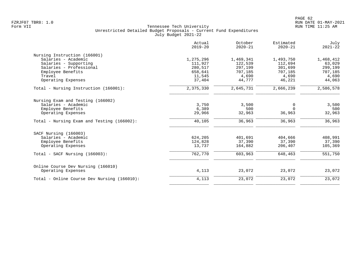|                                             | Actual<br>$2019 - 20$ | October<br>$2020 - 21$ | Estimated<br>$2020 - 21$ | July<br>$2021 - 22$ |
|---------------------------------------------|-----------------------|------------------------|--------------------------|---------------------|
| Nursing Instruction (166001)                |                       |                        |                          |                     |
| Salaries - Academic                         | 1,275,296             | 1,469,341              | 1,493,750                | 1,468,412           |
| Salaries - Supporting                       | 111,927               | 122,539                | 112,694                  | 63,029              |
| Salaries - Professional                     | 280,517               | 297,199                | 301,699                  | 299,199             |
| Employee Benefits                           | 658,641               | 707,185                | 707,185                  | 707,185             |
| Travel                                      | 11,545                | 4,690                  | 4,690                    | 4,690               |
| Operating Expenses                          | 37,404                | 44,777                 | 46,221                   | 44,063              |
| Total - Nursing Instruction (166001):       | 2,375,330             | 2,645,731              | 2,666,239                | 2,586,578           |
| Nursing Exam and Testing (166002)           |                       |                        |                          |                     |
| Salaries - Academic                         | 3,750                 | 3,500                  | 0                        | 3,500               |
| Employee Benefits                           | 6,389                 | 500                    | $\Omega$                 | 500                 |
| Operating Expenses                          | 29,966                | 32,963                 | 36,963                   | 32,963              |
| Total - Nursing Exam and Testing (166002):  | 40,105                | 36,963                 | 36,963                   | 36,963              |
| SACF Nursing (166003)                       |                       |                        |                          |                     |
| Salaries - Academic                         | 624,205               | 401,691                | 404,666                  | 408,991             |
| Employee Benefits                           | 124,828               | 37,390                 | 37,390                   | 37,390              |
| Operating Expenses                          | 13,737                | 164,882                | 206,407                  | 105,369             |
| $Total - SACF Nursing (166003):$            | 762,770               | 603,963                | 648,463                  | 551,750             |
| Online Course Dev Nursing (166010)          |                       |                        |                          |                     |
| Operating Expenses                          | 4,113                 | 23,072                 | 23,072                   | 23,072              |
| Total - Online Course Dev Nursing (166010): | 4,113                 | 23,072                 | 23,072                   | 23,072              |
|                                             |                       |                        |                          |                     |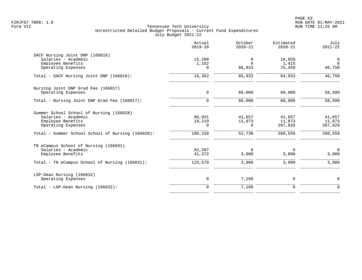|                                                                                                            | Actual<br>$2019 - 20$ | October<br>$2020 - 21$  | Estimated<br>$2020 - 21$    | July<br>$2021 - 22$         |
|------------------------------------------------------------------------------------------------------------|-----------------------|-------------------------|-----------------------------|-----------------------------|
| SACF Nursing Joint DNP (166016)<br>Salaries - Academic<br>Employee Benefits<br>Operating Expenses          | 15,200<br>1,162<br>0  | 0<br>$\Omega$<br>66,933 | 18,059<br>1,415<br>75,459   | 0<br>$\Omega$<br>40,750     |
| Total - SACF Nursing Joint DNP (166016):                                                                   | 16,362                | 66,933                  | 94,933                      | 40,750                      |
| Nursing Joint DNP Grad Fee (166017)<br>Operating Expenses                                                  | 0                     | 60,000                  | 60,000                      | 58,500                      |
| Total - Nursing Joint DNP Grad Fee (166017):                                                               | $\overline{0}$        | 60,000                  | 60,000                      | 58,500                      |
| Summer School School of Nursing (166028)<br>Salaries - Academic<br>Employee Benefits<br>Operating Expenses | 80,931<br>19,219<br>0 | 41,657<br>11,073<br>0   | 41,657<br>11,073<br>207,829 | 41,657<br>11,073<br>207,829 |
| Total - Summer School School of Nursing (166028):                                                          | 100,150               | 52,730                  | 260,559                     | 260,559                     |
| TN eCampus School of Nursing (166031)<br>Salaries - Academic<br>Employee Benefits                          | 82,207<br>41,372      | $\Omega$<br>3,000       | 0<br>3,000                  | $\mathbf 0$<br>3,000        |
| Total - TN eCampus School of Nursing (166031):                                                             | 123,579               | 3,000                   | 3,000                       | 3,000                       |
| LSP-Dean Nursing (166032)<br>Operating Expenses                                                            | 0                     | 7,108                   | 0                           | 0                           |
| Total - LSP-Dean Nursing (166032):                                                                         | $\overline{0}$        | 7,108                   | $\mathbf 0$                 | $\mathbf 0$                 |
|                                                                                                            |                       |                         |                             |                             |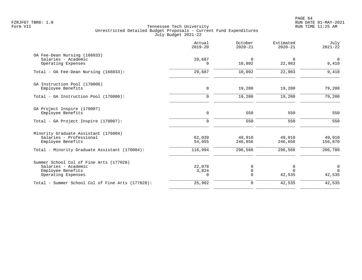|                                                                                                                                       | Actual<br>$2019 - 20$       | October<br>$2020 - 21$       | Estimated<br>$2020 - 21$     | July<br>$2021 - 22$                  |
|---------------------------------------------------------------------------------------------------------------------------------------|-----------------------------|------------------------------|------------------------------|--------------------------------------|
| OA Fee-Dean Nursing (166033)<br>Salaries - Academic<br>Operating Expenses                                                             | 29,687<br>0                 | $\Omega$<br>10,092           | $\Omega$<br>22,983           | $\overline{0}$<br>9,410              |
| Total - OA Fee-Dean Nursing (166033):                                                                                                 | 29,687                      | 10,092                       | 22,983                       | 9,410                                |
| GA Instruction Pool (170006)<br>Employee Benefits                                                                                     | 0                           | 19,200                       | 19,200                       | 79,200                               |
| Total - GA Instruction Pool (170006):                                                                                                 | $\mathbf 0$                 | 19,200                       | 19,200                       | 79,200                               |
| GA Project Inspire (170007)<br>Employee Benefits                                                                                      | 0                           | 550                          | 550                          | 550                                  |
| Total - GA Project Inspire (170007):                                                                                                  | $\mathbf 0$                 | 550                          | 550                          | 550                                  |
| Minority Graduate Assistant (176004)<br>Salaries - Professional<br>Employee Benefits<br>Total - Minority Graduate Assistant (176004): | 62,039<br>54,955<br>116,994 | 49,910<br>246,656<br>296,566 | 49,910<br>246,656<br>296,566 | 49,910<br>156,870<br>206,780         |
| Summer School Col of Fine Arts (177028)<br>Salaries - Academic<br>Employee Benefits<br>Operating Expenses                             | 22,078<br>3,824<br>$\Omega$ | 0<br>$\mathsf 0$<br>$\Omega$ | 0<br>$\Omega$<br>42,535      | $\overline{0}$<br>$\Omega$<br>42,535 |
| Total - Summer School Col of Fine Arts (177028):                                                                                      | 25,902                      | $\mathbf 0$                  | 42,535                       | 42,535                               |
|                                                                                                                                       |                             |                              |                              |                                      |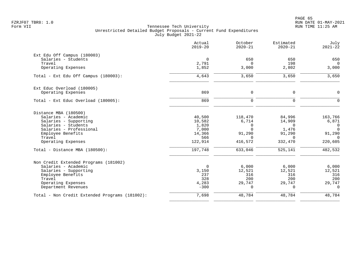PAGE 65 FZRJF07 TBR8: 1.0 RUN DATE 01-MAY-2021

|                                                | Actual<br>$2019 - 20$ | October<br>$2020 - 21$ | Estimated<br>$2020 - 21$ | July<br>$2021 - 22$ |
|------------------------------------------------|-----------------------|------------------------|--------------------------|---------------------|
| Ext Edu Off Campus (180003)                    |                       |                        |                          |                     |
| Salaries - Students                            | $\overline{0}$        | 650                    | 650                      | 650                 |
| Travel                                         | 2,791                 | $\Omega$               | 198                      | $\Omega$            |
| Operating Expenses                             | 1,852                 | 3,000                  | 2,802                    | 3,000               |
| Total - Ext Edu Off Campus (180003):           | 4,643                 | 3,650                  | 3,650                    | 3,650               |
| Ext Educ Overload (180005)                     |                       |                        |                          |                     |
| Operating Expenses                             | 869                   | $\mathbf 0$            | 0                        | $\Omega$            |
| Total - Ext Educ Overload (180005):            | 869                   | $\mathbf 0$            | $\mathbf 0$              | $\Omega$            |
| Distance MBA (180500)                          |                       |                        |                          |                     |
| Salaries - Academic                            | 40,500                | 118,470                | 84,996                   | 163,766             |
| Salaries - Supporting                          | 10,582                | 6,714                  | 14,909                   | 6,871               |
| Salaries - Students                            | 1,820                 | 0                      | $\Omega$                 | $\overline{0}$      |
| Salaries - Professional                        | 7,000                 | $\Omega$               | 1,476                    | $\Omega$            |
| Employee Benefits                              | 14,366                | 91,290                 | 91,290                   | 91,290              |
| Travel                                         | 566                   | $\Omega$               | $\Omega$                 | $\Omega$            |
| Operating Expenses                             | 122,914               | 416,572                | 332,470                  | 220,605             |
| Total - Distance MBA (180500):                 | 197,748               | 633,046                | 525,141                  | 482,532             |
| Non Credit Extended Programs (181002)          |                       |                        |                          |                     |
| Salaries - Academic                            | $\Omega$              | 6,000                  | 6,000                    | 6,000               |
| Salaries - Supporting                          | 3,150                 | 12,521                 | 12,521                   | 12,521              |
| Employee Benefits                              | 237                   | 316                    | 316                      | 316                 |
| Travel                                         | 328                   | 200                    | 200                      | 200                 |
| Operating Expenses                             | 4,283                 | 29,747                 | 29,747                   | 29,747              |
| Department Revenues                            | $-300$                | $\Omega$               | $\Omega$                 | $\Omega$            |
| Total - Non Credit Extended Programs (181002): | 7,698                 | 48,784                 | 48,784                   | 48,784              |
|                                                |                       |                        |                          |                     |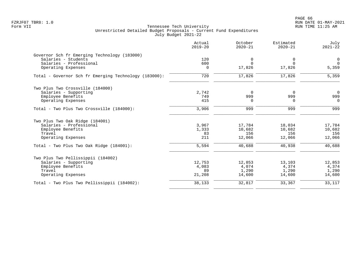PAGE 66 FZRJF07 TBR8: 1.0 RUN DATE 01-MAY-2021

|                                                       | Actual<br>$2019 - 20$ | October<br>$2020 - 21$ | Estimated<br>$2020 - 21$ | July<br>$2021 - 22$ |
|-------------------------------------------------------|-----------------------|------------------------|--------------------------|---------------------|
| Governor Sch fr Emerging Technology (183000)          |                       |                        |                          |                     |
| Salaries - Students                                   | 120                   | 0                      | 0                        | $\mathbf 0$         |
| Salaries - Professional                               | 600                   | $\Omega$               | $\Omega$                 | $\Omega$            |
| Operating Expenses                                    | 0                     | 17,826                 | 17,826                   | 5,359               |
| Total - Governor Sch fr Emerging Technology (183000): | 720                   | 17,826                 | 17,826                   | 5,359               |
| Two Plus Two Crossville (184000)                      |                       |                        |                          |                     |
| Salaries - Supporting                                 | 2,742                 | $\Omega$               | $\Omega$                 | $\overline{0}$      |
| Employee Benefits                                     | 749                   | 999                    | 999                      | 999                 |
| Operating Expenses                                    | 415                   | $\Omega$               | $\Omega$                 | $\Omega$            |
| Total - Two Plus Two Crossville (184000):             | 3,906                 | 999                    | 999                      | 999                 |
| Two Plus Two Oak Ridge (184001)                       |                       |                        |                          |                     |
| Salaries - Professional                               | 3,967                 | 17,784                 | 18,034                   | 17,784              |
| Employee Benefits                                     | 1,333                 | 10,682                 | 10,682                   | 10,682              |
| Travel                                                | 83                    | 156                    | 156                      | 156                 |
| Operating Expenses                                    | 211                   | 12,066                 | 12,066                   | 12,066              |
| Total - Two Plus Two Oak Ridge (184001):              | 5,594                 | 40,688                 | 40,938                   | 40,688              |
| Two Plus Two Pellissippii (184002)                    |                       |                        |                          |                     |
| Salaries - Supporting                                 | 12,753                | 12,853                 | 13,103                   | 12,853              |
| Employee Benefits                                     | 4,083                 | 4,074                  | 4,374                    | 4,374               |
| Travel                                                | 89                    | 1,290                  | 1,290                    | 1,290               |
| Operating Expenses                                    | 21,208                | 14,600                 | 14,600                   | 14,600              |
| Total - Two Plus Two Pellissippii (184002):           | 38,133                | 32,817                 | 33,367                   | 33,117              |
|                                                       |                       |                        |                          |                     |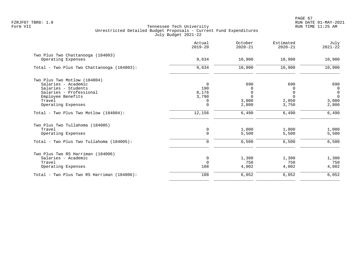|                                            | Actual<br>$2019 - 20$ | October<br>$2020 - 21$ | Estimated<br>$2020 - 21$ | July<br>$2021 - 22$ |
|--------------------------------------------|-----------------------|------------------------|--------------------------|---------------------|
| Two Plus Two Chattanooga (184003)          |                       |                        |                          |                     |
| Operating Expenses                         | 9,634                 | 10,900                 | 10,900                   | 10,900              |
| Total - Two Plus Two Chattanooga (184003): | 9,634                 | 10,900                 | 10,900                   | 10,900              |
| Two Plus Two Motlow (184004)               |                       |                        |                          |                     |
| Salaries - Academic                        | $\overline{0}$        | 690                    | 690                      | 690                 |
| Salaries - Students                        | 190                   | O                      | 0                        | $\mathbf 0$         |
| Salaries - Professional                    | 8,176                 | $\Omega$               | 0                        | $\mathbf 0$         |
| Employee Benefits                          | 3,790                 | $\Omega$               | $\Omega$                 | $\Omega$            |
| Travel                                     | 0                     | 3,000                  | 2,050                    | 3,000               |
| Operating Expenses                         | $\Omega$              | 2,800                  | 3,750                    | 2,800               |
| Total - Two Plus Two Motlow (184004):      | 12,156                | 6,490                  | 6,490                    | 6,490               |
| Two Plus Two Tullahoma (184005)            |                       |                        |                          |                     |
| Travel                                     | 0                     | 1,000                  | 1,000                    | 1,000               |
| Operating Expenses                         | $\mathbf 0$           | 5,500                  | 5,500                    | 5,500               |
| Total - Two Plus Two Tullahoma (184005):   | $\Omega$              | 6,500                  | 6,500                    | 6,500               |
| Two Plus Two RS Harriman (184006)          |                       |                        |                          |                     |
| Salaries - Academic                        | $\mathbf 0$           | 1,300                  | 1,300                    | 1,300               |
| Travel                                     | $\Omega$              | 750                    | 750                      | 750                 |
| Operating Expenses                         | 108                   | 4,002                  | 4,002                    | 4,002               |
| Total - Two Plus Two RS Harriman (184006): | 108                   | 6,052                  | 6,052                    | 6,052               |
|                                            |                       |                        |                          |                     |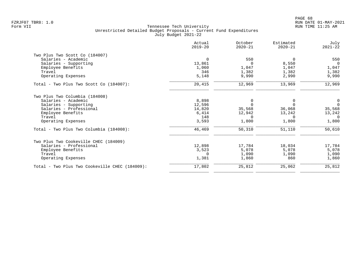|                                                | Actual<br>$2019 - 20$ | October<br>$2020 - 21$ | Estimated<br>$2020 - 21$ | July<br>$2021 - 22$ |
|------------------------------------------------|-----------------------|------------------------|--------------------------|---------------------|
| Two Plus Two Scott Co (184007)                 |                       |                        |                          |                     |
| Salaries - Academic                            | $\mathbf 0$           | 550                    | $\Omega$                 | 550                 |
| Salaries - Supporting                          | 13,861                | $\Omega$               | 8,550                    | $\Omega$            |
| Employee Benefits                              | 1,060                 | 1,047                  | 1,047                    | 1,047               |
| Travel                                         | 346                   | 1,382                  | 1,382                    | 1,382               |
| Operating Expenses                             | 5,148                 | 9,990                  | 2,990                    | 9,990               |
| Total - Two Plus Two Scott Co (184007):        | 20,415                | 12,969                 | 13,969                   | 12,969              |
| Two Plus Two Columbia (184008)                 |                       |                        |                          |                     |
| Salaries - Academic                            | 8,898                 | 0                      | 0                        | 0                   |
| Salaries - Supporting                          | 12,596                | $\Omega$               | $\Omega$                 | $\Omega$            |
| Salaries - Professional                        | 14,820                | 35,568                 | 36,068                   | 35,568              |
| Employee Benefits                              | 6,414                 | 12,942                 | 13,242                   | 13,242              |
| Travel                                         | 148                   | $\Omega$               | $\Omega$                 | $\Omega$            |
| Operating Expenses                             | 3,593                 | 1,800                  | 1,800                    | 1,800               |
| Total - Two Plus Two Columbia (184008):        | 46,469                | 50,310                 | 51,110                   | 50,610              |
| Two Plus Two Cookeville CHEC (184009)          |                       |                        |                          |                     |
| Salaries - Professional                        | 12,898                | 17,784                 | 18,034                   | 17,784              |
| Employee Benefits                              | 3,523                 | 5,078                  | 5,078                    | 5,078               |
| Travel                                         | $\Omega$              | 1,090                  | 1,090                    | 1,090               |
| Operating Expenses                             | 1,381                 | 1,860                  | 860                      | 1,860               |
| Total - Two Plus Two Cookeville CHEC (184009): | 17,802                | 25,812                 | 25,062                   | 25,812              |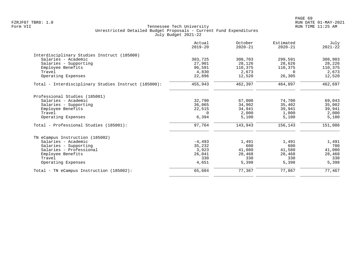| Actual<br>$2019 - 20$ | October<br>$2020 - 21$                           | Estimated<br>$2020 - 21$            | July<br>$2021 - 22$                                  |
|-----------------------|--------------------------------------------------|-------------------------------------|------------------------------------------------------|
|                       |                                                  |                                     |                                                      |
| 303,725               | 308,703                                          | 299,591                             | 308,903                                              |
| 27,901                | 28,126                                           | 28,626                              | 28,226                                               |
| 96,591                | 110,375                                          | 110,375                             | 110,375                                              |
| 4,830                 | 2,673                                            | $\Omega$                            | 2,673                                                |
| 22,896                | 12,520                                           | 26,305                              | 12,520                                               |
| 455,943               | 462,397                                          | 464,897                             | 462,697                                              |
|                       |                                                  |                                     |                                                      |
|                       |                                                  |                                     | 69,043                                               |
|                       |                                                  |                                     | 35,002                                               |
|                       |                                                  |                                     | 39,941                                               |
| $\Omega$              | 2,000                                            | 1,000                               | 2,000                                                |
| 6,394                 | 5,100                                            | 5,100                               | 5,100                                                |
| 97,764                | 143,943                                          | 156,143                             | 151,086                                              |
|                       |                                                  |                                     |                                                      |
|                       |                                                  |                                     | 1,491                                                |
|                       | 600                                              |                                     | 700                                                  |
| 3,923                 | 41,080                                           | 41,580                              | 41,080                                               |
| 26,041                | 28,468                                           | 28,468                              | 28,468                                               |
| 330                   | 330                                              | 330                                 | 330                                                  |
| 4,651                 | 5,398                                            | 5,398                               | 5,398                                                |
| 65,684                | 77,367                                           |                                     | 77,467                                               |
|                       | 32,790<br>36,065<br>22,515<br>$-4.493$<br>35,232 | 67,000<br>34,902<br>34,941<br>1,491 | 74,700<br>35,402<br>39,941<br>1,491<br>600<br>77,867 |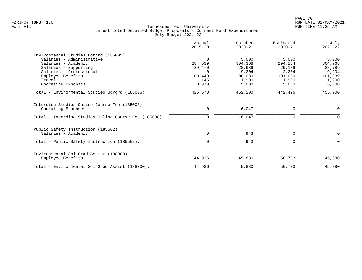|                                                       | Actual<br>$2019 - 20$ | October<br>$2020 - 21$ | Estimated<br>$2020 - 21$ | July<br>$2021 - 22$ |
|-------------------------------------------------------|-----------------------|------------------------|--------------------------|---------------------|
| Environmental Studies Udrgrd (185005)                 |                       |                        |                          |                     |
| Salaries - Administrative                             | $\Omega$              | 5,000                  | 5.000                    | 5,000               |
| Salaries - Academic                                   | 284,539               | 304,368                | 294,164                  | 304,768             |
| Salaries - Supporting                                 | 29,470                | 28,689                 | 29,189                   | 28,789              |
| Salaries - Professional                               | $\Omega$              | 9,204                  | 2,204                    | 9,204               |
| Employee Benefits                                     | 103,440               | 98,039                 | 101,039                  | 101,039             |
| Travel                                                | 145                   | 1,900                  | 1,900                    | 1,900               |
| Operating Expenses                                    | 8,979                 | 5,000                  | 9,000                    | 5,000               |
| Total - Environmental Studies Udrgrd (185005):        | 426,573               | 452,200                | 442,496                  | 455,700             |
| Interdisc Studies Online Course Fee (185008)          |                       |                        |                          |                     |
| Operating Expenses                                    | $\mathbf 0$           | $-6,047$               | 0                        | $\mathbf 0$         |
| Total - Interdisc Studies Online Course Fee (185008): | 0                     | $-6,047$               | 0                        | $\Omega$            |
| Public Safety Instruction (185502)                    |                       |                        |                          |                     |
| Salaries - Academic                                   | $\mathbf 0$           | 943                    | 0                        | $\mathbf 0$         |
| Total - Public Safety Instruction (185502):           | $\Omega$              | 943                    | $\Omega$                 | $\Omega$            |
| Environmental Sci Grad Assist (188000)                |                       |                        |                          |                     |
| Employee Benefits                                     | 44,936                | 45,880                 | 50,733                   | 45,880              |
| Total - Environmental Sci Grad Assist (188000):       | 44,936                | 45,880                 | 50,733                   | 45,880              |
|                                                       |                       |                        |                          |                     |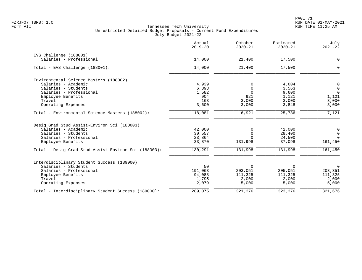|                                                      | Actual<br>$2019 - 20$ | October<br>$2020 - 21$ | Estimated<br>$2020 - 21$ | July<br>$2021 - 22$ |
|------------------------------------------------------|-----------------------|------------------------|--------------------------|---------------------|
| EVS Challenge (188001)                               |                       |                        |                          |                     |
| Salaries - Professional                              | 14,000                | 21,400                 | 17,500                   | $\mathbf 0$         |
| Total - EVS Challenge (188001):                      | 14,000                | 21,400                 | 17,500                   | $\Omega$            |
| Environmental Science Masters (188002)               |                       |                        |                          |                     |
| Salaries - Academic                                  | 4,939                 | 0                      | 4,604                    | $\mathsf 0$         |
| Salaries - Students                                  | 6,893                 | $\Omega$               | 3,563                    | $\mathbf 0$         |
| Salaries - Professional                              | 1,582                 | $\Omega$               | 9,600                    | $\Omega$            |
| Employee Benefits                                    | 904                   | 921                    | 1,121                    | 1,121               |
| Travel                                               | 163                   | 3,000                  | 3,000                    | 3,000               |
| Operating Expenses                                   | 3,600                 | 3,000                  | 3,848                    | 3,000               |
| Total - Environmental Science Masters (188002):      | 18,081                | 6,921                  | 25,736                   | 7,121               |
| Desig Grad Stud Assist-Environ Sci (188003)          |                       |                        |                          |                     |
| Salaries - Academic                                  | 42,000                | $\Omega$               | 42,000                   | 0                   |
| Salaries - Students                                  | 30,557                | $\Omega$               | 28,400                   | $\mathbf 0$         |
| Salaries - Professional                              | 23,864                |                        | 24,500                   | $\Omega$            |
| Employee Benefits                                    | 33,870                | 131,998                | 37,098                   | 161,450             |
| Total - Desig Grad Stud Assist-Environ Sci (188003): | 130,291               | 131,998                | 131,998                  | 161,450             |
| Interdisciplinary Student Success (189000)           |                       |                        |                          |                     |
| Salaries - Students                                  | 50                    | $\Omega$               | $\Omega$                 | $\mathbf 0$         |
| Salaries - Professional                              | 191,063               | 203,051                | 205,051                  | 203,351             |
| Employee Benefits                                    | 94,088                | 111,325                | 111,325                  | 111,325             |
| Travel                                               | 1,795                 | 2,000                  | 2,000                    | 2,000               |
| Operating Expenses                                   | 2,079                 | 5,000                  | 5,000                    | 5,000               |
| Total - Interdisciplinary Student Success (189000):  | 289,075               | 321,376                | 323,376                  | 321,676             |
|                                                      |                       |                        |                          |                     |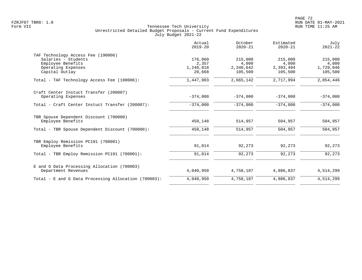| Actual<br>$2019 - 20$ | October<br>$2020 - 21$                      | Estimated<br>$2020 - 21$                    | July<br>$2021 - 22$                         |
|-----------------------|---------------------------------------------|---------------------------------------------|---------------------------------------------|
|                       |                                             |                                             |                                             |
|                       |                                             |                                             | 215,000                                     |
|                       |                                             |                                             | 4,000                                       |
| 20,668                | 105,500                                     | 105,500                                     | 1,729,946<br>105,500                        |
| 1,447,903             | 2,665,142                                   | 2,717,994                                   | 2,054,446                                   |
|                       |                                             |                                             |                                             |
|                       |                                             |                                             | $-374,000$                                  |
| $-374,000$            | $-374,000$                                  | $-374,000$                                  | $-374,000$                                  |
| 450,148               | 514,957                                     | 504,957                                     | 504,957                                     |
| 450,148               | 514,957                                     | 504,957                                     | 504,957                                     |
|                       |                                             |                                             |                                             |
| 91,814                | 92,273                                      | 92,273                                      | 92,273                                      |
| 91,814                | 92,273                                      | 92,273                                      | 92,273                                      |
|                       |                                             |                                             |                                             |
| 4,040,950             | 4,758,187                                   | 4,806,837                                   | 4,514,299                                   |
| 4,040,950             | 4,758,187                                   | 4,806,837                                   | 4,514,299                                   |
|                       | 176,060<br>2,357<br>1,248,818<br>$-374,000$ | 215,000<br>4,000<br>2,340,642<br>$-374,000$ | 215,000<br>4,000<br>2,393,494<br>$-374,000$ |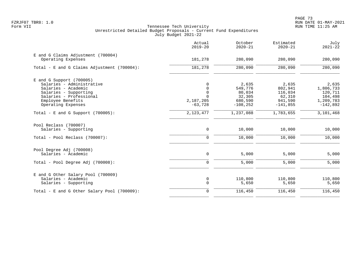|                                                                                                                                                                               | Actual<br>$2019 - 20$                                       | October<br>$2020 - 21$                                         | Estimated<br>$2020 - 21$                                       | July<br>$2021 - 22$                                                 |
|-------------------------------------------------------------------------------------------------------------------------------------------------------------------------------|-------------------------------------------------------------|----------------------------------------------------------------|----------------------------------------------------------------|---------------------------------------------------------------------|
| E and G Claims Adjustment (700004)<br>Operating Expenses                                                                                                                      | 181,278                                                     | 280,090                                                        | 280,090                                                        | 280,090                                                             |
| Total - E and G Claims Adjustment (700004):                                                                                                                                   | 181,278                                                     | 280,090                                                        | 280,090                                                        | 280,090                                                             |
| $E$ and G Support (700005)<br>Salaries - Administrative<br>Salaries - Academic<br>Salaries - Supporting<br>Salaries - Professional<br>Employee Benefits<br>Operating Expenses | 0<br>0<br>$\mathsf 0$<br>$\Omega$<br>2,187,205<br>$-63,728$ | 2,635<br>549,776<br>80,034<br>32,305<br>680,590<br>$-108, 252$ | 2,635<br>802,941<br>116,034<br>62,310<br>941,590<br>$-141,855$ | 2,635<br>1,806,733<br>120,711<br>104,498<br>1,209,783<br>$-142,892$ |
| Total - E and G Support $(700005)$ :                                                                                                                                          | 2, 123, 477                                                 | 1,237,088                                                      | 1,783,655                                                      | 3,101,468                                                           |
| Pool Reclass (700007)<br>Salaries - Supporting                                                                                                                                | $\mathbf 0$                                                 | 10,000                                                         | 10,000                                                         | 10,000                                                              |
| Total - Pool Reclass (700007):                                                                                                                                                | $\Omega$                                                    | 10,000                                                         | 10,000                                                         | 10,000                                                              |
| Pool Degree Adj (700008)<br>Salaries - Academic                                                                                                                               | 0                                                           | 5,000                                                          | 5,000                                                          | 5,000                                                               |
| Total - Pool Degree Adj (700008):                                                                                                                                             | $\mathbf 0$                                                 | 5,000                                                          | 5,000                                                          | 5,000                                                               |
| E and G Other Salary Pool (700009)<br>Salaries - Academic<br>Salaries - Supporting                                                                                            | 0<br>$\mathbf 0$                                            | 110,800<br>5,650                                               | 110,800<br>5,650                                               | 110,800<br>5,650                                                    |
| Total - E and G Other Salary Pool (700009):                                                                                                                                   | $\mathbf 0$                                                 | 116,450                                                        | 116,450                                                        | 116,450                                                             |
|                                                                                                                                                                               |                                                             |                                                                |                                                                |                                                                     |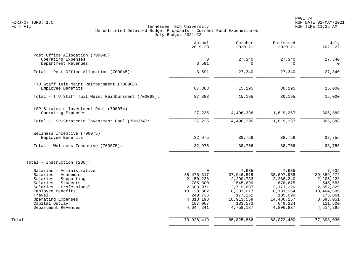|                                                                 | Actual<br>$2019 - 20$     | October<br>$2020 - 21$  | Estimated<br>$2020 - 21$  | July<br>$2021 - 22$     |
|-----------------------------------------------------------------|---------------------------|-------------------------|---------------------------|-------------------------|
| Post Office Allocation (700045)                                 |                           |                         |                           |                         |
| Operating Expenses<br>Department Revenues                       | $\mathbf 0$<br>3,591      | 27,340<br>$\Omega$      | 27,340<br>$\Omega$        | 27,340<br>$\Omega$      |
| Total - Post Office Allocation (700045):                        | 3,591                     | 27,340                  | 27,340                    | 27,340                  |
| TTU Staff Tuit Maint Reimbursment (700068)<br>Employee Benefits | 87,383                    | 15,195                  | 30,195                    | 15,000                  |
|                                                                 |                           |                         |                           |                         |
| Total - TTU Staff Tuit Maint Reimbursment (700068):             | 87,383                    | 15,195                  | 30,195                    | 15,000                  |
| LSP-Strategic Investment Pool (700074)                          |                           |                         |                           |                         |
| Operating Expenses                                              | 27,235                    | 4,496,396               | 1,619,267                 | 305,888                 |
| Total - LSP-Strategic Investment Pool (700074):                 | 27,235                    | 4,496,396               | 1,619,267                 | 305,888                 |
| Wellness Incentive (700075)                                     |                           |                         |                           |                         |
| Employee Benefits                                               | 32,975                    | 38,756                  | 38,756                    | 38,756                  |
| Total - Wellness Incentive (700075):                            | 32,975                    | 38,756                  | 38,756                    | 38,756                  |
| Total - Instruction (200):                                      |                           |                         |                           |                         |
| Salaries - Administrative                                       | $\Omega$                  | 7,635                   | 7,635                     | 7,635                   |
| Salaries - Academic                                             | 38, 475, 317              | 37,946,515              | 38,697,958                | 39,889,272              |
| Salaries - Supporting                                           | 2,150,228                 | 2,290,733               | 2,288,240                 | 2,206,228               |
| Salaries - Students                                             | 785,300                   | 545,699                 | 678,675                   | 545,556                 |
| Salaries - Professional<br>Employee Benefits                    | 2,603,971<br>18, 128, 362 | 2,719,687<br>18,333,017 | 3,171,220<br>18, 181, 264 | 2,852,829<br>18,404,599 |
| Travel                                                          | 240,735                   | 177,261                 | 105,090                   | 173,061                 |
| Operating Expenses                                              | 4, 313, 198               | 18,913,559              | 14,486,257                | 8,693,051               |
| Capital Outlay                                                  | 187,067                   | 133,573                 | 649,224                   | 111,500                 |
| Department Revenues                                             | 4,044,241                 | 4,758,187               | 4,806,837                 | 4,514,299               |
| Total                                                           | 70,928,419                | 85, 825, 866            | 83,072,400                | 77,398,030              |
|                                                                 |                           |                         |                           |                         |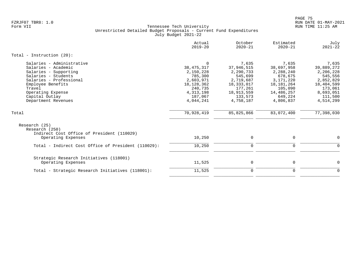|                                                                                                                                                                                                                          | Actual<br>$2019 - 20$                                                                                                         | October<br>$2020 - 21$                                                                                                  | Estimated<br>$2020 - 21$                                                                                                | July<br>$2021 - 22$                                                                                                    |
|--------------------------------------------------------------------------------------------------------------------------------------------------------------------------------------------------------------------------|-------------------------------------------------------------------------------------------------------------------------------|-------------------------------------------------------------------------------------------------------------------------|-------------------------------------------------------------------------------------------------------------------------|------------------------------------------------------------------------------------------------------------------------|
| Total - Instruction $(20)$ :                                                                                                                                                                                             |                                                                                                                               |                                                                                                                         |                                                                                                                         |                                                                                                                        |
| Salaries - Administrative<br>Salaries - Academic<br>Salaries - Supporting<br>Salaries - Students<br>Salaries - Professional<br>Employee Benefits<br>Travel<br>Operating Expense<br>Capital Outlay<br>Department Revenues | $\Omega$<br>38, 475, 317<br>2,150,228<br>785,300<br>2,603,971<br>18,128,362<br>240,735<br>4, 313, 198<br>187,067<br>4,044,241 | 7,635<br>37,946,515<br>2,290,733<br>545,699<br>2,719,687<br>18,333,017<br>177,261<br>18,913,559<br>133,573<br>4,758,187 | 7,635<br>38,697,958<br>2,288,240<br>678,675<br>3,171,220<br>18,181,264<br>105,090<br>14,486,257<br>649,224<br>4,806,837 | 7,635<br>39,889,272<br>2,206,228<br>545,556<br>2,852,829<br>18,404,599<br>173,061<br>8,693,051<br>111,500<br>4,514,299 |
| Total                                                                                                                                                                                                                    | 70,928,419                                                                                                                    | 85, 825, 866                                                                                                            | 83,072,400                                                                                                              | 77,398,030                                                                                                             |
| Research (25)<br>Research (250)<br>Indirect Cost Office of President (110029)<br>Operating Expenses                                                                                                                      | 10,250                                                                                                                        | $\mathbf 0$                                                                                                             | 0                                                                                                                       | 0                                                                                                                      |
| Total - Indirect Cost Office of President (110029):                                                                                                                                                                      | 10,250                                                                                                                        | $\Omega$                                                                                                                | $\mathbf 0$                                                                                                             | $\Omega$                                                                                                               |
| Strategic Research Initiatives (118001)<br>Operating Expenses                                                                                                                                                            | 11,525                                                                                                                        | $\mathbf 0$                                                                                                             | 0                                                                                                                       | 0                                                                                                                      |
| Total - Strategic Research Initiatives (118001):                                                                                                                                                                         | 11,525                                                                                                                        | $\mathbf 0$                                                                                                             | $\mathbf 0$                                                                                                             | $\mathbf 0$                                                                                                            |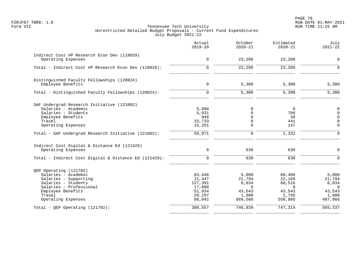en and the set of the set of the set of the set of the set of the set of the set of the set of the set of the set of the set of the set of the set of the set of the set of the set of the set of the set of the set of the se FZRJF07 TBR8: 1.0 RUN DATE 01-MAY-2021

|                                                                                                                                                                               | Actual<br>$2019 - 20$                                               | October<br>$2020 - 21$                                             | Estimated<br>$2020 - 21$                                             | July<br>$2021 - 22$                                                |
|-------------------------------------------------------------------------------------------------------------------------------------------------------------------------------|---------------------------------------------------------------------|--------------------------------------------------------------------|----------------------------------------------------------------------|--------------------------------------------------------------------|
| Indirect Cost VP Research Econ Dev (118029)<br>Operating Expenses                                                                                                             | 0                                                                   | 23,206                                                             | 23,206                                                               | $\mathbf 0$                                                        |
| Total - Indirect Cost VP Research Econ Dev (118029):                                                                                                                          | $\mathbf 0$                                                         | 23,206                                                             | 23,206                                                               | $\overline{0}$                                                     |
| Distinguished Faculty Fellowships (120024)<br>Employee Benefits                                                                                                               | $\mathbf 0$                                                         | 5,300                                                              | 5,300                                                                | 5,300                                                              |
| Total - Distinguished Faculty Fellowships (120024):                                                                                                                           | $\Omega$                                                            | 5,300                                                              | 5,300                                                                | 5,300                                                              |
| SAF Undergrad Research Initiative (121002)<br>Salaries - Academic<br>Salaries - Students<br>Employee Benefits<br>Travel<br>Operating Expenses                                 | 5,000<br>5,031<br>946<br>33,733<br>15,261                           | 0<br>$\Omega$<br>$\Omega$<br>0<br>$\Omega$                         | $\mathbf 0$<br>706<br>38<br>441<br>147                               | 0<br>$\mathbf 0$<br>$\Omega$<br>$\overline{0}$<br>$\Omega$         |
| Total - SAF Undergrad Research Initiative (121002):                                                                                                                           | 59,971                                                              | $\mathbf 0$                                                        | 1,332                                                                | $\Omega$                                                           |
| Indirect Cost Digital & Distance Ed (121429)<br>Operating Expenses                                                                                                            | 0                                                                   | 630                                                                | 630                                                                  | $\mathbf 0$                                                        |
| Total - Indirect Cost Digital & Distance Ed (121429):                                                                                                                         | $\mathbf 0$                                                         | 630                                                                | 630                                                                  | $\Omega$                                                           |
| QEP Operating (121702)<br>Salaries - Academic<br>Salaries - Supporting<br>Salaries - Students<br>Salaries - Professional<br>Employee Benefits<br>Travel<br>Operating Expenses | 63,446<br>21,447<br>127,391<br>17,000<br>51,934<br>20,297<br>88,042 | 5,000<br>21,794<br>6,034<br>$\Omega$<br>43,543<br>1,000<br>669,568 | 68,406<br>22,169<br>60,516<br>$\Omega$<br>43,543<br>1,795<br>550,885 | 5,000<br>21,794<br>6,034<br>$\Omega$<br>43,543<br>1,000<br>487,966 |
| Total - OEP Operating $(121702)$ :                                                                                                                                            | 389,557                                                             | 746,939                                                            | 747,314                                                              | 565,337                                                            |
|                                                                                                                                                                               |                                                                     |                                                                    |                                                                      |                                                                    |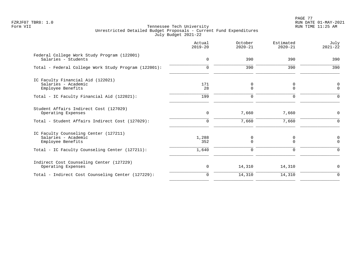PAGE 77 FZRJF07 TBR8: 1.0 RUN DATE 01-MAY-2021

|                                                                                   | Actual<br>$2019 - 20$ | October<br>$2020 - 21$ | Estimated<br>$2020 - 21$ | July<br>$2021 - 22$        |
|-----------------------------------------------------------------------------------|-----------------------|------------------------|--------------------------|----------------------------|
| Federal College Work Study Program (122001)<br>Salaries - Students                | $\mathbf 0$           | 390                    | 390                      | 390                        |
| Total - Federal College Work Study Program (122001):                              | $\mathbf 0$           | 390                    | 390                      | 390                        |
| IC Faculty Financial Aid (122021)<br>Salaries - Academic<br>Employee Benefits     | 171<br>28             | 0<br>$\mathbf 0$       | 0<br>$\mathbf 0$         | $\mathbf 0$<br>$\mathbf 0$ |
| Total - IC Faculty Financial Aid (122021):                                        | 199                   | $\mathbf 0$            | 0                        | $\Omega$                   |
| Student Affairs Indirect Cost (127029)<br>Operating Expenses                      | $\mathbf 0$           | 7,660                  | 7,660                    | $\mathbf 0$                |
| Total - Student Affairs Indirect Cost (127029):                                   | $\Omega$              | 7,660                  | 7,660                    | ∩                          |
| IC Faculty Counseling Center (127211)<br>Salaries - Academic<br>Employee Benefits | 1,288<br>352          | 0<br>$\Omega$          | 0<br>$\Omega$            | 0<br>$\Omega$              |
| Total - IC Faculty Counseling Center (127211):                                    | 1,640                 | $\Omega$               | $\Omega$                 | $\Omega$                   |
| Indirect Cost Counseling Center (127229)<br>Operating Expenses                    | 0                     | 14,310                 | 14,310                   | $\Omega$                   |
| Total - Indirect Cost Counseling Center (127229):                                 | $\mathbf 0$           | 14,310                 | 14,310                   | $\mathbf 0$                |
|                                                                                   |                       |                        |                          |                            |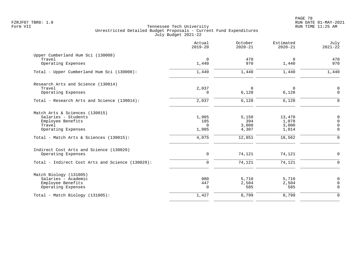|                                                  | Actual<br>$2019 - 20$ | October<br>$2020 - 21$ | Estimated<br>$2020 - 21$ | July<br>$2021 - 22$        |
|--------------------------------------------------|-----------------------|------------------------|--------------------------|----------------------------|
| Upper Cumberland Hum Sci (130008)<br>Travel      |                       | 470                    |                          | 470                        |
| Operating Expenses                               | 0<br>1,440            | 970                    | 0<br>1,440               | 970                        |
| Total - Upper Cumberland Hum Sci (130008):       | 1,440                 | 1,440                  | 1,440                    | 1,440                      |
| Research Arts and Science (130014)               |                       |                        |                          |                            |
| Travel<br>Operating Expenses                     | 2,037<br>$\Omega$     | $\Omega$<br>6,128      | $\Omega$<br>6,128        | $\mathbf 0$<br>$\mathbf 0$ |
|                                                  |                       |                        |                          |                            |
| Total - Research Arts and Science (130014):      | 2,037                 | 6,128                  | 6,128                    | $\Omega$                   |
| Match Arts & Sciences (130015)                   |                       |                        |                          |                            |
| Salaries - Students                              | 1,985                 | 5,150                  | 13,470                   | $\mathbf 0$                |
| Employee Benefits<br>Travel                      | 105<br>$\Omega$       | 394<br>3,000           | 1,078<br>3,000           | $\Omega$<br>$\Omega$       |
| Operating Expenses                               | 1,985                 | 4,307                  | 1,014                    | $\Omega$                   |
| Total - Match Arts & Sciences (130015):          | 4,075                 | 12,851                 | 18,562                   | $\mathbf 0$                |
| Indirect Cost Arts and Science (130029)          |                       |                        |                          |                            |
| Operating Expenses                               | $\mathbf 0$           | 74,121                 | 74,121                   | $\mathbf 0$                |
| Total - Indirect Cost Arts and Science (130029): | $\Omega$              | 74,121                 | 74,121                   | $\Omega$                   |
| Match Biology (131005)                           |                       |                        |                          |                            |
| Salaries - Academic                              | 980                   | 5,710                  | 5,710                    | $\mathbf 0$                |
| Employee Benefits<br>Operating Expenses          | 447<br>$\Omega$       | 2,504<br>585           | 2,504<br>585             | 0<br>$\Omega$              |
| Total - Match Biology (131005):                  | 1,427                 | 8,799                  | 8,799                    | $\mathbf 0$                |
|                                                  |                       |                        |                          |                            |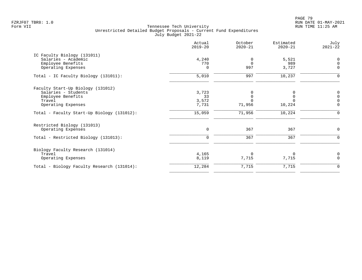PAGE 79 FZRJF07 TBR8: 1.0 RUN DATE 01-MAY-2021

|                                            | Actual<br>$2019 - 20$ | October<br>$2020 - 21$ | Estimated<br>$2020 - 21$ | July<br>$2021 - 22$ |
|--------------------------------------------|-----------------------|------------------------|--------------------------|---------------------|
| IC Faculty Biology (131011)                |                       |                        |                          |                     |
| Salaries - Academic                        | 4,240                 | 0                      | 5,521                    | $\mathbf 0$         |
| Employee Benefits                          | 770                   | $\Omega$               | 989                      | $\Omega$            |
| Operating Expenses                         | $\Omega$              | 997                    | 3,727                    | $\mathbf 0$         |
| Total - IC Faculty Biology (131011):       | 5,010                 | 997                    | 10,237                   | $\Omega$            |
| Faculty Start-Up Biology (131012)          |                       |                        |                          |                     |
| Salaries - Students                        | 3,723                 | 0                      |                          | $\mathbf 0$         |
| Employee Benefits                          | 33                    | $\Omega$               | $\Omega$                 | $\Omega$            |
| Travel                                     | 3,572                 |                        |                          |                     |
| Operating Expenses                         | 7,731                 | 71,956                 | 10,224                   | $\Omega$            |
| Total - Faculty Start-Up Biology (131012): | 15,059                | 71,956                 | 10,224                   | $\Omega$            |
| Restricted Biology (131013)                |                       |                        |                          |                     |
| Operating Expenses                         | $\mathbf 0$           | 367                    | 367                      | 0                   |
| Total - Restricted Biology (131013):       | $\Omega$              | 367                    | 367                      | ∩                   |
| Biology Faculty Research (131014)          |                       |                        |                          |                     |
| Travel                                     | 4,165                 | $\Omega$               | 0                        | 0                   |
| Operating Expenses                         | 8,119                 | 7,715                  | 7,715                    | $\Omega$            |
| Total - Biology Faculty Research (131014): | 12,284                | 7,715                  | 7,715                    | $\mathbf 0$         |
|                                            |                       |                        |                          |                     |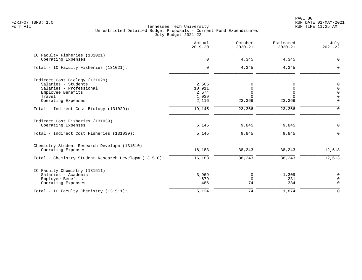PAGE 80 FZRJF07 TBR8: 1.0 RUN DATE 01-MAY-2021

|                                                        | Actual<br>$2019 - 20$ | October<br>$2020 - 21$ | Estimated<br>$2020 - 21$ | July<br>$2021 - 22$ |
|--------------------------------------------------------|-----------------------|------------------------|--------------------------|---------------------|
| IC Faculty Fisheries (131021)<br>Operating Expenses    | $\mathbf 0$           | 4,345                  | 4,345                    | $\mathbf 0$         |
| Total - IC Faculty Fisheries (131021):                 | $\Omega$              | 4,345                  | 4,345                    | $\Omega$            |
| Indirect Cost Biology (131029)                         |                       |                        |                          |                     |
| Salaries - Students                                    | 2,505                 | $\Omega$               |                          | $\mathsf 0$         |
| Salaries - Professional                                | 10,911                | $\Omega$               |                          | $\mathbf 0$         |
| Employee Benefits                                      | 2,574                 | $\Omega$               | $\Omega$                 | $\mathsf{O}\xspace$ |
| Travel                                                 | 1,039                 | $\Omega$               | U                        | $\overline{0}$      |
| Operating Expenses                                     | 2,116                 | 23,366                 | 23,366                   | $\Omega$            |
| Total - Indirect Cost Biology (131029):                | 19,145                | 23,366                 | 23,366                   | $\Omega$            |
| Indirect Cost Fisheries (131039)<br>Operating Expenses | 5,145                 | 9,845                  | 9,845                    | $\Omega$            |
|                                                        |                       |                        |                          |                     |
| Total - Indirect Cost Fisheries (131039):              | 5,145                 | 9,845                  | 9,845                    | $\Omega$            |
| Chemistry Student Research Developm (131510)           |                       |                        |                          |                     |
| Operating Expenses                                     | 16,183                | 38,243                 | 38,243                   | 12,613              |
| Total - Chemistry Student Research Developm (131510):  | 16,183                | 38,243                 | 38,243                   | 12,613              |
| IC Faculty Chemistry (131511)                          |                       |                        |                          |                     |
| Salaries - Academic                                    | 3,969                 | 0                      | 1,309                    | 0                   |
| Employee Benefits                                      | 679                   | $\mathbf 0$            | 231                      | $\mathbf 0$         |
| Operating Expenses                                     | 486                   | 74                     | 334                      | $\mathbf 0$         |
| Total - IC Faculty Chemistry (131511):                 | 5,134                 | 74                     | 1,874                    | $\Omega$            |
|                                                        |                       |                        |                          |                     |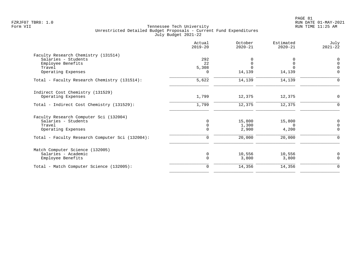|                                                 | Actual<br>$2019 - 20$ | October<br>$2020 - 21$ | Estimated<br>$2020 - 21$ | July<br>$2021 - 22$ |
|-------------------------------------------------|-----------------------|------------------------|--------------------------|---------------------|
| Faculty Research Chemistry (131514)             |                       |                        |                          |                     |
| Salaries - Students                             | 292                   |                        |                          | $\mathbf 0$         |
| Employee Benefits                               | 22                    | $\mathbf 0$            | $\Omega$                 | $\Omega$            |
| Travel                                          | 5,308                 | $\Omega$               | $\cap$                   | $\cap$              |
| Operating Expenses                              | 0                     | 14,139                 | 14,139                   | $\Omega$            |
| Total - Faculty Research Chemistry (131514):    | 5,622                 | 14,139                 | 14,139                   | ∩                   |
| Indirect Cost Chemistry (131529)                |                       |                        |                          |                     |
| Operating Expenses                              | 1,799                 | 12,375                 | 12,375                   | $\Omega$            |
| Total - Indirect Cost Chemistry (131529):       | 1,799                 | 12,375                 | 12,375                   | $\Omega$            |
| Faculty Research Computer Sci (132004)          |                       |                        |                          |                     |
| Salaries - Students                             | $\Omega$              | 15,800                 | 15,800                   | 0                   |
| Travel                                          | $\mathbf 0$           | 1,300                  | $\Omega$                 |                     |
| Operating Expenses                              | $\Omega$              | 2,900                  | 4,200                    | $\Omega$            |
| Total - Faculty Research Computer Sci (132004): | 0                     | 20,000                 | 20,000                   | $\Omega$            |
| Match Computer Science (132005)                 |                       |                        |                          |                     |
| Salaries - Academic                             | 0                     | 10,556                 | 10,556                   | 0                   |
| Employee Benefits                               | $\Omega$              | 3,800                  | 3,800                    | $\Omega$            |
| Total - Match Computer Science (132005):        | $\mathbf 0$           | 14,356                 | 14,356                   | $\mathbf 0$         |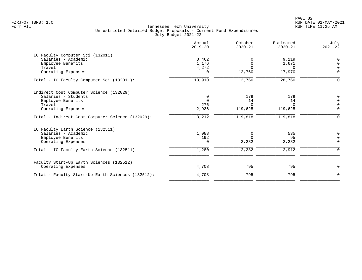|                                                   | Actual<br>$2019 - 20$ | October<br>$2020 - 21$ | Estimated<br>$2020 - 21$ | July<br>$2021 - 22$ |
|---------------------------------------------------|-----------------------|------------------------|--------------------------|---------------------|
| IC Faculty Computer Sci (132011)                  |                       |                        |                          |                     |
| Salaries - Academic                               | 8,462                 |                        | 9,119                    | $\Omega$            |
| Employee Benefits                                 | 1,176                 | $\Omega$               | 1,671                    | $\Omega$            |
| Travel                                            | 4,272                 | $\Omega$               | $\Omega$                 | $\Omega$            |
| Operating Expenses                                | $\Omega$              | 12,760                 | 17,970                   | $\Omega$            |
| Total - IC Faculty Computer Sci (132011):         | 13,910                | 12,760                 | 28,760                   | ∩                   |
| Indirect Cost Computer Science (132029)           |                       |                        |                          |                     |
| Salaries - Students                               | 0                     | 179                    | 179                      | 0                   |
| Employee Benefits                                 | $\Omega$              | 14                     | 14                       | $\Omega$            |
| Travel                                            | 276                   | $\Omega$               | $\Omega$                 |                     |
| Operating Expenses                                | 2,936                 | 119,625                | 119,625                  | $\mathbf 0$         |
| Total - Indirect Cost Computer Science (132029):  | 3,212                 | 119,818                | 119,818                  | $\Omega$            |
| IC Faculty Earth Science (132511)                 |                       |                        |                          |                     |
| Salaries - Academic                               | 1,088                 | $\Omega$               | 535                      | $\mathbf 0$         |
| Employee Benefits                                 | 192                   |                        | 95                       | $\Omega$            |
| Operating Expenses                                | $\Omega$              | 2,282                  | 2,282                    | $\Omega$            |
| Total - IC Faculty Earth Science (132511):        | 1,280                 | 2,282                  | 2,912                    | $\Omega$            |
| Faculty Start-Up Earth Sciences (132512)          |                       |                        |                          |                     |
| Operating Expenses                                | 4,708                 | 795                    | 795                      | $\Omega$            |
| Total - Faculty Start-Up Earth Sciences (132512): | 4,708                 | 795                    | 795                      | $\mathbf 0$         |
|                                                   |                       |                        |                          |                     |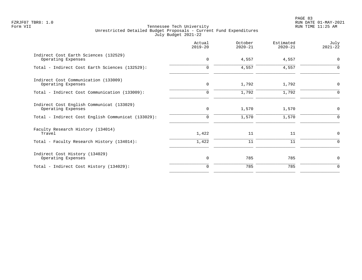|                                                                 | Actual<br>$2019 - 20$ | October<br>$2020 - 21$ | Estimated<br>$2020 - 21$ | July<br>$2021 - 22$ |
|-----------------------------------------------------------------|-----------------------|------------------------|--------------------------|---------------------|
| Indirect Cost Earth Sciences (132529)<br>Operating Expenses     | $\mathbf 0$           | 4,557                  | 4,557                    | $\mathbf 0$         |
| Total - Indirect Cost Earth Sciences (132529):                  | $\Omega$              | 4,557                  | 4,557                    | $\Omega$            |
| Indirect Cost Communication (133009)<br>Operating Expenses      | $\mathbf 0$           | 1,792                  | 1,792                    | $\mathbf 0$         |
| Total - Indirect Cost Communication (133009):                   | $\Omega$              | 1,792                  | 1,792                    | $\Omega$            |
| Indirect Cost English Communicat (133029)<br>Operating Expenses | $\mathbf 0$           | 1,570                  | 1,570                    | $\mathbf 0$         |
| Total - Indirect Cost English Communicat (133029):              | $\Omega$              | 1,570                  | 1,570                    | $\Omega$            |
| Faculty Research History (134014)<br>Travel                     | 1,422                 | 11                     | 11                       | $\mathbf 0$         |
| Total - Faculty Research History (134014):                      | 1,422                 | 11                     | 11                       | $\Omega$            |
| Indirect Cost History (134029)<br>Operating Expenses            | $\mathbf 0$           | 785                    | 785                      | $\mathbf 0$         |
| Total - Indirect Cost History (134029):                         |                       | 785                    | 785                      | $\Omega$            |
|                                                                 |                       |                        |                          |                     |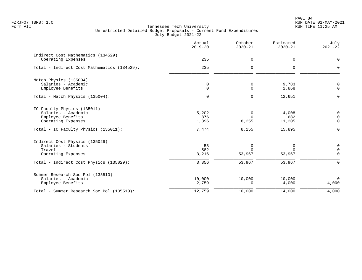PAGE 84 FZRJF07 TBR8: 1.0 RUN DATE 01-MAY-2021

|                                                                                               | Actual<br>$2019 - 20$       | October<br>$2020 - 21$  | Estimated<br>$2020 - 21$ | July<br>$2021 - 22$                    |
|-----------------------------------------------------------------------------------------------|-----------------------------|-------------------------|--------------------------|----------------------------------------|
| Indirect Cost Mathematics (134529)<br>Operating Expenses                                      | 235                         | 0                       | 0                        | $\mathbf 0$                            |
| Total - Indirect Cost Mathematics (134529):                                                   | 235                         | $\Omega$                | $\Omega$                 | $\Omega$                               |
| Match Physics (135004)<br>Salaries - Academic<br>Employee Benefits                            | $\mathsf{O}$<br>$\mathbf 0$ | 0<br>0                  | 9,783<br>2,868           | 0<br>$\Omega$                          |
| Total - Match Physics (135004):                                                               | $\mathbf 0$                 | $\mathbf 0$             | 12,651                   | $\Omega$                               |
| IC Faculty Physics (135011)<br>Salaries - Academic<br>Employee Benefits<br>Operating Expenses | 5,202<br>876<br>1,396       | 0<br>$\Omega$<br>8,255  | 4,008<br>682<br>11,205   | $\mathbf 0$<br>$\mathbf 0$<br>$\Omega$ |
| Total - IC Faculty Physics (135011):                                                          | 7,474                       | 8,255                   | 15,895                   | $\Omega$                               |
| Indirect Cost Physics (135029)<br>Salaries - Students<br>Travel<br>Operating Expenses         | 58<br>582<br>3,216          | 0<br>$\Omega$<br>53,967 | 0<br>$\Omega$<br>53,967  | 0<br>$\mathbf 0$<br>$\Omega$           |
| Total - Indirect Cost Physics (135029):                                                       | 3,856                       | 53,967                  | 53,967                   | $\Omega$                               |
| Summer Research Soc Pol (135510)<br>Salaries - Academic<br>Employee Benefits                  | 10,000<br>2,759             | 10,000<br>$\Omega$      | 10,000<br>4,000          | $\mathbf 0$<br>4,000                   |
| Total - Summer Research Soc Pol (135510):                                                     | 12,759                      | 10,000                  | 14,000                   | 4,000                                  |
|                                                                                               |                             |                         |                          |                                        |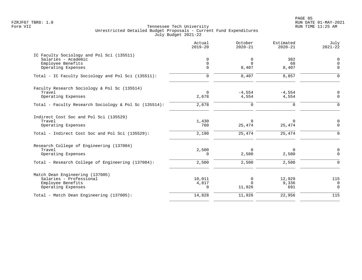PAGE 85 FZRJF07 TBR8: 1.0 RUN DATE 01-MAY-2021

|                                                                                                                           | Actual<br>$2019 - 20$            | October<br>$2020 - 21$       | Estimated<br>$2020 - 21$     | July<br>$2021 - 22$                 |
|---------------------------------------------------------------------------------------------------------------------------|----------------------------------|------------------------------|------------------------------|-------------------------------------|
| IC Faculty Sociology and Pol Sci (135511)<br>Salaries - Academic<br>Employee Benefits<br>Operating Expenses               | $\Omega$<br>$\Omega$<br>$\Omega$ | 0<br>$\Omega$<br>8,407       | 382<br>68<br>8,407           | $\mathbf 0$<br>$\Omega$<br>$\Omega$ |
| Total - IC Faculty Sociology and Pol Sci (135511):                                                                        | $\mathbf 0$                      | 8,407                        | 8,857                        | $\Omega$                            |
| Faculty Research Sociology & Pol Sc (135514)<br>Travel<br>Operating Expenses                                              | $\Omega$<br>2,678                | $-4,554$<br>4,554            | $-4,554$<br>4,554            | $\Omega$<br>$\mathbf 0$             |
| Total - Faculty Research Sociology & Pol Sc (135514):                                                                     | 2,678                            | $\mathbf 0$                  | $\mathbf 0$                  | $\Omega$                            |
| Indirect Cost Soc and Pol Sci (135529)<br>Travel<br>Operating Expenses<br>Total - Indirect Cost Soc and Pol Sci (135529): | 1,430<br>760<br>2,190            | $\Omega$<br>25,474<br>25,474 | $\Omega$<br>25,474<br>25,474 | 0<br>$\mathbf 0$<br>$\Omega$        |
| Research College of Engineering (137004)<br>Travel<br>Operating Expenses                                                  | 2,500<br>$\Omega$                | $\Omega$<br>2,500            | 0<br>2,500                   | 0<br>$\Omega$                       |
| Total - Research College of Engineering (137004):                                                                         | 2,500                            | 2,500                        | 2,500                        | $\Omega$                            |
| Match Dean Engineering (137005)<br>Salaries - Professional<br>Employee Benefits<br>Operating Expenses                     | 10,011<br>4,817<br>$\Omega$      | 0<br>$\Omega$<br>11,926      | 12,929<br>9,336<br>691       | 115<br>$\mathbf 0$<br>$\Omega$      |
| Total - Match Dean Engineering (137005):                                                                                  | 14,828                           | 11,926                       | 22,956                       | $\frac{115}{115}$                   |
|                                                                                                                           |                                  |                              |                              |                                     |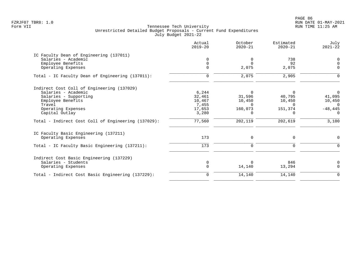PAGE 86 FZRJF07 TBR8: 1.0 RUN DATE 01-MAY-2021

|                                                     | Actual<br>$2019 - 20$ | October<br>$2020 - 21$ | Estimated<br>$2020 - 21$ | July<br>$2021 - 22$ |
|-----------------------------------------------------|-----------------------|------------------------|--------------------------|---------------------|
| IC Faculty Dean of Engineering (137011)             |                       |                        |                          |                     |
| Salaries - Academic                                 | 0                     | 0                      | 738                      | 0                   |
| Employee Benefits                                   | 0                     | $\Omega$               | 92                       | $\Omega$            |
| Operating Expenses                                  |                       | 2,075                  | 2,075                    | $\Omega$            |
| Total - IC Faculty Dean of Engineering (137011):    | $\Omega$              | 2,075                  | 2,905                    | $\Omega$            |
| Indirect Cost Coll of Engineering (137029)          |                       |                        |                          |                     |
| Salaries - Academic                                 | 6,244                 | $\Omega$               | $\Omega$                 | $\overline{0}$      |
| Salaries - Supporting                               | 32,461                | 31,596                 | 40,795                   | 41,095              |
| Employee Benefits                                   | 10,467                | 10,450                 | 10,450                   | 10,450              |
| Travel                                              | 7,455                 | $\Omega$               | $\Omega$                 | $\Omega$            |
| Operating Expenses                                  | 17,653                | 160,073                | 151,374                  | $-48, 445$          |
| Capital Outlay                                      | 3,280                 | $\Omega$               | $\Omega$                 | $\Omega$            |
| Total - Indirect Cost Coll of Engineering (137029): | 77,560                | 202,119                | 202,619                  | 3,100               |
| IC Faculty Basic Engineering (137211)               |                       |                        |                          |                     |
| Operating Expenses                                  | 173                   | 0                      | $\mathbf 0$              | 0                   |
| Total - IC Faculty Basic Engineering (137211):      | 173                   | $\mathbf 0$            | $\Omega$                 | $\Omega$            |
| Indirect Cost Basic Engineering (137229)            |                       |                        |                          |                     |
| Salaries - Students                                 | $\Omega$              | $\Omega$               | 846                      | 0                   |
| Operating Expenses                                  | $\Omega$              | 14,140                 | 13,294                   | $\Omega$            |
| Total - Indirect Cost Basic Engineering (137229):   | $\mathbf 0$           | 14,140                 | 14,140                   | $\mathbf 0$         |
|                                                     |                       |                        |                          |                     |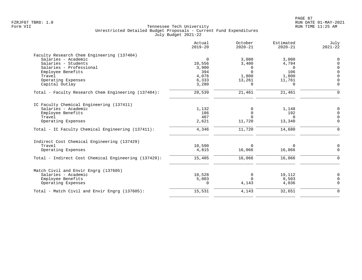| Actual<br>$2019 - 20$ | October<br>$2020 - 21$                                                   | Estimated<br>$2020 - 21$                                           | July<br>$2021 - 22$                                                   |
|-----------------------|--------------------------------------------------------------------------|--------------------------------------------------------------------|-----------------------------------------------------------------------|
|                       |                                                                          |                                                                    |                                                                       |
| $\Omega$              | 3,000                                                                    | 3,000                                                              | $\mathbf 0$                                                           |
| 10,556                | 3,400                                                                    | 4,794                                                              | $\Omega$                                                              |
| 3,900                 | $\Omega$                                                                 | $\Omega$                                                           | $\Omega$                                                              |
|                       |                                                                          |                                                                    | $\Omega$                                                              |
|                       |                                                                          |                                                                    | $\Omega$                                                              |
|                       |                                                                          |                                                                    |                                                                       |
|                       |                                                                          |                                                                    | $\Omega$                                                              |
| 28,539                | 21,461                                                                   | 21,461                                                             | $\Omega$                                                              |
|                       |                                                                          |                                                                    |                                                                       |
|                       |                                                                          |                                                                    | $\mathbf 0$                                                           |
|                       |                                                                          |                                                                    | $\Omega$                                                              |
|                       | $\Omega$                                                                 | $\Omega$                                                           | $\Omega$                                                              |
| 2,621                 | 11,720                                                                   | 13,340                                                             | $\Omega$                                                              |
| 4,346                 | 11,720                                                                   | 14,680                                                             | $\Omega$                                                              |
|                       |                                                                          |                                                                    |                                                                       |
| 10,590                | $\Omega$                                                                 | 0                                                                  | 0                                                                     |
| 4,815                 | 16,066                                                                   | 16,066                                                             | $\Omega$                                                              |
| 15,405                | 16,066                                                                   | 16,066                                                             | $\Omega$                                                              |
|                       |                                                                          |                                                                    |                                                                       |
|                       |                                                                          |                                                                    | $\Omega$                                                              |
|                       |                                                                          |                                                                    | $\Omega$                                                              |
| 0                     | 4,143                                                                    | 4,036                                                              | $\Omega$                                                              |
| 15,531                | 4,143                                                                    | 32,651                                                             | $\Omega$                                                              |
|                       | 394<br>4,076<br>6,333<br>3,280<br>1,132<br>186<br>407<br>10,528<br>5,003 | $\Omega$<br>1,800<br>13,261<br>$\Omega$<br>0<br>0<br>0<br>$\Omega$ | 106<br>1,800<br>11,761<br>$\Omega$<br>1,148<br>192<br>19,112<br>9,503 |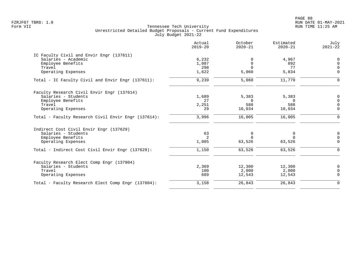PAGE 88 FZRJF07 TBR8: 1.0 RUN DATE 01-MAY-2021

| Actual<br>$2019 - 20$ | October<br>$2020 - 21$                          | Estimated<br>$2020 - 21$             | July<br>$2021 - 22$                              |
|-----------------------|-------------------------------------------------|--------------------------------------|--------------------------------------------------|
|                       |                                                 |                                      |                                                  |
| 6,232                 | $\Omega$                                        | 4,967                                | $\Omega$                                         |
| 1,087                 | 0                                               | 892                                  | $\Omega$                                         |
| 298                   | $\Omega$                                        | 77                                   | $\Omega$                                         |
| 1,622                 | 5,060                                           | 5,834                                | $\Omega$                                         |
| 9,239                 | 5,060                                           | 11,770                               | $\Omega$                                         |
|                       |                                                 |                                      |                                                  |
|                       |                                                 |                                      | $\Omega$                                         |
|                       | $\Omega$                                        |                                      | $\Omega$                                         |
|                       |                                                 |                                      | $\Omega$                                         |
| 29                    | 10,034                                          | 10,034                               | $\Omega$                                         |
| 3,996                 | 16,005                                          | 16,005                               | $\Omega$                                         |
|                       |                                                 |                                      |                                                  |
|                       |                                                 |                                      | $\mathbf 0$                                      |
|                       | $\Omega$                                        | $\Omega$                             | $\Omega$                                         |
| 1,085                 | 63,526                                          | 63,526                               | $\Omega$                                         |
| 1,150                 | 63,526                                          | 63,526                               | $\Omega$                                         |
|                       |                                                 |                                      |                                                  |
|                       |                                                 |                                      | 0                                                |
|                       |                                                 |                                      | $\Omega$                                         |
| 689                   | 12,543                                          | 12,543                               | $\Omega$                                         |
| 3,158                 | 26,843                                          | 26,843                               | $\Omega$                                         |
|                       | 1,689<br>27<br>2,251<br>63<br>2<br>2,369<br>100 | 5,383<br>588<br>0<br>12,300<br>2,000 | 5,383<br>$\Omega$<br>588<br>0<br>12,300<br>2,000 |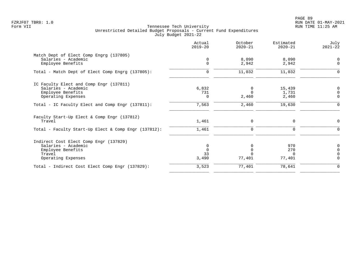PAGE 89 FZRJF07 TBR8: 1.0 RUN DATE 01-MAY-2021

|                                                       | Actual<br>$2019 - 20$ | October<br>$2020 - 21$ | Estimated<br>$2020 - 21$ | July<br>$2021 - 22$     |
|-------------------------------------------------------|-----------------------|------------------------|--------------------------|-------------------------|
| Match Dept of Elect Comp Engrg (137805)               |                       |                        |                          |                         |
| Salaries - Academic<br>Employee Benefits              | 0<br>$\Omega$         | 8,090<br>2,942         | 8,090<br>2,942           | $\mathbf 0$<br>$\Omega$ |
| Total - Match Dept of Elect Comp Engrg (137805):      | $\mathbf 0$           | 11,032                 | 11,032                   | $\Omega$                |
| IC Faculty Elect and Comp Engr (137811)               |                       |                        |                          |                         |
| Salaries - Academic                                   | 6,832                 | 0                      | 15,439                   | 0                       |
| Employee Benefits                                     | 731                   | $\Omega$               | 1,731                    | $\Omega$                |
| Operating Expenses                                    | $\Omega$              | 2,460                  | 2,460                    | $\mathbf 0$             |
| Total - IC Faculty Elect and Comp Engr (137811):      | 7,563                 | 2,460                  | 19,630                   | $\Omega$                |
| Faculty Start-Up Elect & Comp Engr (137812)<br>Travel | 1,461                 | 0                      | 0                        | $\mathbf 0$             |
| Total - Faculty Start-Up Elect & Comp Engr (137812):  | 1,461                 | 0                      | $\Omega$                 | $\Omega$                |
| Indirect Cost Elect Comp Engr (137829)                |                       |                        |                          |                         |
| Salaries - Academic                                   | 0                     | $\Omega$               | 970                      | $\mathbf 0$             |
| Employee Benefits                                     | $\Omega$              |                        | 270                      | $\Omega$                |
| Travel                                                | 33                    |                        | $\Omega$                 |                         |
| Operating Expenses                                    | 3,490                 | 77,401                 | 77,401                   | $\Omega$                |
| Total - Indirect Cost Elect Comp Engr (137829):       | 3,523                 | 77,401                 | 78,641                   | $\Omega$                |
|                                                       |                       |                        |                          |                         |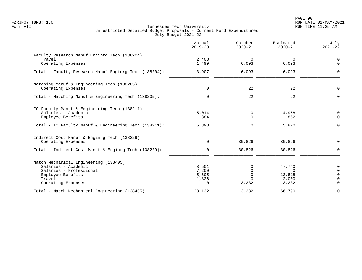PAGE 90 FZRJF07 TBR8: 1.0 RUN DATE 01-MAY-2021

|                                                                                                                                              | Actual<br>$2019 - 20$                 | October<br>$2020 - 21$        | Estimated<br>$2020 - 21$                       | July<br>$2021 - 22$                          |
|----------------------------------------------------------------------------------------------------------------------------------------------|---------------------------------------|-------------------------------|------------------------------------------------|----------------------------------------------|
| Faculty Research Manuf Enginrg Tech (138204)<br>Travel<br>Operating Expenses                                                                 | 2,408<br>1,499                        | $\Omega$<br>6,093             | $\Omega$<br>6,093                              | $\mathbf 0$<br>$\mathbf 0$                   |
| Total - Faculty Research Manuf Enginrg Tech (138204):                                                                                        | 3,907                                 | 6,093                         | 6,093                                          | ∩                                            |
|                                                                                                                                              |                                       |                               |                                                |                                              |
| Matching Manuf & Engineering Tech (138205)<br>Operating Expenses                                                                             | $\mathbf 0$                           | 22                            | 22                                             | $\Omega$                                     |
| Total - Matching Manuf & Engineering Tech (138205):                                                                                          | $\mathbf 0$                           | 22                            | 22                                             | $\Omega$                                     |
| IC Faculty Manuf & Engineering Tech (138211)<br>Salaries - Academic<br>Employee Benefits                                                     | 5,014<br>884                          | 0<br>$\Omega$                 | 4,958<br>862                                   | 0<br>$\Omega$                                |
| Total - IC Faculty Manuf & Engineering Tech (138211):                                                                                        | 5,898                                 | $\Omega$                      | 5,820                                          | $\Omega$                                     |
| Indirect Cost Manuf & Enginrg Tech (138229)<br>Operating Expenses                                                                            | $\mathbf 0$                           | 30,826                        | 30,826                                         | $\Omega$                                     |
| Total - Indirect Cost Manuf & Enginrg Tech (138229):                                                                                         | $\Omega$                              | 30,826                        | 30,826                                         | $\Omega$                                     |
| Match Mechanical Engineering (138405)<br>Salaries - Academic<br>Salaries - Professional<br>Employee Benefits<br>Travel<br>Operating Expenses | 8,501<br>7,200<br>5,605<br>1,826<br>0 | $\Omega$<br>$\Omega$<br>3,232 | 47,740<br>$\Omega$<br>13,818<br>2,000<br>3,232 | $\Omega$<br>$\Omega$<br>$\Omega$<br>$\Omega$ |
| Total - Match Mechanical Engineering (138405):                                                                                               | 23,132                                | 3,232                         | 66,790                                         | $\Omega$                                     |
|                                                                                                                                              |                                       |                               |                                                |                                              |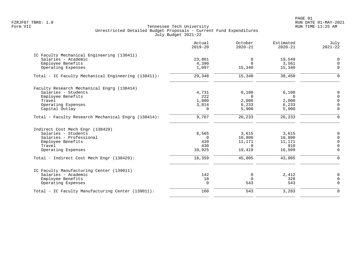PAGE 91 FZRJF07 TBR8: 1.0 RUN DATE 01-MAY-2021

|                                                     | Actual<br>$2019 - 20$ | October<br>$2020 - 21$ | Estimated<br>$2020 - 21$ | July<br>$2021 - 22$ |
|-----------------------------------------------------|-----------------------|------------------------|--------------------------|---------------------|
| IC Faculty Mechanical Engineering (138411)          |                       |                        |                          |                     |
| Salaries - Academic                                 | 23,861                | 0                      | 19,549                   | 0                   |
| Employee Benefits                                   | 4,390                 | $\Omega$               | 3,561                    | $\overline{0}$      |
| Operating Expenses                                  | 1,097                 | 15,340                 | 15,340                   | $\Omega$            |
| Total - IC Faculty Mechanical Engineering (138411): | 29,348                | 15,340                 | 38,450                   | $\Omega$            |
| Faculty Research Mechanical Engrg (138414)          |                       |                        |                          |                     |
| Salaries - Students                                 | 4,731                 | 6,100                  | 6,100                    | $\mathbf 0$         |
| Employee Benefits                                   | 222                   | $\Omega$               | $\Omega$                 | $\Omega$            |
| Travel                                              | 1,000                 | 2,000                  | 2,000                    | $\Omega$            |
| Operating Expenses                                  | 3,814                 | 6,233                  | 6,233                    | $\Omega$            |
| Capital Outlay                                      | $\Omega$              | 5,900                  | 5,900                    | $\Omega$            |
| Total - Faculty Research Mechanical Engrg (138414): | 9,767                 | 20,233                 | 20,233                   | $\Omega$            |
| Indirect Cost Mech Engr (138429)                    |                       |                        |                          |                     |
| Salaries - Students                                 | 6,565                 | 3,615                  | 3,615                    | 0                   |
| Salaries - Professional                             | $\Omega$              | 10,800                 | 10,800                   | $\mathbf 0$         |
| Employee Benefits                                   | 439                   | 11,171                 | 11,171                   | $\Omega$            |
| Travel                                              | 430                   | $\Omega$               | 910                      | $\mathbf 0$         |
| Operating Expenses                                  | 10,925                | 19,419                 | 16,509                   | $\Omega$            |
| Total - Indirect Cost Mech Engr (138429):           | 18,359                | 45,005                 | 43,005                   | $\Omega$            |
| IC Faculty Manufacturing Center (139011)            |                       |                        |                          |                     |
| Salaries - Academic                                 | 142                   | 0                      | 2,412                    | 0                   |
| Employee Benefits                                   | 18                    | $\Omega$               | 328                      | $\Omega$            |
| Operating Expenses                                  | $\mathbf 0$           | 543                    | 543                      | $\Omega$            |
| Total - IC Faculty Manufacturing Center (139011):   | 160                   | 543                    | 3,283                    | $\Omega$            |
|                                                     |                       |                        |                          |                     |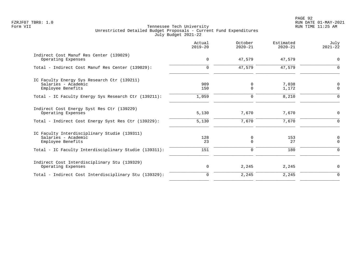|                                                                                          | Actual<br>$2019 - 20$ | October<br>$2020 - 21$ | Estimated<br>$2020 - 21$ | July<br>$2021 - 22$        |
|------------------------------------------------------------------------------------------|-----------------------|------------------------|--------------------------|----------------------------|
| Indirect Cost Manuf Res Center (139029)<br>Operating Expenses                            | $\mathbf 0$           | 47,579                 | 47,579                   | $\mathbf 0$                |
| Total - Indirect Cost Manuf Res Center (139029):                                         | $\Omega$              | 47,579                 | 47,579                   | $\Omega$                   |
| IC Faculty Energy Sys Research Ctr (139211)<br>Salaries - Academic<br>Employee Benefits  | 909<br>150            | 0<br>0                 | 7,038<br>1,172           | $\mathbf 0$<br>$\mathbf 0$ |
| Total - IC Faculty Energy Sys Research Ctr (139211):                                     | 1,059                 | $\mathbf 0$            | 8,210                    | $\Omega$                   |
| Indirect Cost Energy Syst Res Ctr (139229)<br>Operating Expenses                         | 5,130                 | 7,670                  | 7,670                    | $\mathbf 0$                |
| Total - Indirect Cost Energy Syst Res Ctr (139229):                                      | 5,130                 | 7,670                  | 7,670                    | $\Omega$                   |
| IC Faculty Interdisciplinary Studie (139311)<br>Salaries - Academic<br>Employee Benefits | 128<br>23             | 0<br>$\Omega$          | 153<br>27                | $\mathbf 0$<br>$\Omega$    |
| Total - IC Faculty Interdisciplinary Studie (139311):                                    | 151                   | $\Omega$               | 180                      | $\Omega$                   |
| Indirect Cost Interdisciplinary Stu (139329)<br>Operating Expenses                       | 0                     | 2,245                  | 2,245                    | $\mathbf 0$                |
| Total - Indirect Cost Interdisciplinary Stu (139329):                                    | $\mathbf 0$           | 2,245                  | 2,245                    | $\mathbf 0$                |
|                                                                                          |                       |                        |                          |                            |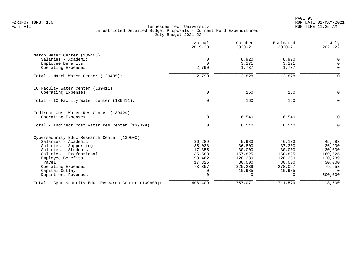|                                                      | Actual<br>$2019 - 20$ | October<br>$2020 - 21$ | Estimated<br>$2020 - 21$ | July<br>$2021 - 22$ |
|------------------------------------------------------|-----------------------|------------------------|--------------------------|---------------------|
| Match Water Center (139405)                          |                       |                        |                          |                     |
| Salaries - Academic                                  | $\mathbf 0$           | 8,920                  | 8,920                    | $\mathbf 0$         |
| Employee Benefits                                    | $\Omega$              | 3,171                  | 3,171                    | $\Omega$            |
| Operating Expenses                                   | 2,790                 | 1,737                  | 1,737                    | $\Omega$            |
| Total - Match Water Center (139405):                 | 2,790                 | 13,828                 | 13,828                   | $\Omega$            |
| IC Faculty Water Center (139411)                     |                       |                        |                          |                     |
| Operating Expenses                                   | $\mathbf 0$           | 160                    | 160                      | 0                   |
| Total - IC Faculty Water Center (139411):            | $\Omega$              | 160                    | 160                      | $\Omega$            |
| Indirect Cost Water Res Center (139429)              |                       |                        |                          |                     |
| Operating Expenses                                   | $\mathbf 0$           | 6,540                  | 6,540                    | $\Omega$            |
| Total - Indirect Cost Water Res Center (139429):     | $\Omega$              | 6,540                  | 6,540                    | $\Omega$            |
| Cybersecurity Educ Research Center (139600)          |                       |                        |                          |                     |
| Salaries - Academic                                  | 36,289                | 45,983                 | 46,133                   | 45,983              |
| Salaries - Supporting                                | 35,038                | 36,800                 | 37,300                   | 36,900              |
| Salaries - Students                                  | 17,355                | 30,000                 | 30,000                   | 30,000              |
| Salaries - Professional                              | 135,583               | 157,825                | 158,825                  | 160,525             |
| Employee Benefits                                    | 93,462                | 120,239                | 120,239                  | 120,239             |
| Travel                                               | 17,325                | 30,000                 | 30,000                   | 30,000              |
| Operating Expenses                                   | 73,357                | 325,239                | 278,097                  | 79,953              |
| Capital Outlay                                       | $\Omega$              | 10,985                 | 10,985                   | $\Omega$            |
| Department Revenues                                  | $\Omega$              | 0                      | $\Omega$                 | $-500,000$          |
| Total - Cybersecurity Educ Research Center (139600): | 408,409               | 757,071                | 711,579                  | 3,600               |
|                                                      |                       |                        |                          |                     |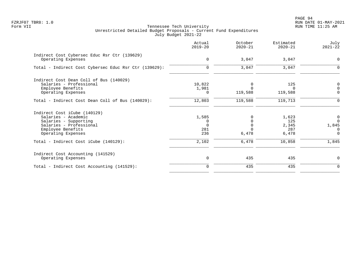| Actual<br>$2019 - 20$ | October<br>$2020 - 21$ | Estimated<br>$2020 - 21$ | July<br>$2021 - 22$                     |
|-----------------------|------------------------|--------------------------|-----------------------------------------|
| $\mathbf 0$           | 3,047                  | 3,047                    | $\mathbf 0$                             |
| $\mathbf 0$           | 3,047                  | 3,047                    | $\Omega$                                |
|                       |                        |                          |                                         |
| 10,822                |                        | 125                      | 0                                       |
|                       |                        | $\Omega$                 | $\Omega$                                |
| 0                     |                        |                          | $\mathbf 0$                             |
| 12,803                | 119,588                | 119,713                  | $\Omega$                                |
|                       |                        |                          |                                         |
| 1,585                 |                        | 1,623                    | 0                                       |
| 0                     |                        |                          | $\Omega$                                |
| $\Omega$              |                        |                          | 1,845                                   |
|                       |                        |                          | $\Omega$                                |
|                       |                        |                          | $\Omega$                                |
| 2,102                 | 6,478                  | 10,858                   | 1,845                                   |
|                       |                        |                          |                                         |
| 0                     | 435                    | 435                      | $\Omega$                                |
| $\Omega$              | 435                    | 435                      | $\Omega$                                |
|                       | 1,981<br>281<br>236    | 119,588<br>6,478         | 119,588<br>125<br>2,345<br>287<br>6,478 |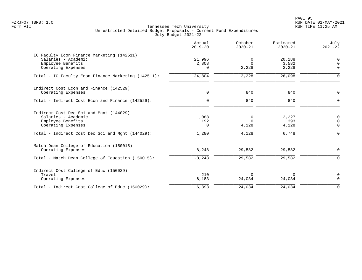PAGE 95 FZRJF07 TBR8: 1.0 RUN DATE 01-MAY-2021

|                                                                                                                                                               | Actual<br>$2019 - 20$       | October<br>$2020 - 21$          | Estimated<br>$2020 - 21$       | July<br>$2021 - 22$          |
|---------------------------------------------------------------------------------------------------------------------------------------------------------------|-----------------------------|---------------------------------|--------------------------------|------------------------------|
| IC Faculty Econ Finance Marketing (142511)<br>Salaries - Academic<br>Employee Benefits<br>Operating Expenses                                                  | 21,996<br>2,808<br>$\Omega$ | 0<br>$\Omega$<br>2,228          | 20,288<br>3,582<br>2,228       | 0<br>$\mathbf 0$<br>$\Omega$ |
| Total - IC Faculty Econ Finance Marketing (142511):                                                                                                           | 24,804                      | 2,228                           | 26,098                         | $\Omega$                     |
| Indirect Cost Econ and Finance (142529)<br>Operating Expenses                                                                                                 | $\mathbf 0$                 | 840                             | 840                            | 0                            |
| Total - Indirect Cost Econ and Finance (142529):                                                                                                              | $\mathbf 0$                 | 840                             | 840                            | $\mathbf 0$                  |
| Indirect Cost Dec Sci and Mgnt (144029)<br>Salaries - Academic<br>Employee Benefits<br>Operating Expenses<br>Total - Indirect Cost Dec Sci and Mgnt (144029): | 1,088<br>192<br>0<br>1,280  | 0<br>$\Omega$<br>4,128<br>4,128 | 2,227<br>393<br>4,128<br>6,748 | 0<br>$\mathbf 0$<br>0<br>0   |
| Match Dean College of Education (150015)<br>Operating Expenses<br>Total - Match Dean College of Education (150015):                                           | $-8,248$<br>$-8, 248$       | 29,582<br>29,582                | 29,582<br>29,582               | 0<br>$\mathbf 0$             |
| Indirect Cost College of Educ (150029)<br>Travel<br>Operating Expenses                                                                                        | 210<br>6,183                | $\Omega$<br>24,034              | $\Omega$<br>24,034             | 0<br>$\mathbf 0$             |
| Total - Indirect Cost College of Educ (150029):                                                                                                               | 6,393                       | 24,034                          | 24,034                         | $\mathbf 0$                  |
|                                                                                                                                                               |                             |                                 |                                |                              |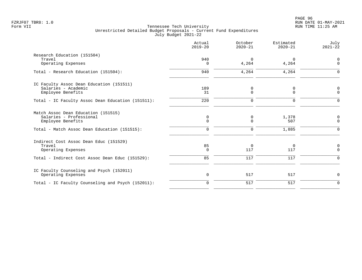|                                                                                      | Actual<br>$2019 - 20$ | October<br>$2020 - 21$ | Estimated<br>$2020 - 21$ | July<br>$2021 - 22$        |
|--------------------------------------------------------------------------------------|-----------------------|------------------------|--------------------------|----------------------------|
| Research Education (151504)<br>Travel<br>Operating Expenses                          | 940<br>0              | $\Omega$<br>4,264      | $\mathbf 0$<br>4,264     | $\mathbf 0$<br>$\mathbf 0$ |
| Total - Research Education (151504):                                                 | 940                   | 4,264                  | 4,264                    | $\Omega$                   |
| IC Faculty Assoc Dean Education (151511)<br>Salaries - Academic<br>Employee Benefits | 189<br>31             | 0<br>$\Omega$          | 0<br>$\Omega$            | $\Omega$<br>$\Omega$       |
| Total - IC Faculty Assoc Dean Education (151511):                                    | 220                   | $\Omega$               | $\mathbf 0$              | $\Omega$                   |
| Match Assoc Dean Education (151515)<br>Salaries - Professional<br>Employee Benefits  | 0<br>$\mathbf 0$      | 0<br>$\mathbf 0$       | 1,378<br>507             | 0<br>$\mathbf 0$           |
| Total - Match Assoc Dean Education (151515):                                         | $\mathbf 0$           | $\mathbf 0$            | 1,885                    | $\Omega$                   |
| Indirect Cost Assoc Dean Educ (151529)<br>Travel<br>Operating Expenses               | 85<br>$\mathbf 0$     | 0<br>117               | 0<br>117                 | 0<br>$\Omega$              |
| Total - Indirect Cost Assoc Dean Educ (151529):                                      | 85                    | 117                    | 117                      | $\mathbf 0$                |
| IC Faculty Counseling and Psych (152011)<br>Operating Expenses                       | 0                     | 517                    | 517                      | 0                          |
| Total - IC Faculty Counseling and Psych (152011):                                    | $\mathbf 0$           | 517                    | 517                      | $\mathbf 0$                |
|                                                                                      |                       |                        |                          |                            |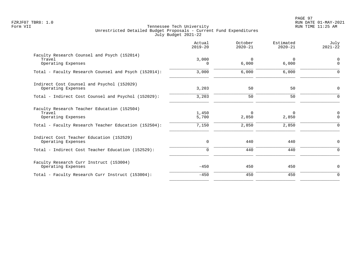|                                                                                                                                     | Actual<br>$2019 - 20$      | October<br>$2020 - 21$     | Estimated<br>$2020 - 21$   | July<br>$2021 - 22$       |
|-------------------------------------------------------------------------------------------------------------------------------------|----------------------------|----------------------------|----------------------------|---------------------------|
| Faculty Research Counsel and Psych (152014)<br>Travel<br>Operating Expenses                                                         | 3,000<br>$\Omega$          | $\Omega$<br>6,000          | $\Omega$<br>6,000          | 0<br>$\Omega$             |
| Total - Faculty Research Counsel and Psych (152014):                                                                                | 3,000                      | 6,000                      | 6,000                      | $\Omega$                  |
| Indirect Cost Counsel and Psychol (152029)<br>Operating Expenses                                                                    | 3,203                      | 50                         | 50                         | 0                         |
| Total - Indirect Cost Counsel and Psychol (152029):                                                                                 | 3,203                      | 50                         | 50                         | $\Omega$                  |
| Faculty Research Teacher Education (152504)<br>Travel<br>Operating Expenses<br>Total - Faculty Research Teacher Education (152504): | 1,450<br>5,700<br>7,150    | $\Omega$<br>2,850<br>2,850 | $\Omega$<br>2,850<br>2,850 | 0<br>$\Omega$<br>$\Omega$ |
| Indirect Cost Teacher Education (152529)<br>Operating Expenses<br>Total - Indirect Cost Teacher Education (152529):                 | $\mathbf 0$<br>$\mathbf 0$ | 440<br>440                 | 440<br>440                 | 0<br>$\Omega$             |
| Faculty Research Curr Instruct (153004)<br>Operating Expenses                                                                       | $-450$                     | 450                        | 450                        | 0                         |
| Total - Faculty Research Curr Instruct (153004):                                                                                    | $-450$                     | 450                        | 450                        | $\mathbf 0$               |
|                                                                                                                                     |                            |                            |                            |                           |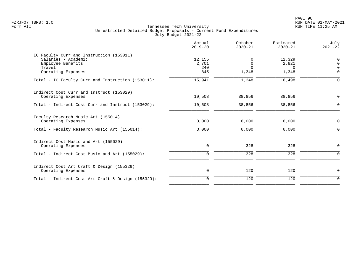|                                                                                                                      | Actual<br>$2019 - 20$         | October<br>$2020 - 21$             | Estimated<br>$2020 - 21$             | July<br>$2021 - 22$                                 |
|----------------------------------------------------------------------------------------------------------------------|-------------------------------|------------------------------------|--------------------------------------|-----------------------------------------------------|
| IC Faculty Curr and Instruction (153011)<br>Salaries - Academic<br>Employee Benefits<br>Travel<br>Operating Expenses | 12,155<br>2,701<br>240<br>845 | O<br>$\Omega$<br>$\Omega$<br>1,348 | 12,329<br>2,821<br>$\Omega$<br>1,348 | $\mathbf 0$<br>$\Omega$<br><sup>n</sup><br>$\Omega$ |
| Total - IC Faculty Curr and Instruction (153011):                                                                    | 15,941                        | 1,348                              | 16,498                               | $\Omega$                                            |
| Indirect Cost Curr and Instruct (153029)<br>Operating Expenses                                                       | 10,508                        | 38,856                             | 38,856                               | $\mathbf 0$                                         |
| Total - Indirect Cost Curr and Instruct (153029):                                                                    | 10,508                        | 38,856                             | 38,856                               | $\mathbf 0$                                         |
| Faculty Research Music Art (155014)<br>Operating Expenses                                                            | 3,000                         | 6,000                              | 6,000                                | 0                                                   |
| Total - Faculty Research Music Art (155014):                                                                         | 3,000                         | 6,000                              | 6,000                                | $\Omega$                                            |
| Indirect Cost Music and Art (155029)<br>Operating Expenses                                                           | $\mathbf 0$                   | 328                                | 328                                  | $\mathbf 0$                                         |
| Total - Indirect Cost Music and Art (155029):                                                                        | $\mathbf 0$                   | 328                                | 328                                  | $\Omega$                                            |
| Indirect Cost Art Craft & Design (155329)<br>Operating Expenses                                                      | 0                             | 120                                | 120                                  | 0                                                   |
| Total - Indirect Cost Art Craft & Design (155329):                                                                   | $\Omega$                      | 120                                | 120                                  | $\Omega$                                            |
|                                                                                                                      |                               |                                    |                                      |                                                     |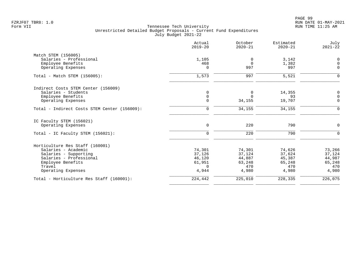|                                              | Actual<br>$2019 - 20$ | October<br>$2020 - 21$ | Estimated<br>$2020 - 21$ | July<br>$2021 - 22$ |
|----------------------------------------------|-----------------------|------------------------|--------------------------|---------------------|
| Match STEM (156005)                          |                       |                        |                          |                     |
| Salaries - Professional                      | 1,105                 | 0                      | 3,142                    | $\overline{0}$      |
| Employee Benefits                            | 468                   | $\Omega$               | 1,382                    | 0                   |
| Operating Expenses                           | $\Omega$              | 997                    | 997                      | $\mathbf 0$         |
| Total - Match STEM (156005):                 | 1,573                 | 997                    | 5,521                    | $\Omega$            |
| Indirect Costs STEM Center (156009)          |                       |                        |                          |                     |
| Salaries - Students                          | 0                     | 0                      | 14,355                   | 0                   |
| Employee Benefits                            | $\mathbf 0$           | $\Omega$               | 93                       | $\mathsf{O}$        |
| Operating Expenses                           | $\mathbf 0$           | 34,155                 | 19,707                   | $\mathbf{0}$        |
| Total - Indirect Costs STEM Center (156009): | $\mathbf 0$           | 34,155                 | 34,155                   | $\mathbf 0$         |
| IC Faculty STEM (156021)                     |                       |                        |                          |                     |
| Operating Expenses                           | 0                     | 220                    | 790                      | $\mathbf 0$         |
| Total - IC Faculty STEM (156021):            | $\mathbf 0$           | 220                    | 790                      | $\Omega$            |
| Horticulture Res Staff (160001)              |                       |                        |                          |                     |
| Salaries - Academic                          | 74,301                | 74,301                 | 74,626                   | 73,266              |
| Salaries - Supporting                        | 37,126                | 37,124                 | 37,624                   | 37,124              |
| Salaries - Professional                      | 46,120                | 44,887                 | 45,387                   | 44,987              |
| Employee Benefits                            | 61,951                | 63,248                 | 65,248                   | 65,248              |
| Travel                                       | $\Omega$              | 470                    | 470                      | 470                 |
| Operating Expenses                           | 4,944                 | 4,980                  | 4,980                    | 4,980               |
| Total - Horticulture Res Staff (160001):     | 224,442               | 225,010                | 228,335                  | 226,075             |
|                                              |                       |                        |                          |                     |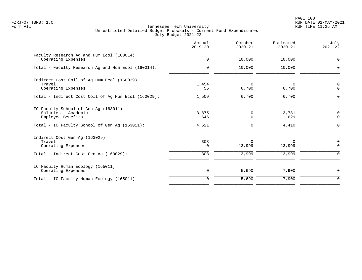PAGE 100 FZRJF07 TBR8: 1.0 RUN DATE 01-MAY-2021

|                                                                                  | Actual<br>$2019 - 20$ | October<br>$2020 - 21$ | Estimated<br>$2020 - 21$ | July<br>$2021 - 22$                |
|----------------------------------------------------------------------------------|-----------------------|------------------------|--------------------------|------------------------------------|
| Faculty Research Ag and Hum Ecol (160014)<br>Operating Expenses                  | $\mathbf 0$           | 10,000                 | 10,000                   | 0                                  |
| Total - Faculty Research Aq and Hum Ecol (160014):                               | $\Omega$              | 10,000                 | 10,000                   | $\Omega$                           |
| Indirect Cost Coll of Ag Hum Ecol (160029)<br>Travel<br>Operating Expenses       | 1,454<br>55           | $\Omega$<br>6,700      | $\Omega$<br>6,700        | $\boldsymbol{0}$<br>$\overline{0}$ |
| Total - Indirect Cost Coll of Aq Hum Ecol (160029):                              | 1,509                 | 6,700                  | 6,700                    | 0                                  |
| IC Faculty School of Gen Ag (163011)<br>Salaries - Academic<br>Employee Benefits | 3,875<br>646          | 0<br>$\mathbf 0$       | 3,781<br>629             | $\mathbf 0$<br>$\mathbf 0$         |
| Total - IC Faculty School of Gen Aq (163011):                                    | 4,521                 | 0                      | 4,410                    | $\Omega$                           |
| Indirect Cost Gen Aq (163029)<br>Travel<br>Operating Expenses                    | 308<br>0              | $\Omega$<br>13,999     | $\Omega$<br>13,999       | 0<br>$\mathbf 0$                   |
| Total - Indirect Cost Gen Aq (163029):                                           | 308                   | 13,999                 | 13,999                   | $\mathbf 0$                        |
| IC Faculty Human Ecology (165011)<br>Operating Expenses                          | 0                     | 5,690                  | 7,900                    | 0                                  |
| Total - IC Faculty Human Ecology (165011):                                       | $\Omega$              | 5,690                  | 7,900                    | $\mathbf 0$                        |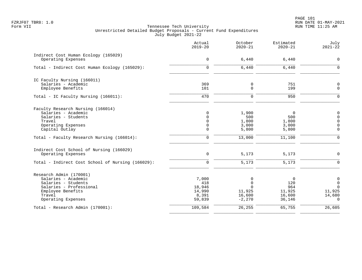|                                                                                                                                                       | Actual<br>$2019 - 20$                                          | October<br>$2020 - 21$                             | Estimated<br>$2020 - 21$                                | July<br>$2021 - 22$                                                            |
|-------------------------------------------------------------------------------------------------------------------------------------------------------|----------------------------------------------------------------|----------------------------------------------------|---------------------------------------------------------|--------------------------------------------------------------------------------|
| Indirect Cost Human Ecology (165029)<br>Operating Expenses                                                                                            | 0                                                              | 6,440                                              | 6,440                                                   | $\mathbf 0$                                                                    |
| Total - Indirect Cost Human Ecology (165029):                                                                                                         | $\mathbf 0$                                                    | 6,440                                              | 6,440                                                   | $\overline{0}$                                                                 |
| IC Faculty Nursing (166011)<br>Salaries - Academic<br>Employee Benefits                                                                               | 369<br>101                                                     | 0<br>0                                             | 751<br>199                                              | $\mathbf 0$<br>$\mathbf 0$                                                     |
| Total - IC Faculty Nursing (166011):                                                                                                                  | 470                                                            | 0                                                  | 950                                                     | $\Omega$                                                                       |
| Faculty Research Nursing (166014)<br>Salaries - Academic<br>Salaries - Students<br>Travel<br>Operating Expenses<br>Capital Outlay                     | $\mathbf 0$<br>$\Omega$<br>$\Omega$<br>$\mathbf 0$<br>$\Omega$ | 1,900<br>500<br>1,800<br>3,000<br>5,800            | $\overline{0}$<br>500<br>1,800<br>3,000<br>5,800        | 0<br>$\Omega$<br>$\Omega$<br>$\overline{0}$<br>$\Omega$                        |
| Total - Faculty Research Nursing (166014):                                                                                                            | $\mathbf 0$                                                    | 13,000                                             | 11,100                                                  | $\overline{0}$                                                                 |
| Indirect Cost School of Nursing (166029)<br>Operating Expenses<br>Total - Indirect Cost School of Nursing (166029):                                   | $\mathbf 0$<br>$\Omega$                                        | 5,173<br>5,173                                     | 5,173<br>5,173                                          | $\Omega$<br>$\Omega$                                                           |
| Research Admin (170001)<br>Salaries - Academic<br>Salaries - Students<br>Salaries - Professional<br>Employee Benefits<br>Travel<br>Operating Expenses | 7,000<br>418<br>18,946<br>14,990<br>8,391<br>59,839            | 0<br>0<br>$\Omega$<br>11,925<br>16,600<br>$-2,270$ | $\mathbf 0$<br>120<br>964<br>11,925<br>16,600<br>36,146 | $\mathsf{O}\xspace$<br>$\mathbf 0$<br>$\Omega$<br>11,925<br>14,680<br>$\Omega$ |
| Total - Research Admin (170001):                                                                                                                      | 109,584                                                        | 26,255                                             | 65,755                                                  | 26,605                                                                         |
|                                                                                                                                                       |                                                                |                                                    |                                                         |                                                                                |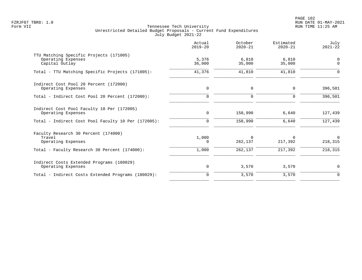PAGE 102 FZRJF07 TBR8: 1.0 RUN DATE 01-MAY-2021

|                                                                                 | Actual<br>$2019 - 20$ | October<br>$2020 - 21$ | Estimated<br>$2020 - 21$ | July<br>$2021 - 22$ |
|---------------------------------------------------------------------------------|-----------------------|------------------------|--------------------------|---------------------|
| TTU Matching Specific Projects (171005)<br>Operating Expenses<br>Capital Outlay | 5,376<br>36,000       | 6,810<br>35,000        | 6,810<br>35,000          | 0<br>$\Omega$       |
| Total - TTU Matching Specific Projects (171005):                                | 41,376                | 41,810                 | 41,810                   | $\Omega$            |
| Indirect Cost Pool 20 Percent (172000)<br>Operating Expenses                    | 0                     | $\mathsf{O}$           | $\mathbf 0$              | 396,501             |
| Total - Indirect Cost Pool 20 Percent (172000):                                 | $\Omega$              | $\mathbf 0$            | $\Omega$                 | 396,501             |
| Indirect Cost Pool Faculty 10 Per (172005)<br>Operating Expenses                | $\mathbf 0$           | 158,990                | 6,640                    | 127,439             |
| Total - Indirect Cost Pool Faculty 10 Per (172005):                             | $\Omega$              | 158,990                | 6,640                    | 127,439             |
| Faculty Research 30 Percent (174000)<br>Travel<br>Operating Expenses            | 1,000<br>0            | $\Omega$<br>262,137    | $\Omega$<br>217,392      | $\Omega$<br>218,315 |
| Total - Faculty Research 30 Percent (174000):                                   | 1,000                 | 262,137                | 217,392                  | 218,315             |
| Indirect Costs Extended Programs (180029)<br>Operating Expenses                 | 0                     | 3,570                  | 3,570                    | 0                   |
| Total - Indirect Costs Extended Programs (180029):                              | $\mathbf 0$           | 3,570                  | 3,570                    | $\mathbf 0$         |
|                                                                                 |                       |                        |                          |                     |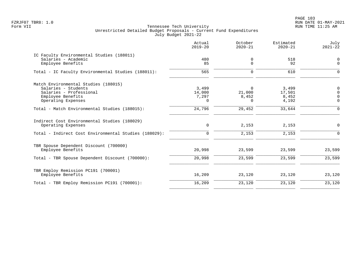PAGE 103 FZRJF07 TBR8: 1.0 RUN DATE 01-MAY-2021

|                                                                    | Actual<br>$2019 - 20$ | October<br>$2020 - 21$ | Estimated<br>$2020 - 21$ | July<br>$2021 - 22$  |
|--------------------------------------------------------------------|-----------------------|------------------------|--------------------------|----------------------|
| IC Faculty Environmental Studies (188011)<br>Salaries - Academic   | 480                   | 0                      | 518                      | $\mathbf 0$          |
| Employee Benefits                                                  | 85                    | 0                      | 92                       | $\mathbf 0$          |
| Total - IC Faculty Environmental Studies (188011):                 | 565                   | $\mathbf 0$            | 610                      | $\Omega$             |
| Match Environmental Studies (188015)                               |                       |                        |                          |                      |
| Salaries - Students                                                | 3,499                 | $\Omega$               | 3,499                    | 0                    |
| Salaries - Professional                                            | 14,000                | 21,000                 | 17,501                   | $\Omega$             |
| Employee Benefits<br>Operating Expenses                            | 7,297<br>$\Omega$     | 8,452<br>$\Omega$      | 8,452<br>4,192           | $\Omega$<br>$\Omega$ |
|                                                                    |                       |                        |                          |                      |
| Total - Match Environmental Studies (188015):                      | 24,796                | 29,452                 | 33,644                   | $\Omega$             |
| Indirect Cost Environmental Studies (188029)<br>Operating Expenses | $\mathbf 0$           | 2,153                  | 2,153                    | $\mathbf 0$          |
|                                                                    |                       |                        |                          |                      |
| Total - Indirect Cost Environmental Studies (188029):              | $\mathbf 0$           | 2,153                  | 2,153                    | $\Omega$             |
| TBR Spouse Dependent Discount (700000)                             |                       |                        |                          |                      |
| Employee Benefits                                                  | 20,998                | 23,599                 | 23,599                   | 23,599               |
| Total - TBR Spouse Dependent Discount (700000):                    | 20,998                | 23,599                 | 23,599                   | 23,599               |
| TBR Employ Remission PC191 (700001)                                |                       |                        |                          |                      |
| Employee Benefits                                                  | 16,209                | 23,120                 | 23,120                   | 23,120               |
| Total - TBR Employ Remission PC191 (700001):                       | 16,209                | 23,120                 | 23,120                   | 23,120               |
|                                                                    |                       |                        |                          |                      |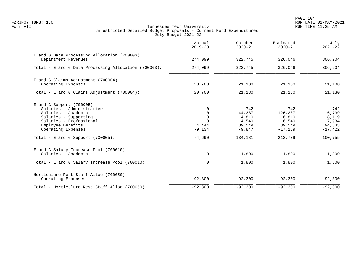|                                                                                                                                                                                                                       | Actual<br>$2019 - 20$                                                               | October<br>$2020 - 21$                                           | Estimated<br>$2020 - 21$                                           | July<br>$2021 - 22$                                              |
|-----------------------------------------------------------------------------------------------------------------------------------------------------------------------------------------------------------------------|-------------------------------------------------------------------------------------|------------------------------------------------------------------|--------------------------------------------------------------------|------------------------------------------------------------------|
| E and G Data Processing Allocation (700003)<br>Department Revenues                                                                                                                                                    | 274,099                                                                             | 322,745                                                          | 326,046                                                            | 306,204                                                          |
| Total - E and G Data Processing Allocation (700003):                                                                                                                                                                  | 274,099                                                                             | 322,745                                                          | 326,046                                                            | 306,204                                                          |
| E and G Claims Adjustment (700004)<br>Operating Expenses                                                                                                                                                              | 20,700                                                                              | 21,130                                                           | 21,130                                                             | 21,130                                                           |
| Total - E and G Claims Adjustment (700004):                                                                                                                                                                           | 20,700                                                                              | 21,130                                                           | 21,130                                                             | 21,130                                                           |
| $E$ and G Support (700005)<br>Salaries - Administrative<br>Salaries - Academic<br>Salaries - Supporting<br>Salaries - Professional<br>Employee Benefits<br>Operating Expenses<br>Total - E and G Support $(700005)$ : | $\Omega$<br>$\mathbf 0$<br>$\mathbf 0$<br>$\Omega$<br>4,444<br>$-9,134$<br>$-4,690$ | 742<br>44,387<br>4,810<br>4,540<br>89,549<br>$-9,847$<br>134,181 | 742<br>126,287<br>6,810<br>6,540<br>89,549<br>$-17,189$<br>212,739 | 742<br>6,739<br>8,119<br>7,934<br>94,643<br>$-17,422$<br>100,755 |
| E and G Salary Increase Pool (700010)<br>Salaries - Academic                                                                                                                                                          | 0                                                                                   | 1,800                                                            | 1,800                                                              | 1,800                                                            |
| Total - E and G Salary Increase Pool (700010):                                                                                                                                                                        | $\mathbf 0$                                                                         | 1,800                                                            | 1,800                                                              | 1,800                                                            |
| Horticulure Rest Staff Alloc (700050)<br>Operating Expenses                                                                                                                                                           | $-92,300$                                                                           | $-92,300$                                                        | $-92,300$                                                          | $-92,300$                                                        |
| Total - Horticulure Rest Staff Alloc (700050):                                                                                                                                                                        | $-92,300$                                                                           | $-92,300$                                                        | $-92,300$                                                          | $-92,300$                                                        |
|                                                                                                                                                                                                                       |                                                                                     |                                                                  |                                                                    |                                                                  |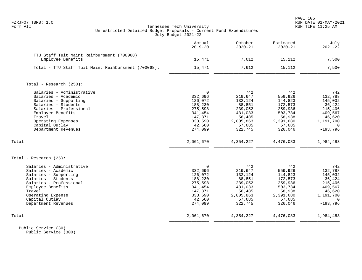|                                                                                                                                                                                                                           | Actual<br>$2019 - 20$                                                                                      | October<br>$2020 - 21$                                                                                | Estimated<br>$2020 - 21$                                                                               | July<br>$2021 - 22$                                                                                        |
|---------------------------------------------------------------------------------------------------------------------------------------------------------------------------------------------------------------------------|------------------------------------------------------------------------------------------------------------|-------------------------------------------------------------------------------------------------------|--------------------------------------------------------------------------------------------------------|------------------------------------------------------------------------------------------------------------|
| TTU Staff Tuit Maint Reimbursment (700068)<br>Employee Benefits                                                                                                                                                           | 15,471                                                                                                     | 7,612                                                                                                 | 15,112                                                                                                 | 7,500                                                                                                      |
| Total - TTU Staff Tuit Maint Reimbursment (700068):                                                                                                                                                                       | 15,471                                                                                                     | 7,612                                                                                                 | 15,112                                                                                                 | 7,500                                                                                                      |
| Total - Research (250):                                                                                                                                                                                                   |                                                                                                            |                                                                                                       |                                                                                                        |                                                                                                            |
| Salaries - Administrative<br>Salaries - Academic<br>Salaries - Supporting<br>Salaries - Students<br>Salaries - Professional<br>Employee Benefits<br>Travel<br>Operating Expenses<br>Capital Outlay<br>Department Revenues | $\Omega$<br>332,696<br>126,072<br>188,230<br>275,598<br>341,454<br>147,371<br>333,590<br>42,560<br>274,099 | 742<br>219,647<br>132,124<br>88,851<br>239,052<br>431,033<br>56,485<br>2,805,863<br>57,685<br>322,745 | 742<br>559,926<br>144,823<br>172,573<br>259,936<br>503,734<br>58,938<br>2,391,680<br>57,685<br>326,046 | 742<br>132,788<br>145,032<br>36,424<br>215,406<br>409,567<br>46,620<br>1,191,700<br>$\Omega$<br>$-193,796$ |
| Total                                                                                                                                                                                                                     | 2,061,670                                                                                                  | 4,354,227                                                                                             | 4,476,083                                                                                              | 1,984,483                                                                                                  |
| Total - Research $(25)$ :                                                                                                                                                                                                 |                                                                                                            |                                                                                                       |                                                                                                        |                                                                                                            |
| Salaries - Administrative<br>Salaries - Academic<br>Salaries - Supporting<br>Salaries - Students<br>Salaries - Professional<br>Employee Benefits<br>Travel<br>Operating Expense<br>Capital Outlay<br>Department Revenues  | $\Omega$<br>332,696<br>126,072<br>188,230<br>275,598<br>341,454<br>147,371<br>333,590<br>42,560<br>274,099 | 742<br>219,647<br>132,124<br>88,851<br>239,052<br>431,033<br>56,485<br>2,805,863<br>57,685<br>322,745 | 742<br>559,926<br>144,823<br>172,573<br>259,936<br>503,734<br>58,938<br>2,391,680<br>57,685<br>326,046 | 742<br>132,788<br>145,032<br>36,424<br>215,406<br>409,567<br>46,620<br>1,191,700<br>$\Omega$<br>$-193,796$ |
| Total                                                                                                                                                                                                                     | 2,061,670                                                                                                  | 4,354,227                                                                                             | 4,476,083                                                                                              | 1,984,483                                                                                                  |

 Public Service (30) Public Service (300)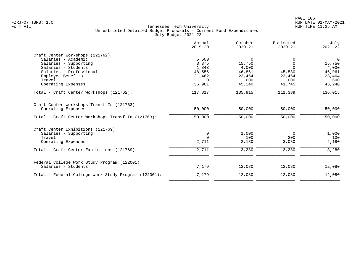|                                                      | Actual<br>$2019 - 20$ | October<br>$2020 - 21$ | Estimated<br>$2020 - 21$ | July<br>$2021 - 22$ |
|------------------------------------------------------|-----------------------|------------------------|--------------------------|---------------------|
| Craft Center Workshops (121762)                      |                       |                        |                          |                     |
| Salaries - Academic                                  | 5,600                 | 0                      |                          | 0                   |
| Salaries - Supporting                                | 3,375                 | 15,750                 |                          | 15,750              |
| Salaries - Students                                  | 1,843                 | 4,000                  | $\Omega$                 | 4,000               |
| Salaries - Professional                              | 48,556                | 46,861                 | 45,580                   | 46,961              |
| Employee Benefits                                    | 21,462                | 23,464                 | 23,464                   | 23,464              |
| Travel                                               | $\Omega$              | 600                    | 600                      | 600                 |
| Operating Expenses                                   | 36,981                | 45,240                 | 41,745                   | 45,240              |
| Total - Craft Center Workshops (121762):             | 117,817               | 135,915                | 111,389                  | 136,015             |
| Craft Center Workshops Transf In (121763)            |                       |                        |                          |                     |
| Operating Expenses                                   | $-50,000$             | $-50,000$              | $-50,000$                | $-50,000$           |
| Total - Craft Center Workshops Transf In (121763):   | $-50,000$             | $-50,000$              | $-50,000$                | $-50,000$           |
| Craft Center Exhibitions (121769)                    |                       |                        |                          |                     |
| Salaries - Supporting                                | 0                     | 1,000                  | 0                        | 1,000               |
| Travel                                               | $\Omega$              | 100                    | 200                      | 100                 |
| Operating Expenses                                   | 2,711                 | 2,180                  | 3,080                    | 2,180               |
| Total - Craft Center Exhibitions (121769):           | 2,711                 | 3,280                  | 3,280                    | 3,280               |
|                                                      |                       |                        |                          |                     |
| Federal College Work Study Program (122001)          |                       |                        |                          |                     |
| Salaries - Students                                  | 7,179                 | 12,080                 | 12,080                   | 12,080              |
| Total - Federal College Work Study Program (122001): | 7,179                 | 12,080                 | 12,080                   | 12,080              |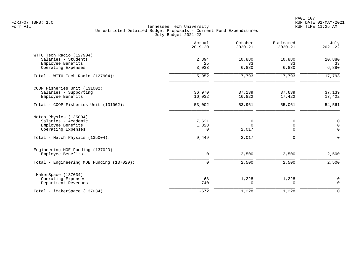|                                                                      | Actual<br>$2019 - 20$ | October<br>$2020 - 21$ | Estimated<br>$2020 - 21$ | July<br>$2021 - 22$           |
|----------------------------------------------------------------------|-----------------------|------------------------|--------------------------|-------------------------------|
| WTTU Tech Radio (127904)<br>Salaries - Students<br>Employee Benefits | 2,894<br>25           | 10,880<br>33           | 10,880<br>33             | 10,880<br>33                  |
| Operating Expenses                                                   | 3,033                 | 6,880                  | 6,880                    | 6,880                         |
| Total - WTTU Tech Radio (127904):                                    | 5,952                 | 17,793                 | 17,793                   | 17,793                        |
| COOP Fisheries Unit (131002)                                         |                       |                        |                          |                               |
| Salaries - Supporting<br>Employee Benefits                           | 36,970<br>16,032      | 37,139<br>16,822       | 37,639<br>17,422         | 37,139<br>17,422              |
| Total - COOP Fisheries Unit (131002):                                | 53,002                | 53,961                 | 55,061                   | 54,561                        |
| Match Physics (135004)<br>Salaries - Academic<br>Employee Benefits   | 7,621<br>1,828        | 0<br>$\Omega$          | 0<br>0                   | $\mathbf 0$<br>$\mathsf 0$    |
| Operating Expenses                                                   | $\Omega$              | 2,017                  | 0                        | $\mathbf 0$                   |
| Total - Match Physics (135004):                                      | 9,449                 | 2,017                  | $\mathbf 0$              | $\Omega$                      |
| Engineering MOE Funding (137020)<br>Employee Benefits                | 0                     | 2,500                  | 2,500                    | 2,500                         |
| Total - Engineering MOE Funding (137020):                            | 0                     | 2,500                  | 2,500                    | 2,500                         |
|                                                                      |                       |                        |                          |                               |
| iMakerSpace (137034)<br>Operating Expenses<br>Department Revenues    | 68<br>$-740$          | 1,228<br>$\Omega$      | 1,228<br>$\Omega$        | $\mathbf 0$<br>$\overline{0}$ |
| Total - iMakerSpace (137034):                                        | $-672$                | 1,228                  | 1,228                    | $\mathbf 0$                   |
|                                                                      |                       |                        |                          |                               |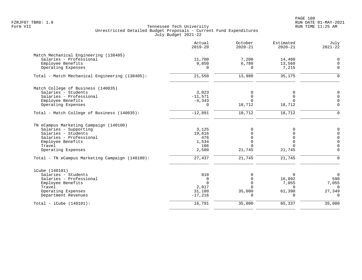PAGE 108 FZRJF07 TBR8: 1.0 RUN DATE 01-MAY-2021

|                                                 | Actual<br>$2019 - 20$ | October<br>$2020 - 21$ | Estimated<br>$2020 - 21$ | July<br>$2021 - 22$     |
|-------------------------------------------------|-----------------------|------------------------|--------------------------|-------------------------|
| Match Mechanical Engineering (138405)           |                       |                        |                          |                         |
| Salaries - Professional                         | 11,700                | 7,200                  | 14,400                   | $\Omega$                |
| Employee Benefits                               | 9,850                 | 6,780                  | 13,560                   | $\mathbf 0$             |
| Operating Expenses                              | $\Omega$              | $\Omega$               | 7,215                    | $\mathbf 0$             |
| Total - Match Mechanical Engineering (138405):  | 21,550                | 13,980                 | 35,175                   | ∩                       |
| Match College of Business (140035)              |                       |                        |                          |                         |
| Salaries - Students                             | 3,023                 | $\Omega$               | 0                        | $\mathbf 0$             |
| Salaries - Professional                         | $-11,571$             | $\Omega$               | $\Omega$                 | $\Omega$                |
| Employee Benefits                               | $-4, 343$             | $\Omega$               | $\Omega$                 | $\mathbf 0$             |
| Operating Expenses                              | 0                     | 18,712                 | 18,712                   | $\Omega$                |
| Total - Match College of Business (140035):     | $-12,891$             | 18,712                 | 18,712                   | $\Omega$                |
| TN eCampus Marketing Campaign (140100)          |                       |                        |                          |                         |
| Salaries - Supporting                           | 3,125                 | O                      | O                        | $\mathbf 0$             |
| Salaries - Students                             | 19,616                |                        |                          | $\Omega$                |
| Salaries - Professional                         | 476                   | U                      |                          | $\Omega$                |
| Employee Benefits                               | 1,534                 | U                      | $\Omega$                 | $\Omega$                |
| Travel<br>Operating Expenses                    | 106<br>2,580          | U<br>21,745            | $\Omega$<br>21,745       | $\mathbf 0$<br>$\Omega$ |
| Total - TN eCampus Marketing Campaign (140100): | 27,437                | 21,745                 | 21,745                   | $\Omega$                |
| iCube (140101)                                  |                       |                        |                          |                         |
| Salaries - Students                             | 810                   | $\Omega$               | $\Omega$                 | $\overline{0}$          |
| Salaries - Professional                         | $\Omega$              | $\Omega$               | 16,892                   | 596                     |
| Employee Benefits                               | $\Omega$              | $\Omega$               | 7,055                    | 7,055                   |
| Travel                                          | 2,017                 | $\cap$                 | $\Omega$                 | $\Omega$                |
| Operating Expenses                              | 31,180                | 35,000                 | 61,390                   | 27,349                  |
| Department Revenues                             | $-17,216$             |                        | $\Omega$                 | $\Omega$                |
| Total - $iCube (140101):$                       | 16,791                | 35,000                 | 85,337                   | 35,000                  |
|                                                 |                       |                        |                          |                         |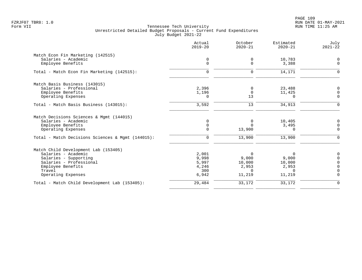|                                                   | Actual<br>$2019 - 20$ | October<br>$2020 - 21$ | Estimated<br>$2020 - 21$ | July<br>$2021 - 22$ |
|---------------------------------------------------|-----------------------|------------------------|--------------------------|---------------------|
| Match Econ Fin Marketing (142515)                 |                       |                        |                          |                     |
| Salaries - Academic                               | $\mathbf 0$           | 0                      | 10,783                   | $\Omega$            |
| Employee Benefits                                 | $\mathbf 0$           | $\Omega$               | 3,388                    | $\overline{0}$      |
| Total - Match Econ Fin Marketing (142515):        | 0                     | 0                      | 14,171                   | $\Omega$            |
| Match Basis Business (143015)                     |                       |                        |                          |                     |
| Salaries - Professional                           | 2,396                 | 0                      | 23,488                   | $\Omega$            |
| Employee Benefits                                 | 1,196                 | $\mathbf 0$            | 11,425                   | 0                   |
| Operating Expenses                                | $\Omega$              | 13                     | $\Omega$                 | $\mathbf 0$         |
| Total - Match Basis Business (143015):            | 3,592                 | 13                     | 34,913                   | $\Omega$            |
| Match Decisions Sciences & Mgmt (144015)          |                       |                        |                          |                     |
| Salaries - Academic                               | $\mathbf 0$           | $\mathbf 0$            | 10,405                   | $\Omega$            |
| Employee Benefits                                 | $\mathbf 0$           | $\Omega$               | 3,495                    | 0                   |
| Operating Expenses                                | $\Omega$              | 13,900                 | $\Omega$                 | $\Omega$            |
| Total - Match Decisions Sciences & Mqmt (144015): | $\mathbf 0$           | 13,900                 | 13,900                   | $\Omega$            |
| Match Child Development Lab (153405)              |                       |                        |                          |                     |
| Salaries - Academic                               | 2,001                 | $\Omega$               | <sup>0</sup>             | $\Omega$            |
| Salaries - Supporting                             | 9,998                 | 9,000                  | 9,000                    |                     |
| Salaries - Professional                           | 5,997                 | 10,000                 | 10,000                   | $\Omega$            |
| Employee Benefits                                 | 4,246                 | 2,953                  | 2,953                    | $\Omega$            |
| Travel                                            | 300                   | $\Omega$               | $\Omega$                 | $\Omega$            |
| Operating Expenses                                | 6,942                 | 11,219                 | 11,219                   | $\Omega$            |
| Total - Match Child Development Lab (153405):     | 29,484                | 33,172                 | 33,172                   | $\mathbf 0$         |
|                                                   |                       |                        |                          |                     |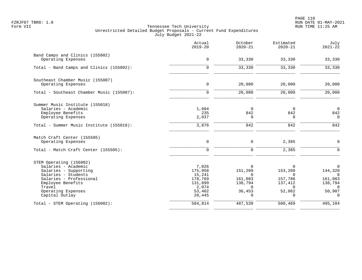|                                                                                                                                                                                                  | Actual<br>$2019 - 20$                                                         | October<br>$2020 - 21$                                                                  | Estimated<br>$2020 - 21$                                                                | July<br>$2021 - 22$                                                                        |
|--------------------------------------------------------------------------------------------------------------------------------------------------------------------------------------------------|-------------------------------------------------------------------------------|-----------------------------------------------------------------------------------------|-----------------------------------------------------------------------------------------|--------------------------------------------------------------------------------------------|
| Band Camps and Clinics (155002)<br>Operating Expenses                                                                                                                                            | $\mathbf 0$                                                                   | 33,330                                                                                  | 33,330                                                                                  | 33,330                                                                                     |
| Total - Band Camps and Clinics (155002):                                                                                                                                                         | $\mathbf 0$                                                                   | 33,330                                                                                  | 33,330                                                                                  | 33,330                                                                                     |
| Southeast Chamber Music (155007)<br>Operating Expenses                                                                                                                                           | $\mathsf{O}$                                                                  | 20,000                                                                                  | 20,000                                                                                  | 20,000                                                                                     |
| Total - Southeast Chamber Music (155007):                                                                                                                                                        | $\Omega$                                                                      | 20,000                                                                                  | 20,000                                                                                  | 20,000                                                                                     |
| Summer Music Institute (155018)<br>Salaries - Academic<br>Employee Benefits<br>Operating Expenses                                                                                                | 1,604<br>235<br>2,037                                                         | 0<br>842<br>0                                                                           | 0<br>842<br>$\mathbf 0$                                                                 | $\overline{0}$<br>842<br>$\Omega$                                                          |
| Total - Summer Music Institute (155018):                                                                                                                                                         | 3,876                                                                         | 842                                                                                     | 842                                                                                     | 842                                                                                        |
| Match Craft Center (155505)<br>Operating Expenses                                                                                                                                                | 0                                                                             | $\mathbf 0$                                                                             | 2,385                                                                                   | $\mathbf 0$                                                                                |
| Total - Match Craft Center (155505):                                                                                                                                                             | $\Omega$                                                                      | $\Omega$                                                                                | 2,385                                                                                   | $\Omega$                                                                                   |
| STEM Operating (156002)<br>Salaries - Academic<br>Salaries - Supporting<br>Salaries - Students<br>Salaries - Professional<br>Employee Benefits<br>Travel<br>Operating Expenses<br>Capital Outlay | 7,026<br>175,958<br>15,241<br>178,769<br>131,899<br>2,074<br>53,402<br>20,445 | $\Omega$<br>151,209<br>$\Omega$<br>161,083<br>138,794<br>$\Omega$<br>36,453<br>$\Omega$ | $\Omega$<br>153,209<br>$\Omega$<br>157,786<br>137,412<br>$\Omega$<br>52,062<br>$\Omega$ | $\mathbf 0$<br>144,320<br>$\Omega$<br>161,083<br>138,794<br>$\Omega$<br>50,907<br>$\Omega$ |
| Total - STEM Operating (156002):                                                                                                                                                                 | 584,814                                                                       | 487,539                                                                                 | 500,469                                                                                 | 495,104                                                                                    |
|                                                                                                                                                                                                  |                                                                               |                                                                                         |                                                                                         |                                                                                            |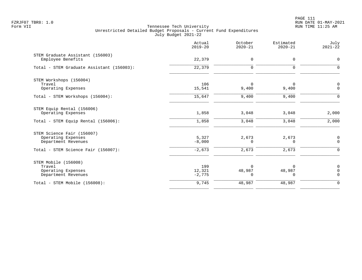PAGE 111 FZRJF07 TBR8: 1.0 RUN DATE 01-MAY-2021

|                                                                                                                | Actual<br>$2019 - 20$         | October<br>$2020 - 21$     | Estimated<br>$2020 - 21$       | July<br>$2021 - 22$                    |
|----------------------------------------------------------------------------------------------------------------|-------------------------------|----------------------------|--------------------------------|----------------------------------------|
| STEM Graduate Assistant (156003)<br>Employee Benefits                                                          | 22,379                        | 0                          | 0                              | $\mathbf 0$                            |
| Total - STEM Graduate Assistant (156003):                                                                      | 22,379                        | $\mathbf 0$                | 0                              | $\mathbf 0$                            |
| STEM Workshops (156004)<br>Travel<br>Operating Expenses                                                        | 106<br>15,541                 | $\Omega$<br>9,400          | 0<br>9,400                     | $\mathbf 0$<br>$\Omega$                |
| Total - STEM Workshops (156004):                                                                               | 15,647                        | 9,400                      | 9,400                          | $\Omega$                               |
| STEM Equip Rental (156006)<br>Operating Expenses                                                               | 1,858                         | 3,048                      | 3,048                          | 2,000                                  |
| Total - STEM Equip Rental (156006):                                                                            | 1,858                         | 3,048                      | 3,048                          | 2,000                                  |
| STEM Science Fair (156007)<br>Operating Expenses<br>Department Revenues<br>Total - STEM Science Fair (156007): | 5,327<br>$-8,000$<br>$-2,673$ | 2,673<br>$\Omega$<br>2,673 | 2,673<br>$\Omega$<br>2,673     | $\mathbf 0$<br>$\Omega$<br>$\Omega$    |
| STEM Mobile (156008)<br>Travel<br>Operating Expenses<br>Department Revenues                                    | 199<br>12,321<br>$-2,775$     | U<br>48,987<br>0           | $\Omega$<br>48,987<br>$\Omega$ | $\mathbf 0$<br>$\mathbf 0$<br>$\Omega$ |
| Total - STEM Mobile (156008):                                                                                  | 9,745                         | 48,987                     | 48,987                         | $\mathbf 0$                            |
|                                                                                                                |                               |                            |                                |                                        |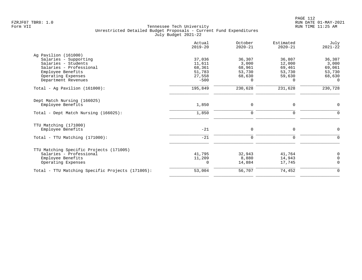| Actual<br>$2019 - 20$ | October<br>$2020 - 21$ | Estimated<br>$2020 - 21$ | July<br>$2021 - 22$ |
|-----------------------|------------------------|--------------------------|---------------------|
|                       |                        |                          |                     |
| 37,036                | 36,307                 | 36,807                   | 36,307              |
| 11,611                | 3,000                  | 12,000                   | 3,000               |
| 68,361                | 68,961                 | 69,461                   | 69,061              |
| 51,783                | 53,730                 | 53,730                   | 53,730              |
| 27,558                | 68,630                 | 59,630                   | 68,630              |
| $-500$                | 0                      | 0                        | 0                   |
| 195,849               | 230,628                | 231,628                  | 230,728             |
|                       |                        |                          |                     |
| 1,850                 | 0                      | 0                        | 0                   |
| 1,850                 | 0                      | $\mathbf 0$              | $\mathbf 0$         |
|                       |                        |                          |                     |
| $-21$                 | 0                      | 0                        | $\mathbf 0$         |
| $-21$                 | 0                      | 0                        | 0                   |
|                       |                        |                          |                     |
|                       |                        |                          | 0                   |
|                       |                        |                          | $\overline{0}$      |
| 0                     | 14,884                 | 17,745                   | $\overline{0}$      |
| 53,004                | 56,707                 | 74,452                   | 0                   |
|                       | 41,795<br>11,209       | 32,943<br>8,880          | 41,764<br>14,943    |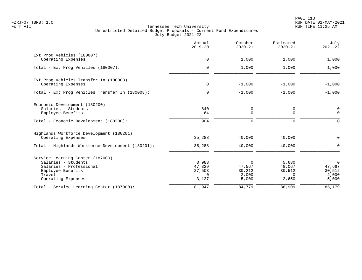PAGE 113 FZRJF07 TBR8: 1.0 RUN DATE 01-MAY-2021

|                                                   | Actual<br>$2019 - 20$ | October<br>$2020 - 21$ | Estimated<br>$2020 - 21$ | July<br>$2021 - 22$ |
|---------------------------------------------------|-----------------------|------------------------|--------------------------|---------------------|
| Ext Prog Vehicles (180007)                        | $\mathbf 0$           |                        |                          |                     |
| Operating Expenses                                |                       | 1,000                  | 1,000                    | 1,000               |
| Total - Ext Prog Vehicles (180007):               | $\Omega$              | 1,000                  | 1,000                    | 1,000               |
| Ext Prog Vehicles Transfer In (180008)            |                       |                        |                          |                     |
| Operating Expenses                                | $\mathbf 0$           | $-1,000$               | $-1,000$                 | $-1,000$            |
| Total - Ext Prog Vehicles Transfer In (180008):   | $\mathbf 0$           | $-1,000$               | $-1,000$                 | $-1,000$            |
| Economic Development (180200)                     |                       |                        |                          |                     |
| Salaries - Students                               | 840                   | 0                      | 0                        | $\overline{0}$      |
| Employee Benefits                                 | 64                    | $\mathbf 0$            | $\mathbf 0$              | $\mathbf 0$         |
| Total - Economic Development (180200):            | 904                   | $\mathbf 0$            | $\mathbf 0$              | $\mathbf 0$         |
| Highlands Workforce Development (180201)          |                       |                        |                          |                     |
| Operating Expenses                                | 35,288                | 40,000                 | 40,000                   | 0                   |
| Total - Highlands Workforce Development (180201): | 35,288                | 40,000                 | 40,000                   | $\mathbf 0$         |
| Service Learning Center (187000)                  |                       |                        |                          |                     |
| Salaries - Students                               | 3,988                 | $\Omega$               | 5,680                    | $\mathsf{O}$        |
| Salaries - Professional                           | 47,329                | 47,567                 | 48,067                   | 47,667              |
| Employee Benefits                                 | 27,503                | 30,212                 | 30,512                   | 30,512              |
| Travel<br>Operating Expenses                      | $\Omega$<br>3,127     | 2,000<br>5,000         | $\Omega$<br>2,650        | 2,000<br>5,000      |
| Total - Service Learning Center (187000):         | 81,947                | 84,779                 | 86,909                   | 85,179              |
|                                                   |                       |                        |                          |                     |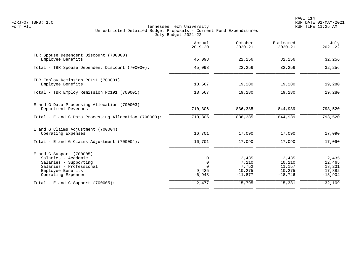PAGE 114 FZRJF07 TBR8: 1.0 RUN DATE 01-MAY-2021

|                                                                                                                                                  | Actual<br>$2019 - 20$                             | October<br>$2020 - 21$                         | Estimated<br>$2020 - 21$                         | July<br>$2021 - 22$                              |
|--------------------------------------------------------------------------------------------------------------------------------------------------|---------------------------------------------------|------------------------------------------------|--------------------------------------------------|--------------------------------------------------|
| TBR Spouse Dependent Discount (700000)<br>Employee Benefits                                                                                      | 45,098                                            | 22,256                                         | 32,256                                           | 32,256                                           |
| Total - TBR Spouse Dependent Discount (700000):                                                                                                  | 45,098                                            | 22,256                                         | 32,256                                           | 32,256                                           |
| TBR Employ Remission PC191 (700001)<br>Employee Benefits                                                                                         | 18,567                                            | 19,280                                         | 19,280                                           | 19,280                                           |
| Total - TBR Employ Remission PC191 (700001):                                                                                                     | 18,567                                            | 19,280                                         | 19,280                                           | 19,280                                           |
| E and G Data Processing Allocation (700003)<br>Department Revenues                                                                               | 710,306                                           | 836,385                                        | 844,939                                          | 793,520                                          |
| Total - E and G Data Processing Allocation (700003):                                                                                             | 710,306                                           | 836,385                                        | 844,939                                          | 793,520                                          |
| E and G Claims Adjustment (700004)<br>Operating Expenses                                                                                         | 16,701                                            | 17,090                                         | 17,090                                           | 17,090                                           |
| Total - E and G Claims Adjustment $(700004)$ :                                                                                                   | 16,701                                            | 17,090                                         | 17,090                                           | 17,090                                           |
| $E$ and G Support (700005)<br>Salaries - Academic<br>Salaries - Supporting<br>Salaries - Professional<br>Employee Benefits<br>Operating Expenses | 0<br>$\mathbf 0$<br>$\Omega$<br>9,425<br>$-6,948$ | 2,435<br>7,210<br>7,752<br>10,275<br>$-11,877$ | 2,435<br>10,210<br>11,157<br>10,275<br>$-18,746$ | 2,435<br>12,465<br>18,231<br>17,882<br>$-18,904$ |
| Total - E and G Support $(700005)$ :                                                                                                             | 2,477                                             | 15,795                                         | 15,331                                           | 32,109                                           |
|                                                                                                                                                  |                                                   |                                                |                                                  |                                                  |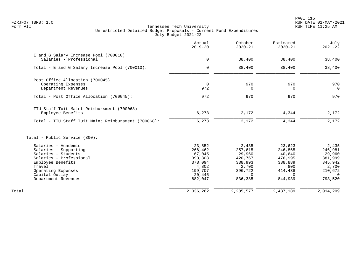|                                                                  | Actual<br>$2019 - 20$ | October<br>$2020 - 21$ | Estimated<br>$2020 - 21$ | July<br>$2021 - 22$ |
|------------------------------------------------------------------|-----------------------|------------------------|--------------------------|---------------------|
| E and G Salary Increase Pool (700010)<br>Salaries - Professional | 0                     | 38,400                 | 38,400                   | 38,400              |
|                                                                  |                       |                        |                          |                     |
| Total - E and G Salary Increase Pool (700010):                   | $\Omega$              | 38,400                 | 38,400                   | 38,400              |
| Post Office Allocation (700045)                                  |                       |                        |                          |                     |
| Operating Expenses                                               | $\Omega$              | 970                    | 970                      | 970                 |
| Department Revenues                                              | 972                   | 0                      | $\Omega$                 | $\Omega$            |
| Total - Post Office Allocation (700045):                         | 972                   | 970                    | 970                      | 970                 |
| TTU Staff Tuit Maint Reimbursment (700068)<br>Employee Benefits  | 6,273                 | 2,172                  | 4,344                    | 2,172               |
| Total - TTU Staff Tuit Maint Reimbursment (700068):              | 6,273                 | 2,172                  | 4,344                    | 2,172               |
| Total - Public Service (300):                                    |                       |                        |                          |                     |
| Salaries - Academic                                              | 23,852                | 2,435                  | 23,623                   | 2,435               |
| Salaries - Supporting                                            | 266,462               | 257,615                | 246,865                  | 246,981             |
| Salaries - Students                                              | 67,045                | 29,960                 | 40,640                   | 29,960              |
| Salaries - Professional                                          | 393,808               | 420,767                | 476,995                  | 381,999             |
| Employee Benefits                                                | 378,094               | 338,993                | 388,889                  | 345,942             |
| Travel                                                           | 4,802                 | 2,700                  | 800                      | 2,700               |
| Operating Expenses                                               | 199,707               | 396,722                | 414,438                  | 210,672             |
| Capital Outlay                                                   | 20,445                | $\Omega$               | $\Omega$                 | $\Omega$            |
| Department Revenues                                              | 682,047               | 836,385                | 844,939                  | 793,520             |
| Total                                                            | 2,036,262             | 2,285,577              | 2,437,189                | 2,014,209           |
|                                                                  |                       |                        |                          |                     |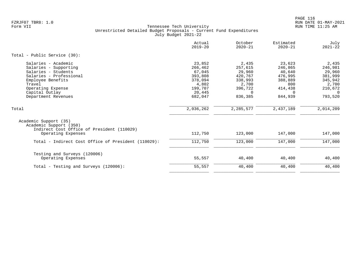|                                                                                                                                                                                             | Actual<br>$2019 - 20$                                                                      | October<br>$2020 - 21$                                                                      | Estimated<br>$2020 - 21$                                                                   | July<br>$2021 - 22$                                                                               |
|---------------------------------------------------------------------------------------------------------------------------------------------------------------------------------------------|--------------------------------------------------------------------------------------------|---------------------------------------------------------------------------------------------|--------------------------------------------------------------------------------------------|---------------------------------------------------------------------------------------------------|
| Total - Public Service (30):                                                                                                                                                                |                                                                                            |                                                                                             |                                                                                            |                                                                                                   |
| Salaries - Academic<br>Salaries - Supporting<br>Salaries - Students<br>Salaries - Professional<br>Employee Benefits<br>Travel<br>Operating Expense<br>Capital Outlay<br>Department Revenues | 23,852<br>266,462<br>67,045<br>393,808<br>378,094<br>4,802<br>199,707<br>20,445<br>682,047 | 2,435<br>257,615<br>29,960<br>420,767<br>338,993<br>2,700<br>396,722<br>$\Omega$<br>836,385 | 23,623<br>246,865<br>40,640<br>476,995<br>388,889<br>800<br>414,438<br>$\Omega$<br>844,939 | 2,435<br>246,981<br>29,960<br>381,999<br>345,942<br>2,700<br>210,672<br>$\overline{0}$<br>793,520 |
| Total                                                                                                                                                                                       | 2,036,262                                                                                  | 2,285,577                                                                                   | 2,437,189                                                                                  | 2,014,209                                                                                         |
| Academic Support (35)<br>Academic Support (350)<br>Indirect Cost Office of President (110029)<br>Operating Expenses                                                                         | 112,750                                                                                    | 123,000                                                                                     | 147,000                                                                                    | 147,000                                                                                           |
| Total - Indirect Cost Office of President (110029):                                                                                                                                         | 112,750                                                                                    | 123,000                                                                                     | 147,000                                                                                    | 147,000                                                                                           |
| Testing and Surveys (120006)<br>Operating Expenses<br>Total - Testing and Surveys (120006):                                                                                                 | 55,557<br>55,557                                                                           | 40,400<br>40,400                                                                            | 40,400<br>40,400                                                                           | 40,400<br>40,400                                                                                  |
|                                                                                                                                                                                             |                                                                                            |                                                                                             |                                                                                            |                                                                                                   |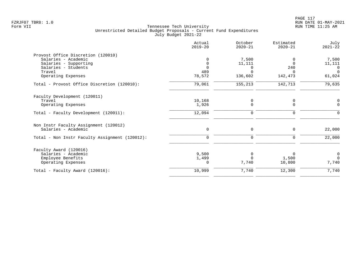|                                                | Actual<br>$2019 - 20$   | October<br>$2020 - 21$ | Estimated<br>$2020 - 21$ | July<br>$2021 - 22$ |
|------------------------------------------------|-------------------------|------------------------|--------------------------|---------------------|
| Provost Office Discretion (120010)             |                         |                        |                          |                     |
| Salaries - Academic                            | 0                       | 7,500                  |                          | 7,500               |
| Salaries - Supporting<br>Salaries - Students   | $\mathbf 0$<br>$\Omega$ | 11,111                 | $\Omega$                 | 11,111              |
| Travel                                         | 489                     | $\Omega$<br>$\Omega$   | 240<br>$\Omega$          | 0<br>$\mathbf 0$    |
| Operating Expenses                             | 78,572                  | 136,602                | 142,473                  | 61,024              |
| Total - Provost Office Discretion (120010):    | 79,061                  | 155,213                | 142,713                  | 79,635              |
| Faculty Development (120011)                   |                         |                        |                          |                     |
| Travel                                         | 10,168                  | 0                      | 0                        | 0                   |
| Operating Expenses                             | 1,926                   | $\mathbf 0$            | 0                        | $\mathbf 0$         |
| Total - Faculty Development (120011):          | 12,094                  | $\mathbf 0$            | $\mathbf 0$              | $\Omega$            |
| Non Instr Faculty Assignment (120012)          |                         |                        |                          |                     |
| Salaries - Academic                            | $\mathbf 0$             | $\mathbf 0$            | $\mathbf 0$              | 22,000              |
| Total - Non Instr Faculty Assignment (120012): | $\mathbf 0$             | $\mathbf 0$            | $\mathbf 0$              | 22,000              |
| Faculty Award (120016)                         |                         |                        |                          |                     |
| Salaries - Academic                            | 9,500                   | 0                      | $\Omega$                 | $\mathbf 0$         |
| Employee Benefits                              | 1,499                   | $\Omega$               | 1,500                    | $\Omega$            |
| Operating Expenses                             | 0                       | 7,740                  | 10,800                   | 7,740               |
| Total - Faculty Award (120016):                | 10,999                  | 7,740                  | 12,300                   | 7,740               |
|                                                |                         |                        |                          |                     |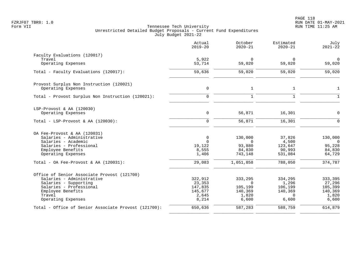|                                                      | Actual<br>$2019 - 20$ | October<br>$2020 - 21$ | Estimated<br>$2020 - 21$ | July<br>$2021 - 22$   |
|------------------------------------------------------|-----------------------|------------------------|--------------------------|-----------------------|
| Faculty Evaluations (120017)                         |                       |                        |                          |                       |
| Travel<br>Operating Expenses                         | 5,922<br>53,714       | $\Omega$<br>59,020     | 0<br>59,020              | $\mathbf 0$<br>59,020 |
| Total - Faculty Evaluations (120017):                | 59,636                | 59,020                 | 59,020                   | 59,020                |
| Provost Surplus Non Instruction (120021)             |                       |                        |                          |                       |
| Operating Expenses                                   | $\mathsf{O}$          | $\mathbf{1}$           | $\mathbf{1}$             | $\mathbf{1}$          |
| Total - Provost Surplus Non Instruction (120021):    | $\Omega$              | $\mathbf{1}$           | $\mathbf{1}$             | $\mathbf{1}$          |
| LSP-Provost & AA (120030)                            |                       |                        |                          |                       |
| Operating Expenses                                   | 0                     | 56,871                 | 16,301                   | $\mathbf 0$           |
| Total - LSP-Provost & AA $(120030)$ :                | $\mathbf 0$           | 56,871                 | 16,301                   | $\Omega$              |
| OA Fee-Provost & AA (120031)                         |                       |                        |                          |                       |
| Salaries - Administrative                            | $\mathbf 0$           | 130,000                | 37,826                   | 130,000               |
| Salaries - Academic                                  | $\Omega$              | $\Omega$               | 4,500                    | $\overline{0}$        |
| Salaries - Professional<br>Employee Benefits         | 19,122<br>8,555       | 93,880<br>84,830       | 123,647<br>90,993        | 95,228<br>84,830      |
| Operating Expenses                                   | 1,406                 | 743,148                | 531,084                  | 64,729                |
| Total - OA Fee-Provost & AA (120031):                | 29,083                | 1,051,858              | 788,050                  | 374,787               |
| Office of Senior Associate Provost (121700)          |                       |                        |                          |                       |
| Salaries - Administrative                            | 322,912               | 333,295                | 334,295                  | 333,395               |
| Salaries - Supporting                                | 23,353                | $\Omega$               | 1,296                    | 27,296                |
| Salaries - Professional<br>Employee Benefits         | 147,835<br>145,677    | 105,199<br>140,369     | 106,199<br>140,369       | 105,399<br>140,369    |
| Travel                                               | 2,645                 | 1,820                  | $\Omega$                 | 1,820                 |
| Operating Expenses                                   | 8,214                 | 6,600                  | 6,600                    | 6,600                 |
| Total - Office of Senior Associate Provost (121700): | 650,636               | 587,283                | 588,759                  | 614,879               |
|                                                      |                       |                        |                          |                       |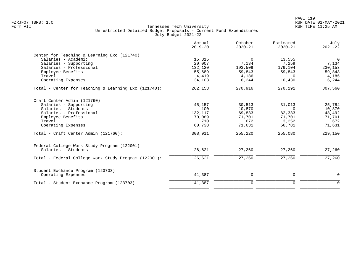| Actual<br>$2019 - 20$ | October<br>$2020 - 21$                             | Estimated<br>$2020 - 21$                    | July<br>$2021 - 22$                             |
|-----------------------|----------------------------------------------------|---------------------------------------------|-------------------------------------------------|
|                       |                                                    |                                             |                                                 |
| 15,815                | $\Omega$                                           | 13,555                                      | $\mathbf 0$                                     |
| 20,007                | 7,134                                              | 7,259                                       | 7,134                                           |
| 132,120               | 193,509                                            | 179,104                                     | 230,153                                         |
| 55,689                | 59,843                                             | 59,843                                      | 59,843                                          |
|                       | 4,186                                              | $\Omega$                                    | 4,186                                           |
| 34,103                | 6,244                                              | 10,430                                      | 6, 244                                          |
| 262,153               | 270,916                                            | 270,191                                     | 307,560                                         |
|                       |                                                    |                                             |                                                 |
|                       |                                                    |                                             | 25,784                                          |
|                       |                                                    |                                             | 10,870                                          |
|                       |                                                    |                                             | 48,492                                          |
|                       |                                                    |                                             | 71,701                                          |
|                       |                                                    |                                             | 672                                             |
| 60,738                | 71,631                                             | 66,781                                      | 71,631                                          |
| 308,911               | 255,220                                            | 255,080                                     | 229,150                                         |
|                       |                                                    |                                             |                                                 |
| 26,621                | 27,260                                             | 27,260                                      | 27,260                                          |
| 26,621                | 27,260                                             | 27,260                                      | 27,260                                          |
|                       |                                                    |                                             |                                                 |
| 41,387                | 0                                                  | 0                                           | 0                                               |
| 41,387                | $\mathbf 0$                                        | $\mathbf 0$                                 | $\mathbf{0}$                                    |
|                       | 4,419<br>45,157<br>100<br>132,117<br>70,089<br>710 | 30,513<br>10,870<br>69,833<br>71,701<br>672 | 31,013<br>$\Omega$<br>82,333<br>71,701<br>3,252 |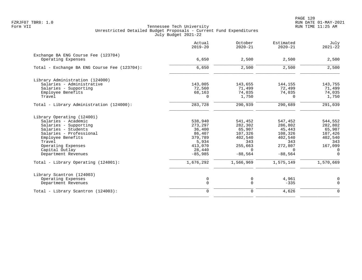|                                                           | Actual<br>$2019 - 20$ | October<br>$2020 - 21$ | Estimated<br>$2020 - 21$ | July<br>$2021 - 22$ |
|-----------------------------------------------------------|-----------------------|------------------------|--------------------------|---------------------|
| Exchange BA ENG Course Fee (123704)<br>Operating Expenses | 6,650                 | 2,500                  | 2,500                    | 2,500               |
| Total - Exchange BA ENG Course Fee (123704):              | 6,650                 | 2,500                  | 2,500                    | 2,500               |
|                                                           |                       |                        |                          |                     |
| Library Administration (124000)                           |                       |                        |                          |                     |
| Salaries - Administrative                                 | 143,005               | 143,655                | 144,155                  | 143,755             |
| Salaries - Supporting                                     | 72,560                | 71,499                 | 72,499                   | 71,499              |
| Employee Benefits                                         | 68,163                | 74,035                 | 74,035                   | 74,035              |
| Travel                                                    | 0                     | 1,750                  | $\Omega$                 | 1,750               |
| Total - Library Administration (124000):                  | 283,728               | 290,939                | 290,689                  | 291,039             |
| Library Operating (124001)                                |                       |                        |                          |                     |
| Salaries - Academic                                       | 538,940               | 541,452                | 547,452                  | 544,552             |
| Salaries - Supporting                                     | 273,297               | 282,302                | 286,802                  | 282,802             |
| Salaries - Students                                       | 36,400                | 65,907                 | 45,443                   | 65,907              |
| Salaries - Professional                                   | 86,407                | 107,326                | 108,326                  | 107,426             |
| Employee Benefits                                         | 379,789               | 402,540                | 402,540                  | 402,540             |
| Travel                                                    | 5,934                 | 343                    | 343                      | 343                 |
| Operating Expenses                                        | 413,070               | 255,663                | 272,807                  | 167,099             |
| Capital Outlay                                            | 28,440                | $\Omega$               | $\Omega$                 | $\Omega$            |
| Department Revenues                                       | $-85,985$             | $-88,564$              | $-88,564$                | $\Omega$            |
| Total - Library Operating (124001):                       | 1,676,292             | 1,566,969              | 1,575,149                | 1,570,669           |
| Library Scantron (124003)                                 |                       |                        |                          |                     |
| Operating Expenses                                        | 0                     | 0                      | 4,961                    | 0                   |
| Department Revenues                                       | $\mathbf 0$           | 0                      | $-335$                   | $\Omega$            |
| Total - Library Scantron (124003):                        | $\mathbf 0$           | $\mathbf 0$            | 4,626                    | $\Omega$            |
|                                                           |                       |                        |                          |                     |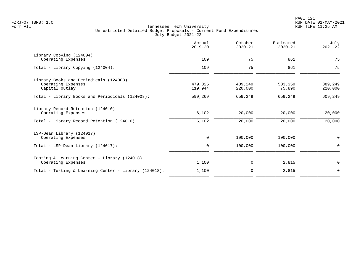|                                                       | Actual<br>$2019 - 20$ | October<br>$2020 - 21$ | Estimated<br>$2020 - 21$ | July<br>$2021 - 22$ |
|-------------------------------------------------------|-----------------------|------------------------|--------------------------|---------------------|
| Library Copying (124004)                              |                       |                        |                          |                     |
| Operating Expenses                                    | 109                   | 75                     | 861                      | 75                  |
| Total - Library Copying (124004):                     | 109                   | 75                     | 861                      | 75                  |
| Library Books and Periodicals (124008)                |                       |                        |                          |                     |
| Operating Expenses                                    | 479,325               | 439,249                | 583,359                  | 389,249             |
| Capital Outlay                                        | 119,944               | 220,000                | 75,890                   | 220,000             |
| Total - Library Books and Periodicals (124008):       | 599,269               | 659,249                | 659,249                  | 609,249             |
| Library Record Retention (124010)                     |                       |                        |                          |                     |
| Operating Expenses                                    | 6,102                 | 20,000                 | 20,000                   | 20,000              |
| Total - Library Record Retention (124010):            | 6,102                 | 20,000                 | 20,000                   | 20,000              |
| LSP-Dean Library (124017)                             |                       |                        |                          |                     |
| Operating Expenses                                    | 0                     | 100,000                | 100,000                  | 0                   |
| Total - LSP-Dean Library (124017):                    | $\mathbf 0$           | 100,000                | 100,000                  | $\mathbf 0$         |
| Testing & Learning Center - Library (124018)          |                       |                        |                          |                     |
| Operating Expenses                                    | 1,100                 | 0                      | 2,815                    | $\mathbf 0$         |
| Total - Testing & Learning Center - Library (124018): | 1,100                 | 0                      | 2,815                    | $\mathbf 0$         |
|                                                       |                       |                        |                          |                     |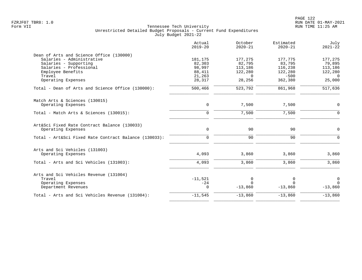|                                                       | Actual<br>$2019 - 20$ | October<br>$2020 - 21$ | Estimated<br>$2020 - 21$ | July<br>$2021 - 22$ |
|-------------------------------------------------------|-----------------------|------------------------|--------------------------|---------------------|
| Dean of Arts and Science Office (130000)              |                       |                        |                          |                     |
| Salaries - Administrative                             | 181,175               | 177,275                | 177,775                  | 177,275             |
| Salaries - Supporting                                 | 82,303                | 82,795                 | 83,795                   | 79,895              |
| Salaries - Professional                               | 98,997                | 113,186                | 116,238                  | 113,186             |
| Employee Benefits                                     | 88,411                | 122,280                | 122,280                  | 122,280             |
| Travel                                                | 21,263                | $\Omega$               | $-500$                   | $\Omega$            |
| Operating Expenses                                    | 28,317                | 28,256                 | 362,380                  | 25,000              |
| Total - Dean of Arts and Science Office (130000):     | 500,466               | 523,792                | 861,968                  | 517,636             |
| Match Arts & Sciences (130015)                        |                       |                        |                          |                     |
| Operating Expenses                                    | $\mathbf 0$           | 7,500                  | 7,500                    | 0                   |
| Total - Match Arts & Sciences (130015):               | $\mathbf 0$           | 7,500                  | 7,500                    | $\mathbf 0$         |
| Art&Sci Fixed Rate Contract Balance (130033)          |                       |                        |                          |                     |
| Operating Expenses                                    | $\mathbf 0$           | 90                     | 90                       | $\mathsf{O}$        |
| Total - Art&Sci Fixed Rate Contract Balance (130033): | $\mathbf 0$           | 90                     | 90                       | $\Omega$            |
| Arts and Sci Vehicles (131003)                        |                       |                        |                          |                     |
| Operating Expenses                                    | 4,093                 | 3,860                  | 3,860                    | 3,860               |
| Total - Arts and Sci Vehicles (131003):               | 4,093                 | 3,860                  | 3,860                    | 3,860               |
| Arts and Sci Vehicles Revenue (131004)                |                       |                        |                          |                     |
| Travel                                                | $-11,521$             | 0                      | 0                        | $\mathbf 0$         |
| Operating Expenses                                    | $-24$                 | $\cap$                 | $\cap$                   | $\Omega$            |
| Department Revenues                                   | $\Omega$              | $-13,860$              | $-13,860$                | $-13,860$           |
| Total - Arts and Sci Vehicles Revenue (131004):       | $-11,545$             | $-13,860$              | $-13,860$                | $-13,860$           |
|                                                       |                       |                        |                          |                     |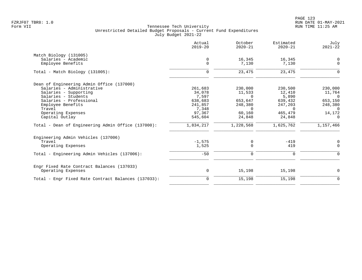| Actual<br>$2019 - 20$ | October<br>$2020 - 21$        | Estimated<br>$2020 - 21$ | July<br>$2021 - 22$ |
|-----------------------|-------------------------------|--------------------------|---------------------|
|                       |                               |                          |                     |
| 0                     | 16,345                        | 16,345                   | 0                   |
| $\mathbf 0$           | 7,130                         | 7,130                    | $\mathbf 0$         |
| $\mathbf 0$           | 23,475                        | 23,475                   | $\Omega$            |
|                       |                               |                          |                     |
| 261,683               | 230,000                       | 230,500                  | 230,000             |
|                       |                               |                          | 11,764              |
| 7,597                 | $\Omega$                      | 5,890                    | $\Omega$            |
|                       | 653,647                       | 639,432                  | 653,150             |
| 241,857               | 248,380                       | 247,203                  | 248,380             |
| 7,348                 | $\Omega$                      | $\Omega$                 | $\overline{0}$      |
| 97,367                | 60,160                        | 465,479                  | 14,172              |
| 545,604               | 24,848                        | 24,848                   | 0                   |
| 1,834,217             | 1,228,568                     | 1,625,762                | 1,157,466           |
|                       |                               |                          |                     |
|                       |                               |                          | 0                   |
| 1,525                 | $\Omega$                      | 419                      | $\Omega$            |
| $-50$                 | $\mathbf 0$                   | $\mathbf 0$              | $\Omega$            |
|                       |                               |                          |                     |
| 0                     | 15,198                        | 15,198                   | 0                   |
| 0                     | 15,198                        | 15,198                   | $\mathbf 0$         |
|                       | 34,078<br>638,683<br>$-1,575$ | 11,533<br>0              | 12,410<br>$-419$    |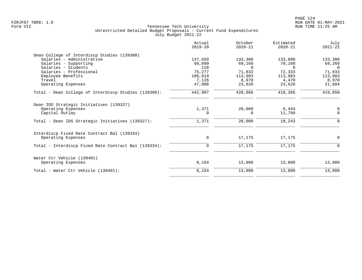|                                                      | Actual<br>$2019 - 20$ | October<br>$2020 - 21$ | Estimated<br>$2020 - 21$ | July<br>$2021 - 22$ |
|------------------------------------------------------|-----------------------|------------------------|--------------------------|---------------------|
| Dean College of Interdiscp Studies (139300)          |                       |                        |                          |                     |
| Salaries - Administrative                            | 137,650               | 133,300                | 133,800                  | 133,300             |
| Salaries - Supporting                                | 68,899                | 69,160                 | 70,160                   | 69,260              |
| Salaries - Students                                  | 128                   | $\Omega$               | $\Omega$                 | $\Omega$            |
| Salaries - Professional                              | 75,277                | 71,833                 | 72,333                   | 71,933              |
| Employee Benefits                                    | 106,819               | 113,983                | 113,983                  | 113,983             |
| Travel                                               | 7,126                 | 8,970                  | 4,470                    | 8,970               |
| Operating Expenses                                   | 47,008                | 23,620                 | 23,620                   | 21,604              |
| Total - Dean College of Interdiscp Studies (139300): | 442,907               | 420,866                | 418,366                  | 419,050             |
| Dean IDS Strategic Initiatives (139327)              |                       |                        |                          |                     |
| Operating Expenses                                   | 1,371                 | 20,000                 | 6,444                    | $\mathbf 0$         |
| Capital Outlay                                       | $\Omega$              | $\Omega$               | 11,799                   | $\Omega$            |
| Total - Dean IDS Strategic Initiatives (139327):     | 1,371                 | 20,000                 | 18,243                   | $\Omega$            |
| Interdiscp Fixed Rate Contract Bal (139334)          |                       |                        |                          |                     |
| Operating Expenses                                   | 0                     | 17,175                 | 17,175                   | 0                   |
| Total - Interdiscp Fixed Rate Contract Bal (139334): | $\mathbf 0$           | 17,175                 | 17,175                   | $\Omega$            |
| Water Ctr Vehicle (139401)                           |                       |                        |                          |                     |
| Operating Expenses                                   | 8,154                 | 13,000                 | 13,000                   | 13,000              |
| Total - Water Ctr Vehicle (139401):                  | 8,154                 | 13,000                 | 13,000                   | 13,000              |
|                                                      |                       |                        |                          |                     |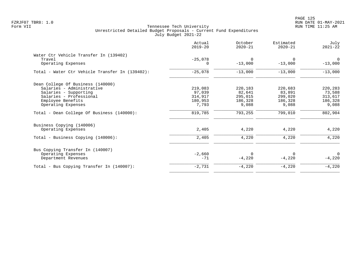| Actual<br>$2019 - 20$ | October<br>$2020 - 21$ | Estimated<br>$2020 - 21$      | July<br>$2021 - 22$           |
|-----------------------|------------------------|-------------------------------|-------------------------------|
|                       |                        |                               |                               |
| 0                     | $-13,000$              | $-13,000$                     | $\Omega$<br>$-13,000$         |
| $-25,078$             | $-13,000$              | $-13,000$                     | $-13,000$                     |
|                       |                        |                               |                               |
| 219,083               | 220,183                | 220,683                       | 220,283                       |
| 97,039                | 82,641                 | 83,891                        | 73,588                        |
| 314,917               | 295,015                | 299,020                       | 313,617                       |
| 180,953               | 186,328                | 186,328                       | 186,328                       |
|                       |                        |                               | 9,088                         |
| 819,785               | 793,255                | 799,010                       | 802,904                       |
|                       |                        |                               |                               |
| 2,405                 | 4,220                  | 4,220                         | 4,220                         |
| 2,405                 | 4,220                  | 4,220                         | 4,220                         |
|                       |                        |                               |                               |
| $-2,660$              | $\Omega$               | $\Omega$                      | $\Omega$                      |
| $-71$                 |                        |                               | $-4,220$                      |
| $-2,731$              | $-4,220$               | $-4,220$                      | $-4,220$                      |
|                       | $-25,078$<br>7,793     | $\Omega$<br>9,088<br>$-4,220$ | $\Omega$<br>9,088<br>$-4,220$ |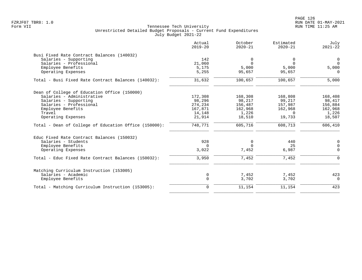|                                                       | Actual<br>$2019 - 20$ | October<br>$2020 - 21$ | Estimated<br>$2020 - 21$ | July<br>$2021 - 22$ |
|-------------------------------------------------------|-----------------------|------------------------|--------------------------|---------------------|
| Busi Fixed Rate Contract Balances (140032)            |                       |                        |                          |                     |
| Salaries - Supporting                                 | 142                   | 0                      | 0                        | $\overline{0}$      |
| Salaries - Professional                               | 21,060                | $\Omega$               | $\Omega$                 | $\Omega$            |
| Employee Benefits                                     | 5,175                 | 5,000                  | 5,000                    | 5,000               |
| Operating Expenses                                    | 5,255                 | 95,657                 | 95,657                   | $\Omega$            |
| Total - Busi Fixed Rate Contract Balances (140032):   | 31,632                | 100,657                | 100,657                  | 5,000               |
| Dean of College of Education Office (150000)          |                       |                        |                          |                     |
| Salaries - Administrative                             | 172,308               | 168,308                | 168,808                  | 168,408             |
| Salaries - Supporting                                 | 98,296                | 98,217                 | 99,217                   | 98,417              |
| Salaries - Professional                               | 274,234               | 156,487                | 157,987                  | 156,884             |
| Employee Benefits                                     | 167,871               | 162,968                | 162,968                  | 162,968             |
| Travel                                                | 14,148                | 1,226                  | $\Omega$                 | 1,226               |
| Operating Expenses                                    | 21,914                | 18,510                 | 19,733                   | 18,507              |
| Total - Dean of College of Education Office (150000): | 748,771               | 605,716                | 608,713                  | 606,410             |
| Educ Fixed Rate Contract Balances (150032)            |                       |                        |                          |                     |
| Salaries - Students                                   | 928                   | 0                      | 440                      | $\mathbf 0$         |
| Employee Benefits                                     | 0                     | $\Omega$               | 25                       | $\mathbf 0$         |
| Operating Expenses                                    | 3,022                 | 7,452                  | 6,987                    | $\mathbf 0$         |
| Total - Educ Fixed Rate Contract Balances (150032):   | 3,950                 | 7,452                  | 7,452                    | $\mathbf 0$         |
| Matching Curriculum Instruction (153005)              |                       |                        |                          |                     |
| Salaries - Academic                                   | $\mathbf 0$           | 7,452                  | 7,452                    | 423                 |
| Employee Benefits                                     | $\mathbf 0$           | 3,702                  | 3,702                    | $\Omega$            |
| Total - Matching Curriculum Instruction (153005):     | $\mathbf 0$           | 11,154                 | 11,154                   | 423                 |
|                                                       |                       |                        |                          |                     |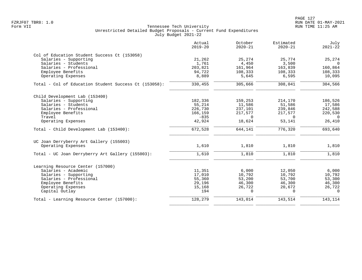|                                                       | Actual<br>$2019 - 20$ | October<br>$2020 - 21$ | Estimated<br>$2020 - 21$ | July<br>$2021 - 22$ |
|-------------------------------------------------------|-----------------------|------------------------|--------------------------|---------------------|
| Col of Education Student Success Ct (153058)          |                       |                        |                          |                     |
| Salaries - Supporting                                 | 21,262                | 25,274                 | 25,774                   | 25,274              |
| Salaries - Students                                   | 1,761                 | 4,450                  | 3,500                    | $\Omega$            |
| Salaries - Professional                               | 203,821               | 161,964                | 163,839                  | 160,864             |
| Employee Benefits                                     | 94,722                | 108,333                | 108,333                  | 108,333             |
| Operating Expenses                                    | 8,889                 | 5,645                  | 6,595                    | 10,095              |
| Total - Col of Education Student Success Ct (153058): | 330,455               | 305,666                | 308,041                  | 304,566             |
| Child Development Lab (153400)                        |                       |                        |                          |                     |
| Salaries - Supporting                                 | 182,336               | 159,253                | 214,170                  | 186,526             |
| Salaries - Students                                   | 55,214                | 11,586                 | 51,586                   | 17,586              |
| Salaries - Professional                               | 226,730               | 237,101                | 239,846                  | 242,588             |
| Employee Benefits                                     | 166,159               | 217,577                | 217,577                  | 220,530             |
| Travel                                                | $-835$                | $\Omega$               | $\Omega$                 | $\Omega$            |
| Operating Expenses                                    | 42,924                | 18,624                 | 53,141                   | 26,410              |
| Total - Child Development Lab (153400):               | 672,528               | 644,141                | 776,320                  | 693,640             |
| UC Joan Derryberry Art Gallery (155003)               |                       |                        |                          |                     |
| Operating Expenses                                    | 1,610                 | 1,810                  | 1,810                    | 1,810               |
| Total - UC Joan Derryberry Art Gallery (155003):      | 1,610                 | 1,810                  | 1,810                    | 1,810               |
| Learning Resource Center (157000)                     |                       |                        |                          |                     |
| Salaries - Academic                                   | 11,351                | 6,000                  | 12,050                   | 6,000               |
| Salaries - Supporting                                 | 17,010                | 10,792                 | 10,792                   | 10,792              |
| Salaries - Professional                               | 55,360                | 53,200                 | 53,700                   | 53,300              |
| Employee Benefits                                     | 29,196                | 46,300                 | 46,300                   | 46,300              |
| Operating Expenses                                    | 15,168                | 26,722                 | 20,672                   | 26,722              |
| Capital Outlay                                        | 194                   | $\Omega$               | $\Omega$                 | $\Omega$            |
| Total - Learning Resource Center (157000):            | 128,279               | 143,014                | 143,514                  | 143,114             |
|                                                       |                       |                        |                          |                     |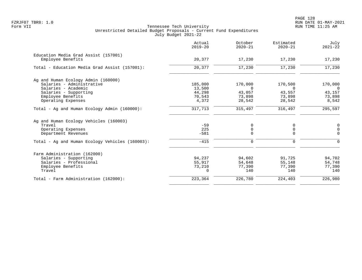PAGE 128 FZRJF07 TBR8: 1.0 RUN DATE 01-MAY-2021

|                                                 | Actual<br>$2019 - 20$ | October<br>$2020 - 21$ | Estimated<br>$2020 - 21$ | July<br>$2021 - 22$ |
|-------------------------------------------------|-----------------------|------------------------|--------------------------|---------------------|
| Education Media Grad Assist (157001)            |                       |                        |                          |                     |
| Employee Benefits                               | 20,377                | 17,230                 | 17,230                   | 17,230              |
| Total - Education Media Grad Assist (157001):   | 20,377                | 17,230                 | 17,230                   | 17,230              |
| Ag and Human Ecology Admin (160000)             |                       |                        |                          |                     |
| Salaries - Administrative                       | 185,000               | 170,000                | 170,500                  | 170,000             |
| Salaries - Academic                             | 13,500                | $\Omega$               | $\Omega$                 | $\Omega$            |
| Salaries - Supporting                           | 44,298                | 43,057                 | 43,557                   | 43,157              |
| Employee Benefits                               | 70,543                | 73,898                 | 73,898                   | 73,898              |
| Operating Expenses                              | 4,372                 | 28,542                 | 28,542                   | 8,542               |
| Total - Ag and Human Ecology Admin (160000):    | 317,713               | 315,497                | 316,497                  | 295,597             |
| Ag and Human Ecology Vehicles (160003)          |                       |                        |                          |                     |
| Travel                                          | $-59$                 | 0                      | 0                        | $\mathbf 0$         |
| Operating Expenses                              | 225                   | 0                      | 0                        | $\mathbf 0$         |
| Department Revenues                             | $-581$                | $\Omega$               | $\Omega$                 | $\Omega$            |
| Total - Ag and Human Ecology Vehicles (160003): | $-415$                | $\mathbf 0$            | $\mathbf 0$              | $\Omega$            |
| Farm Administration (162000)                    |                       |                        |                          |                     |
| Salaries - Supporting                           | 94,237                | 94,602                 | 91,725                   | 94,702              |
| Salaries - Professional                         | 55,917                | 54,648                 | 55,148                   | 54,748              |
| Employee Benefits                               | 73,210                | 77,390                 | 77,390                   | 77,390              |
| Travel                                          | $\Omega$              | 140                    | 140                      | 140                 |
| Total - Farm Administration (162000):           | 223,364               | 226,780                | 224,403                  | 226,980             |
|                                                 |                       |                        |                          |                     |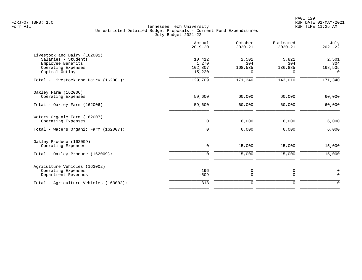|                                                     | Actual<br>$2019 - 20$ | October<br>$2020 - 21$ | Estimated<br>$2020 - 21$ | July<br>$2021 - 22$ |
|-----------------------------------------------------|-----------------------|------------------------|--------------------------|---------------------|
| Livestock and Dairy (162001)<br>Salaries - Students | 10,412                | 2,501                  | 5,821                    | 2,501               |
| Employee Benefits                                   | 1,270                 | 304                    | 304                      | 304                 |
| Operating Expenses                                  | 102,807               | 168,535                | 136,885                  | 168,535             |
| Capital Outlay                                      | 15,220                | $\Omega$               | $\Omega$                 | $\Omega$            |
| Total - Livestock and Dairy (162001):               | 129,709               | 171,340                | 143,010                  | 171,340             |
| Oakley Farm (162006)                                |                       |                        |                          |                     |
| Operating Expenses                                  | 59,600                | 60,000                 | 60,000                   | 60,000              |
| Total - Oakley Farm $(162006)$ :                    | 59,600                | 60,000                 | 60,000                   | 60,000              |
| Waters Organic Farm (162007)                        |                       |                        |                          |                     |
| Operating Expenses                                  | 0                     | 6,000                  | 6,000                    | 6,000               |
| Total - Waters Organic Farm (162007):               | $\mathbf 0$           | 6,000                  | 6,000                    | 6,000               |
| Oakley Produce (162009)                             |                       |                        |                          |                     |
| Operating Expenses                                  | 0                     | 15,000                 | 15,000                   | 15,000              |
| Total - Oakley Produce (162009):                    | $\mathbf 0$           | 15,000                 | 15,000                   | 15,000              |
| Agriculture Vehicles (163002)                       |                       |                        |                          |                     |
| Operating Expenses                                  | 196                   | 0                      | 0                        | $\mathbf 0$         |
| Department Revenues                                 | $-509$                | $\mathbf 0$            | $\mathbf 0$              | $\mathbf 0$         |
| Total - Agriculture Vehicles (163002):              | $-313$                | $\mathbf 0$            | $\mathbf 0$              | $\mathbf 0$         |
|                                                     |                       |                        |                          |                     |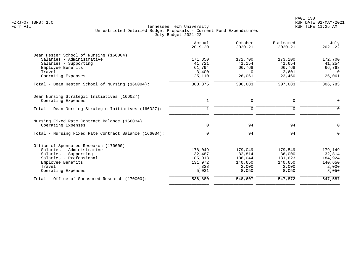|                                                       | Actual<br>$2019 - 20$ | October<br>$2020 - 21$ | Estimated<br>$2020 - 21$ | July<br>$2021 - 22$ |
|-------------------------------------------------------|-----------------------|------------------------|--------------------------|---------------------|
| Dean Hester School of Nursing (166004)                |                       |                        |                          |                     |
| Salaries - Administrative                             | 171,850               | 172,700                | 173,200                  | 172,700             |
| Salaries - Supporting                                 | 41,721                | 41,154                 | 41,654                   | 41,254              |
| Employee Benefits                                     | 61,794                | 66,768                 | 66,768                   | 66,768              |
| Travel                                                | 3,400                 | $\Omega$               | 2,601                    | $\overline{0}$      |
| Operating Expenses                                    | 25,110                | 26,061                 | 23,460                   | 26,061              |
| Total - Dean Hester School of Nursing (166004):       | 303,875               | 306,683                | 307,683                  | 306,783             |
| Dean Nursing Strategic Initiatives (166027)           |                       |                        |                          |                     |
| Operating Expenses                                    | 1                     | $\mathbf 0$            | 0                        | $\mathbf 0$         |
| Total - Dean Nursing Strategic Initiatives (166027):  | 1                     | $\Omega$               | $\mathbf 0$              | $\mathbf 0$         |
| Nursing Fixed Rate Contract Balance (166034)          |                       |                        |                          |                     |
| Operating Expenses                                    | 0                     | 94                     | 94                       | $\mathbf 0$         |
| Total - Nursing Fixed Rate Contract Balance (166034): | $\mathbf 0$           | 94                     | 94                       | $\Omega$            |
| Office of Sponsored Research (170000)                 |                       |                        |                          |                     |
| Salaries - Administrative                             | 178,049               | 179,049                | 179,549                  | 179,149             |
| Salaries - Supporting                                 | 32,487                | 32,814                 | 36,000                   | 32,814              |
| Salaries - Professional                               | 185,013               | 186,044                | 181,623                  | 184,924             |
| Employee Benefits                                     | 131,972               | 140,650                | 140,650                  | 140,650             |
| Travel                                                | 4,328                 | 2,000                  | 2,000                    | 2,000               |
| Operating Expenses                                    | 5,031                 | 8,050                  | 8,050                    | 8,050               |
| Total - Office of Sponsored Research (170000):        | 536,880               | 548,607                | 547,872                  | 547,587             |
|                                                       |                       |                        |                          |                     |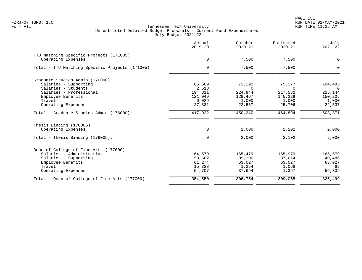PAGE 131 FZRJF07 TBR8: 1.0 RUN DATE 01-MAY-2021

|                                                  | Actual<br>$2019 - 20$ | October<br>$2020 - 21$ | Estimated<br>$2020 - 21$ | July<br>$2021 - 22$ |
|--------------------------------------------------|-----------------------|------------------------|--------------------------|---------------------|
| TTU Matching Specific Projects (171005)          |                       |                        |                          |                     |
| Operating Expenses                               | 0                     | 7,500                  | 7,500                    | $\mathbf 0$         |
| Total - TTU Matching Specific Projects (171005): | $\mathbf 0$           | 7,500                  | 7,500                    | $\Omega$            |
| Graduate Studies Admin (176000)                  |                       |                        |                          |                     |
| Salaries - Supporting                            | 65,589                | 72,292                 | 75,277                   | 104,485             |
| Salaries - Students                              | 2,613                 | $\Omega$               | $\Omega$                 | $\Omega$            |
| Salaries - Professional                          | 194,811               | 224,944                | 217,582                  | 225,144             |
| Employee Benefits                                | 121,049               | 129,467                | 145,329                  | 150,205             |
| Travel                                           | 6,029                 | 1,000                  | 1,000                    | 1,000               |
| Operating Expenses                               | 27,831                | 22,537                 | 25,706                   | 22,537              |
| Total - Graduate Studies Admin (176000):         | 417,922               | 450,240                | 464,894                  | 503,371             |
| Thesis Binding (176005)                          |                       |                        |                          |                     |
| Operating Expenses                               | 0                     | 2,000                  | 2,102                    | 2,000               |
| Total - Thesis Binding $(176005)$ :              | $\mathbf 0$           | 2,000                  | 2,102                    | 2,000               |
| Dean of College of Fine Arts (177000)            |                       |                        |                          |                     |
| Salaries - Administrative                        | 164,579               | 165,479                | 165,979                  | 165,579             |
| Salaries - Supporting                            | 58,662                | 39,300                 | 37,614                   | 40,486              |
| Employee Benefits                                | 61,274                | 63,027                 | 63,027                   | 63,027              |
| Travel                                           | 15,328                | 1,254                  | 1,068                    | 68                  |
| Operating Expenses                               | 54,707                | 37,694                 | 41,367                   | 56,339              |
| Total - Dean of College of Fine Arts (177000):   | 354,550               | 306,754                | 309,055                  | 325,499             |
|                                                  |                       |                        |                          |                     |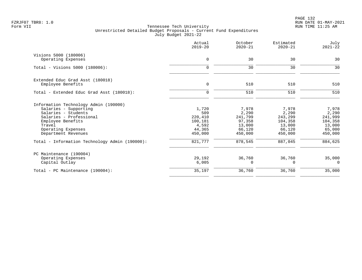PAGE 132 FZRJF07 TBR8: 1.0 RUN DATE 01-MAY-2021

|                                                       | Actual<br>$2019 - 20$ | October<br>$2020 - 21$ | Estimated<br>$2020 - 21$ | July<br>$2021 - 22$ |
|-------------------------------------------------------|-----------------------|------------------------|--------------------------|---------------------|
| Visions 5000 (180006)                                 |                       |                        |                          |                     |
| Operating Expenses                                    | $\mathbf 0$           | 30                     | 30                       | 30                  |
| Total - Visions 5000 (180006):                        | $\Omega$              | 30                     | 30                       | 30                  |
|                                                       |                       |                        |                          |                     |
| Extended Educ Grad Asst (180018)<br>Employee Benefits | 0                     | 510                    | 510                      | 510                 |
| Total - Extended Educ Grad Asst (180018):             | $\mathbf 0$           | 510                    | 510                      | 510                 |
| Information Technology Admin (190000)                 |                       |                        |                          |                     |
| Salaries - Supporting                                 | 1,720                 | 7,978                  | 7,978                    | 7,978               |
| Salaries - Students                                   | 509                   | 2,290                  | 2,290                    | 2,290               |
| Salaries - Professional                               | 220,410               | 241,799                | 243,299                  | 241,999             |
| Employee Benefits                                     | 100,181               | 97,358                 | 104,358                  | 104,358             |
| Travel                                                | 4,592                 | 13,000                 | 13,000                   | 13,000              |
| Operating Expenses<br>Department Revenues             | 44,365<br>450,000     | 66,120<br>450,000      | 66,120<br>450,000        | 65,000<br>450,000   |
| Total - Information Technology Admin (190000):        | 821,777               | 878,545                | 887,045                  | 884,625             |
| PC Maintenance (190004)                               |                       |                        |                          |                     |
| Operating Expenses                                    | 29,192                | 36,760                 | 36,760                   | 35,000              |
| Capital Outlay                                        | 6,005                 | 0                      | $\Omega$                 | $\Omega$            |
| Total - PC Maintenance (190004):                      | 35,197                | 36,760                 | 36,760                   | 35,000              |
|                                                       |                       |                        |                          |                     |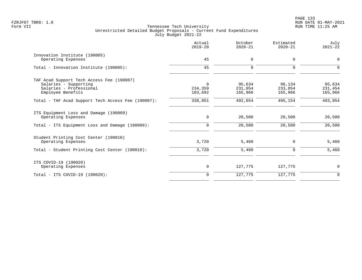|                                                              | Actual<br>$2019 - 20$ | October<br>$2020 - 21$ | Estimated<br>$2020 - 21$ | July<br>$2021 - 22$ |
|--------------------------------------------------------------|-----------------------|------------------------|--------------------------|---------------------|
| Innovation Institute (190005)<br>Operating Expenses          | 45                    | 0                      | 0                        | $\mathbf 0$         |
|                                                              |                       |                        |                          |                     |
| Total - Innovation Institute (190005):                       | 45                    | $\Omega$               | $\Omega$                 | $\Omega$            |
| TAF Acad Support Tech Access Fee (190007)                    |                       |                        |                          |                     |
| Salaries - Supporting                                        | $\mathbf 0$           | 95,634                 | 96,134                   | 95,634              |
| Salaries - Professional                                      | 234,359               | 231,054                | 233,054                  | 231,454             |
| Employee Benefits                                            | 103,692               | 165,966                | 165,966                  | 165,966             |
| Total - TAF Acad Support Tech Access Fee (190007):           | 338,051               | 492,654                | 495,154                  | 493,054             |
| ITS Equipment Loss and Damage (190009)<br>Operating Expenses | $\mathbf 0$           | 20,500                 | 20,500                   | 20,500              |
| Total - ITS Equipment Loss and Damage (190009):              | 0                     | 20,500                 | 20,500                   | 20,500              |
| Student Printing Cost Center (190010)                        |                       |                        |                          |                     |
| Operating Expenses                                           | 3,720                 | 5,460                  | 0                        | 5,460               |
| Total - Student Printing Cost Center (190010):               | 3,720                 | 5,460                  | $\Omega$                 | 5,460               |
| ITS COVID-19 (190020)                                        |                       |                        |                          |                     |
| Operating Expenses                                           | 0                     | 127,775                | 127,775                  | 0                   |
| Total - ITS COVID-19 (190020):                               | $\mathbf 0$           | 127,775                | 127,775                  | $\mathbf 0$         |
|                                                              |                       |                        |                          |                     |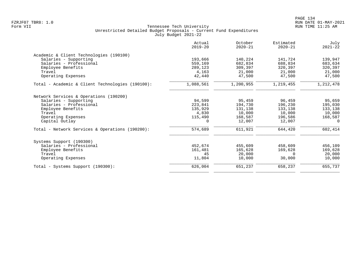| Actual<br>$2019 - 20$ | October<br>$2020 - 21$       | Estimated<br>$2020 - 21$ | July<br>$2021 - 22$ |
|-----------------------|------------------------------|--------------------------|---------------------|
|                       |                              |                          |                     |
| 193,666               | 140,224                      | 141,724                  | 139,947             |
| 559,169               | 682,834                      | 688,834                  | 683,634             |
| 289,123               | 309,397                      | 320,397                  | 320,397             |
| 4,163                 | 21,000                       | 21,000                   | 21,000              |
| 42,440                | 47,500                       | 47,500                   | 47,500              |
| 1,088,561             | 1,200,955                    | 1,219,455                | 1,212,478           |
|                       |                              |                          |                     |
|                       |                              |                          | 95,659              |
|                       |                              |                          | 195,030             |
|                       | 131,138                      | 133,138                  | 133,138             |
| 4,830                 | 10,000                       | 10,000                   | 10,000              |
| 115,490               | 168,587                      | 196,586                  | 168,587             |
| 0                     | 12,007                       | 12,007                   | 0                   |
| 574,689               | 611,921                      | 644,420                  | 602,414             |
|                       |                              |                          |                     |
| 452,674               | 455,609                      | 458,609                  | 456,109             |
| 161,481               | 165,628                      | 169,628                  | 169,628             |
| 45                    | 20,000                       | $\Omega$                 | 20,000              |
| 11,804                | 10,000                       | 30,000                   | 10,000              |
| 626,004               | 651,237                      | 658,237                  | 655,737             |
|                       | 94,599<br>223,841<br>135,929 | 95,459<br>194,730        | 96,459<br>196,230   |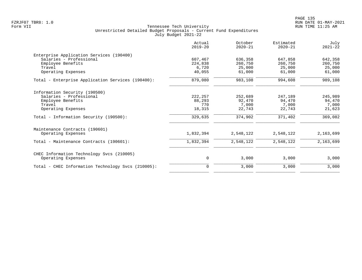PAGE 135 FZRJF07 TBR8: 1.0 RUN DATE 01-MAY-2021

| Actual<br>$2019 - 20$ | October<br>$2020 - 21$ | Estimated<br>$2020 - 21$ | July<br>$2021 - 22$ |
|-----------------------|------------------------|--------------------------|---------------------|
|                       |                        |                          |                     |
| 607,467               | 636,358                | 647,858                  | 642,358             |
| 224,838               | 260,750                | 260,750                  | 260,750             |
|                       | 25,000                 |                          | 25,000              |
|                       |                        |                          | 61,000              |
| 879,080               | 983,108                | 994,608                  | 989,108             |
|                       |                        |                          |                     |
| 222, 257              | 252,689                | 247,189                  | 245,989             |
| 88,293                | 92,470                 | 94,470                   | 94,470              |
| 770                   | 7,000                  | 7,000                    | 7,000               |
| 18,315                | 22,743                 | 22,743                   | 21,623              |
| 329,635               | 374,902                | 371,402                  | 369,082             |
|                       |                        |                          |                     |
| 1,832,394             | 2,548,122              | 2,548,122                | 2,163,699           |
| 1,832,394             | 2,548,122              | 2,548,122                | 2,163,699           |
|                       |                        |                          |                     |
| 0                     | 3,000                  | 3,000                    | 3,000               |
| $\Omega$              | 3,000                  | 3,000                    | 3,000               |
|                       | 6,720<br>40,055        | 61,000                   | 25,000<br>61,000    |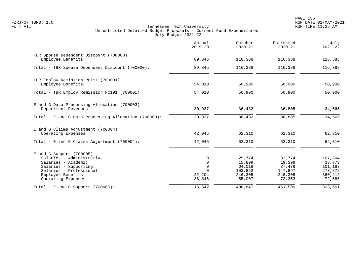|                                                                                                                                                                               | Actual<br>$2019 - 20$                                                     | October<br>$2020 - 21$                                        | Estimated<br>$2020 - 21$                                       | July<br>$2021 - 22$                                             |
|-------------------------------------------------------------------------------------------------------------------------------------------------------------------------------|---------------------------------------------------------------------------|---------------------------------------------------------------|----------------------------------------------------------------|-----------------------------------------------------------------|
| TBR Spouse Dependent Discount (700000)<br>Employee Benefits                                                                                                                   | 89,845                                                                    | 116,388                                                       | 116,388                                                        | 116,388                                                         |
| Total - TBR Spouse Dependent Discount (700000):                                                                                                                               | 89,845                                                                    | 116,388                                                       | 116,388                                                        | 116,388                                                         |
| TBR Employ Remission PC191 (700001)<br>Employee Benefits                                                                                                                      | 54,010                                                                    | 50,900                                                        | 50,900                                                         | 50,900                                                          |
| Total - TBR Employ Remission PC191 (700001):                                                                                                                                  | 54,010                                                                    | 50,900                                                        | 50,900                                                         | 50,900                                                          |
| E and G Data Processing Allocation (700003)<br>Department Revenues                                                                                                            | 30,937                                                                    | 36,432                                                        | 36,805                                                         | 34,565                                                          |
| Total - E and G Data Processing Allocation (700003):                                                                                                                          | 30,937                                                                    | 36,432                                                        | 36,805                                                         | 34,565                                                          |
| E and G Claims Adjustment (700004)<br>Operating Expenses                                                                                                                      | 42,045                                                                    | 62,310                                                        | 62,310                                                         | 62,310                                                          |
| Total - E and G Claims Adjustment $(700004)$ :                                                                                                                                | 42,045                                                                    | 62,310                                                        | 62,310                                                         | 62,310                                                          |
| $E$ and G Support (700005)<br>Salaries - Administrative<br>Salaries - Academic<br>Salaries - Supporting<br>Salaries - Professional<br>Employee Benefits<br>Operating Expenses | $\Omega$<br>$\mathbf 0$<br>$\mathbf 0$<br>$\Omega$<br>22,204<br>$-38,846$ | 25,774<br>15,899<br>64,018<br>103,852<br>246,305<br>$-55,007$ | 32,774<br>19,399<br>87,478<br>147,897<br>246,305<br>$-72, 353$ | 107,304<br>33,773<br>101,183<br>273,875<br>380,212<br>$-72,686$ |
| Total - E and G Support $(700005)$ :                                                                                                                                          | $-16,642$                                                                 | 400,841                                                       | 461,500                                                        | 823,661                                                         |
|                                                                                                                                                                               |                                                                           |                                                               |                                                                |                                                                 |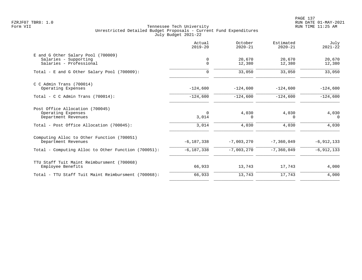|                                                                                          | Actual<br>$2019 - 20$    | October<br>$2020 - 21$   | Estimated<br>$2020 - 21$ | July<br>$2021 - 22$      |
|------------------------------------------------------------------------------------------|--------------------------|--------------------------|--------------------------|--------------------------|
| E and G Other Salary Pool (700009)<br>Salaries - Supporting<br>Salaries - Professional   | 0<br>$\mathbf 0$         | 20,670<br>12,380         | 20,670<br>12,380         | 20,670<br>12,380         |
| Total - E and G Other Salary Pool (700009):                                              | $\Omega$                 | 33,050                   | 33,050                   | 33,050                   |
| $C$ C Admin Trans (700014)<br>Operating Expenses<br>Total - C C Admin Trans $(700014)$ : | $-124,600$<br>$-124,600$ | $-124,600$<br>$-124,600$ | $-124,600$<br>$-124,600$ | $-124,600$<br>$-124,600$ |
|                                                                                          |                          |                          |                          |                          |
| Post Office Allocation (700045)<br>Operating Expenses<br>Department Revenues             | $\Omega$<br>3,014        | 4,030<br>0               | 4,030<br>$\Omega$        | 4,030<br>$\Omega$        |
| Total - Post Office Allocation (700045):                                                 | 3,014                    | 4,030                    | 4,030                    | 4,030                    |
| Computing Alloc to Other Function (700051)<br>Department Revenues                        | $-6, 187, 338$           | $-7,003,270$             | $-7,360,049$             | $-6, 912, 133$           |
| Total - Computing Alloc to Other Function (700051):                                      | $-6, 187, 338$           | $-7,003,270$             | $-7, 360, 049$           | $-6, 912, 133$           |
| TTU Staff Tuit Maint Reimbursment (700068)<br>Employee Benefits                          | 66,933                   | 13,743                   | 17,743                   | 4,000                    |
| Total - TTU Staff Tuit Maint Reimbursment (700068):                                      | 66,933                   | 13,743                   | 17,743                   | 4,000                    |
|                                                                                          |                          |                          |                          |                          |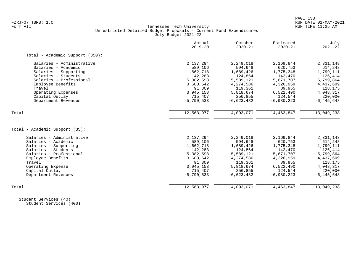# FZRJF07 TBR8: 1.0 RUN DATE 01-MAY-2021 Tennessee Tech University Unrestricted Detailed Budget Proposals - Current Fund Expenditures July Budget 2021-22

|                                 | Actual<br>$2019 - 20$ | October<br>$2020 - 21$ | Estimated<br>$2020 - 21$ | July<br>$2021 - 22$ |
|---------------------------------|-----------------------|------------------------|--------------------------|---------------------|
| Total - Academic Support (350): |                       |                        |                          |                     |
| Salaries - Administrative       | 2,137,294             | 2,249,018              | 2,169,844                | 2,331,148           |
| Salaries - Academic             | 589,106               | 594,648                | 620,753                  | 614,248             |
| Salaries - Supporting           | 1,662,718             | 1,689,426              | 1,775,348                | 1,799,111           |
| Salaries - Students             | 142,283               | 124,864                | 142,470                  | 126,414             |
| Salaries - Professional         | 5,382,598             | 5,589,121              | 5,671,707                | 5,799,864           |
| Employee Benefits               | 3,688,642             | 4,274,586              | 4,326,959                | 4,437,609           |
| Travel                          | 91,309                | 119,361                | 89,955                   | 118,175             |
| Operating Expenses              | 3,945,153             | 5,818,674              | 6,522,490                | 4,048,317           |
| Capital Outlay                  | 715,407               | 256,855                | 124,544                  | 220,000             |
| Department Revenues             | $-5,790,533$          | $-6,623,482$           | $-6,980,223$             | $-6,445,648$        |
| Total                           | 12,563,977            | 14,093,071             | 14,463,847               | 13,049,238          |
|                                 |                       |                        |                          |                     |
| Total - Academic Support (35):  |                       |                        |                          |                     |
| Salaries - Administrative       | 2,137,294             | 2,249,018              | 2,169,844                | 2,331,148           |
| Salaries - Academic             | 589,106               | 594,648                | 620,753                  | 614,248             |
| Salaries - Supporting           | 1,662,718             | 1,689,426              | 1,775,348                | 1,799,111           |
| Salaries - Students             | 142,283               | 124,864                | 142,470                  | 126,414             |
| Salaries - Professional         | 5,382,598             | 5,589,121              | 5,671,707                | 5,799,864           |
| Employee Benefits               | 3,688,642             | 4,274,586              | 4,326,959                | 4,437,609           |
| Travel                          | 91,309                | 119,361                | 89,955                   | 118,175             |
| Operating Expense               | 3,945,153             | 5,818,674              | 6,522,490                | 4,048,317           |
| Capital Outlay                  | 715,407               | 256,855                | 124,544                  | 220,000             |
| Department Revenues             | $-5,790,533$          | $-6,623,482$           | $-6,980,223$             | $-6, 445, 648$      |
| Total                           | 12,563,977            | 14,093,071             | 14,463,847               | 13,049,238          |
|                                 |                       |                        |                          |                     |

 Student Services (40) Student Services (400)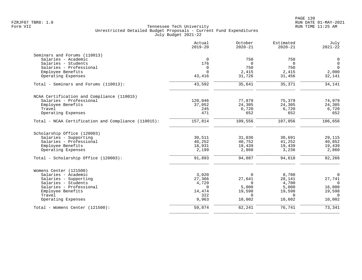|                                                     | Actual<br>$2019 - 20$ | October<br>$2020 - 21$ | Estimated<br>$2020 - 21$ | July<br>$2021 - 22$ |
|-----------------------------------------------------|-----------------------|------------------------|--------------------------|---------------------|
| Seminars and Forums (110013)                        |                       |                        |                          |                     |
| Salaries - Academic                                 | $\mathbf 0$           | 750                    | 750                      | 0                   |
| Salaries - Students                                 | 176                   | $\Omega$               | $\Omega$                 | $\mathsf{O}$        |
| Salaries - Professional                             | $\mathbf 0$           | 750                    | 750                      | $\Omega$            |
| Employee Benefits                                   | $\Omega$              | 2,415                  | 2,415                    | 2,000               |
| Operating Expenses                                  | 43,416                | 31,726                 | 31,456                   | 32,141              |
| Total - Seminars and Forums (110013):               | 43,592                | 35,641                 | 35,371                   | 34,141              |
| NCAA Certification and Compliance (110015)          |                       |                        |                          |                     |
| Salaries - Professional                             | 120,046               | 77,879                 | 75,379                   | 74,979              |
| Employee Benefits                                   | 37,052                | 24,305                 | 24,305                   | 24,305              |
| Travel                                              | 245                   | 6,720                  | 6,720                    | 6,720               |
| Operating Expenses                                  | 471                   | 652                    | 652                      | 652                 |
| Total - NCAA Certification and Compliance (110015): | 157,814               | 109,556                | 107,056                  | 106,656             |
| Scholarship Office (120003)                         |                       |                        |                          |                     |
| Salaries - Supporting                               | 30,511                | 31,036                 | 30,691                   | 29,115              |
| Salaries - Professional                             | 40,252                | 40,752                 | 41,252                   | 40,852              |
| Employee Benefits                                   | 18,931                | 19,439                 | 19,439                   | 19,439              |
| Operating Expenses                                  | 2,199                 | 2,860                  | 3,236                    | 2,860               |
| Total - Scholarship Office (120003):                | 91,893                | 94,087                 | 94,618                   | 92,266              |
| Womens Center (121500)                              |                       |                        |                          |                     |
| Salaries - Academic                                 | 3,020                 | $\Omega$               | 8,700                    | $\mathbf 0$         |
| Salaries - Supporting                               | 27,366                | 27,641                 | 28,141                   | 27,741              |
| Salaries - Students                                 | 4,729                 | $\Omega$               | 4,700                    | $\Omega$            |
| Salaries - Professional                             | $\Omega$              | 5,000                  | 5,000                    | 16,000              |
| Employee Benefits                                   | 14,474                | 19,598                 | 19,598                   | 19,598              |
|                                                     |                       |                        |                          | $\Omega$            |
| Operating Expenses                                  | 9,963                 | 10,002                 | 10,602                   | 10,002              |
|                                                     | 59,874                | 62,241                 | 76,741                   | 73,341              |
| Travel<br>Total - Womens Center (121500):           | 322                   | $\Omega$               | $\Omega$                 |                     |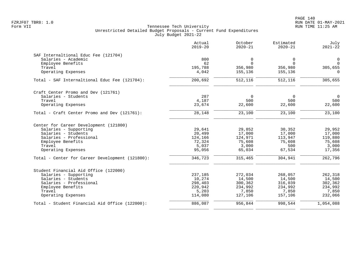|                                                 | Actual<br>$2019 - 20$ | October<br>$2020 - 21$ | Estimated<br>$2020 - 21$ | July<br>$2021 - 22$ |
|-------------------------------------------------|-----------------------|------------------------|--------------------------|---------------------|
| SAF Internaltional Educ Fee (121704)            |                       |                        |                          |                     |
| Salaries - Academic                             | 800                   | 0                      | $\mathbf 0$              | $\mathbf 0$         |
| Employee Benefits                               | 62                    | $\Omega$               | $\Omega$                 | $\mathbf 0$         |
| Travel                                          | 195,788               | 356,980                | 356,980                  | 305,655             |
| Operating Expenses                              | 4,042                 | 155,136                | 155,136                  | $\Omega$            |
| Total - SAF Internaltional Educ Fee (121704):   | 200,692               | $\overline{512}$ , 116 | 512,116                  | 305,655             |
| Craft Center Promo and Dev (121761)             |                       |                        |                          |                     |
| Salaries - Students                             | 287                   | $\Omega$               | $\Omega$                 | $\Omega$            |
| Travel                                          | 4,187                 | 500                    | 500                      | 500                 |
| Operating Expenses                              | 23,674                | 22,600                 | 22,600                   | 22,600              |
| Total - Craft Center Promo and Dev (121761):    | 28,148                | 23,100                 | 23,100                   | 23,100              |
| Center for Career Development (121800)          |                       |                        |                          |                     |
| Salaries - Supporting                           | 29,641                | 29,852                 | 30,352                   | 29,952              |
| Salaries - Students                             | 20,499                | 17,000                 | 17,000                   | 17,000              |
| Salaries - Professional                         | 124,166               | 124,971                | 113,947                  | 119,880             |
| Employee Benefits                               | 72,324                | 75,608                 | 75,608                   | 75,608              |
| Travel<br>Operating Expenses                    | 5,037<br>95,056       | 3,000<br>65,034        | 500<br>67,534            | 3,000<br>17,356     |
|                                                 |                       |                        |                          |                     |
| Total - Center for Career Development (121800): | 346,723               | 315,465                | 304,941                  | 262,796             |
| Student Financial Aid Office (122000)           |                       |                        |                          |                     |
| Salaries - Supporting                           | 237,185               | 272,034                | 268,057                  | 262,318             |
| Salaries - Students                             | 10,274                | 14,500                 | 14,500                   | 14,500              |
| Salaries - Professional                         | 298,403               | 300,362                | 316,039                  | 302,362             |
| Employee Benefits                               | 220,942               | 234,992                | 234,992                  | 234,992             |
| Travel                                          | 5,203                 | 7,850                  | 7,850                    | 7,850               |
| Operating Expenses                              | 114,080               | 127,106                | 157,106                  | 232,066             |
| Total - Student Financial Aid Office (122000):  | 886,087               | 956,844                | 998,544                  | 1,054,088           |
|                                                 |                       |                        |                          |                     |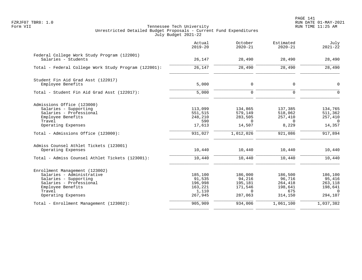|                                                                    | Actual<br>$2019 - 20$ | October<br>$2020 - 21$ | Estimated<br>$2020 - 21$ | July<br>$2021 - 22$ |
|--------------------------------------------------------------------|-----------------------|------------------------|--------------------------|---------------------|
| Federal College Work Study Program (122001)<br>Salaries - Students | 26,147                | 28,490                 | 28,490                   | 28,490              |
| Total - Federal College Work Study Program (122001):               | 26,147                | 28,490                 | 28,490                   | 28,490              |
| Student Fin Aid Grad Asst (122017)                                 |                       |                        |                          |                     |
| Employee Benefits                                                  | 5,000                 | 0                      | 0                        | $\mathbf 0$         |
| Total - Student Fin Aid Grad Asst (122017):                        | 5,000                 | $\mathbf 0$            | $\Omega$                 | $\Omega$            |
| Admissions Office (123000)                                         |                       |                        |                          |                     |
| Salaries - Supporting                                              | 113,099               | 134,865                | 137,385                  | 134,765             |
| Salaries - Professional                                            | 551,515               | 579,149                | 518,062                  | 511,362             |
| Employee Benefits                                                  | 248,210               | 283,505                | 257,410                  | 257,410             |
| Travel<br>Operating Expenses                                       | 590<br>17,613         | $\Omega$<br>14,507     | $\Omega$<br>8,229        | $\Omega$<br>14,357  |
| Total - Admissions Office (123000):                                | 931,027               | 1,012,026              | 921,086                  | 917,894             |
| Admiss Counsel Athlet Tickets (123001)                             |                       |                        |                          |                     |
| Operating Expenses                                                 | 10,440                | 10,440                 | 10,440                   | 10,440              |
| Total - Admiss Counsel Athlet Tickets (123001):                    | 10,440                | 10,440                 | 10,440                   | 10,440              |
| Enrollment Management (123002)                                     |                       |                        |                          |                     |
| Salaries - Administrative                                          | 185,100               | 186,000                | 186,500                  | 186,100             |
| Salaries - Supporting                                              | 91,535                | 94,216                 | 96,716                   | 95,416              |
| Salaries - Professional                                            | 196,998               | 195,181                | 264,418                  | 263,118             |
| Employee Benefits                                                  | 163,221               | 171,546                | 198,641                  | 198,641             |
| Travel<br>Operating Expenses                                       | 1,110<br>267,945      | $\Omega$<br>287,063    | 675<br>314,150           | $\Omega$<br>294,107 |
| Total - Enrollment Management (123002):                            | 905,909               | 934,006                | 1,061,100                | 1,037,382           |
|                                                                    |                       |                        |                          |                     |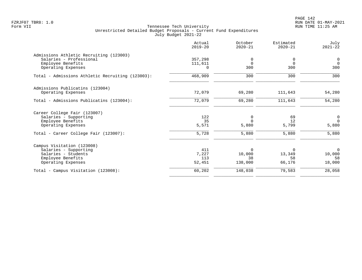PAGE 142 FZRJF07 TBR8: 1.0 RUN DATE 01-MAY-2021

|                                                  | Actual<br>$2019 - 20$ | October<br>$2020 - 21$ | Estimated<br>$2020 - 21$ | July<br>$2021 - 22$ |
|--------------------------------------------------|-----------------------|------------------------|--------------------------|---------------------|
| Admissions Athletic Recruiting (123003)          |                       |                        |                          |                     |
| Salaries - Professional                          | 357,298               | 0                      | 0                        | $\mathsf{O}$        |
| Employee Benefits                                | 111,611               | $\mathbf 0$            | $\Omega$                 | $\Omega$            |
| Operating Expenses                               | $\Omega$              | 300                    | 300                      | 300                 |
| Total - Admissions Athletic Recruiting (123003): | 468,909               | 300                    | 300                      | 300                 |
| Admissions Publicatins (123004)                  |                       |                        |                          |                     |
| Operating Expenses                               | 72,079                | 69,280                 | 111,643                  | 54,280              |
| Total - Admissions Publicatins (123004):         | 72,079                | 69,280                 | 111,643                  | 54,280              |
| Career College Fair (123007)                     |                       |                        |                          |                     |
| Salaries - Supporting                            | 122                   | 0                      | 69                       | 0                   |
| Employee Benefits                                | 35                    | $\Omega$               | 12                       | $\Omega$            |
| Operating Expenses                               | 5,571                 | 5,880                  | 5,799                    | 5,880               |
| Total - Career College Fair (123007):            | 5,728                 | 5,880                  | 5,880                    | 5,880               |
| Campus Visitation (123008)                       |                       |                        |                          |                     |
| Salaries - Supporting                            | 411                   | 0                      | $\Omega$                 | $\Omega$            |
| Salaries - Students                              | 7,227                 | 10,000                 | 13,349                   | 10,000              |
| Employee Benefits                                | 113                   | 38                     | 58                       | 58                  |
| Operating Expenses                               | 52,451                | 138,000                | 66,176                   | 18,000              |
| Total - Campus Visitation (123008):              | 60,202                | 148,038                | 79,583                   | 28,058              |
|                                                  |                       |                        |                          |                     |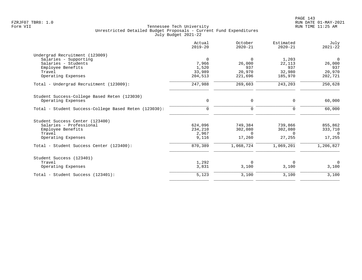|                                                       | Actual<br>$2019 - 20$ | October<br>$2020 - 21$ | Estimated<br>$2020 - 21$ | July<br>$2021 - 22$ |
|-------------------------------------------------------|-----------------------|------------------------|--------------------------|---------------------|
| Undergrad Recruitment (123009)                        |                       |                        |                          |                     |
| Salaries - Supporting                                 | $\Omega$              | $\Omega$               | 1,203                    | $\mathbf 0$         |
| Salaries - Students                                   | 7,966                 | 26,000                 | 22,113                   | 26,000              |
| Employee Benefits                                     | 1,520                 | 937                    | 937                      | 937                 |
| Travel                                                | 33,989                | 20,970                 | 32,980                   | 20,970              |
| Operating Expenses                                    | 204,513               | 221,696                | 185,970                  | 202,721             |
| Total - Undergrad Recruitment (123009):               | 247,988               | 269,603                | 243,203                  | 250,628             |
| Student Success-College Based Reten (123030)          |                       |                        |                          |                     |
| Operating Expenses                                    | 0                     | 0                      | $\Omega$                 | 60,000              |
| Total - Student Success-College Based Reten (123030): | $\mathbf 0$           | 0                      | $\mathbf 0$              | 60,000              |
| Student Success Center (123400)                       |                       |                        |                          |                     |
| Salaries - Professional                               | 624,096               | 749,384                | 739,866                  | 855,862             |
| Employee Benefits                                     | 234,210               | 302,080                | 302,080                  | 333,710             |
| Travel                                                | 2,967                 | $\Omega$               | $\Omega$                 | 0                   |
| Operating Expenses                                    | 9,116                 | 17,260                 | 27,255                   | 17,255              |
| Total - Student Success Center (123400):              | 870,389               | 1,068,724              | 1,069,201                | 1,206,827           |
| Student Success (123401)                              |                       |                        |                          |                     |
| Travel                                                | 1,292                 | $\Omega$               | $\Omega$                 | $\Omega$            |
| Operating Expenses                                    | 3,831                 | 3,100                  | 3,100                    | 3,100               |
| Total - Student Success (123401):                     | 5,123                 | 3,100                  | 3,100                    | 3,100               |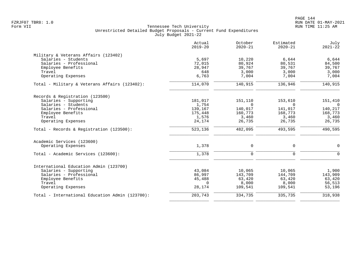|                                                 | Actual<br>$2019 - 20$ | October<br>$2020 - 21$ | Estimated<br>$2020 - 21$ | July<br>$2021 - 22$ |
|-------------------------------------------------|-----------------------|------------------------|--------------------------|---------------------|
| Military & Veterans Affairs (123402)            |                       |                        |                          |                     |
| Salaries - Students                             | 5,697                 | 10,220                 | 6,644                    | 6,644               |
| Salaries - Professional                         | 72,015                | 80,924                 | 80,531                   | 84,500              |
| Employee Benefits                               | 28,947                | 39,767                 | 39,767                   | 39,767              |
| Travel                                          | 648                   | 3,000                  | 3,000                    | 3,000               |
| Operating Expenses                              | 6,763                 | 7,004                  | 7,004                    | 7,004               |
| Total - Military & Veterans Affairs (123402):   | 114,070               | 140,915                | 136,946                  | 140,915             |
| Records & Registration (123500)                 |                       |                        |                          |                     |
| Salaries - Supporting                           | 181,017               | 151,110                | 153,610                  | 151,410             |
| Salaries - Students                             | 1,754                 | $\Omega$               | $\Omega$                 | $\Omega$            |
| Salaries - Professional                         | 139,167               | 140,017                | 141,017                  | 140,217             |
| Employee Benefits                               | 175,448               | 160,773                | 168,773                  | 168,773             |
| Travel                                          | 1,576                 | 3,460                  | 3,460                    | 3,460               |
| Operating Expenses                              | 24,174                | 26,735                 | 26,735                   | 26,735              |
| Total - Records & Registration (123500):        | 523,136               | 482,095                | 493,595                  | 490,595             |
| Academic Services (123600)                      |                       |                        |                          |                     |
| Operating Expenses                              | 1,378                 | $\mathbf 0$            | $\mathbf 0$              | $\mathbf 0$         |
| Total - Academic Services (123600):             | 1,378                 | $\Omega$               | $\Omega$                 | $\Omega$            |
| International Education Admin (123700)          |                       |                        |                          |                     |
| Salaries - Supporting                           | 43,084                | 10,065                 | 10,065                   | 1,900               |
| Salaries - Professional                         | 86,997                | 143,709                | 144,709                  | 143,909             |
| Employee Benefits                               | 45,488                | 63,420                 | 63,420                   | 63,420              |
| Travel                                          | $\Omega$              | 8,000                  | 8,000                    | 56,513              |
| Operating Expenses                              | 28,174                | 109,541                | 109,541                  | 53,196              |
| Total - International Education Admin (123700): | 203,743               | 334,735                | 335,735                  | 318,938             |
|                                                 |                       |                        |                          |                     |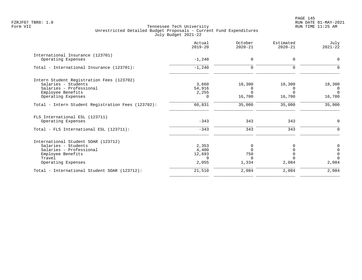|                                                    | Actual<br>$2019 - 20$ | October<br>$2020 - 21$ | Estimated<br>$2020 - 21$ | July<br>$2021 - 22$ |
|----------------------------------------------------|-----------------------|------------------------|--------------------------|---------------------|
| International Insurance (123701)                   |                       |                        |                          |                     |
| Operating Expenses                                 | $-1,240$              | $\mathbf 0$            | $\mathbf 0$              | $\Omega$            |
| Total - International Insurance (123701):          | $-1,240$              | $\Omega$               | $\Omega$                 |                     |
| Intern Student Registration Fees (123702)          |                       |                        |                          |                     |
| Salaries - Students                                | 3,660                 | 18,300                 | 18,300                   | 18,300              |
| Salaries - Professional                            | 54,916                | 0                      | $\Omega$                 | $\Omega$            |
| Employee Benefits                                  | 2,255                 | $\Omega$               | $\Omega$                 | $\Omega$            |
| Operating Expenses                                 | $\Omega$              | 16,700                 | 16,700                   | 16,700              |
| Total - Intern Student Registration Fees (123702): | 60,831                | 35,000                 | 35,000                   | 35,000              |
| FLS International ESL (123711)                     |                       |                        |                          |                     |
| Operating Expenses                                 | $-343$                | 343                    | 343                      | $\Omega$            |
| Total - FLS International ESL (123711):            | $-343$                | 343                    | 343                      |                     |
| International Student SOAR (123712)                |                       |                        |                          |                     |
| Salaries - Students                                | 2,353                 | $\Omega$               |                          |                     |
| Salaries - Professional                            | 4,400                 | <sup>n</sup>           |                          | $\Omega$            |
| Employee Benefits                                  | 12,693                | 750                    |                          | $\Omega$            |
| Travel                                             | 9                     | $\Omega$               |                          | $\Omega$            |
| Operating Expenses                                 | 2,055                 | 1,334                  | 2,084                    | 2,084               |
| Total - International Student SOAR (123712):       | 21,510                | 2,084                  | 2,084                    | 2,084               |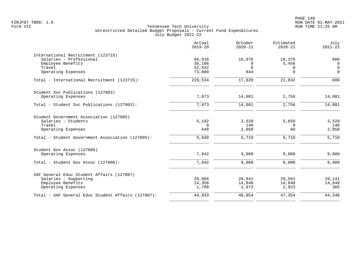|                                                                                    | Actual<br>$2019 - 20$ | October<br>$2020 - 21$ | Estimated<br>$2020 - 21$ | July<br>$2021 - 22$           |
|------------------------------------------------------------------------------------|-----------------------|------------------------|--------------------------|-------------------------------|
| International Recruitment (123715)<br>Salaries - Professional<br>Employee Benefits | 66,916<br>36,186      | 16,976<br>$\Omega$     | 16,376<br>5,456          | 600<br>$\Omega$               |
| Travel<br>Operating Expenses                                                       | 52,632<br>73,800      | $\mathbf 0$<br>844     | $\Omega$<br>$\Omega$     | $\overline{0}$<br>$\mathbf 0$ |
| Total - International Recruitment (123715):                                        | 229,534               | 17,820                 | 21,832                   | 600                           |
| Student Svc Publications (127003)                                                  |                       |                        |                          |                               |
| Operating Expenses                                                                 | 7,873                 | 14,081                 | 2,756                    | 14,081                        |
| Total - Student Svc Publications (127003):                                         | 7,873                 | 14,081                 | 2,756                    | 14,081                        |
| Student Government Association (127005)                                            |                       |                        |                          |                               |
| Salaries - Students<br>Travel                                                      | 5,192<br>$\Omega$     | 3,520<br>140           | 5,650<br>$\Omega$        | 3,520<br>140                  |
| Operating Expenses                                                                 | 648                   | 2,050                  | 60                       | 2,050                         |
| Total - Student Government Association (127005):                                   | 5,840                 | 5,710                  | 5,710                    | 5,710                         |
| Student Gov Assoc (127006)                                                         |                       |                        |                          |                               |
| Operating Expenses                                                                 | 7,942                 | 9,000                  | 9,000                    | 9,000                         |
| Total - Student Gov Assoc (127006):                                                | 7,942                 | 9,000                  | 9,000                    | 9.000                         |
| SAF General Educ Student Affairs (127007)                                          |                       |                        |                          |                               |
| Salaries - Supporting                                                              | 28,866                | 29,041                 | 29,591                   | 29,141                        |
| Employee Benefits<br>Operating Expenses                                            | 14,358<br>1,709       | 14,840<br>2,973        | 14,840<br>2,923          | 14,840<br>365                 |
| Total - SAF General Educ Student Affairs (127007):                                 | 44,933                | 46,854                 | 47,354                   | 44,346                        |
|                                                                                    |                       |                        |                          |                               |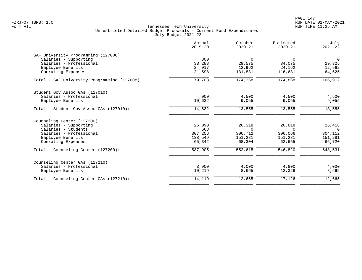|                                              | Actual<br>$2019 - 20$ | October<br>$2020 - 21$ | Estimated<br>$2020 - 21$ | July<br>$2021 - 22$ |
|----------------------------------------------|-----------------------|------------------------|--------------------------|---------------------|
| SAF University Programming (127008)          |                       |                        |                          |                     |
| Salaries - Supporting                        | 800                   | $\Omega$               | 0                        | $\overline{0}$      |
| Salaries - Professional                      | 33,288                | 29,575                 | 34,075                   | 29,325              |
| Employee Benefits                            | 24,017                | 12,962                 | 24,162                   | 12,962              |
| Operating Expenses                           | 21,598                | 131,831                | 116,631                  | 64,625              |
| Total - SAF University Programming (127008): | 79,703                | 174,368                | 174,868                  | 106,912             |
| Student Gov Assoc GAs (127010)               |                       |                        |                          |                     |
| Salaries - Professional                      | 4,000                 | 4,500                  | 4,500                    | 4,500               |
| Employee Benefits                            | 10,632                | 9,055                  | 9,055                    | 9,055               |
| Total - Student Gov Assoc GAs (127010):      | 14,632                | 13,555                 | 13,555                   | 13,555              |
| Counseling Center (127200)                   |                       |                        |                          |                     |
| Salaries - Supporting                        | 26,090                | 26,318                 | 26,818                   | 26,418              |
| Salaries - Students                          | 668                   | $\Omega$               | $\Omega$                 | $\Omega$            |
| Salaries - Professional                      | 307,256               | 306,712                | 306,066                  | 304,112             |
| Employee Benefits                            | 138,549               | 151,281                | 151,281                  | 151,281             |
| Operating Expenses                           | 65,342                | 68,304                 | 62,655                   | 66,720              |
| Total - Counseling Center (127200):          | 537,905               | 552,615                | 546,820                  | 548,531             |
| Counseling Center GAs (127210)               |                       |                        |                          |                     |
| Salaries - Professional                      | 3,900                 | 4,000                  | 4,800                    | 4,000               |
| Employee Benefits                            | 10,219                | 8,665                  | 12,326                   | 8,665               |
| Total - Counseling Center GAs (127210):      | 14,119                | 12,665                 | 17,126                   | 12,665              |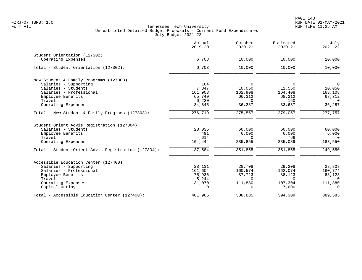|                                                     | Actual<br>$2019 - 20$ | October<br>$2020 - 21$ | Estimated<br>$2020 - 21$ | July<br>$2021 - 22$ |
|-----------------------------------------------------|-----------------------|------------------------|--------------------------|---------------------|
| Student Orientation (127302)                        |                       |                        |                          |                     |
| Operating Expenses                                  | 6,703                 | 10,000                 | 10,000                   | 10,000              |
| Total - Student Orientation (127302):               | 6,703                 | 10,000                 | 10,000                   | 10,000              |
| New Student & Family Programs (127303)              |                       |                        |                          |                     |
| Salaries - Supporting                               | 164                   | $\Omega$               | $\Omega$                 | $\overline{0}$      |
| Salaries - Students                                 | 7,847                 | 10,050                 | 12,550                   | 10,050              |
| Salaries - Professional                             | 161,903               | 162,908                | 164,408                  | 163,108             |
| Employee Benefits                                   | 65,740                | 66,312                 | 68,312                   | 68,312              |
| Travel                                              | 6,220                 | $\Omega$               | 150                      | $\Omega$            |
| Operating Expenses                                  | 34,845                | 36,287                 | 33,637                   | 36,287              |
| Total - New Student & Family Programs (127303):     | 276,719               | 275,557                | 279,057                  | 277,757             |
| Student Orient Advis Registration (127304)          |                       |                        |                          |                     |
| Salaries - Students                                 | 28,035                | 60,000                 | 60,000                   | 60,000              |
| Employee Benefits                                   | 491                   | 6,000                  | 6,000                    | 6,000               |
| Travel                                              | 4,614                 | $\Omega$               | 766                      | $\Omega$            |
| Operating Expenses                                  | 104,444               | 285,855                | 285,089                  | 183,550             |
| Total - Student Orient Advis Registration (127304): | 137,584               | 351,855                | 351,855                  | 249,550             |
| Accessible Education Center (127400)                |                       |                        |                          |                     |
| Salaries - Supporting                               | 28,131                | 28,708                 | 29,208                   | 28,808              |
| Salaries - Professional                             | 161,604               | 160,574                | 162,074                  | 160,774             |
| Employee Benefits                                   | 75,936                | 87,723                 | 88,123                   | 88,123              |
| Travel                                              | 5,244                 | $\Omega$               | $\Omega$                 | $\Omega$            |
| Operating Expenses                                  | 131,070               | 111,880                | 107,304                  | 111,880             |
| Capital Outlay                                      | $\Omega$              | $\Omega$               | 7,600                    | $\Omega$            |
| Total - Accessible Education Center (127400):       | 401,985               | 388,885                | 394,309                  | 389,585             |
|                                                     |                       |                        |                          |                     |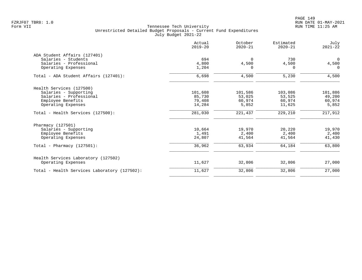| Actual<br>$2019 - 20$ | October<br>$2020 - 21$ | Estimated<br>$2020 - 21$ | July<br>$2021 - 22$ |
|-----------------------|------------------------|--------------------------|---------------------|
|                       |                        |                          |                     |
| 694                   | $\Omega$               | 730                      | $\mathbf 0$         |
| 4,800                 | 4,500                  |                          | 4,500               |
| 1,204                 |                        | $\Omega$                 | $\Omega$            |
| 6,698                 | 4,500                  | 5,230                    | 4,500               |
|                       |                        |                          |                     |
| 101,608               | 101,586                | 103,086                  | 101,886             |
| 85,730                | 53,025                 | 53,525                   | 49,200              |
| 79,408                | 60,974                 | 60,974                   | 60,974              |
| 14,284                | 5,852                  | 11,625                   | 5,852               |
| 281,030               | 221,437                | 229,210                  | 217,912             |
|                       |                        |                          |                     |
| 10,664                | 19,970                 | 20,220                   | 19,970              |
| 1,491                 | 2,400                  | 2,400                    | 2,400               |
| 24,807                | 41,564                 | 41,564                   | 41,430              |
| 36,962                | 63,934                 | 64,184                   | 63,800              |
|                       |                        |                          |                     |
| 11,627                | 32,806                 | 32,806                   | 27,000              |
| 11,627                | 32,806                 | 32,806                   | 27,000              |
|                       |                        |                          | 4,500               |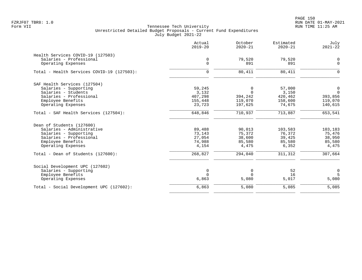PAGE 150 FZRJF07 TBR8: 1.0 RUN DATE 01-MAY-2021

|                                            | Actual<br>$2019 - 20$ | October<br>$2020 - 21$ | Estimated<br>$2020 - 21$ | July<br>$2021 - 22$ |
|--------------------------------------------|-----------------------|------------------------|--------------------------|---------------------|
| Health Services COVID-19 (127503)          |                       |                        |                          |                     |
| Salaries - Professional                    | 0                     | 79,520                 | 79,520                   | 0                   |
| Operating Expenses                         | $\mathbf 0$           | 891                    | 891                      | $\mathsf{O}$        |
| Total - Health Services COVID-19 (127503): | $\mathbf 0$           | 80,411                 | 80,411                   | $\mathbf 0$         |
| SAF Health Services (127504)               |                       |                        |                          |                     |
| Salaries - Supporting                      | 59,245                | $\overline{0}$         | 57,000                   | $\mathbf 0$         |
| Salaries - Students                        | 3,132                 | $\Omega$               | 3,150                    | $\Omega$            |
| Salaries - Professional                    | 407,298               | 394,242                | 420,462                  | 393,856             |
| Employee Benefits                          | 155,448               | 119,070                | 158,600                  | 119,070             |
| Operating Expenses                         | 23,723                | 197,625                | 74,675                   | 140,615             |
| Total - SAF Health Services (127504):      | 648,846               | 710,937                | 713,887                  | 653,541             |
| Dean of Students (127600)                  |                       |                        |                          |                     |
| Salaries - Administrative                  | 89,488                | 90,013                 | 103,583                  | 103,183             |
| Salaries - Supporting                      | 73,143                | 75,372                 | 76,372                   | 75,476              |
| Salaries - Professional                    | 27,054                | 38,600                 | 39,425                   | 38,950              |
| Employee Benefits                          | 74,988                | 85,580                 | 85,580                   | 85,580              |
| Operating Expenses                         | 4,154                 | 4,475                  | 6,352                    | 4,475               |
| Total - Dean of Students (127600):         | 268,827               | 294,040                | 311,312                  | 307,664             |
| Social Development UPC (127602)            |                       |                        |                          |                     |
| Salaries - Supporting                      | 0                     | 0                      | 52                       | $\mathbf 0$         |
| Employee Benefits                          | $\Omega$              | $\Omega$               | 16                       | 5                   |
| Operating Expenses                         | 6,863                 | 5,080                  | 5,017                    | 5,080               |
| Total - Social Development UPC (127602):   | 6,863                 | 5,080                  | 5,085                    | 5,085               |
|                                            |                       |                        |                          |                     |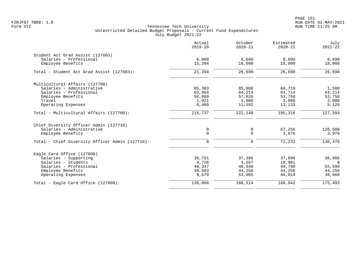PAGE 151 FZRJF07 TBR8: 1.0 RUN DATE 01-MAY-2021

|                                                 | Actual<br>$2019 - 20$ | October<br>$2020 - 21$ | Estimated<br>$2020 - 21$ | July<br>$2021 - 22$ |
|-------------------------------------------------|-----------------------|------------------------|--------------------------|---------------------|
| Student Act Grad Assist (127603)                |                       |                        |                          |                     |
| Salaries - Professional<br>Employee Benefits    | 6,000<br>15,204       | 8,690<br>18,000        | 8,690<br>18,000          | 8,690<br>18,000     |
| Total - Student Act Grad Assist (127603):       | 21,204                | 26,690                 | 26,690                   | 26,690              |
|                                                 |                       |                        |                          |                     |
| Multicultural Affairs (127700)                  |                       |                        |                          |                     |
| Salaries - Administrative                       | 85,383                | 85,908                 | 60,719                   | 1,500               |
| Salaries - Professional<br>Employee Benefits    | 63,964<br>56,069      | 64,214<br>57,626       | 64,714<br>53,750         | 64,214<br>53,750    |
| Travel                                          | 1,921                 | 3,000                  | 3,000                    | 3,000               |
| Operating Expenses                              | 8,400                 | 11,392                 | 13,133                   | 5,120               |
| Total - Multicultural Affairs (127700):         | 215,737               | 222,140                | 195,316                  | 127,584             |
| Chief Diversity Officer Admin (127710)          |                       |                        |                          |                     |
| Salaries - Administrative                       | 0                     | 0                      | 67,256                   | 126,500             |
| Employee Benefits                               | $\mathbf 0$           | $\Omega$               | 3,976                    | 3,976               |
| Total - Chief Diversity Officer Admin (127710): | $\mathbf 0$           | $\Omega$               | 71,232                   | 130,476             |
| Eagle Card Office (127800)                      |                       |                        |                          |                     |
| Salaries - Supporting                           | 36,751                | 37,386                 | 37,896                   | 36,986              |
| Salaries - Students                             | 4,726                 | 3,267                  | 10,981                   | $\Omega$            |
| Salaries - Professional                         | 48,347                | 48,540                 | 49,790                   | 55,590              |
| Employee Benefits                               | 39,563                | 44,256                 | 44,256                   | 44,256              |
| Operating Expenses                              | 9,679                 | 53,065                 | 46,019                   | 38,660              |
| Total - Eagle Card Office (127800):             | 139,066               | 186,514                | 188,942                  | 175,492             |
|                                                 |                       |                        |                          |                     |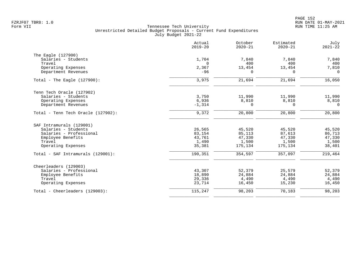|                                    | Actual<br>$2019 - 20$ | October<br>$2020 - 21$ | Estimated<br>$2020 - 21$ | July<br>$2021 - 22$ |
|------------------------------------|-----------------------|------------------------|--------------------------|---------------------|
| The Eagle (127900)                 |                       |                        |                          |                     |
| Salaries - Students                | 1,704                 | 7,840                  | 7,840                    | 7,840               |
| Travel                             | $\Omega$              | 400                    | 400                      | 400                 |
| Operating Expenses                 | 2,367                 | 13,454                 | 13,454                   | 7,810               |
| Department Revenues                | $-96$                 | $\Omega$               | $\Omega$                 | $\Omega$            |
| Total - The Eagle $(127900)$ :     | 3,975                 | 21,694                 | 21,694                   | 16,050              |
| Tenn Tech Oracle (127902)          |                       |                        |                          |                     |
| Salaries - Students                | 3,750                 | 11,990                 | 11,990                   | 11,990              |
| Operating Expenses                 | 6,936                 | 8,810                  | 8,810                    | 8,810               |
| Department Revenues                | $-1,314$              | 0                      | $\Omega$                 | $\Omega$            |
| Total - Tenn Tech Oracle (127902): | 9,372                 | 20,800                 | 20,800                   | 20,800              |
| SAF Intramurals (129001)           |                       |                        |                          |                     |
| Salaries - Students                | 26,565                | 45,520                 | 45,520                   | 45,520              |
| Salaries - Professional            | 83,154                | 85,113                 | 87,613                   | 86,713              |
| Employee Benefits                  | 43,761                | 47,330                 | 47,330                   | 47,330              |
| Travel                             | 1,490                 | 1,500                  | 1,500                    | 1,500               |
| Operating Expenses                 | 35,381                | 175,134                | 175,134                  | 38,401              |
| Total - SAF Intramurals (129001):  | 190,351               | 354,597                | 357,097                  | 219,464             |
| Cheerleaders (129003)              |                       |                        |                          |                     |
| Salaries - Professional            | 43,307                | 52,379                 | 25,579                   | 52,379              |
| Employee Benefits                  | 18,890                | 24,884                 | 24,884                   | 24,884              |
| Travel                             | 29,336                | 4,490                  | 4,490                    | 4,490               |
| Operating Expenses                 | 23,714                | 16,450                 | 15,230                   | 16,450              |
| Total - Cheerleaders (129003):     | 115,247               | 98,203                 | 70,183                   | 98,203              |
|                                    |                       |                        |                          |                     |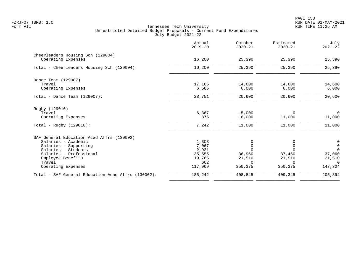|                                                         | Actual<br>$2019 - 20$ | October<br>$2020 - 21$ | Estimated<br>$2020 - 21$ | July<br>$2021 - 22$ |
|---------------------------------------------------------|-----------------------|------------------------|--------------------------|---------------------|
| Cheerleaders Housing Sch (129004)<br>Operating Expenses | 16,200                | 25,390                 | 25,390                   | 25,390              |
|                                                         |                       |                        |                          |                     |
| Total - Cheerleaders Housing Sch (129004):              | 16,200                | 25,390                 | 25,390                   | 25,390              |
| Dance Team (129007)                                     |                       |                        |                          |                     |
| Travel                                                  | 17,165                | 14,600                 | 14,600                   | 14,600              |
| Operating Expenses                                      | 6,586                 | 6,000                  | 6,000                    | 6,000               |
| Total - Dance Team $(129007)$ :                         | 23,751                | 20,600                 | 20,600                   | 20,600              |
| Rugby (129010)                                          |                       |                        |                          |                     |
| Travel                                                  | 6,367                 | $-5,000$               | 0                        | $\mathbf 0$         |
| Operating Expenses                                      | 875                   | 16,000                 | 11,000                   | 11,000              |
| Total - Rugby $(129010)$ :                              | 7,242                 | 11,000                 | 11,000                   | 11,000              |
| SAF General Education Acad Affrs (130002)               |                       |                        |                          |                     |
| Salaries - Academic                                     | 1,303                 |                        |                          | $\overline{0}$      |
| Salaries - Supporting                                   | 7,067                 | $\Omega$               | $\Omega$                 | $\mathsf{O}\xspace$ |
| Salaries - Students                                     | 2,921                 |                        | U                        | $\Omega$            |
| Salaries - Professional                                 | 35,555                | 36,960                 | 37,460                   | 37,060              |
| Employee Benefits                                       | 19,765                | 21,510                 | 21,510                   | 21,510              |
| Travel                                                  | 662                   | $\Omega$               | $\Omega$                 | $\Omega$            |
| Operating Expenses                                      | 117,969               | 350,375                | 350,375                  | 147,324             |
| Total - SAF General Education Acad Affrs (130002):      | 185,242               | 408,845                | 409,345                  | 205,894             |
|                                                         |                       |                        |                          |                     |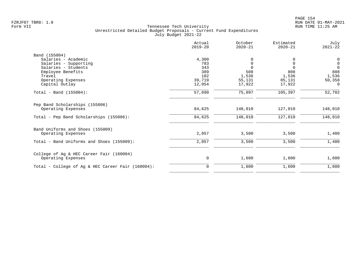|                                                   | Actual<br>$2019 - 20$ | October<br>$2020 - 21$ | Estimated<br>$2020 - 21$ | July<br>$2021 - 22$ |
|---------------------------------------------------|-----------------------|------------------------|--------------------------|---------------------|
| Band (155004)                                     |                       |                        |                          |                     |
| Salaries - Academic                               | 4,300                 |                        |                          | 0                   |
| Salaries - Supporting                             | 783                   | $\mathbf 0$            | 0                        | $\,0\,$             |
| Salaries - Students                               | 343                   | $\Omega$               |                          | $\Omega$            |
| Employee Benefits                                 | 389                   | 508                    | 808                      | 808                 |
| Travel                                            | 102                   | 1,536                  | 1,536                    | 1,536               |
| Operating Expenses                                | 39,719                | 55,131                 | 85,131                   | 50,358              |
| Capital Outlay                                    | 12,054                | 17,922                 | 17,922                   | $\overline{0}$      |
| Total - Band $(155004)$ :                         | 57,690                | 75,097                 | 105,397                  | 52,702              |
| Pep Band Scholarships (155006)                    |                       |                        |                          |                     |
| Operating Expenses                                | 84,625                | 148,010                | 127,010                  | 148,010             |
| Total - Pep Band Scholarships (155006):           | 84,625                | 148,010                | 127,010                  | 148,010             |
| Band Uniforms and Shoes (155009)                  |                       |                        |                          |                     |
| Operating Expenses                                | 2,057                 | 3,500                  | 3,500                    | 1,400               |
| Total - Band Uniforms and Shoes (155009):         | 2,057                 | 3,500                  | 3,500                    | 1,400               |
| College of Ag & HEC Career Fair (160004)          |                       |                        |                          |                     |
| Operating Expenses                                | 0                     | 1,600                  | 1,600                    | 1,600               |
| Total - College of Ag & HEC Career Fair (160004): | 0                     | 1,600                  | 1,600                    | 1,600               |
|                                                   |                       |                        |                          |                     |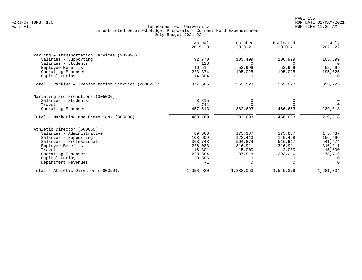|                                                     | Actual<br>$2019 - 20$ | October<br>$2020 - 21$ | Estimated<br>$2020 - 21$ | July<br>$2021 - 22$ |
|-----------------------------------------------------|-----------------------|------------------------|--------------------------|---------------------|
| Parking & Transportation Services (203026)          |                       |                        |                          |                     |
| Salaries - Supporting                               | 92,770                | 105,499                | 106,999                  | 105,699             |
| Salaries - Students                                 | 123                   | $\Omega$               |                          | $\Omega$            |
| Employee Benefits                                   | 46,514                | 52,999                 | 52,999                   | 52,999              |
| Operating Expenses                                  | 223,374               | 195,025                | 195,025                  | 195,025             |
| Capital Outlay                                      | 14,804                | 0                      | $\Omega$                 | 0                   |
| Total - Parking & Transportation Services (203026): | 377,585               | 353,523                | 355,023                  | 353,723             |
| Marketing and Promotions (305000)                   |                       |                        |                          |                     |
| Salaries - Students                                 | 3,815                 | 0                      |                          | 0                   |
| Travel                                              | 1,741                 | $\Omega$               |                          | $\Omega$            |
| Operating Expenses                                  | 457,613               | 382,693                | 466,663                  | 239,018             |
| Total - Marketing and Promotions (305000):          | 463,169               | 382,693                | 466,663                  | 239,018             |
| Athletic Director (600050)                          |                       |                        |                          |                     |
| Salaries - Administrative                           | 89,660                | 175,337                | 175,837                  | 175,437             |
| Salaries - Supporting                               | 108,609               | 122,413                | 140,498                  | 156,496             |
| Salaries - Professional                             | 363,748               | 564,874                | 516,917                  | 541,474             |
| Employee Benefits                                   | 226,033               | 316,911                | 316,911                  | 316,911             |
| Travel                                              | 16,301                | 15,000                 | 2,000                    | 15,000              |
| Operating Expenses                                  | 223,884               | 87,518                 | 393,216                  | 75,716              |
| Capital Outlay                                      | 30,686                | 0                      |                          | $\Omega$            |
| Department Revenues                                 | $-1$                  | $\Omega$               | $\Omega$                 | $\Omega$            |
| Total - Athletic Director (600050):                 | 1,058,920             | 1,282,053              | 1,545,379                | 1,281,034           |
|                                                     |                       |                        |                          |                     |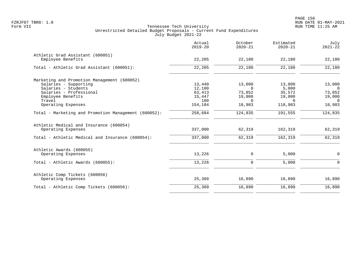|                                                      | Actual<br>$2019 - 20$ | October<br>$2020 - 21$ | Estimated<br>$2020 - 21$ | July<br>$2021 - 22$ |
|------------------------------------------------------|-----------------------|------------------------|--------------------------|---------------------|
| Athletic Grad Assistant (600051)                     |                       |                        |                          |                     |
| Employee Benefits                                    | 22,205                | 22,180                 | 22,180                   | 22,180              |
| Total - Athletic Grad Assistant (600051):            | 22,205                | 22,180                 | 22,180                   | 22,180              |
| Marketing and Promotion Management (600052)          |                       |                        |                          |                     |
| Salaries - Supporting                                | 13,440                | 13,000                 | 13,000                   | 13,000              |
| Salaries - Students                                  | 12,100                | $\Omega$               | 5,000                    | $\overline{0}$      |
| Salaries - Professional                              | 63,413                | 73,852                 | 35,572                   | 73,852              |
| Employee Benefits                                    | 15,447                | 19,000                 | 19,000                   | 19,000              |
| Travel                                               | 100                   | $\Omega$               | $\Omega$                 | $\overline{0}$      |
| Operating Expenses                                   | 154,184               | 18,983                 | 118,983                  | 18,983              |
| Total - Marketing and Promotion Management (600052): | 258,684               | 124,835                | 191,555                  | 124,835             |
| Athletic Medical and Insurance (600054)              |                       |                        |                          |                     |
| Operating Expenses                                   | 337,000               | 62,319                 | 162,319                  | 62,319              |
| Total - Athletic Medical and Insurance (600054):     | 337,000               | 62,319                 | 162,319                  | 62,319              |
| Athletic Awards (600055)                             |                       |                        |                          |                     |
| Operating Expenses                                   | 13,226                | 0                      | 5,000                    | 0                   |
| Total - Athletic Awards (600055):                    | 13,226                | 0                      | 5,000                    | $\mathbf 0$         |
| Athletic Comp Tickets (600056)                       |                       |                        |                          |                     |
| Operating Expenses                                   | 25,360                | 16,890                 | 16,890                   | 16,890              |
| Total - Athletic Comp Tickets (600056):              | 25,360                | 16,890                 | 16,890                   | 16,890              |
|                                                      |                       |                        |                          |                     |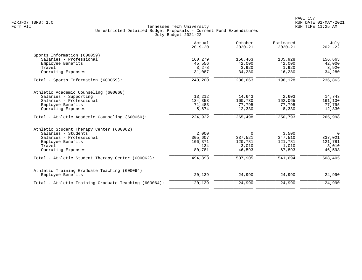|                                                       | Actual<br>$2019 - 20$ | October<br>$2020 - 21$ | Estimated<br>$2020 - 21$ | July<br>$2021 - 22$ |
|-------------------------------------------------------|-----------------------|------------------------|--------------------------|---------------------|
| Sports Information (600059)                           |                       |                        |                          |                     |
| Salaries - Professional                               | 160,279               | 156,463                | 135,928                  | 156,663             |
| Employee Benefits                                     | 45,556                | 42,000                 | 42,000                   | 42,000              |
| Travel                                                | 3,278                 | 3,920                  | 1,920                    | 3,920               |
| Operating Expenses                                    | 31,087                | 34,280                 | 16,280                   | 34,280              |
| Total - Sports Information (600059):                  | 240,200               | 236,663                | 196,128                  | 236,863             |
| Athletic Academic Counseling (600060)                 |                       |                        |                          |                     |
| Salaries - Supporting                                 | 13,212                | 14,643                 | 2,603                    | 14,743              |
| Salaries - Professional                               | 134,353               | 160,730                | 162,065                  | 161,130             |
| Employee Benefits                                     | 71,483                | 77,795                 | 77,795                   | 77,795              |
| Operating Expenses                                    | 5,874                 | 12,330                 | 8,330                    | 12,330              |
| Total - Athletic Academic Counseling (600060):        | 224,922               | 265,498                | 250,793                  | 265,998             |
| Athletic Student Therapy Center (600062)              |                       |                        |                          |                     |
| Salaries - Students                                   | 2,000                 | $\Omega$               | 3,500                    | $\overline{0}$      |
| Salaries - Professional                               | 305,607               | 337,521                | 347,510                  | 337,021             |
| Employee Benefits                                     | 106,371               | 120,781                | 121,781                  | 121,781             |
| Travel                                                | 134                   | 3,010                  | 1,010                    | 3,010               |
| Operating Expenses                                    | 80,781                | 46,593                 | 67,893                   | 46,593              |
| Total - Athletic Student Therapy Center (600062):     | 494,893               | 507,905                | 541,694                  | 508,405             |
| Athletic Training Graduate Teaching (600064)          |                       |                        |                          |                     |
| Employee Benefits                                     | 20,139                | 24,990                 | 24,990                   | 24,990              |
| Total - Athletic Training Graduate Teaching (600064): | 20,139                | 24,990                 | 24,990                   | 24,990              |
|                                                       |                       |                        |                          |                     |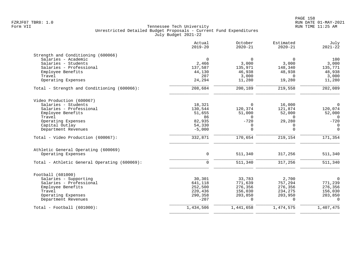|                                              | Actual<br>$2019 - 20$ | October<br>$2020 - 21$ | Estimated<br>$2020 - 21$ | July<br>$2021 - 22$ |
|----------------------------------------------|-----------------------|------------------------|--------------------------|---------------------|
| Strength and Conditioning (600066)           |                       |                        |                          |                     |
| Salaries - Academic                          | $\Omega$              | $\Omega$               | $\Omega$                 | 100                 |
| Salaries - Students                          | 2,466                 | 3,000                  | 3,000                    | 3,000               |
| Salaries - Professional                      | 137,587               | 135,971                | 148,340                  | 135,771             |
| Employee Benefits                            | 44,130                | 46,938                 | 48,938                   | 48,938              |
| Travel                                       | 207                   | 3,000                  | $\Omega$                 | 3,000               |
| Operating Expenses                           | 24,294                | 11,280                 | 19,280                   | 11,280              |
| Total - Strength and Conditioning (600066):  | 208,684               | 200,189                | 219,558                  | 202,089             |
| Video Production (600067)                    |                       |                        |                          |                     |
| Salaries - Students                          | 18,321                | $\Omega$               | 16,000                   | $\overline{0}$      |
| Salaries - Professional                      | 130,544               | 120,374                | 121,874                  | 120,074             |
| Employee Benefits                            | 51,655                | 51,000                 | 52,000                   | 52,000              |
| Travel                                       | 86                    | $\Omega$               | $\cap$                   | $\Omega$            |
| Operating Expenses                           | 82,935                | $-720$                 | 29,280                   | $-720$              |
| Capital Outlay                               | 54,330                | $\mathbf 0$            | 0                        | $\mathbf 0$         |
| Department Revenues                          | $-5,000$              | $\Omega$               | $\Omega$                 | $\Omega$            |
| Total - Video Production (600067):           | 332,871               | 170,654                | 219,154                  | 171,354             |
| Athletic General Operating (600069)          |                       |                        |                          |                     |
| Operating Expenses                           | $\mathbf 0$           | 511,340                | 317,256                  | 511,340             |
| Total - Athletic General Operating (600069): | $\Omega$              | 511,340                | 317,256                  | 511,340             |
| Football (601000)                            |                       |                        |                          |                     |
| Salaries - Supporting                        | 30,301                | 33,783                 | 2,700                    | $\overline{0}$      |
| Salaries - Professional                      | 641,118               | 771,639                | 757,294                  | 771,239             |
| Employee Benefits                            | 252,500               | 276,356                | 276,356                  | 276,356             |
| Travel                                       | 220,436               | 156,030                | 234,275                  | 156,030             |
| Operating Expenses                           | 290,358               | 203,850                | 203,950                  | 203,850             |
| Department Revenues                          | $-207$                | $\Omega$               | $\Omega$                 | $\Omega$            |
| Total - Football (601000):                   | 1,434,506             | 1,441,658              | 1,474,575                | 1,407,475           |
|                                              |                       |                        |                          |                     |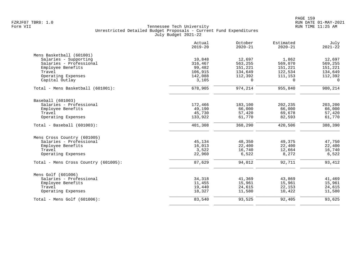|                                      | Actual<br>$2019 - 20$ | October<br>$2020 - 21$ | Estimated<br>$2020 - 21$ | July<br>$2021 - 22$ |
|--------------------------------------|-----------------------|------------------------|--------------------------|---------------------|
| Mens Basketball (601001)             |                       |                        |                          |                     |
| Salaries - Supporting                | 10,848                | 12,697                 | 1,862                    | 12,697              |
| Salaries - Professional              | 316,467               | 563,255                | 569,070                  | 569,255             |
| Employee Benefits                    | 99,482                | 151,221                | 151,221                  | 151,221             |
| Travel                               | 106,915               | 134,649                | 122,534                  | 134,649             |
| Operating Expenses                   | 142,088               | 112,392                | 111,153                  | 112,392             |
| Capital Outlay                       | 3,105                 | $\Omega$               | $\Omega$                 | $\Omega$            |
| Total - Mens Basketball (601001):    | 678,905               | 974,214                | 955,840                  | 980,214             |
| Baseball (601003)                    |                       |                        |                          |                     |
| Salaries - Professional              | 172,466               | 183,100                | 202,235                  | 203,200             |
| Employee Benefits                    | 49,190                | 66,000                 | 66,000                   | 66,000              |
| Travel                               | 45,730                | 57,420                 | 69,678                   | 57,420              |
| Operating Expenses                   | 133,922               | 61,770                 | 82,593                   | 61,770              |
| Total - Baseball (601003):           | 401,308               | 368,290                | 420,506                  | 388,390             |
| Mens Cross Country (601005)          |                       |                        |                          |                     |
| Salaries - Professional              | 45,134                | 48,350                 | 49,375                   | 47,750              |
| Employee Benefits                    | 16,013                | 22,400                 | 22,400                   | 22,400              |
| Travel                               | 3,522                 | 16,740                 | 12,664                   | 16,740              |
| Operating Expenses                   | 22,960                | 6,522                  | 8,272                    | 6,522               |
| Total - Mens Cross Country (601005): | 87,629                | 94,012                 | 92,711                   | 93,412              |
| Mens Golf (601006)                   |                       |                        |                          |                     |
| Salaries - Professional              | 34,318                | 41,369                 | 43,869                   | 41,469              |
| Employee Benefits                    | 11,455                | 15,961                 | 15,961                   | 15,961              |
| Travel                               | 19,440                | 24,615                 | 22,153                   | 24,615              |
| Operating Expenses                   | 18,327                | 11,580                 | 10,422                   | 11,580              |
| Total - Mens Golf $(601006)$ :       | 83,540                | 93,525                 | 92,405                   | 93,625              |
|                                      |                       |                        |                          |                     |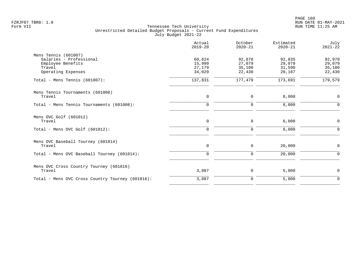|                                                                                                      | Actual<br>$2019 - 20$                | October<br>$2020 - 21$               | Estimated<br>$2020 - 21$             | July<br>$2021 - 22$                  |
|------------------------------------------------------------------------------------------------------|--------------------------------------|--------------------------------------|--------------------------------------|--------------------------------------|
| Mens Tennis (601007)<br>Salaries - Professional<br>Employee Benefits<br>Travel<br>Operating Expenses | 60,624<br>15,999<br>27,179<br>34,029 | 92,870<br>27,079<br>35,100<br>22,430 | 92,835<br>29,079<br>31,590<br>20,187 | 92,970<br>29,079<br>35,100<br>22,430 |
| Total - Mens Tennis (601007):                                                                        | 137,831                              | 177,479                              | 173,691                              | 179,579                              |
| Mens Tennis Tournaments (601008)<br>Travel                                                           | 0                                    | 0                                    | 8,000                                | 0                                    |
| Total - Mens Tennis Tournaments (601008):                                                            | $\mathbf 0$                          | $\mathbf 0$                          | 8,000                                | $\mathbf 0$                          |
| Mens OVC Golf (601012)<br>Travel                                                                     | $\mathbf 0$                          | 0                                    | 6,000                                | 0                                    |
| Total - Mens OVC Golf (601012):                                                                      | $\mathbf 0$                          | $\mathbf 0$                          | 6,000                                | $\Omega$                             |
| Mens OVC Baseball Tourney (601014)<br>Travel                                                         | $\mathbf 0$                          | 0                                    | 20,000                               | 0                                    |
| Total - Mens OVC Baseball Tourney (601014):                                                          | $\mathbf 0$                          | $\mathbf 0$                          | 20,000                               | $\Omega$                             |
| Mens OVC Cross Country Tourney (601016)<br>Travel                                                    | 3,087                                | 0                                    | 5,000                                | 0                                    |
| Total - Mens OVC Cross Country Tourney (601016):                                                     | 3,087                                | $\mathbf 0$                          | 5,000                                | $\mathbf 0$                          |
|                                                                                                      |                                      |                                      |                                      |                                      |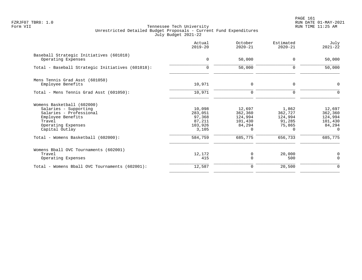PAGE 161 FZRJF07 TBR8: 1.0 RUN DATE 01-MAY-2021

|                                                                                                                                                                                              | Actual<br>$2019 - 20$                                                | October<br>$2020 - 21$                                                   | Estimated<br>$2020 - 21$                                               | July<br>$2021 - 22$                                                      |
|----------------------------------------------------------------------------------------------------------------------------------------------------------------------------------------------|----------------------------------------------------------------------|--------------------------------------------------------------------------|------------------------------------------------------------------------|--------------------------------------------------------------------------|
| Baseball Strategic Initiatives (601018)<br>Operating Expenses                                                                                                                                | $\mathbf 0$                                                          | 50,000                                                                   | $\Omega$                                                               | 50,000                                                                   |
| Total - Baseball Strategic Initiatives (601018):                                                                                                                                             | $\mathbf 0$                                                          | 50,000                                                                   | $\mathbf 0$                                                            | 50,000                                                                   |
| Mens Tennis Grad Asst (601050)<br>Employee Benefits                                                                                                                                          | 10,971                                                               | $\mathbf 0$                                                              | 0                                                                      | $\mathbf 0$                                                              |
| Total - Mens Tennis Grad Asst (601050):                                                                                                                                                      | 10,971                                                               | $\mathbf 0$                                                              | $\Omega$                                                               | $\Omega$                                                                 |
| Womens Basketball (602000)<br>Salaries - Supporting<br>Salaries - Professional<br>Employee Benefits<br>Travel<br>Operating Expenses<br>Capital Outlay<br>Total - Womens Basketball (602000): | 10,098<br>283,051<br>97,368<br>87,211<br>103,926<br>3,105<br>584,759 | 12,697<br>362,360<br>124,994<br>101,430<br>84,294<br>$\Omega$<br>685,775 | 1,862<br>362,727<br>124,994<br>91,285<br>75,865<br>$\Omega$<br>656,733 | 12,697<br>362,360<br>124,994<br>101,430<br>84,294<br>$\Omega$<br>685,775 |
| Womens Bball OVC Tournaments (602001)<br>Travel<br>Operating Expenses                                                                                                                        | 12,172<br>415                                                        | 0<br>$\mathbf 0$                                                         | 20,000<br>500                                                          | 0<br>$\Omega$                                                            |
| Total - Womens Bball OVC Tournaments (602001):                                                                                                                                               | 12,587                                                               | $\mathbf 0$                                                              | 20,500                                                                 | 0                                                                        |
|                                                                                                                                                                                              |                                                                      |                                                                          |                                                                        |                                                                          |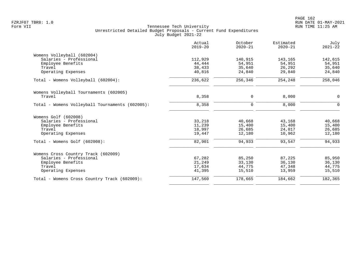| 140,915<br>143,165<br>54,951<br>54,951<br>35,640<br>26,292 | 142,615<br>54,951                                                                                                                                              |
|------------------------------------------------------------|----------------------------------------------------------------------------------------------------------------------------------------------------------------|
|                                                            |                                                                                                                                                                |
|                                                            |                                                                                                                                                                |
|                                                            |                                                                                                                                                                |
|                                                            | 35,640                                                                                                                                                         |
|                                                            | 24,840                                                                                                                                                         |
| 254,248                                                    | 258,046                                                                                                                                                        |
|                                                            |                                                                                                                                                                |
| 8,000                                                      | $\mathbf 0$                                                                                                                                                    |
| 8,000                                                      | $\Omega$                                                                                                                                                       |
|                                                            |                                                                                                                                                                |
| 43,168                                                     | 40,668                                                                                                                                                         |
| 15,400                                                     | 15,400                                                                                                                                                         |
| 24,017                                                     | 26,685                                                                                                                                                         |
| 10,962                                                     | 12,180                                                                                                                                                         |
| 93,547                                                     | 94,933                                                                                                                                                         |
|                                                            |                                                                                                                                                                |
|                                                            | 85,950                                                                                                                                                         |
| 36,130                                                     | 36,130                                                                                                                                                         |
| 47,348                                                     | 44,775                                                                                                                                                         |
| 13,959                                                     | 15,510                                                                                                                                                         |
| 184,662                                                    | 182,365                                                                                                                                                        |
|                                                            | 29,840<br>24,840<br>256,346<br>0<br>$\mathbf 0$<br>40,668<br>15,400<br>26,685<br>12,180<br>94,933<br>85,250<br>87,225<br>33,130<br>44,775<br>15,510<br>178,665 |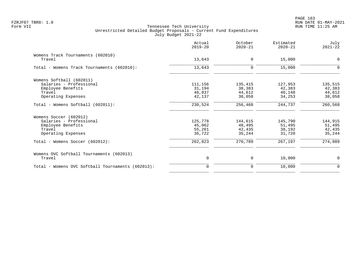|                                                   | Actual<br>$2019 - 20$ | October<br>$2020 - 21$ | Estimated<br>$2020 - 21$ | July<br>$2021 - 22$ |
|---------------------------------------------------|-----------------------|------------------------|--------------------------|---------------------|
| Womens Track Tournaments (602010)<br>Travel       | 13,643                | $\mathbf 0$            | 15,000                   | $\mathbf 0$         |
|                                                   |                       |                        |                          |                     |
| Total - Womens Track Tournaments (602010):        | 13,643                | $\mathbf 0$            | 15,000                   | $\mathbf 0$         |
| Womens Softball (602011)                          |                       |                        |                          |                     |
| Salaries - Professional                           | 111,156               | 135,415                | 127,953                  | 135,515             |
| Employee Benefits                                 | 31,194                | 38,383                 | 42,383                   | 42,383              |
| Travel                                            | 46,037                | 44,612                 | 40,148                   | 44,612              |
| Operating Expenses                                | 42,137                | 38,058                 | 34,253                   | 38,058              |
| Total - Womens Softball (602011):                 | 230,524               | 256,468                | 244,737                  | 260,568             |
| Womens Soccer (602012)                            |                       |                        |                          |                     |
| Salaries - Professional                           | 125,778               | 144,615                | 145,790                  | 144,915             |
| Employee Benefits                                 | 45,062                | 48,495                 | 51,495                   | 51,495              |
| Travel                                            | 55,261                | 42,435                 | 38,192                   | 42,435              |
| Operating Expenses                                | 36,722                | 35,244                 | 31,720                   | 35,244              |
| Total - Womens Soccer (602012):                   | 262,823               | 270,789                | 267,197                  | 274,089             |
| Womens OVC Softball Tournaments (602013)          |                       |                        |                          |                     |
| Travel                                            | 0                     | 0                      | 10,000                   | 0                   |
| Total - Womens OVC Softball Tournaments (602013): | $\Omega$              | $\mathbf 0$            | 10,000                   | $\mathbf 0$         |
|                                                   |                       |                        |                          |                     |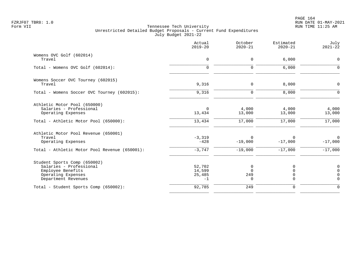PAGE 164 FZRJF07 TBR8: 1.0 RUN DATE 01-MAY-2021

|                                                                                                                           | Actual<br>$2019 - 20$              | October<br>$2020 - 21$    | Estimated<br>$2020 - 21$   | July<br>$2021 - 22$                                            |
|---------------------------------------------------------------------------------------------------------------------------|------------------------------------|---------------------------|----------------------------|----------------------------------------------------------------|
| Womens OVC Golf (602014)<br>Travel                                                                                        | 0                                  | 0                         | 6,000                      | 0                                                              |
| Total - Womens OVC Golf (602014):                                                                                         | $\Omega$                           | 0                         | 6,000                      | $\Omega$                                                       |
| Womens Soccer OVC Tourney (602015)<br>Travel                                                                              | 9,316                              | 0                         | 8,000                      | $\mathbf 0$                                                    |
| Total - Womens Soccer OVC Tourney (602015):                                                                               | 9,316                              | $\mathbf 0$               | 8,000                      | $\mathbf 0$                                                    |
| Athletic Motor Pool (650000)<br>Salaries - Professional<br>Operating Expenses                                             | $\Omega$<br>13,434                 | 4,000<br>13,000           | 4,000<br>13,000            | 4,000<br>13,000                                                |
| Total - Athletic Motor Pool (650000):                                                                                     | 13,434                             | 17,000                    | 17,000                     | 17,000                                                         |
| Athletic Motor Pool Revenue (650001)<br>Travel<br>Operating Expenses                                                      | $-3,319$<br>$-428$                 | $\Omega$<br>$-19,000$     | 0<br>$-17,000$             | 0<br>$-17,000$                                                 |
| Total - Athletic Motor Pool Revenue (650001):                                                                             | $-3,747$                           | $-19,000$                 | $-17,000$                  | $-17,000$                                                      |
| Student Sports Comp (650002)<br>Salaries - Professional<br>Employee Benefits<br>Operating Expenses<br>Department Revenues | 52,702<br>14,599<br>25,485<br>$-1$ | 0<br>$\Omega$<br>249<br>0 | 0<br>0<br>0<br>$\mathbf 0$ | $\mathbf 0$<br>$\overline{0}$<br>$\mathbf 0$<br>$\overline{0}$ |
| Total - Student Sports Comp (650002):                                                                                     | 92,785                             | 249                       | 0                          | $\mathbf 0$                                                    |
|                                                                                                                           |                                    |                           |                            |                                                                |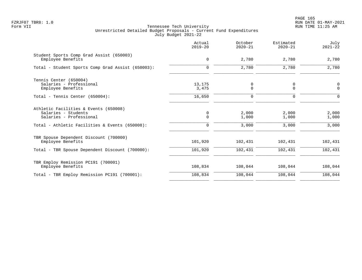|                                                                                         | Actual<br>$2019 - 20$ | October<br>$2020 - 21$ | Estimated<br>$2020 - 21$ | July<br>$2021 - 22$ |
|-----------------------------------------------------------------------------------------|-----------------------|------------------------|--------------------------|---------------------|
| Student Sports Comp Grad Assist (650003)<br>Employee Benefits                           | $\mathbf 0$           | 2,780                  | 2,780                    | 2,780               |
| Total - Student Sports Comp Grad Assist (650003):                                       | $\mathbf 0$           | 2,780                  | 2,780                    | 2,780               |
| Tennis Center (650004)<br>Salaries - Professional<br>Employee Benefits                  | 13,175<br>3,475       | 0<br>0                 | 0<br>$\mathbf 0$         | 0<br>$\mathbf 0$    |
| Total - Tennis Center (650004):                                                         | 16,650                | $\mathbf 0$            | $\mathbf 0$              | $\Omega$            |
| Athletic Facilities & Events (650008)<br>Salaries - Students<br>Salaries - Professional | 0<br>$\mathbf 0$      | 2,000<br>1,000         | 2,000<br>1,000           | 2,000<br>1,000      |
| Total - Athletic Facilities & Events (650008):                                          | 0                     | 3,000                  | 3,000                    | 3,000               |
| TBR Spouse Dependent Discount (700000)<br>Employee Benefits                             | 101,920               | 102,431                | 102,431                  | 102,431             |
| Total - TBR Spouse Dependent Discount (700000):                                         | 101,920               | 102,431                | 102,431                  | 102,431             |
| TBR Employ Remission PC191 (700001)<br>Employee Benefits                                | 108,834               | 108,044                | 108,044                  | 108,044             |
| Total - TBR Employ Remission PC191 (700001):                                            | 108,834               | 108,044                | 108,044                  | 108,044             |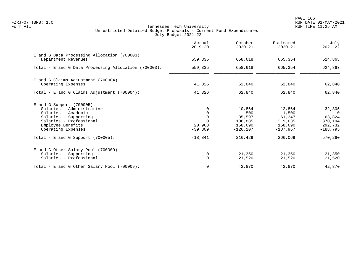PAGE 166 FZRJF07 TBR8: 1.0 RUN DATE 01-MAY-2021

| Actual<br>$2019 - 20$                                                 | October<br>$2020 - 21$                                                  | Estimated<br>$2020 - 21$                                                 | July<br>$2021 - 22$                                                         |
|-----------------------------------------------------------------------|-------------------------------------------------------------------------|--------------------------------------------------------------------------|-----------------------------------------------------------------------------|
| 559,335                                                               | 658,618                                                                 | 665,354                                                                  | 624,863                                                                     |
| 559,335                                                               | 658,618                                                                 | 665,354                                                                  | 624,863                                                                     |
| 41,326                                                                | 62,840                                                                  | 62,840                                                                   | 62,840                                                                      |
| 41,326                                                                | 62,840                                                                  | 62,840                                                                   | 62,840                                                                      |
| 0<br>0<br>$\mathbf 0$<br>$\Omega$<br>20,968<br>$-39,809$<br>$-18,841$ | 10,864<br>500<br>35,597<br>136,885<br>158,690<br>$-126, 107$<br>216,429 | 12,864<br>1,500<br>61,347<br>219,635<br>158,690<br>$-187.967$<br>266,069 | 32,305<br>$\Omega$<br>63,824<br>370,194<br>292,732<br>$-188.795$<br>570,260 |
| 0<br>$\mathbf 0$<br>$\Omega$                                          | 21,350<br>21,520                                                        | 21,350<br>21,520                                                         | 21,350<br>21,520<br>42,870                                                  |
|                                                                       |                                                                         | 42,870                                                                   | 42,870                                                                      |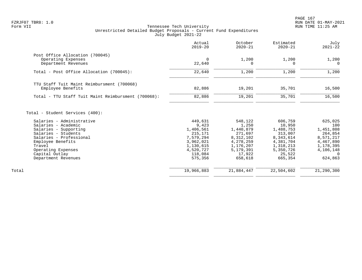|                                                     | Actual<br>$2019 - 20$  | October<br>$2020 - 21$ | Estimated<br>$2020 - 21$ | July<br>$2021 - 22$    |
|-----------------------------------------------------|------------------------|------------------------|--------------------------|------------------------|
| Post Office Allocation (700045)                     |                        |                        |                          |                        |
| Operating Expenses<br>Department Revenues           | $\Omega$<br>22,640     | 1,200<br>$\Omega$      | 1,200<br>$\Omega$        | 1,200<br>$\Omega$      |
| Total - Post Office Allocation (700045):            | 22,640                 | 1,200                  | 1,200                    | 1,200                  |
| TTU Staff Tuit Maint Reimbursment (700068)          |                        |                        |                          |                        |
| Employee Benefits                                   | 82,886                 | 19,201                 | 35,701                   | 16,500                 |
| Total - TTU Staff Tuit Maint Reimbursment (700068): | 82,886                 | 19,201                 | 35,701                   | 16,500                 |
| Total - Student Services (400):                     |                        |                        |                          |                        |
| Salaries - Administrative                           | 449,631                | 548,122                | 606,759                  | 625,025                |
| Salaries - Academic                                 | 9,423                  | 1,250                  | 10,950                   | 100                    |
| Salaries - Supporting                               | 1,406,561              | 1,440,879              | 1,488,753                | 1,451,808              |
| Salaries - Students                                 | 215,171                | 271,697                | 313,007                  | 264,854                |
| Salaries - Professional<br>Employee Benefits        | 7,579,294<br>3,962,021 | 8,312,102<br>4,278,259 | 8,343,614<br>4,381,704   | 8,571,217<br>4,467,890 |
| Travel                                              | 1,130,615              | 1,176,207              | 1,318,213                | 1,178,395              |
| Operating Expenses                                  | 4,520,727              | 5,179,391              | 5,350,726                | 4,106,148              |
| Capital Outlay                                      | 118,084                | 17,922                 | 25,522                   | $\Omega$               |
| Department Revenues                                 | 575,356                | 658,618                | 665,354                  | 624,863                |
| Total                                               | 19,966,883             | 21,884,447             | 22,504,602               | 21,290,300             |
|                                                     |                        |                        |                          |                        |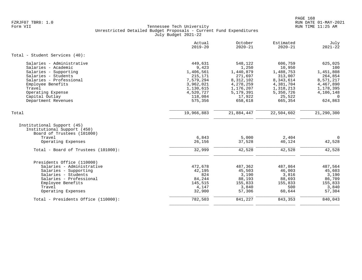| $2019 - 20$<br>$2020 - 21$<br>$2020 - 21$                                                                                                                                        |                        |
|----------------------------------------------------------------------------------------------------------------------------------------------------------------------------------|------------------------|
| Total - Student Services (40):                                                                                                                                                   |                        |
| Salaries - Administrative<br>449,631<br>548,122<br>606,759                                                                                                                       | 625,025                |
| 9,423<br>1,250<br>10,950<br>Salaries - Academic                                                                                                                                  | 100                    |
| Salaries - Supporting<br>1,406,561<br>1,440,879<br>1,488,753                                                                                                                     | 1,451,808              |
| Salaries - Students<br>215,171<br>271,697<br>313,007                                                                                                                             | 264,854                |
| Salaries - Professional<br>7,579,294<br>8,312,102<br>8,343,614                                                                                                                   | 8,571,217              |
| Employee Benefits<br>3,962,021<br>4,278,259<br>4,381,704<br>Travel<br>1,130,615<br>1,176,207<br>1,318,213                                                                        | 4,467,890<br>1,178,395 |
| 4,520,727<br>5,179,391<br>5,350,726<br>Operating Expense                                                                                                                         | 4,106,148              |
| 25,522<br>Capital Outlay<br>118,084<br>17,922                                                                                                                                    | $\Omega$               |
| 575,356<br>658,618<br>665,354<br>Department Revenues                                                                                                                             | 624,863                |
|                                                                                                                                                                                  |                        |
| 19,966,883<br>21,884,447<br>22,504,602<br>Total                                                                                                                                  | 21,290,300             |
| Institutional Support (45)<br>Institutional Support (450)<br>Board of Trustees (101000)<br>6,843<br>5,000<br>Travel<br>2,404<br>Operating Expenses<br>26,156<br>37,528<br>40,124 | $\mathbf 0$<br>42,528  |
| 32,999<br>42,528<br>42,528<br>Total - Board of Trustees (101000):                                                                                                                | 42,528                 |
| Presidents Office (110000)                                                                                                                                                       |                        |
| Salaries - Administrative<br>487,864<br>472,678<br>487,362                                                                                                                       | 487,564                |
| 42,195<br>45,503<br>46,003<br>Salaries - Supporting                                                                                                                              | 45,603                 |
| 824<br>3,816<br>3,190<br>Salaries - Students                                                                                                                                     | 3,190                  |
| 88,693<br>Salaries - Professional<br>84,244<br>88,193                                                                                                                            | 86,709                 |
| 145,515<br>Employee Benefits<br>155,833<br>155,833                                                                                                                               | 155,833                |
| Travel<br>3,840<br>500<br>4,147                                                                                                                                                  | 3,840                  |
| Operating Expenses<br>32,900<br>57,306<br>60,644                                                                                                                                 | 57,304                 |
| 782,503<br>841,227<br>843,353<br>Total - Presidents Office (110000):                                                                                                             | 840,043                |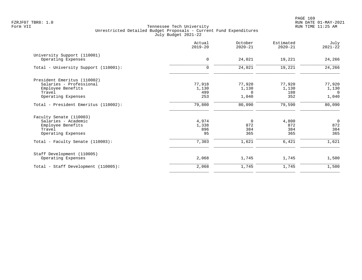PAGE 169 FZRJF07 TBR8: 1.0 RUN DATE 01-MAY-2021

|                                                                                                             | Actual<br>$2019 - 20$         | October<br>$2020 - 21$        | Estimated<br>$2020 - 21$      | July<br>$2021 - 22$                        |
|-------------------------------------------------------------------------------------------------------------|-------------------------------|-------------------------------|-------------------------------|--------------------------------------------|
| University Support (110001)<br>Operating Expenses                                                           | $\mathbf 0$                   | 24,021                        | 19,221                        | 24,266                                     |
| Total - University Support (110001):                                                                        | $\mathbf 0$                   | 24,021                        | 19,221                        | 24,266                                     |
| President Emeritus (110002)<br>Salaries - Professional<br>Employee Benefits<br>Travel<br>Operating Expenses | 77,918<br>1,130<br>499<br>253 | 77,920<br>1,130<br>0<br>1,040 | 77,920<br>1,130<br>188<br>352 | 77,920<br>1,130<br>$\overline{0}$<br>1,040 |
| Total - President Emeritus (110002):                                                                        | 79,800                        | 80,090                        | 79,590                        | 80,090                                     |
| Faculty Senate (110003)<br>Salaries - Academic<br>Employee Benefits<br>Travel<br>Operating Expenses         | 4,974<br>1,338<br>896<br>95   | 0<br>872<br>384<br>365        | 4,800<br>872<br>384<br>365    | $\overline{0}$<br>872<br>384<br>365        |
| Total - Faculty Senate (110003):                                                                            | 7,303                         | 1,621                         | 6,421                         | 1,621                                      |
| Staff Development (110005)<br>Operating Expenses                                                            | 2,068                         | 1,745                         | 1,745                         | 1,500                                      |
| Total - Staff Development (110005):                                                                         | 2,068                         | 1,745                         | 1,745                         | 1,500                                      |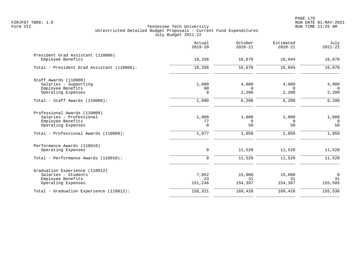|                                                        | Actual<br>$2019 - 20$ | October<br>$2020 - 21$ | Estimated<br>$2020 - 21$ | July<br>$2021 - 22$ |
|--------------------------------------------------------|-----------------------|------------------------|--------------------------|---------------------|
| President Grad Assistant (110006)<br>Employee Benefits | 18,336                | 16,670                 | 16,044                   | 16,670              |
| Total - President Grad Assistant (110006):             | 18,336                | 16,670                 | 16,044                   | 16,670              |
| Staff Awards (110008)                                  |                       |                        |                          |                     |
| Salaries - Supporting                                  | 1,000                 | 4,000                  | 4,000                    | 4,000               |
| Employee Benefits                                      | 90                    | $\Omega$               | $\Omega$                 | $\Omega$            |
| Operating Expenses                                     | $\mathbf 0$           | 2,200                  | 2,200                    | 2,200               |
| Total - Staff Awards (110008):                         | 1,090                 | 6,200                  | 6,200                    | 6,200               |
| Professional Awards (110009)                           |                       |                        |                          |                     |
| Salaries - Professional                                | 1,000                 | 1,000                  | 1,000                    | 1,000               |
| Employee Benefits                                      | 77                    | 0                      | $\mathbf 0$              | $\Omega$            |
| Operating Expenses                                     | $\Omega$              | 50                     | 50                       | 50                  |
| Total - Professional Awards (110009):                  | 1,077                 | 1,050                  | 1,050                    | 1,050               |
| Performance Awards (110010)                            |                       |                        |                          |                     |
| Operating Expenses                                     | 0                     | 11,520                 | 11,520                   | 11,520              |
| Total - Performance Awards (110010):                   | $\mathbf 0$           | 11,520                 | 11,520                   | 11,520              |
| Graduation Experience (110012)                         |                       |                        |                          |                     |
| Salaries - Students                                    | 7,052                 | 15,000                 | 15,000                   | $\mathbf 0$         |
| Employee Benefits                                      | 23                    | 31                     | 31                       | 31                  |
| Operating Expenses                                     | 151,246               | 154,397                | 154,397                  | 155,505             |
| Total - Graduation Experience (110012):                | 158,321               | 169,428                | 169,428                  | 155,536             |
|                                                        |                       |                        |                          |                     |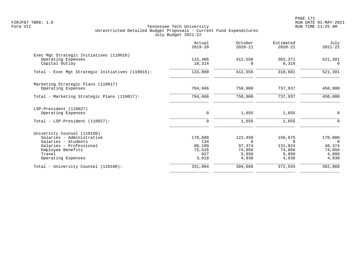PAGE 171 FZRJF07 TBR8: 1.0 RUN DATE 01-MAY-2021

|                                                          | Actual<br>$2019 - 20$ | October<br>$2020 - 21$ | Estimated<br>$2020 - 21$ | July<br>$2021 - 22$ |
|----------------------------------------------------------|-----------------------|------------------------|--------------------------|---------------------|
| Exec Mgt Strategic Initiatives (110016)                  |                       |                        |                          |                     |
| Operating Expenses<br>Capital Outlay                     | 115,486<br>18,314     | 412,556                | 302,371<br>8,310         | 521,301<br>$\Omega$ |
| Total - Exec Mgt Strategic Initiatives (110016):         | 133,800               | 412,556                | 310,681                  | 521,301             |
|                                                          |                       |                        |                          |                     |
| Marketing Strategic Plans (110017)<br>Operating Expenses | 704,666               | 750,000                | 737,937                  | 450,000             |
| Total - Marketing Strategic Plans (110017):              | 704,666               | 750,000                | 737,937                  | 450,000             |
| LSP-President (110027)                                   |                       |                        |                          |                     |
| Operating Expenses                                       | 0                     | 1,655                  | 1,655                    | $\mathbf 0$         |
| Total - LSP-President (110027):                          | $\mathbf 0$           | 1,655                  | 1,655                    | $\mathbf 0$         |
| University Counsel (110100)                              |                       |                        |                          |                     |
| Salaries - Administrative                                | 170,600               | 122,450                | 156,675                  | 170,800             |
| Salaries - Students                                      | 134                   | $\Omega$               | $\Omega$                 | $\Omega$            |
| Salaries - Professional                                  | 80,189                | 97,374                 | 131,024                  | 48,374              |
| Employee Benefits<br>Travel                              | 75,526<br>827         | 74,056<br>5,850        | 74,056<br>5,850          | 74,056<br>4,800     |
| Operating Expenses                                       | 3,818                 | 4,938                  | 4,938                    | 4,838               |
| Total - University Counsel (110100):                     | 331,094               | 304,668                | 372,543                  | 302,868             |
|                                                          |                       |                        |                          |                     |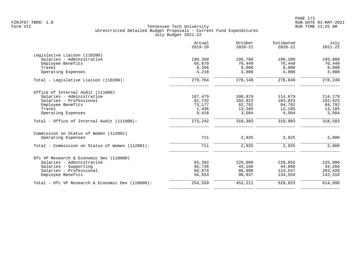| $2019 - 20$ | October<br>$2020 - 21$                                             | Estimated<br>$2020 - 21$                                              | July<br>$2021 - 22$                                                    |
|-------------|--------------------------------------------------------------------|-----------------------------------------------------------------------|------------------------------------------------------------------------|
|             |                                                                    |                                                                       |                                                                        |
| 199,350     | 195,700                                                            | 196,200                                                               | 195,800                                                                |
| 66,870      | 70,449                                                             | 70,449                                                                | 70,449                                                                 |
| 9,266       | 9,000                                                              | 8,000                                                                 | 9,000                                                                  |
| 4,218       | 3,000                                                              | 4,000                                                                 | 3,000                                                                  |
| 279,704     | 278,149                                                            | 278,649                                                               | 278,249                                                                |
|             |                                                                    |                                                                       |                                                                        |
|             |                                                                    |                                                                       | 114,179                                                                |
|             |                                                                    |                                                                       | 102,923                                                                |
|             |                                                                    |                                                                       | 84,792                                                                 |
|             |                                                                    |                                                                       | 13,185                                                                 |
| 9,418       | 3,504                                                              | 4,504                                                                 | 3,504                                                                  |
| 273,242     | 310,383                                                            | 319,983                                                               | 318,583                                                                |
|             |                                                                    |                                                                       |                                                                        |
| 711         | 2,925                                                              | 2,925                                                                 | 2,000                                                                  |
| 711         | 2,925                                                              | 2,925                                                                 | 2,000                                                                  |
|             |                                                                    |                                                                       |                                                                        |
|             |                                                                    |                                                                       | 225,000                                                                |
|             |                                                                    |                                                                       | 44,266                                                                 |
|             |                                                                    |                                                                       | 203,420                                                                |
| 56,553      | 98,037                                                             | 134,555                                                               | 142,310                                                                |
| 254,559     | 453,211                                                            | 529,823                                                               | 614,996                                                                |
|             | 107,479<br>81,732<br>73,177<br>1,436<br>65,392<br>45,736<br>86,878 | 108,079<br>102,823<br>82,792<br>13,185<br>225,000<br>44,166<br>86,008 | 114,679<br>103,823<br>84,792<br>12,185<br>226,055<br>44,666<br>124,547 |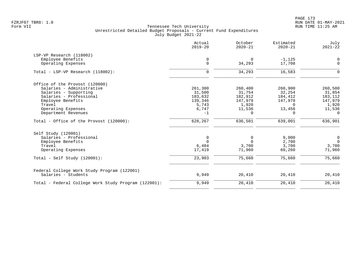PAGE 173 FZRJF07 TBR8: 1.0 RUN DATE 01-MAY-2021

|                                                      | Actual<br>$2019 - 20$ | October<br>$2020 - 21$ | Estimated<br>$2020 - 21$ | July<br>$2021 - 22$ |
|------------------------------------------------------|-----------------------|------------------------|--------------------------|---------------------|
| LSP-VP Research (118002)                             |                       |                        |                          |                     |
| Employee Benefits                                    | 0                     | $\Omega$               | $-1, 125$                | $\mathbf 0$         |
| Operating Expenses                                   | $\mathbf 0$           | 34,293                 | 17,708                   | $\mathbf 0$         |
| Total - LSP-VP Research (118002):                    | $\mathbf 0$           | 34,293                 | 16,583                   | $\Omega$            |
| Office of the Provost (120000)                       |                       |                        |                          |                     |
| Salaries - Administrative                            | 261,300               | 260,400                | 260,900                  | 260,500             |
| Salaries - Supporting                                | 31,500                | 31,754                 | 32,254                   | 31,854              |
| Salaries - Professional                              | 183,632               | 182,912                | 184,412                  | 183,112             |
| Employee Benefits                                    | 139,346               | 147,979                | 147,979                  | 147,979             |
| Travel                                               | 5,743                 | 1,920                  | $\Omega$                 | 1,920               |
| Operating Expenses                                   | 6,747                 | 11,536                 | 13,456                   | 11,536              |
| Department Revenues                                  | $-1$                  | $\Omega$               | $\Omega$                 | $\Omega$            |
| Total - Office of the Provost $(120000)$ :           | 628,267               | 636,501                | 639,001                  | 636,901             |
| Self Study (120001)                                  |                       |                        |                          |                     |
| Salaries - Professional                              | 0                     | 0                      | 9,000                    | $\overline{0}$      |
| Employee Benefits                                    | $\Omega$              | $\Omega$               | 2,700                    | $\overline{0}$      |
| Travel                                               | 6,484                 | 3,700                  | 3,700                    | 3,700               |
| Operating Expenses                                   | 17,419                | 71,960                 | 60,260                   | 71,960              |
| Total - Self Study $(120001)$ :                      | 23,903                | 75,660                 | 75,660                   | 75,660              |
| Federal College Work Study Program (122001)          |                       |                        |                          |                     |
| Salaries - Students                                  | 9,949                 | 20,410                 | 20,410                   | 20,410              |
| Total - Federal College Work Study Program (122001): | 9,949                 | 20,410                 | 20,410                   | 20,410              |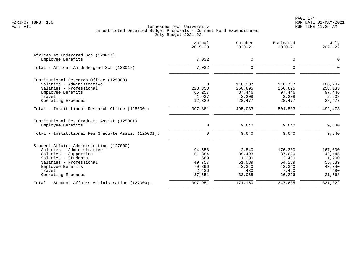|                                                     | Actual<br>$2019 - 20$ | October<br>$2020 - 21$ | Estimated<br>$2020 - 21$ | July<br>$2021 - 22$ |
|-----------------------------------------------------|-----------------------|------------------------|--------------------------|---------------------|
| African Am Undergrad Sch (123017)                   |                       |                        |                          |                     |
| Employee Benefits                                   | 7,032                 | $\mathbf 0$            | $\mathbf 0$              | $\mathbf 0$         |
| Total - African Am Undergrad Sch (123017):          | 7,032                 | $\mathbf 0$            | $\mathbf 0$              | $\Omega$            |
| Institutional Research Office (125000)              |                       |                        |                          |                     |
| Salaries - Administrative                           | $\Omega$              | 116,207                | 116,707                  | 106,207             |
| Salaries - Professional                             | 228,358               | 260,695                | 256,695                  | 258,135             |
| Employee Benefits                                   | 65,257                | 87,446                 | 97,446                   | 97,446              |
| Travel                                              | 1,937                 | 2,208                  | 2,208                    | 2,208               |
| Operating Expenses                                  | 12,329                | 28,477                 | 28,477                   | 28,477              |
| Total - Institutional Research Office (125000):     | 307,881               | 495,033                | 501,533                  | 492,473             |
| Institutional Res Graduate Assist (125001)          |                       |                        |                          |                     |
| Employee Benefits                                   | $\mathsf{O}$          | 9,640                  | 9,640                    | 9,640               |
| Total - Institutional Res Graduate Assist (125001): | $\mathbf 0$           | 9,640                  | 9,640                    | 9,640               |
| Student Affairs Administration (127000)             |                       |                        |                          |                     |
| Salaries - Administrative                           | 94,658                | 2,540                  | 176,300                  | 167,000             |
| Salaries - Supporting                               | 51,884                | 39,493                 | 37,620                   | 42,145              |
| Salaries - Students                                 | 669                   | 1,200                  | 2,400                    | 1,200               |
| Salaries - Professional                             | 49,757                | 51,039                 | 54,289                   | 55,589              |
| Employee Benefits                                   | 70,896                | 43,340                 | 43,340                   | 43,340              |
| Travel                                              | 2,436                 | 480                    | 7,460                    | 480                 |
| Operating Expenses                                  | 37,651                | 33,068                 | 26,226                   | 21,568              |
| Total - Student Affairs Administration (127000):    | 307,951               | 171,160                | 347,635                  | 331,322             |
|                                                     |                       |                        |                          |                     |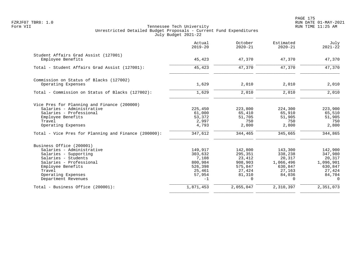PAGE 175 FZRJF07 TBR8: 1.0 RUN DATE 01-MAY-2021

|                                                                                                                                                                                                              | Actual<br>$2019 - 20$                                                         | October<br>$2020 - 21$                                                      | Estimated<br>$2020 - 21$                                                             | July<br>$2021 - 22$                                                                        |
|--------------------------------------------------------------------------------------------------------------------------------------------------------------------------------------------------------------|-------------------------------------------------------------------------------|-----------------------------------------------------------------------------|--------------------------------------------------------------------------------------|--------------------------------------------------------------------------------------------|
| Student Affairs Grad Assist (127001)<br>Employee Benefits                                                                                                                                                    | 45,423                                                                        | 47,370                                                                      | 47,370                                                                               | 47,370                                                                                     |
| Total - Student Affairs Grad Assist (127001):                                                                                                                                                                | 45,423                                                                        | 47,370                                                                      | 47,370                                                                               | 47,370                                                                                     |
| Commission on Status of Blacks (127002)<br>Operating Expenses                                                                                                                                                | 1,629                                                                         | 2,010                                                                       | 2,010                                                                                | 2,010                                                                                      |
| Total - Commission on Status of Blacks (127002):                                                                                                                                                             | 1,629                                                                         | 2,010                                                                       | 2,010                                                                                | 2,010                                                                                      |
| Vice Pres for Planning and Finance (200000)<br>Salaries - Administrative<br>Salaries - Professional<br>Employee Benefits<br>Travel<br>Operating Expenses                                                     | 225,450<br>61,000<br>53,372<br>2,997<br>4,793                                 | 223,800<br>65,410<br>51,705<br>750<br>2,800                                 | 224,300<br>65,910<br>51,905<br>750<br>2,800                                          | 223,900<br>65,510<br>51,905<br>750<br>2,800                                                |
| Total - Vice Pres for Planning and Finance (200000):                                                                                                                                                         | 347,612                                                                       | 344,465                                                                     | 345,665                                                                              | 344,865                                                                                    |
| Business Office (200001)<br>Salaries - Administrative<br>Salaries - Supporting<br>Salaries - Students<br>Salaries - Professional<br>Employee Benefits<br>Travel<br>Operating Expenses<br>Department Revenues | 149,917<br>303,632<br>7,108<br>800,984<br>526,398<br>25,461<br>57,954<br>$-1$ | 142,800<br>295,351<br>23,412<br>908,903<br>575,847<br>27,424<br>81,310<br>0 | 143,300<br>338,238<br>20,317<br>1,066,496<br>630,847<br>27,163<br>84,036<br>$\Omega$ | 142,900<br>347,980<br>20,317<br>1,096,901<br>630,847<br>27,424<br>84,704<br>$\overline{0}$ |
| Total - Business Office (200001):                                                                                                                                                                            | 1,871,453                                                                     | 2,055,047                                                                   | 2,310,397                                                                            | 2,351,073                                                                                  |
|                                                                                                                                                                                                              |                                                                               |                                                                             |                                                                                      |                                                                                            |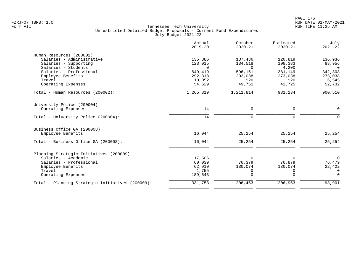|                                                  | Actual<br>$2019 - 20$ | October<br>$2020 - 21$ | Estimated<br>$2020 - 21$ | July<br>$2021 - 22$ |
|--------------------------------------------------|-----------------------|------------------------|--------------------------|---------------------|
| Human Resources (200002)                         |                       |                        |                          |                     |
| Salaries - Administrative                        | 135,886               | 137,436                | 120,819                  | 136,936             |
| Salaries - Supporting                            | 123,015               | 134,518                | 108,383                  | 88,956              |
| Salaries - Students                              | $\Omega$              | $\Omega$               | 4,200                    | $\Omega$            |
| Salaries - Professional                          | 649,419               | 596,151                | 381,149                  | 342,303             |
| Employee Benefits                                | 292,318               | 293,038                | 273,038                  | 273,038             |
| Travel                                           | 10,052                | 920                    | 920                      | 6,545               |
| Operating Expenses                               | 54,629                | 49,751                 | 42,725                   | 52,732              |
| Total - Human Resources (200002):                | 1,265,319             | 1,211,814              | 931,234                  | 900,510             |
| University Police (200004)                       |                       |                        |                          |                     |
| Operating Expenses                               | 14                    | 0                      | 0                        | $\Omega$            |
| Total - University Police (200004):              | 14                    | $\mathbf 0$            | $\mathbf 0$              | $\Omega$            |
| Business Office GA (200008)                      |                       |                        |                          |                     |
| Employee Benefits                                | 16,044                | 25,254                 | 25,254                   | 25,254              |
| Total - Business Office GA (200008):             | 16,044                | 25,254                 | 25,254                   | 25,254              |
| Planning Strategic Initiatives (200009)          |                       |                        |                          |                     |
| Salaries - Academic                              | 17,506                | $\Omega$               | $\Omega$                 | $\Omega$            |
| Salaries - Professional                          | 60,039                | 76,379                 | 76,879                   | 76,479              |
| Employee Benefits                                | 62,910                | 130,074                | 130,074                  | 22,422              |
| Travel                                           | 1,755                 | 0                      | 0                        | 0                   |
| Operating Expenses                               | 189,543               | $\Omega$               | $\Omega$                 | $\Omega$            |
| Total - Planning Strategic Initiatives (200009): | 331,753               | 206,453                | 206,953                  | 98,901              |
|                                                  |                       |                        |                          |                     |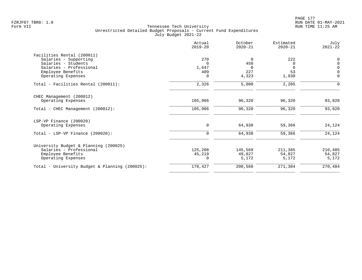|                                                | Actual<br>$2019 - 20$ | October<br>$2020 - 21$ | Estimated<br>$2020 - 21$ | July<br>$2021 - 22$ |
|------------------------------------------------|-----------------------|------------------------|--------------------------|---------------------|
| Facilities Rental (200011)                     |                       |                        |                          |                     |
| Salaries - Supporting                          | 270                   | 0                      | 222                      | $\mathbf 0$         |
| Salaries - Students                            | $\Omega$              | 450                    | $\Omega$                 | $\Omega$            |
| Salaries - Professional                        | 1,647                 | $\Omega$               | $\Omega$                 | $\mathsf{O}$        |
| Employee Benefits                              | 409                   | 227                    | 53                       | $\Omega$            |
| Operating Expenses                             | 0                     | 4,323                  | 1,930                    | $\mathbf 0$         |
| Total - Facilities Rental (200011):            | 2,326                 | 5,000                  | 2,205                    | $\Omega$            |
| CHEC Management (200012)                       |                       |                        |                          |                     |
| Operating Expenses                             | 105,986               | 96,320                 | 96,320                   | 93,820              |
| Total - CHEC Management (200012):              | 105,986               | 96,320                 | 96,320                   | 93,820              |
| LSP-VP Finance (200020)                        |                       |                        |                          |                     |
| Operating Expenses                             | 0                     | 64,938                 | 59,366                   | 24,124              |
| Total - LSP-VP Finance $(200020)$ :            | $\mathbf 0$           | 64,938                 | 59,366                   | 24,124              |
| University Budget & Planning (200025)          |                       |                        |                          |                     |
| Salaries - Professional                        | 125,208               | 145,569                | 211,385                  | 210,485             |
| Employee Benefits                              | 45,219                | 49,827                 | 54,827                   | 54,827              |
| Operating Expenses                             | $\Omega$              | 5,172                  | 5,172                    | 5,172               |
| Total - University Budget & Planning (200025): | 170,427               | 200,568                | 271,384                  | 270,484             |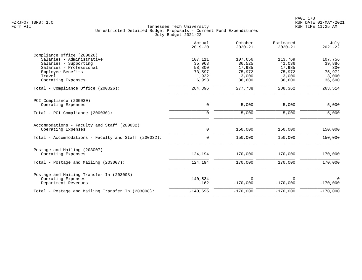|                                                      | Actual<br>$2019 - 20$ | October<br>$2020 - 21$ | Estimated<br>$2020 - 21$ | July<br>$2021 - 22$ |
|------------------------------------------------------|-----------------------|------------------------|--------------------------|---------------------|
| Compliance Office (200026)                           |                       |                        |                          |                     |
| Salaries - Administrative                            | 107,111               | 107,656                | 113,769                  | 107,756             |
| Salaries - Supporting                                | 35,963                | 36,525                 | 41,036                   | 39,886              |
| Salaries - Professional                              | 58,800                | 17,985                 | 17,985                   | 300                 |
| Employee Benefits                                    | 73,597                | 75,972                 | 75,972                   | 75,972              |
| Travel                                               | 1,932                 | 3,000                  | 3,000                    | 3,000               |
| Operating Expenses                                   | 6,993                 | 36,600                 | 36,600                   | 36,600              |
| Total - Compliance Office (200026):                  | 284,396               | 277,738                | 288,362                  | 263,514             |
| PCI Compliance (200030)                              |                       |                        |                          |                     |
| Operating Expenses                                   | 0                     | 5,000                  | 5,000                    | 5,000               |
| Total - PCI Compliance (200030):                     | $\Omega$              | 5,000                  | 5,000                    | 5,000               |
| Accommodations - Faculty and Staff (200032)          |                       |                        |                          |                     |
| Operating Expenses                                   | 0                     | 150,000                | 150,000                  | 150,000             |
| Total - Accommodations - Faculty and Staff (200032): | $\Omega$              | 150,000                | 150,000                  | 150,000             |
| Postage and Mailing (203007)                         |                       |                        |                          |                     |
| Operating Expenses                                   | 124,194               | 170,000                | 170,000                  | 170,000             |
| Total - Postage and Mailing (203007):                | 124,194               | 170,000                | 170,000                  | 170,000             |
| Postage and Mailing Transfer In (203008)             |                       |                        |                          |                     |
| Operating Expenses                                   | $-140,534$            | $\Omega$               | $\Omega$                 | $\mathbf 0$         |
| Department Revenues                                  | $-162$                | $-170,000$             | $-170,000$               | $-170,000$          |
| Total - Postage and Mailing Transfer In (203008):    | $-140,696$            | $-170,000$             | $-170,000$               | $-170,000$          |
|                                                      |                       |                        |                          |                     |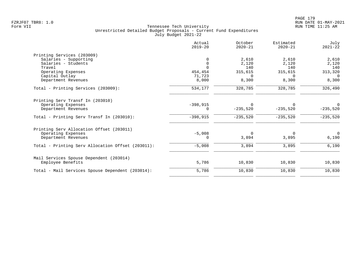|                                                   | Actual<br>$2019 - 20$ | October<br>$2020 - 21$ | Estimated<br>$2020 - 21$ | July<br>$2021 - 22$ |
|---------------------------------------------------|-----------------------|------------------------|--------------------------|---------------------|
| Printing Services (203009)                        |                       |                        |                          |                     |
| Salaries - Supporting                             | 0                     | 2,610                  | 2,610                    | 2,610               |
| Salaries - Students                               | $\mathbf 0$           | 2,120                  | 2,120                    | 2,120               |
| Travel                                            | $\Omega$              | 140                    | 140                      | 140                 |
| Operating Expenses                                | 454,454               | 315,615                | 315,615                  | 313,320             |
| Capital Outlay                                    | 71,723                | $\Omega$               | $\Omega$                 | 0                   |
| Department Revenues                               | 8,000                 | 8,300                  | 8,300                    | 8,300               |
| Total - Printing Services (203009):               | 534,177               | 328,785                | 328,785                  | 326,490             |
| Printing Serv Transf In (203010)                  |                       |                        |                          |                     |
| Operating Expenses                                | $-398,915$            | $\Omega$               | $\Omega$                 | $\Omega$            |
| Department Revenues                               | 0                     | $-235,520$             | $-235,520$               | $-235,520$          |
| Total - Printing Serv Transf In (203010):         | $-398,915$            | $-235,520$             | $-235,520$               | $-235,520$          |
| Printing Serv Allocation Offset (203011)          |                       |                        |                          |                     |
| Operating Expenses                                | $-5,008$              | $\mathbf 0$            | 0                        | $\overline{0}$      |
| Department Revenues                               | 0                     | 3,894                  | 3,895                    | 6,190               |
| Total - Printing Serv Allocation Offset (203011): | $-5,008$              | 3,894                  | 3,895                    | 6,190               |
| Mail Services Spouse Dependent (203014)           |                       |                        |                          |                     |
| Employee Benefits                                 | 5,786                 | 10,830                 | 10,830                   | 10,830              |
| Total - Mail Services Spouse Dependent (203014):  | 5,786                 | 10,830                 | 10,830                   | 10,830              |
|                                                   |                       |                        |                          |                     |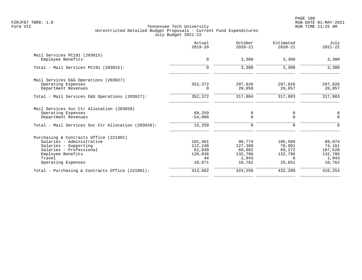| $\mathbf 0$ | 3,300                        | 3,300                  | 3,300        |
|-------------|------------------------------|------------------------|--------------|
| $\Omega$    | 3,300                        | 3,300                  | 3,300        |
|             |                              |                        |              |
| 352,372     | 297,826                      | 297,826                | 297,826      |
| $\Omega$    | 20,058                       | 20,057                 | 20,057       |
| 352,372     | 317,884                      | 317,883                | 317,883      |
|             |                              |                        |              |
|             |                              |                        | $\mathbf 0$  |
| $-54,000$   | $\Omega$                     | $\Omega$               | $\Omega$     |
| 15,259      | 0                            | $\Omega$               | $\Omega$     |
|             |                              |                        |              |
|             |                              |                        | 89,074       |
|             |                              | 78,991                 | 74,161       |
| 61,030      | 60,602                       | 89,272                 | 107,528      |
| 128,036     | 132,786                      | 132,786                | 132,786      |
| 44          | 1,943                        | $\Omega$               | 1,943        |
| 10,871      | 10,762                       | 25,651                 | 10,762       |
| 413,682     | 424,256                      | 432,289                | 416,254      |
|             | 69,259<br>101,461<br>112,240 | 0<br>90,774<br>127,389 | 0<br>105,589 |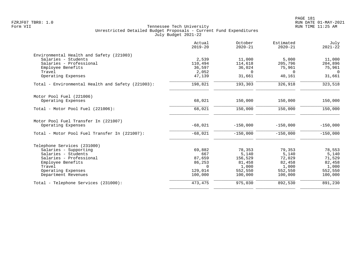|                                                   | Actual<br>$2019 - 20$ | October<br>$2020 - 21$ | Estimated<br>$2020 - 21$ | July<br>$2021 - 22$ |
|---------------------------------------------------|-----------------------|------------------------|--------------------------|---------------------|
| Environmental Health and Safety (221003)          |                       |                        |                          |                     |
| Salaries - Students                               | 2,539                 | 11,000                 | 5,000                    | 11,000              |
| Salaries - Professional                           | 110,494               | 114,618                | 205,796                  | 204,896             |
| Employee Benefits                                 | 36,597                | 36,024                 | 75,961                   | 75,961              |
| Travel                                            | 2,052                 | $\Omega$               | $\Omega$                 | $\Omega$            |
| Operating Expenses                                | 47,139                | 31,661                 | 40,161                   | 31,661              |
| Total - Environmental Health and Safety (221003): | 198,821               | 193,303                | 326,918                  | 323,518             |
| Motor Pool Fuel (221006)                          |                       |                        |                          |                     |
| Operating Expenses                                | 68,021                | 150,000                | 150,000                  | 150,000             |
| Total - Motor Pool Fuel (221006):                 | 68,021                | 150,000                | 150,000                  | 150,000             |
| Motor Pool Fuel Transfer In (221007)              |                       |                        |                          |                     |
| Operating Expenses                                | $-68,021$             | $-150,000$             | $-150.000$               | $-150,000$          |
| Total - Motor Pool Fuel Transfer In (221007):     | $-68,021$             | $-150,000$             | $-150,000$               | $-150,000$          |
| Telephone Services (231000)                       |                       |                        |                          |                     |
| Salaries - Supporting                             | 69,882                | 78,353                 | 79,353                   | 78,553              |
| Salaries - Students                               | 667                   | 5,140                  | 5,140                    | 5,140               |
| Salaries - Professional                           | 87,659                | 156,529                | 72,029                   | 71,529              |
| Employee Benefits                                 | 86,253                | 81,458                 | 82,458                   | 82,458              |
| Travel                                            | $\Omega$              | 1,000                  | 1,000                    | 1,000               |
| Operating Expenses                                | 129,014               | 552,550                | 552,550                  | 552,550             |
| Department Revenues                               | 100,000               | 100,000                | 100,000                  | 100,000             |
| Total - Telephone Services (231000):              | 473, 475              | 975,030                | 892,530                  | 891,230             |
|                                                   |                       |                        |                          |                     |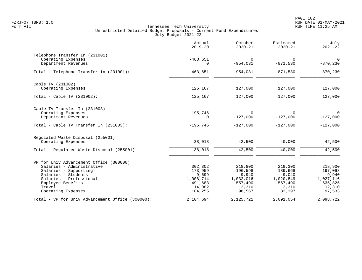|                                                  | Actual<br>$2019 - 20$  | October<br>$2020 - 21$ | Estimated<br>$2020 - 21$ | July<br>$2021 - 22$           |
|--------------------------------------------------|------------------------|------------------------|--------------------------|-------------------------------|
| Telephone Transfer In (231001)                   |                        |                        |                          |                               |
| Operating Expenses<br>Department Revenues        | $-463,651$<br>$\Omega$ | $\Omega$<br>$-954,031$ | $\Omega$<br>$-871,530$   | $\overline{0}$<br>$-870, 230$ |
| Total - Telephone Transfer In (231001):          | $-463,651$             | $-954,031$             | $-871,530$               | $-870, 230$                   |
| Cable TV (231002)                                |                        |                        |                          |                               |
| Operating Expenses                               | 125,167                | 127,000                | 127,000                  | 127,000                       |
| Total - Cable TV $(231002)$ :                    | 125,167                | 127,000                | 127,000                  | 127,000                       |
| Cable TV Transfer In (231003)                    |                        |                        |                          |                               |
| Operating Expenses<br>Department Revenues        | $-195,746$<br>$\Omega$ | $\Omega$<br>$-127,000$ | $\Omega$<br>$-127,000$   | $\mathbf 0$<br>$-127,000$     |
| Total - Cable TV Transfer In (231003):           | $-195,746$             | $-127,000$             | $-127,000$               | $-127,000$                    |
| Regulated Waste Disposal (255001)                |                        |                        |                          |                               |
| Operating Expenses                               | 38,018                 | 42,500                 | 40,000                   | 42,500                        |
| Total - Regulated Waste Disposal (255001):       | 38,018                 | 42,500                 | 40,000                   | 42,500                        |
| VP for Univ Advancement Office (300000)          |                        |                        |                          |                               |
| Salaries - Administrative                        | 302,302                | 218,800                | 219,300                  | 218,900                       |
| Salaries - Supporting<br>Salaries - Students     | 173,959<br>9,699       | 196,598<br>9,940       | 189,668<br>9,040         | 197,098<br>9,940              |
| Salaries - Professional                          | 1,008,714              | 1,032,016              | 1,020,849                | 1,027,116                     |
| Employee Benefits                                | 491,683                | 557,490                | 567,490                  | 535,825                       |
| Travel                                           | 14,082                 | 12,310                 | 2,310                    | 12,310                        |
| Operating Expenses                               | 104,255                | 98,567                 | 82,397                   | 97,533                        |
| Total - VP for Univ Advancement Office (300000): | 2,104,694              | 2,125,721              | 2,091,054                | 2,098,722                     |
|                                                  |                        |                        |                          |                               |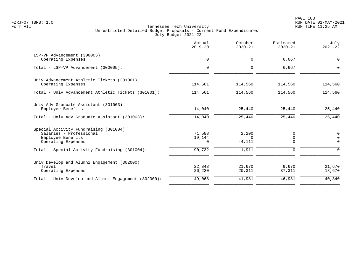|                                                                                                             | Actual<br>$2019 - 20$        | October<br>$2020 - 21$         | Estimated<br>$2020 - 21$        | July<br>$2021 - 22$          |
|-------------------------------------------------------------------------------------------------------------|------------------------------|--------------------------------|---------------------------------|------------------------------|
| LSP-VP Advancement (300005)<br>Operating Expenses                                                           | 0                            | $\mathbf 0$                    | 6,667                           | $\mathbf 0$                  |
| Total - LSP-VP Advancement (300005):                                                                        | $\mathbf 0$                  | $\Omega$                       | 6,667                           | $\Omega$                     |
| Univ Advancement Athletic Tickets (301001)<br>Operating Expenses                                            | 114,561                      | 114,560                        | 114,560                         | 114,560                      |
| Total - Univ Advancement Athletic Tickets (301001):                                                         | 114,561                      | 114,560                        | 114,560                         | 114,560                      |
| Univ Adv Graduate Assistant (301003)<br>Employee Benefits                                                   | 14,040                       | 25,440                         | 25,440                          | 25,440                       |
| Total - Univ Adv Graduate Assistant (301003):                                                               | 14,040                       | 25,440                         | 25,440                          | 25,440                       |
| Special Activity Fundraising (301004)<br>Salaries - Professional<br>Employee Benefits<br>Operating Expenses | 71,588<br>19,144<br>$\Omega$ | 2,200<br>$\Omega$<br>$-4, 111$ | 0<br>$\overline{0}$<br>$\Omega$ | 0<br>$\mathbf 0$<br>$\Omega$ |
| Total - Special Activity Fundraising (301004):                                                              | 90,732                       | $-1,911$                       | $\mathbf 0$                     | $\Omega$                     |
| Univ Develop and Alumni Engagement (302000)<br>Travel<br>Operating Expenses                                 | 22,848<br>26,220             | 21,670<br>20,311               | 9,670<br>37,311                 | 21,670<br>18,670             |
| Total - Univ Develop and Alumni Engagement (302000):                                                        | 49,068                       | 41,981                         | 46,981                          | 40,340                       |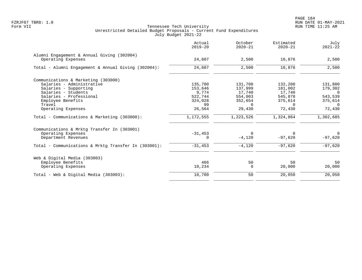|                                                      | Actual<br>$2019 - 20$ | October<br>$2020 - 21$ | Estimated<br>$2020 - 21$ | July<br>$2021 - 22$ |
|------------------------------------------------------|-----------------------|------------------------|--------------------------|---------------------|
| Alumni Engagement & Annual Giving (302004)           |                       |                        |                          |                     |
| Operating Expenses                                   | 24,607                | 2,500                  | 10,876                   | 2,500               |
| Total - Alumni Engagement & Annual Giving (302004):  | 24,607                | 2,500                  | 10,876                   | 2,500               |
| Communications & Marketing (303000)                  |                       |                        |                          |                     |
| Salaries - Administrative                            | 135,700               | 131,700                | 132,200                  | 131,800             |
| Salaries - Supporting                                | 153,646               | 137,999                | 181,002                  | 179,302             |
| Salaries - Students                                  | 9,774                 | 17,740                 | 17,740                   | $\overline{0}$      |
| Salaries - Professional                              | 522,744               | 554,003                | 545,878                  | 543,539             |
| Employee Benefits                                    | 324,028               | 352,654                | 375,614                  | 375,614             |
| Travel                                               | 99                    | $\Omega$               | $\Omega$                 | $\Omega$            |
| Operating Expenses                                   | 26,564                | 29,430                 | 72,430                   | 72,430              |
| Total - Communications & Marketing (303000):         | 1,172,555             | 1,223,526              | 1,324,864                | 1,302,685           |
| Communications & Mrktg Transfer In (303001)          |                       |                        |                          |                     |
| Operating Expenses                                   | $-31,453$             | $\Omega$               | $\Omega$                 | $\overline{0}$      |
| Department Revenues                                  | 0                     | $-4,120$               | $-97,620$                | $-97,620$           |
| Total - Communications & Mrktq Transfer In (303001): | $-31,453$             | $-4,120$               | $-97,620$                | $-97,620$           |
| Web & Digital Media (303003)                         |                       |                        |                          |                     |
| Employee Benefits                                    | 466                   | 50                     | 50                       | 50                  |
| Operating Expenses                                   | 10,234                | 0                      | 20,000                   | 20,000              |
| Total - Web & Digital Media $(303003)$ :             | 10,700                | 50                     | 20,050                   | 20,050              |
|                                                      |                       |                        |                          |                     |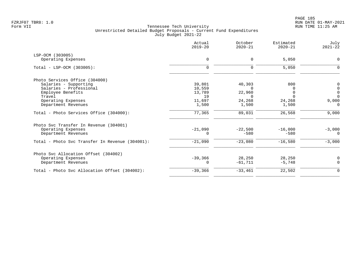|                                                 | Actual<br>$2019 - 20$ | October<br>$2020 - 21$ | Estimated<br>$2020 - 21$ | July<br>$2021 - 22$ |
|-------------------------------------------------|-----------------------|------------------------|--------------------------|---------------------|
| LSP-OCM (303005)                                |                       |                        |                          |                     |
| Operating Expenses                              | $\mathbf 0$           | $\mathbf 0$            | 5,050                    | $\mathbf 0$         |
| Total - LSP-OCM (303005):                       | $\mathbf 0$           | $\mathbf 0$            | 5,050                    | 0                   |
| Photo Services Office (304000)                  |                       |                        |                          |                     |
| Salaries - Supporting                           | 39,801                | 40,303                 | 800                      | 0                   |
| Salaries - Professional                         | 10,559                | $\Omega$               | O                        | $\mathsf{O}$        |
| Employee Benefits                               | 13,789                | 22,960                 | 0                        | $\mathbf 0$         |
| Travel                                          | 19                    | $\cap$                 | $\Omega$                 | $\Omega$            |
| Operating Expenses                              | 11,697                | 24,268                 | 24,268                   | 9,000               |
| Department Revenues                             | 1,500                 | 1,500                  | 1,500                    | $\Omega$            |
| Total - Photo Services Office (304000):         | 77,365                | 89,031                 | 26,568                   | 9,000               |
| Photo Svc Transfer In Revenue (304001)          |                       |                        |                          |                     |
| Operating Expenses                              | $-21,090$             | $-22.500$              | $-16,000$                | $-3,000$            |
| Department Revenues                             | $\Omega$              | $-580$                 | $-580$                   | 0                   |
| Total - Photo Svc Transfer In Revenue (304001): | $-21,090$             | $-23,080$              | $-16,580$                | $-3,000$            |
| Photo Svc Allocation Offset (304002)            |                       |                        |                          |                     |
| Operating Expenses                              | $-39,366$             | 28,250                 | 28,250                   | $\mathbf 0$         |
| Department Revenues                             | 0                     | $-61,711$              | $-5,748$                 | $\mathbf 0$         |
| Total - Photo Svc Allocation Offset (304002):   | $-39,366$             | $-33,461$              | 22,502                   | $\mathbf 0$         |
|                                                 |                       |                        |                          |                     |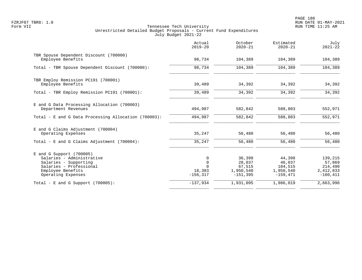|                                                                                                                                                        | Actual<br>$2019 - 20$                                 | October<br>$2020 - 21$                                | Estimated<br>$2020 - 21$                               | July<br>$2021 - 22$                                      |
|--------------------------------------------------------------------------------------------------------------------------------------------------------|-------------------------------------------------------|-------------------------------------------------------|--------------------------------------------------------|----------------------------------------------------------|
| TBR Spouse Dependent Discount (700000)<br>Employee Benefits                                                                                            | 98,734                                                | 104,389                                               | 104,389                                                | 104,389                                                  |
| Total - TBR Spouse Dependent Discount (700000):                                                                                                        | 98,734                                                | 104,389                                               | 104,389                                                | 104,389                                                  |
| TBR Employ Remission PC191 (700001)<br>Employee Benefits                                                                                               | 39,489                                                | 34,392                                                | 34,392                                                 | 34,392                                                   |
| Total - TBR Employ Remission PC191 (700001):                                                                                                           | 39,489                                                | 34,392                                                | 34,392                                                 | 34,392                                                   |
| E and G Data Processing Allocation (700003)<br>Department Revenues                                                                                     | 494,987                                               | 582,842                                               | 588,803                                                | 552,971                                                  |
| Total - E and G Data Processing Allocation (700003):                                                                                                   | 494,987                                               | 582,842                                               | 588,803                                                | 552,971                                                  |
| E and G Claims Adjustment (700004)<br>Operating Expenses                                                                                               | 35,247                                                | 56,480                                                | 56,480                                                 | 56,480                                                   |
| Total - E and G Claims Adjustment $(700004)$ :                                                                                                         | 35,247                                                | 56,480                                                | 56,480                                                 | 56,480                                                   |
| $E$ and G Support (700005)<br>Salaries - Administrative<br>Salaries - Supporting<br>Salaries - Professional<br>Employee Benefits<br>Operating Expenses | 0<br>$\mathbf 0$<br>$\Omega$<br>18,383<br>$-156, 317$ | 36,398<br>28,037<br>67,515<br>1,950,540<br>$-151,395$ | 44,398<br>46,037<br>104,515<br>1,950,540<br>$-159.471$ | 139,215<br>57,869<br>214,490<br>2,412,833<br>$-160, 411$ |
| Total - E and G Support $(700005)$ :                                                                                                                   | $-137,934$                                            | 1,931,095                                             | 1,986,019                                              | 2,663,996                                                |
|                                                                                                                                                        |                                                       |                                                       |                                                        |                                                          |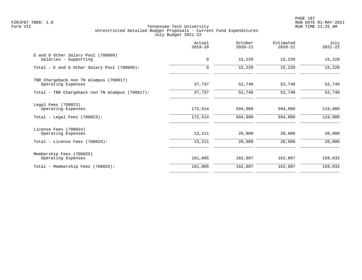PAGE 187 FZRJF07 TBR8: 1.0 RUN DATE 01-MAY-2021

|                                                                              | Actual<br>$2019 - 20$ | October<br>$2020 - 21$ | Estimated<br>$2020 - 21$ | July<br>$2021 - 22$ |
|------------------------------------------------------------------------------|-----------------------|------------------------|--------------------------|---------------------|
| E and G Other Salary Pool (700009)<br>Salaries - Supporting                  | 0                     | 15,220                 | 15,220                   | 15,220              |
| Total - E and G Other Salary Pool (700009):                                  | $\mathbf 0$           | 15,220                 | 15,220                   | 15,220              |
| TBR Chargeback non TN eCampus (700017)<br>Operating Expenses                 | 37,737                | 52,740                 | 52,740                   | 52,740              |
| Total - TBR Chargeback non TN eCampus (700017):                              | 37,737                | 52,740                 | 52,740                   | 52,740              |
| Legal Fees (700023)<br>Operating Expenses<br>Total - Legal Fees $(700023)$ : | 172,514<br>172,514    | 594,000<br>594,000     | 594,000<br>594,000       | 119,000<br>119,000  |
| License Fees (700024)<br>Operating Expenses                                  | 13,211                | 20,000                 | 20,000                   | 20,000              |
| Total - License Fees (700024):                                               | 13,211                | 20,000                 | 20,000                   | 20,000              |
| Membership Fees (700025)<br>Operating Expenses                               | 161,005               | 162,607                | 162,607                  | 159,632             |
| Total - Membership Fees (700025):                                            | 161,005               | 162,607                | 162,607                  | 159,632             |
|                                                                              |                       |                        |                          |                     |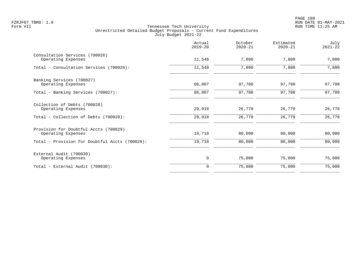|                                                             | Actual<br>$2019 - 20$ | October<br>$2020 - 21$ | Estimated<br>$2020 - 21$ | July<br>$2021 - 22$ |
|-------------------------------------------------------------|-----------------------|------------------------|--------------------------|---------------------|
| Consultation Services (700026)<br>Operating Expenses        | 11,548                | 7,800                  | 7,800                    | 7,800               |
| Total - Consultation Services (700026):                     | 11,548                | 7,800                  | 7,800                    | 7,800               |
| Banking Services (700027)<br>Operating Expenses             | 86,807                | 97,700                 | 97,700                   | 97,700              |
| Total - Banking Services (700027):                          | 86,807                | 97,700                 | 97,700                   | 97,700              |
| Collection of Debts (700028)<br>Operating Expenses          | 29,918                | 26,770                 | 26,770                   | 26,770              |
| Total - Collection of Debts (700028):                       | 29,918                | 26,770                 | 26,770                   | 26,770              |
| Provision for Doubtful Accts (700029)<br>Operating Expenses | 19,718                | 80,000                 | 80,000                   | 80,000              |
| Total - Provision for Doubtful Accts (700029):              | 19,718                | 80,000                 | 80,000                   | 80,000              |
| External Audit (700030)<br>Operating Expenses               | 0                     | 75,000                 | 75,000                   | 75,000              |
| Total - External Audit (700030):                            | $\Omega$              | 75,000                 | 75,000                   | 75,000              |
|                                                             |                       |                        |                          |                     |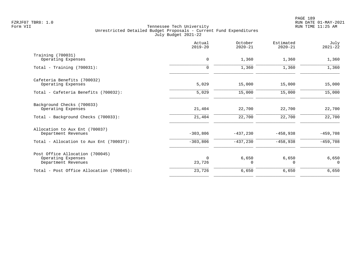|                                                                              | Actual<br>$2019 - 20$ | October<br>$2020 - 21$ | Estimated<br>$2020 - 21$ | July<br>$2021 - 22$ |
|------------------------------------------------------------------------------|-----------------------|------------------------|--------------------------|---------------------|
| Training (700031)<br>Operating Expenses                                      | 0                     | 1,360                  | 1,360                    | 1,360               |
| Total - Training $(700031)$ :                                                | $\mathbf 0$           | 1,360                  | 1,360                    | 1,360               |
| Cafeteria Benefits (700032)<br>Operating Expenses                            | 5,029                 | 15,000                 | 15,000                   | 15,000              |
| Total - Cafeteria Benefits (700032):                                         | 5,029                 | 15,000                 | 15,000                   | 15,000              |
| Background Checks (700033)<br>Operating Expenses                             | 21,404                | 22,700                 | 22,700                   | 22,700              |
| Total - Background Checks (700033):                                          | 21,404                | 22,700                 | 22,700                   | 22,700              |
| Allocation to Aux Ent (700037)<br>Department Revenues                        | $-303,806$            | $-437,230$             | $-458,938$               | $-459,708$          |
| Total - Allocation to Aux Ent (700037):                                      | $-303,806$            | $-437,230$             | $-458,938$               | $-459,708$          |
| Post Office Allocation (700045)<br>Operating Expenses<br>Department Revenues | $\Omega$<br>23,726    | 6,650<br>$\Omega$      | 6,650<br>$\Omega$        | 6,650<br>$\Omega$   |
| Total - Post Office Allocation (700045):                                     | 23,726                | 6,650                  | 6,650                    | 6,650               |
|                                                                              |                       |                        |                          |                     |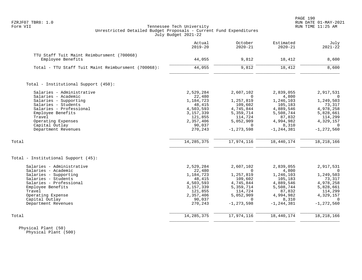# FZRJF07 TBR8: 1.0 RUN DATE 01-MAY-2021 Tennessee Tech University Unrestricted Detailed Budget Proposals - Current Fund Expenditures July Budget 2021-22

|                                                     | Actual<br>$2019 - 20$ | October<br>$2020 - 21$ | Estimated<br>$2020 - 21$ | July<br>$2021 - 22$ |
|-----------------------------------------------------|-----------------------|------------------------|--------------------------|---------------------|
| TTU Staff Tuit Maint Reimbursment (700068)          |                       |                        |                          |                     |
| Employee Benefits                                   | 44,055                | 9,812                  | 18,412                   | 8,600               |
| Total - TTU Staff Tuit Maint Reimbursment (700068): | 44,055                | 9,812                  | 18,412                   | 8,600               |
| Total - Institutional Support (450):                |                       |                        |                          |                     |
| Salaries - Administrative                           | 2,529,284             | 2,607,102              | 2,839,055                | 2,917,531           |
| Salaries - Academic                                 | 22,480                | $\Omega$               | 4,800                    |                     |
| Salaries - Supporting                               | 1,184,723             | 1,257,819              | 1,246,103                | 1,249,503           |
| Salaries - Students                                 | 48,415                | 109,602                | 105,183                  | 73,317              |
| Salaries - Professional                             | 4,503,593             | 4,745,844              | 4,889,546                | 4,978,258           |
| Employee Benefits                                   | 3, 157, 339           | 5,359,714              | 5,508,744                | 5,828,661           |
| Travel                                              | 121,855               | 114,724                | 87,832                   | 114,299             |
| Operating Expenses                                  | 2,357,406             | 5,052,909              | 4,994,982                | 4,329,157           |
| Capital Outlay                                      | 90,037                | $\Omega$               | 8,310                    | $\Omega$            |
| Department Revenues                                 | 270,243               | $-1, 273, 598$         | $-1, 244, 381$           | $-1, 272, 560$      |
|                                                     |                       |                        |                          |                     |
| Total                                               | 14, 285, 375          | 17,974,116             | 18,440,174               | 18, 218, 166        |
| Total - Institutional Support (45):                 |                       |                        |                          |                     |
| Salaries - Administrative                           | 2,529,284             | 2,607,102              | 2,839,055                | 2,917,531           |
| Salaries - Academic                                 | 22,480                | $\Omega$               | 4,800                    | $\Omega$            |
| Salaries - Supporting                               | 1,184,723             | 1,257,819              | 1,246,103                | 1,249,503           |
| Salaries - Students                                 | 48,415                | 109,602                | 105,183                  | 73,317              |
| Salaries - Professional                             | 4,503,593             | 4,745,844              | 4,889,546                | 4,978,258           |
| Employee Benefits                                   | 3, 157, 339           | 5,359,714              | 5,508,744                | 5,828,661           |
| Travel                                              | 121,855               | 114,724                | 87,832                   | 114,299             |
| Operating Expense                                   | 2,357,406             | 5,052,909              | 4,994,982                | 4,329,157           |
| Capital Outlay                                      | 90,037                | $\Omega$               | 8,310                    | $\Omega$            |
| Department Revenues                                 | 270,243               | $-1, 273, 598$         | $-1, 244, 381$           | $-1, 272, 560$      |
| Total                                               | 14, 285, 375          | 17,974,116             | 18,440,174               | 18, 218, 166        |
|                                                     |                       |                        |                          |                     |

 Physical Plant (50) Physical Plant (500)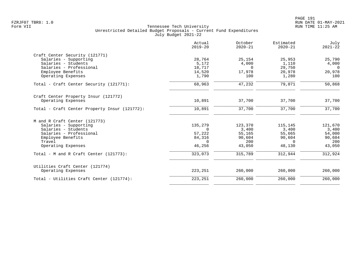|                                                       | Actual<br>$2019 - 20$ | October<br>$2020 - 21$ | Estimated<br>$2020 - 21$ | July<br>$2021 - 22$ |
|-------------------------------------------------------|-----------------------|------------------------|--------------------------|---------------------|
| Craft Center Security (121771)                        |                       |                        |                          |                     |
| Salaries - Supporting                                 | 28,764                | 25,154                 | 25,953                   | 25,790              |
| Salaries - Students                                   | 5,172                 | 4,000                  | 1,110                    | 4,000               |
| Salaries - Professional                               | 18,717                | $\Omega$               | 29,750                   | $\overline{0}$      |
| Employee Benefits                                     | 14,520                | 17,978                 | 20,978                   | 20,978              |
| Operating Expenses                                    | 1,790                 | 100                    | 1,280                    | 100                 |
| Total - Craft Center Security (121771):               | 68,963                | 47,232                 | 79,071                   | 50,868              |
| Craft Center Property Insur (121772)                  |                       |                        |                          |                     |
| Operating Expenses                                    | 10,891                | 37,700                 | 37,700                   | 37,700              |
| Total - Craft Center Property Insur (121772):         | 10,891                | 37,700                 | 37,700                   | 37,700              |
| M and R Craft Center (121773)                         |                       |                        |                          |                     |
| Salaries - Supporting                                 | 135,279               | 123,370                | 115,145                  | 121,670             |
| Salaries - Students                                   | $\Omega$              | 3,400                  | 3,400                    | 3,400               |
| Salaries - Professional                               | 57,222                | 55,165                 | 55,665                   | 54,000              |
| Employee Benefits                                     | 84,316                | 90,604                 | 90,604                   | 90,604              |
| Travel                                                | $\Omega$              | 200                    | $\Omega$                 | 200                 |
| Operating Expenses                                    | 46,256                | 43,050                 | 48,130                   | 43,050              |
| Total - M and R Craft Center $(121773)$ :             | 323,073               | 315,789                | 312,944                  | 312,924             |
| Utilities Craft Center (121774)<br>Operating Expenses | 223,251               | 260,000                | 260,000                  | 260,000             |
|                                                       |                       |                        |                          |                     |
| Total - Utilities Craft Center (121774):              | 223,251               | 260,000                | 260,000                  | 260,000             |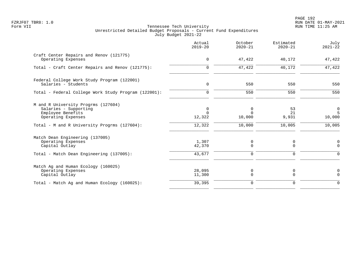PAGE 192 FZRJF07 TBR8: 1.0 RUN DATE 01-MAY-2021

|                                                                                                         | Actual<br>$2019 - 20$   | October<br>$2020 - 21$  | Estimated<br>$2020 - 21$ | July<br>$2021 - 22$ |
|---------------------------------------------------------------------------------------------------------|-------------------------|-------------------------|--------------------------|---------------------|
| Craft Center Repairs and Renov (121775)<br>Operating Expenses                                           | $\mathbf 0$             | 47,422                  | 40,172                   | 47,422              |
| Total - Craft Center Repairs and Renov (121775):                                                        | $\mathbf 0$             | 47,422                  | 40,172                   | 47,422              |
| Federal College Work Study Program (122001)<br>Salaries - Students                                      | 0                       | 550                     | 550                      | 550                 |
| Total - Federal College Work Study Program (122001):                                                    | $\mathbf 0$             | 550                     | 550                      | 550                 |
| M and R University Progrms (127604)<br>Salaries - Supporting<br>Employee Benefits<br>Operating Expenses | 0<br>$\Omega$<br>12,322 | 0<br>$\Omega$<br>10,000 | 53<br>21<br>9,931        | 0<br>5<br>10,000    |
| Total - M and R University Progrms (127604):                                                            | 12,322                  | 10,000                  | 10,005                   | 10,005              |
| Match Dean Engineering (137005)<br>Operating Expenses<br>Capital Outlay                                 | 1,307<br>42,370         | 0<br>$\Omega$           | 0<br>$\Omega$            | 0<br>$\Omega$       |
| Total - Match Dean Engineering (137005):                                                                | 43,677                  | 0                       | 0                        | $\Omega$            |
| Match Ag and Human Ecology (160025)<br>Operating Expenses<br>Capital Outlay                             | 28,095<br>11,300        | 0<br>$\mathbf 0$        | 0<br>$\overline{0}$      | 0<br>$\mathbf 0$    |
| Total - Match Ag and Human Ecology (160025):                                                            | 39,395                  | $\mathbf 0$             | $\mathbf 0$              | $\Omega$            |
|                                                                                                         |                         |                         |                          |                     |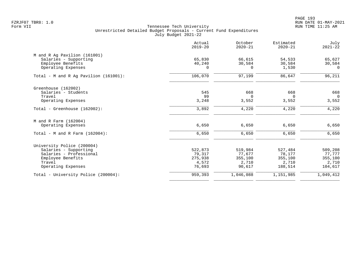PAGE 193 FZRJF07 TBR8: 1.0 RUN DATE 01-MAY-2021

|                                          | Actual<br>$2019 - 20$ | October<br>$2020 - 21$ | Estimated<br>$2020 - 21$ | July<br>$2021 - 22$ |
|------------------------------------------|-----------------------|------------------------|--------------------------|---------------------|
| M and R Ag Pavilion (161001)             |                       |                        |                          |                     |
| Salaries - Supporting                    | 65,830                | 66,615                 | 54,533                   | 65,627              |
| Employee Benefits                        | 40,240                | 30,584                 | 30,584                   | 30,584              |
| Operating Expenses                       | $\Omega$              | $\Omega$               | 1,530                    | $\Omega$            |
| Total - M and R Ag Pavilion $(161001)$ : | 106,070               | 97,199                 | 86,647                   | 96,211              |
| Greenhouse (162002)                      |                       |                        |                          |                     |
| Salaries - Students                      | 545                   | 668                    | 668                      | 668                 |
| Travel                                   | 99                    | $\Omega$               | $\Omega$                 | $\overline{0}$      |
| Operating Expenses                       | 3,248                 | 3,552                  | 3,552                    | 3,552               |
| Total - Greenhouse (162002):             | 3,892                 | 4,220                  | 4,220                    | 4,220               |
| M and R Farm (162004)                    |                       |                        |                          |                     |
| Operating Expenses                       | 6,650                 | 6,650                  | 6,650                    | 6,650               |
| Total - M and R Farm $(162004)$ :        | 6,650                 | 6,650                  | 6,650                    | 6,650               |
| University Police (200004)               |                       |                        |                          |                     |
| Salaries - Supporting                    | 522,873               | 519,984                | 527,484                  | 509,208             |
| Salaries - Professional                  | 79,317                | 77,677                 | 78,177                   | 77,777              |
| Employee Benefits                        | 275,938               | 355,100                | 355,100                  | 355,100             |
| Travel                                   | 4,572                 | 2,710                  | 2,710                    | 2,710               |
| Operating Expenses                       | 76,693                | 90,617                 | 188,514                  | 104,617             |
| Total - University Police (200004):      | 959,393               | 1,046,088              | 1,151,985                | 1,049,412           |
|                                          |                       |                        |                          |                     |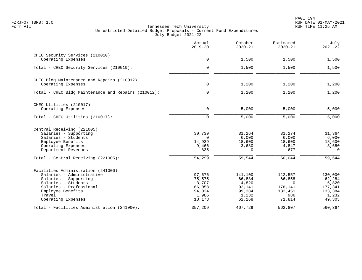|                                                                 | Actual<br>$2019 - 20$ | October<br>$2020 - 21$ | Estimated<br>$2020 - 21$ | July<br>$2021 - 22$ |
|-----------------------------------------------------------------|-----------------------|------------------------|--------------------------|---------------------|
| CHEC Security Services (210010)                                 |                       |                        |                          |                     |
| Operating Expenses                                              | $\mathbf 0$           | 1,500                  | 1,500                    | 1,500               |
| Total - CHEC Security Services (210010):                        | $\mathbf 0$           | 1,500                  | 1,500                    | 1,500               |
| CHEC Bldg Maintenance and Repairs (210012)                      |                       |                        |                          |                     |
| Operating Expenses                                              | $\mathsf{O}\xspace$   | 1,200                  | 1,200                    | 1,200               |
| Total - CHEC Bldg Maintenance and Repairs (210012):             | $\Omega$              | 1,200                  | 1,200                    | 1,200               |
| CHEC Utilities (210017)                                         |                       |                        |                          |                     |
| Operating Expenses                                              | $\mathbf 0$           | 5,000                  | 5,000                    | 5,000               |
| Total - CHEC Utilities (210017):                                | $\mathbf 0$           | 5,000                  | 5,000                    | 5,000               |
| Central Receiving (221005)                                      |                       |                        |                          |                     |
| Salaries - Supporting                                           | 30,739                | 31,264                 | 31,274                   | 31,364              |
| Salaries - Students                                             | $\overline{0}$        | 6,000                  | 6,000                    | 6,000               |
| Employee Benefits<br>Operating Expenses                         | 14,929<br>9,466       | 18,600<br>3,680        | 18,600<br>4,847          | 18,600<br>3,680     |
| Department Revenues                                             | $-835$                | $\Omega$               | $-677$                   | $\mathbf 0$         |
| Total - Central Receiving (221005):                             | 54,299                | 59,544                 | 60,044                   | 59,644              |
|                                                                 |                       |                        |                          |                     |
| Facilities Administration (241000)<br>Salaries - Administrative | 97,676                | 141,100                | 112,557                  | 130,000             |
| Salaries - Supporting                                           | 75,575                | 66,884                 | 66,858                   | 62,284              |
| Salaries - Students                                             | 3,707                 | 4,820                  | $\Omega$                 | 6,820               |
| Salaries - Professional                                         | 66,058                | 92,141                 | 178,141                  | 177,341             |
| Employee Benefits                                               | 94,034                | 99,384                 | 132,451                  | 133,384             |
| Travel                                                          | 1,986                 | 1,232                  | 986                      | 1,232               |
| Operating Expenses                                              | 18,173                | 62,168                 | 71,814                   | 49,303              |
| Total - Facilities Administration (241000):                     | 357,209               | 467,729                | 562,807                  | 560,364             |
|                                                                 |                       |                        |                          |                     |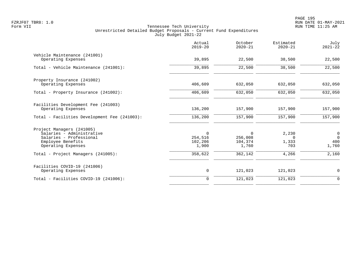|                                                                                                                              | Actual<br>$2019 - 20$                      | October<br>$2020 - 21$                        | Estimated<br>$2020 - 21$          | July<br>$2021 - 22$                 |
|------------------------------------------------------------------------------------------------------------------------------|--------------------------------------------|-----------------------------------------------|-----------------------------------|-------------------------------------|
| Vehicle Maintenance (241001)<br>Operating Expenses                                                                           | 39,895                                     | 22,500                                        | 38,500                            | 22,500                              |
| Total - Vehicle Maintenance (241001):                                                                                        | 39,895                                     | 22,500                                        | 38,500                            | 22,500                              |
| Property Insurance (241002)<br>Operating Expenses                                                                            | 406,609                                    | 632,050                                       | 632,050                           | 632,050                             |
| Total - Property Insurance (241002):                                                                                         | 406,609                                    | 632,050                                       | 632,050                           | 632,050                             |
| Facilities Development Fee (241003)<br>Operating Expenses<br>Total - Facilities Development Fee (241003):                    | 136,200<br>136,200                         | 157,900<br>157,900                            | 157,900<br>157,900                | 157,900<br>157,900                  |
| Project Managers (241005)<br>Salaries - Administrative<br>Salaries - Professional<br>Employee Benefits<br>Operating Expenses | $\mathbf 0$<br>254,516<br>102,206<br>1,900 | $\overline{0}$<br>256,008<br>104,374<br>1,760 | 2,230<br>$\Omega$<br>1,333<br>703 | 0<br>$\overline{0}$<br>400<br>1,760 |
| Total - Project Managers (241005):                                                                                           | 358,622                                    | 362,142                                       | 4,266                             | 2,160                               |
| Facilities COVID-19 (241006)<br>Operating Expenses                                                                           | 0                                          | 121,023                                       | 121,023                           | $\mathbf 0$                         |
| Total - Facilities COVID-19 (241006):                                                                                        | $\mathbf 0$                                | 121,023                                       | 121,023                           | $\mathbf 0$                         |
|                                                                                                                              |                                            |                                               |                                   |                                     |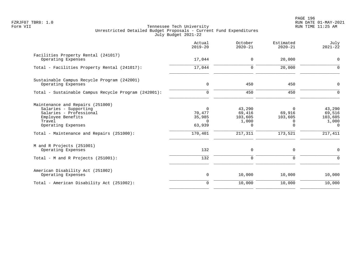PAGE 196 FZRJF07 TBR8: 1.0 RUN DATE 01-MAY-2021

|                                                                                                                                           | Actual<br>$2019 - 20$                              | October<br>$2020 - 21$                    | Estimated<br>$2020 - 21$                       | July<br>$2021 - 22$                              |
|-------------------------------------------------------------------------------------------------------------------------------------------|----------------------------------------------------|-------------------------------------------|------------------------------------------------|--------------------------------------------------|
| Facilities Property Rental (241017)<br>Operating Expenses                                                                                 | 17,044                                             | 0                                         | 20,000                                         | $\mathbf 0$                                      |
| Total - Facilities Property Rental (241017):                                                                                              | 17,044                                             | $\mathbf 0$                               | 20,000                                         | $\Omega$                                         |
| Sustainable Campus Recycle Program (242001)<br>Operating Expenses                                                                         | $\mathbf 0$                                        | 450                                       | 450                                            | $\mathbf 0$                                      |
| Total - Sustainable Campus Recycle Program (242001):                                                                                      | $\Omega$                                           | 450                                       | 450                                            | $\Omega$                                         |
| Maintenance and Repairs (251000)<br>Salaries - Supporting<br>Salaries - Professional<br>Employee Benefits<br>Travel<br>Operating Expenses | $\Omega$<br>70,477<br>35,985<br>$\Omega$<br>63,939 | 43,290<br>69,416<br>103,605<br>1,000<br>0 | $\Omega$<br>69,916<br>103,605<br>0<br>$\Omega$ | 43,290<br>69,516<br>103,605<br>1,000<br>$\Omega$ |
| Total - Maintenance and Repairs (251000):                                                                                                 | 170,401                                            | 217,311                                   | 173,521                                        | 217,411                                          |
| M and R Projects (251001)<br>Operating Expenses                                                                                           | 132                                                | 0                                         | 0                                              | 0                                                |
| Total - M and R Projects (251001):                                                                                                        | 132                                                | $\mathbf 0$                               | 0                                              | $\Omega$                                         |
| American Disability Act (251002)<br>Operating Expenses                                                                                    | 0                                                  | 10,000                                    | 10,000                                         | 10,000                                           |
| Total - American Disability Act (251002):                                                                                                 | $\Omega$                                           | 10,000                                    | 10,000                                         | 10,000                                           |
|                                                                                                                                           |                                                    |                                           |                                                |                                                  |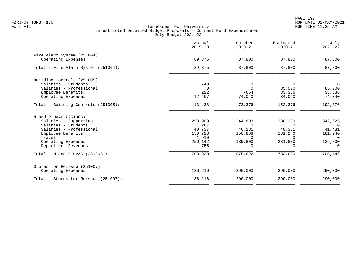|                                      | Actual<br>$2019 - 20$ | October<br>$2020 - 21$ | Estimated<br>$2020 - 21$ | July<br>$2021 - 22$ |
|--------------------------------------|-----------------------|------------------------|--------------------------|---------------------|
| Fire Alarm System (251004)           |                       |                        |                          |                     |
| Operating Expenses                   | 89,375                | 87,800                 | 87,800                   | 87,800              |
| Total - Fire Alarm System (251004):  | 89,375                | 87,800                 | 87,800                   | 87,800              |
| Building Controls (251005)           |                       |                        |                          |                     |
| Salaries - Students                  | 749                   | 0                      | $\Omega$                 | $\mathbf 0$         |
| Salaries - Professional              | $\Omega$              | $\Omega$               | 85,000                   | 85,000              |
| Employee Benefits                    | 222                   | $-664$                 | 33,336                   | 33,336              |
| Operating Expenses                   | 12,467                | 74,040                 | 34,040                   | 74,040              |
| Total - Building Controls (251005):  | 13,438                | 73,376                 | 152,376                  | 192,376             |
| M and R HVAC (251006)                |                       |                        |                          |                     |
| Salaries - Supporting                | 258,909               | 244,803                | 330,239                  | 342,625             |
| Salaries - Students                  | 1,267                 | $\Omega$               | $\Omega$                 | $\Omega$            |
| Salaries - Professional              | 40,737                | 40,131                 | 40,381                   | 41,481              |
| Employee Benefits                    | 150,728               | 150,888                | 181,240                  | 181,240             |
| Travel                               | 1,910                 | $\Omega$               | $\Omega$                 | $\Omega$            |
| Operating Expenses                   | 256,142               | 139,800                | 231,800                  | 139,800             |
| Department Revenues                  | $-755$                | $\Omega$               | $\Omega$                 | $\Omega$            |
| Total - M and R HVAC (251006):       | 708,938               | 575,622                | 783,660                  | 705,146             |
| Stores for Reissue (251007)          |                       |                        |                          |                     |
| Operating Expenses                   | 186,216               | 290,000                | 290,000                  | 290,000             |
| Total - Stores for Reissue (251007): | 186,216               | 290,000                | 290,000                  | 290,000             |
|                                      |                       |                        |                          |                     |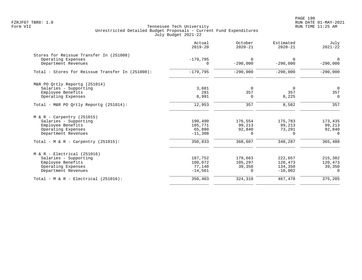|                                                  | Actual<br>$2019 - 20$  | October<br>$2020 - 21$ | Estimated<br>$2020 - 21$ | July<br>$2021 - 22$    |
|--------------------------------------------------|------------------------|------------------------|--------------------------|------------------------|
| Stores for Reissue Transfer In (251008)          |                        |                        |                          |                        |
| Operating Expenses<br>Department Revenues        | $-179,795$<br>$\Omega$ | $\Omega$<br>$-290,000$ | $\Omega$<br>$-290,000$   | $\Omega$<br>$-290,000$ |
| Total - Stores for Reissue Transfer In (251008): | $-179,795$             | $-290,000$             | $-290,000$               | $-290,000$             |
| M&R PO Ortly Reportg (251014)                    |                        |                        |                          |                        |
| Salaries - Supporting                            | 3,681                  | $\Omega$               | - 0                      | $\overline{0}$         |
| Employee Benefits                                | 281                    | 357                    | 357                      | 357                    |
| Operating Expenses                               | 8,991                  | $\Omega$               | 8,225                    | $\mathbf 0$            |
| Total - M&R PO Ortly Reportq (251014):           | 12,953                 | 357                    | 8,582                    | 357                    |
| $M & R - Carpentry (251015)$                     |                        |                        |                          |                        |
| Salaries - Supporting                            | 190,490                | 176,554                | 175,783                  | 173,435                |
| Employee Benefits                                | 105,771                | 99,213                 | 99,213                   | 99,213                 |
| Operating Expenses                               | 65,880                 | 92,840                 | 73,291                   | 92,840                 |
| Department Revenues                              | $-11,308$              | $\Omega$               | $\cap$                   | $\Omega$               |
| Total - M & R - Carpentry $(251015)$ :           | 350,833                | 368,607                | 348,287                  | 365,488                |
| $M & R - Electrical (251016)$                    |                        |                        |                          |                        |
| Salaries - Supporting                            | 187,752                | 179,663                | 222,657                  | 215,382                |
| Employee Benefits                                | 100,072                | 105,297                | 120,473                  | 120,473                |
| Operating Expenses                               | 77,140                 | 39,350                 | 134,350                  | 39,350                 |
| Department Revenues                              | $-14,561$              | $\Omega$               | $-10,002$                | $\Omega$               |
| Total - $M & R - Electrical (251016)$ :          | 350,403                | 324,310                | 467,478                  | 375,205                |
|                                                  |                        |                        |                          |                        |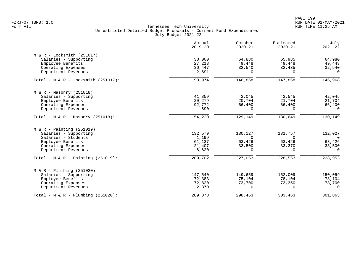| Actual<br>$2019 - 20$ | October<br>$2020 - 21$                                                                            | Estimated<br>$2020 - 21$                                                                             | July<br>$2021 - 22$                                                                                  |
|-----------------------|---------------------------------------------------------------------------------------------------|------------------------------------------------------------------------------------------------------|------------------------------------------------------------------------------------------------------|
|                       |                                                                                                   |                                                                                                      |                                                                                                      |
| 38,000                | 64,880                                                                                            | 65,985                                                                                               | 64,980                                                                                               |
| 27,218                | 49,448                                                                                            | 49,448                                                                                               | 49,448                                                                                               |
| 36,447                | 32,540                                                                                            | 32,435                                                                                               | 32,540                                                                                               |
| $-2,691$              | $\Omega$                                                                                          | $\Omega$                                                                                             | $\Omega$                                                                                             |
| 98,974                | 146,868                                                                                           | 147,868                                                                                              | 146,968                                                                                              |
|                       |                                                                                                   |                                                                                                      |                                                                                                      |
|                       |                                                                                                   |                                                                                                      | 42,045                                                                                               |
|                       |                                                                                                   |                                                                                                      | 21,704                                                                                               |
|                       |                                                                                                   |                                                                                                      | 66,400                                                                                               |
| $-690$                | $\Omega$                                                                                          | $\Omega$                                                                                             | $\Omega$                                                                                             |
| 154,220               | 129,149                                                                                           | 130,649                                                                                              | 130, 149                                                                                             |
|                       |                                                                                                   |                                                                                                      |                                                                                                      |
|                       |                                                                                                   |                                                                                                      | 132,027                                                                                              |
|                       |                                                                                                   |                                                                                                      | $\overline{0}$                                                                                       |
|                       |                                                                                                   |                                                                                                      | 63,426                                                                                               |
|                       |                                                                                                   |                                                                                                      | 33,500                                                                                               |
| $-6,620$              | $\Omega$                                                                                          | $\Omega$                                                                                             | $\Omega$                                                                                             |
| 209,702               | 227,053                                                                                           | 228,553                                                                                              | 228,953                                                                                              |
|                       |                                                                                                   |                                                                                                      |                                                                                                      |
|                       |                                                                                                   |                                                                                                      | 150,059                                                                                              |
|                       |                                                                                                   |                                                                                                      | 78,104                                                                                               |
|                       |                                                                                                   |                                                                                                      | 73,700                                                                                               |
| $-2,870$              | $\Omega$                                                                                          | $\Omega$                                                                                             | $\Omega$                                                                                             |
| 289,873               | 298,463                                                                                           | 303,463                                                                                              | 301,863                                                                                              |
|                       | 41,859<br>20,279<br>92,772<br>132,579<br>1,199<br>61,137<br>21,407<br>147,540<br>72,383<br>72,820 | 42,045<br>20,704<br>66,400<br>130,127<br>$\Omega$<br>63,426<br>33,500<br>149,659<br>75,104<br>73,700 | 42,545<br>21,704<br>66,400<br>131,757<br>$\Omega$<br>63,426<br>33,370<br>152,009<br>78,104<br>73,350 |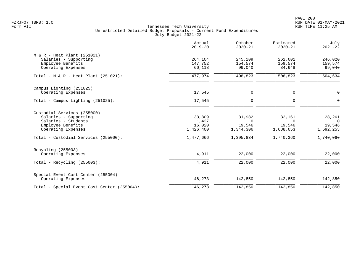PAGE 200 FZRJF07 TBR8: 1.0 RUN DATE 01-MAY-2021

|                                             | Actual<br>$2019 - 20$ | October<br>$2020 - 21$ | Estimated<br>$2020 - 21$ | July<br>$2021 - 22$ |
|---------------------------------------------|-----------------------|------------------------|--------------------------|---------------------|
| $M & R - Heat Plant (251021)$               |                       |                        |                          |                     |
| Salaries - Supporting                       | 264,104               | 245,209                | 262,601                  | 246,020             |
| Employee Benefits                           | 147,752               | 154,574                | 159,574                  | 159,574             |
| Operating Expenses                          | 66,118                | 99,040                 | 84,648                   | 99,040              |
| Total - $M & R$ - Heat Plant (251021):      | 477,974               | 498,823                | 506,823                  | 504,634             |
| Campus Lighting (251025)                    |                       |                        |                          |                     |
| Operating Expenses                          | 17,545                | 0                      | 0                        | $\mathbf 0$         |
| Total - Campus Lighting (251025):           | 17,545                | 0                      | 0                        | $\mathbf 0$         |
| Custodial Services (255000)                 |                       |                        |                          |                     |
| Salaries - Supporting                       | 33,809                | 31,982                 | 32,161                   | 28,261              |
| Salaries - Students                         | 1,437                 | $\Omega$               | $\Omega$                 | $\Omega$            |
| Employee Benefits                           | 16,020<br>1,426,400   | 19,546                 | 19,546<br>1,688,653      | 19,546              |
| Operating Expenses                          |                       | 1,344,306              |                          | 1,692,253           |
| Total - Custodial Services (255000):        | 1,477,666             | 1,395,834              | 1,740,360                | 1,740,060           |
| Recycling (255003)                          |                       |                        |                          |                     |
| Operating Expenses                          | 4,911                 | 22,000                 | 22,000                   | 22,000              |
| Total - Recycling $(255003)$ :              | 4,911                 | 22,000                 | 22,000                   | 22,000              |
| Special Event Cost Center (255004)          |                       |                        |                          |                     |
| Operating Expenses                          | 46,273                | 142,850                | 142,850                  | 142,850             |
| Total - Special Event Cost Center (255004): | 46,273                | 142,850                | 142,850                  | 142,850             |
|                                             |                       |                        |                          |                     |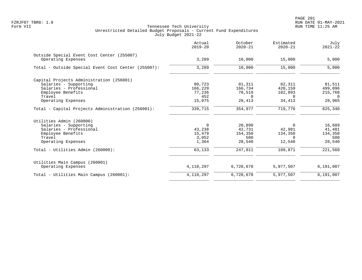| Actual<br>$2019 - 20$ | October<br>$2020 - 21$ | Estimated<br>$2020 - 21$ | July<br>$2021 - 22$ |
|-----------------------|------------------------|--------------------------|---------------------|
| 3,289                 | 10,000                 | 15,000                   | 5,000               |
| 3,289                 | 10,000                 | 15,000                   | 5,000               |
|                       |                        |                          |                     |
| 80,723                | 81,311                 | 82,311                   | 81,511              |
| 166,229               | 166,734                | 420,159                  | 499,096             |
| 77,236                | 78,519                 | 182,893                  | 215,768             |
| 452                   | $\Omega$               | $\Omega$                 | $\Omega$            |
| 15,075                | 28,413                 | 34,413                   | 28,965              |
| 339,715               | 354,977                | 719,776                  | 825,340             |
|                       |                        |                          |                     |
| $\Omega$              |                        | $\Omega$                 | 16,689              |
| 43,238                | 42,731                 | 42,981                   | 41,481              |
| 15,479                | 154,350                | 134,350                  | 134,350             |
| 3,052                 | 500                    | $\Omega$                 | 500                 |
| 1,364                 | 28,540                 | 12,540                   | 28,540              |
| 63,133                | 247,011                | 189,871                  | 221,560             |
|                       |                        |                          |                     |
|                       |                        |                          | 6,191,007           |
| 4,110,297             | 6,728,678              | 5,977,507                | 6,191,007           |
|                       | 4,110,297              | 20,890<br>6,728,678      | 5,977,507           |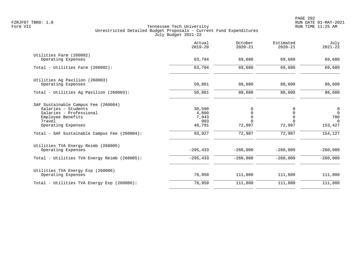|                                                                                                                                                                                            | Actual<br>$2019 - 20$                               | October<br>$2020 - 21$                             | Estimated<br>$2020 - 21$                              | July<br>$2021 - 22$                                    |
|--------------------------------------------------------------------------------------------------------------------------------------------------------------------------------------------|-----------------------------------------------------|----------------------------------------------------|-------------------------------------------------------|--------------------------------------------------------|
| Utilities Farm (260002)<br>Operating Expenses                                                                                                                                              | 63,794                                              | 69,680                                             | 69,680                                                | 69,680                                                 |
| Total - Utilities Farm (260002):                                                                                                                                                           | 63,794                                              | 69,680                                             | 69,680                                                | 69,680                                                 |
| Utilities Ag Pavilion (260003)<br>Operating Expenses                                                                                                                                       | 50,861                                              | 88,600                                             | 88,600                                                | 88,600                                                 |
| Total - Utilities Aq Pavilion (260003):                                                                                                                                                    | 50,861                                              | 88,600                                             | 88,600                                                | 88,600                                                 |
| SAF Sustainable Campus Fee (260004)<br>Salaries - Students<br>Salaries - Professional<br>Employee Benefits<br>Travel<br>Operating Expenses<br>Total - SAF Sustainable Campus Fee (260004): | 30,590<br>4,800<br>7,943<br>903<br>48,791<br>93,027 | $\Omega$<br>0<br>$\Omega$<br>U<br>72,987<br>72,987 | 0<br>0<br>$\mathbf 0$<br>$\Omega$<br>72,987<br>72,987 | 0<br>$\Omega$<br>700<br>$\Omega$<br>153,427<br>154,127 |
| Utilities TVA Energy Reimb (260005)<br>Operating Expenses                                                                                                                                  | $-295, 433$                                         | $-260,000$                                         | $-260,000$                                            | $-260,000$                                             |
| Total - Utilities TVA Energy Reimb (260005):                                                                                                                                               | $-295, 433$                                         | $-260,000$                                         | $-260,000$                                            | $-260,000$                                             |
| Utilities TVA Energy Exp (260006)<br>Operating Expenses                                                                                                                                    | 78,950                                              | 111,800                                            | 111,800                                               | 111,800                                                |
| Total - Utilities TVA Energy Exp (260006):                                                                                                                                                 | 78,950                                              | 111,800                                            | 111,800                                               | 111,800                                                |
|                                                                                                                                                                                            |                                                     |                                                    |                                                       |                                                        |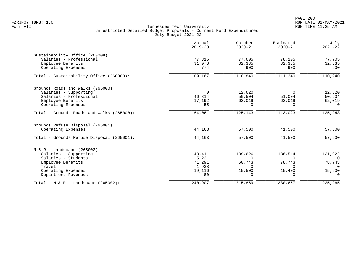|                                                           | Actual<br>$2019 - 20$ | October<br>$2020 - 21$ | Estimated<br>$2020 - 21$ | July<br>$2021 - 22$ |
|-----------------------------------------------------------|-----------------------|------------------------|--------------------------|---------------------|
| Sustainability Office (260008)<br>Salaries - Professional | 77,315                | 77,605                 | 78,105                   | 77,705              |
| Employee Benefits<br>Operating Expenses                   | 31,078<br>774         | 32,335<br>900          | 32,335<br>900            | 32,335<br>900       |
| Total - Sustainability Office (260008):                   | 109,167               | 110,840                | 111,340                  | 110,940             |
| Grounds Roads and Walks (265000)                          |                       |                        |                          |                     |
| Salaries - Supporting                                     | $\overline{0}$        | 12,620                 | $\Omega$                 | 12,620              |
| Salaries - Professional<br>Employee Benefits              | 46,814<br>17,192      | 50,504<br>62,019       | 51,004<br>62,019         | 50,604<br>62,019    |
| Operating Expenses                                        | 55                    | $\Omega$               | $\Omega$                 | $\Omega$            |
| Total - Grounds Roads and Walks (265000):                 | 64,061                | 125,143                | 113,023                  | 125,243             |
| Grounds Refuse Disposal (265001)                          |                       |                        |                          |                     |
| Operating Expenses                                        | 44,163                | 57,500                 | 41,500                   | 57,500              |
| Total - Grounds Refuse Disposal (265001):                 | 44,163                | 57,500                 | 41,500                   | 57,500              |
| $M & R -$ Landscape (265002)                              |                       |                        |                          |                     |
| Salaries - Supporting                                     | 143,411               | 139,626                | 136,514                  | 131,022             |
| Salaries - Students                                       | 5,231                 | $\Omega$               | $\Omega$                 | $\Omega$            |
| Employee Benefits                                         | 71,291                | 60,743                 | 78,743                   | 78,743              |
| Travel<br>Operating Expenses                              | 1,938<br>19,116       | $\Omega$<br>15,500     | $\Omega$<br>15,400       | $\Omega$<br>15,500  |
| Department Revenues                                       | $-80$                 | $\Omega$               | $\Omega$                 | $\Omega$            |
| Total - M & R - Landscape $(265002)$ :                    | 240,907               | 215,869                | 230,657                  | 225,265             |
|                                                           |                       |                        |                          |                     |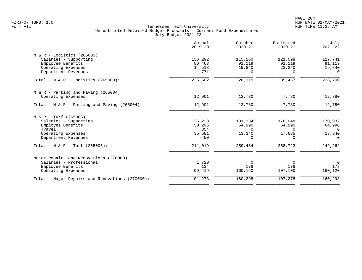|                                                 | Actual<br>$2019 - 20$ | October<br>$2020 - 21$ | Estimated<br>$2020 - 21$ | July<br>$2021 - 22$ |
|-------------------------------------------------|-----------------------|------------------------|--------------------------|---------------------|
| $M & R -$ Logistics (265003)                    |                       |                        |                          |                     |
| Salaries - Supporting                           | 136,292               | 115,160                | 121,098                  | 117,741             |
| Employee Benefits                               | 86,463                | 91,119                 | 91,119                   | 91,119              |
| Operating Expenses                              | 14,518                | 19,840                 | 23,240                   | 19,840              |
| Department Revenues                             | $-1,771$              | $\Omega$               | $\Omega$                 | $\Omega$            |
| Total - M & R - Logistics (265003):             | 235,502               | 226,119                | 235,457                  | 228,700             |
| $M & R - Parking$ and Paving (265004)           |                       |                        |                          |                     |
| Operating Expenses                              | 12,901                | 12,780                 | 7,780                    | 12,780              |
| Total - $M & R$ - Parking and Paving (265004):  | 12,901                | 12,780                 | 7,780                    | 12,780              |
| M & R - Turf (265005)                           |                       |                        |                          |                     |
| Salaries - Supporting                           | 125,238               | 181,134                | 176,048                  | 170,932             |
| Employee Benefits                               | 50,296                | 64,990                 | 64,990                   | 64,990              |
| Travel                                          | 354                   | $\Omega$               | $\Omega$                 | $\Omega$            |
| Operating Expenses                              | 35,581                | 13,340                 | 17,685                   | 13,340              |
| Department Revenues                             | $-450$                | $\Omega$               |                          | $\Omega$            |
| Total - M & R - Turf $(265005)$ :               | 211,019               | 259,464                | 258,723                  | 249,262             |
| Major Repairs and Renovations (270000)          |                       |                        |                          |                     |
| Salaries - Professional                         | 1,720                 | $\Omega$               | $\Omega$                 | $\Omega$            |
| Employee Benefits                               | 134                   | 178                    | 178                      | 178                 |
| Operating Expenses                              | 99,419                | 160,120                | 107,100                  | 160,120             |
| Total - Major Repairs and Renovations (270000): | 101,273               | 160,298                | 107,278                  | 160,298             |
|                                                 |                       |                        |                          |                     |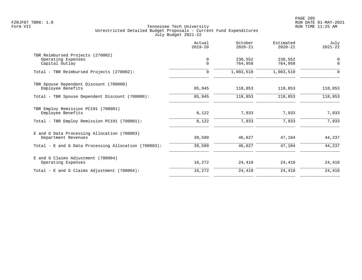|                                                             | Actual<br>$2019 - 20$ | October<br>$2020 - 21$ | Estimated<br>$2020 - 21$ | July<br>$2021 - 22$ |
|-------------------------------------------------------------|-----------------------|------------------------|--------------------------|---------------------|
| TBR Reimbursed Projects (270002)<br>Operating Expenses      | $\mathbf 0$           | 238,552                | 238,552                  | $\mathbf 0$         |
| Capital Outlay                                              | $\Omega$              | 764,958                | 764,958                  | $\Omega$            |
| Total - TBR Reimbursed Projects (270002):                   | $\mathbf 0$           | 1,003,510              | 1,003,510                | 0                   |
| TBR Spouse Dependent Discount (700000)<br>Employee Benefits | 85,945                | 118,853                | 118,853                  | 118,853             |
| Total - TBR Spouse Dependent Discount (700000):             | 85,945                | 118,853                | 118,853                  | 118,853             |
|                                                             |                       |                        |                          |                     |
| TBR Employ Remission PC191 (700001)<br>Employee Benefits    | 8,122                 | 7,933                  | 7,933                    | 7,933               |
| Total - TBR Employ Remission PC191 (700001):                | 8,122                 | 7,933                  | 7,933                    | 7,933               |
| E and G Data Processing Allocation (700003)                 |                       |                        |                          |                     |
| Department Revenues                                         | 39,599                | 46,627                 | 47,104                   | 44,237              |
| Total - E and G Data Processing Allocation (700003):        | 39,599                | 46,627                 | 47,104                   | 44,237              |
| E and G Claims Adjustment (700004)                          |                       |                        |                          |                     |
| Operating Expenses                                          | 16,272                | 24,410                 | 24,410                   | 24,410              |
| Total - E and G Claims Adjustment $(700004)$ :              | 16,272                | 24,410                 | 24,410                   | 24,410              |
|                                                             |                       |                        |                          |                     |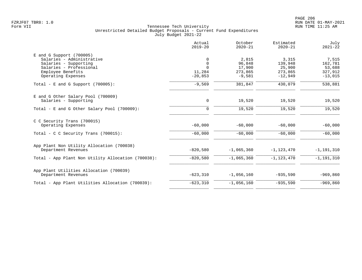|                                                                                                                                                        | Actual<br>$2019 - 20$                               | October<br>$2020 - 21$                           | Estimated<br>$2020 - 21$                           | July<br>$2021 - 22$                                |
|--------------------------------------------------------------------------------------------------------------------------------------------------------|-----------------------------------------------------|--------------------------------------------------|----------------------------------------------------|----------------------------------------------------|
| $E$ and G Support (700005)<br>Salaries - Administrative<br>Salaries - Supporting<br>Salaries - Professional<br>Employee Benefits<br>Operating Expenses | 0<br>$\mathbf 0$<br>$\Omega$<br>11,284<br>$-20,853$ | 2,815<br>96,848<br>17,900<br>273,865<br>$-9,581$ | 3,315<br>139,948<br>25,900<br>273,865<br>$-12,949$ | 7,515<br>162,781<br>53,688<br>327,912<br>$-13,015$ |
| Total - E and G Support $(700005)$ :                                                                                                                   | $-9,569$                                            | 381,847                                          | 430,079                                            | 538,881                                            |
| E and G Other Salary Pool (700009)<br>Salaries - Supporting                                                                                            | 0                                                   | 19,520                                           | 19,520                                             | 19,520                                             |
| Total - E and G Other Salary Pool (700009):                                                                                                            | $\mathbf 0$                                         | 19,520                                           | 19,520                                             | 19,520                                             |
| C C Security Trans (700015)<br>Operating Expenses                                                                                                      | $-60,000$                                           | $-60,000$                                        | $-60,000$                                          | $-60,000$                                          |
| Total - C C Security Trans (700015):                                                                                                                   | $-60,000$                                           | $-60,000$                                        | $-60,000$                                          | $-60,000$                                          |
| App Plant Non Utility Allocation (700038)<br>Department Revenues                                                                                       | $-820,580$                                          | $-1,065,360$                                     | $-1, 123, 470$                                     | $-1, 191, 310$                                     |
| Total - App Plant Non Utility Allocation (700038):                                                                                                     | $-820,580$                                          | $-1,065,360$                                     | $-1, 123, 470$                                     | $-1, 191, 310$                                     |
| App Plant Utilities Allocation (700039)<br>Department Revenues                                                                                         | $-623, 310$                                         | $-1,056,160$                                     | $-935,590$                                         | $-969,860$                                         |
| Total - App Plant Utilities Allocation (700039):                                                                                                       | $-623, 310$                                         | $-1,056,160$                                     | $-935,590$                                         | $-969, 860$                                        |
|                                                                                                                                                        |                                                     |                                                  |                                                    |                                                    |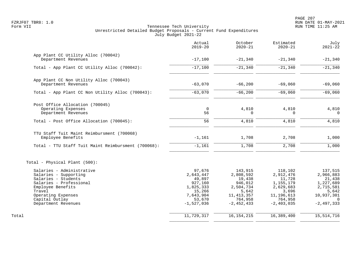PAGE 207 FZRJF07 TBR8: 1.0 RUN DATE 01-MAY-2021

|                                                     | Actual<br>$2019 - 20$ | October<br>$2020 - 21$ | Estimated<br>$2020 - 21$ | July<br>$2021 - 22$ |
|-----------------------------------------------------|-----------------------|------------------------|--------------------------|---------------------|
| App Plant CC Utility Alloc (700042)                 |                       |                        |                          |                     |
| Department Revenues                                 | $-17,100$             | $-21,340$              | $-21,340$                | $-21,340$           |
| Total - App Plant CC Utility Alloc (700042):        | $-17,100$             | $-21,340$              | $-21,340$                | $-21,340$           |
| App Plant CC Non Utility Alloc (700043)             |                       |                        |                          |                     |
| Department Revenues                                 | $-63,070$             | $-66,200$              | $-69,060$                | $-69,060$           |
| Total - App Plant CC Non Utility Alloc (700043):    | $-63,070$             | $-66,200$              | $-69,060$                | $-69,060$           |
| Post Office Allocation (700045)                     |                       |                        |                          |                     |
| Operating Expenses                                  | 0                     | 4,810                  | 4,810                    | 4,810               |
| Department Revenues                                 | 56                    | 0                      | 0                        | $\overline{0}$      |
| Total - Post Office Allocation (700045):            | 56                    | 4,810                  | 4,810                    | 4,810               |
| TTU Staff Tuit Maint Reimbursment (700068)          |                       |                        |                          |                     |
| Employee Benefits                                   | $-1,161$              | 1,708                  | 2,708                    | 1,000               |
| Total - TTU Staff Tuit Maint Reimbursment (700068): | $-1,161$              | 1,708                  | 2,708                    | 1,000               |
| Total - Physical Plant (500):                       |                       |                        |                          |                     |
| Salaries - Administrative                           | 97,676                | 143,915                | 118,102                  | 137,515             |
| Salaries - Supporting                               | 2,643,447             | 2,808,592              | 2,912,476                | 2,966,883           |
| Salaries - Students                                 | 49,897                | 19,438                 | 11,728                   | 21,438              |
| Salaries - Professional                             | 927,160               | 946,012                | 1,155,179                | 1,227,689           |
| Employee Benefits<br>Travel                         | 1,825,333             | 2,504,734<br>5,642     | 2,629,683                | 2,715,581           |
| Operating Expenses                                  | 15,266<br>7,643,904   | 11, 413, 357           | 3,696<br>11, 196, 613    | 5,642<br>10,937,301 |
| Capital Outlay                                      | 53,670                | 764,958                | 764,958                  | $\Omega$            |
| Department Revenues                                 | $-1,527,036$          | $-2, 452, 433$         | $-2,403,035$             | $-2,497,333$        |
| Total                                               | 11,729,317            | 16, 154, 215           | 16,389,400               | 15, 514, 716        |
|                                                     |                       |                        |                          |                     |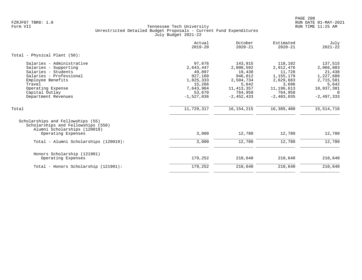|                                                                                                                                                                                                   | Actual<br>$2019 - 20$                                                                                  | October<br>$2020 - 21$                                                                                       | Estimated<br>$2020 - 21$                                                                                   | July<br>$2021 - 22$                                                                                  |
|---------------------------------------------------------------------------------------------------------------------------------------------------------------------------------------------------|--------------------------------------------------------------------------------------------------------|--------------------------------------------------------------------------------------------------------------|------------------------------------------------------------------------------------------------------------|------------------------------------------------------------------------------------------------------|
| Total - Physical Plant (50):                                                                                                                                                                      |                                                                                                        |                                                                                                              |                                                                                                            |                                                                                                      |
| Salaries - Administrative<br>Salaries - Supporting<br>Salaries - Students<br>Salaries - Professional<br>Employee Benefits<br>Travel<br>Operating Expense<br>Capital Outlay<br>Department Revenues | 97,676<br>2,643,447<br>49,897<br>927,160<br>1,825,333<br>15,266<br>7,643,904<br>53,670<br>$-1,527,036$ | 143,915<br>2,808,592<br>19,438<br>946,012<br>2,504,734<br>5,642<br>11, 413, 357<br>764,958<br>$-2, 452, 433$ | 118,102<br>2,912,476<br>11,728<br>1,155,179<br>2,629,683<br>3,696<br>11,196,613<br>764,958<br>$-2,403,035$ | 137,515<br>2,966,883<br>21,438<br>1,227,689<br>2,715,581<br>5,642<br>10,937,301<br>0<br>$-2,497,333$ |
| Total                                                                                                                                                                                             | 11,729,317                                                                                             | 16, 154, 215                                                                                                 | 16,389,400                                                                                                 | 15,514,716                                                                                           |
| Scholarships and Fellowships (55)<br>Scholarships and Fellowships (550)<br>Alumni Scholarships (120019)<br>Operating Expenses                                                                     | 3,000                                                                                                  | 12,780                                                                                                       | 12,780                                                                                                     | 12,780                                                                                               |
| Total - Alumni Scholarships (120019):                                                                                                                                                             | 3,000                                                                                                  | 12,780                                                                                                       | 12,780                                                                                                     | 12,780                                                                                               |
| Honors Scholarship (121901)<br>Operating Expenses                                                                                                                                                 | 179,252                                                                                                | 210,640                                                                                                      | 210,640                                                                                                    | 210,640                                                                                              |
| Total - Honors Scholarship (121901):                                                                                                                                                              | 179,252                                                                                                | 210,640                                                                                                      | 210,640                                                                                                    | 210,640                                                                                              |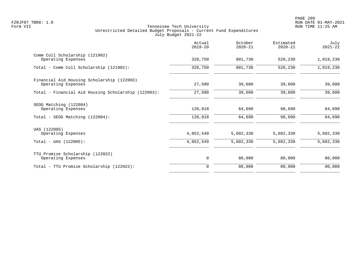|                                                                                 | Actual<br>$2019 - 20$ | October<br>$2020 - 21$ | Estimated<br>$2020 - 21$ | July<br>$2021 - 22$ |
|---------------------------------------------------------------------------------|-----------------------|------------------------|--------------------------|---------------------|
| Comm Coll Scholarship (121902)<br>Operating Expenses                            | 328,750               | 801,730                | 528,230                  | 1,019,230           |
| Total - Comm Coll Scholarship (121902):                                         | 328,750               | 801,730                | 528,230                  | 1,019,230           |
| Financial Aid Housing Scholarship (122003)<br>Operating Expenses                | 27,500                | 39,600                 | 39,600                   | 39,600              |
| Total - Financial Aid Housing Scholarship (122003):                             | 27,500                | 39,600                 | 39,600                   | 39,600              |
| SEOG Matching (122004)<br>Operating Expenses<br>Total - SEOG Matching (122004): | 120,018<br>120,018    | 64,690<br>64,690       | 98,690<br>98,690         | 64,690<br>64,690    |
| UAS (122005)<br>Operating Expenses                                              | 4,852,549             | 5,602,330              | 5,602,330                | 5,602,330           |
| $Total - UAS (122005):$                                                         | 4,852,549             | 5,602,330              | 5,602,330                | 5,602,330           |
| TTU Promise Scholarship (122022)<br>Operating Expenses                          | 0                     | 80,000                 | 80,000                   | 80,000              |
| Total - TTU Promise Scholarship (122022):                                       | $\Omega$              | 80,000                 | 80,000                   | 80,000              |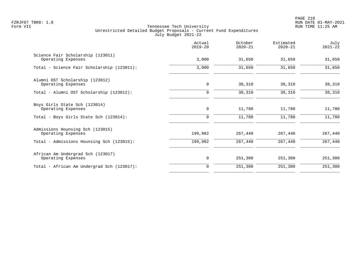PAGE 210 FZRJF07 TBR8: 1.0 RUN DATE 01-MAY-2021

|                                                         | Actual<br>$2019 - 20$ | October<br>$2020 - 21$ | Estimated<br>$2020 - 21$ | July<br>$2021 - 22$ |
|---------------------------------------------------------|-----------------------|------------------------|--------------------------|---------------------|
| Science Fair Scholarship (123011)<br>Operating Expenses | 3,000                 | 31,650                 | 31,650                   | 31,650              |
| Total - Science Fair Scholarship (123011):              | 3,000                 | 31,650                 | 31,650                   | 31,650              |
| Alumni OST Scholarship (123012)<br>Operating Expenses   | $\mathbf 0$           | 38,310                 | 38,310                   | 38,310              |
| Total - Alumni OST Scholarship (123012):                | $\mathbf 0$           | 38,310                 | 38,310                   | 38,310              |
| Boys Girls State Sch (123014)<br>Operating Expenses     | $\mathbf 0$           | 11,780                 | 11,780                   | 11,780              |
| Total - Boys Girls State Sch (123014):                  | $\mathbf 0$           | 11,780                 | 11,780                   | 11,780              |
| Admissions Hounsing Sch (123015)<br>Operating Expenses  | 199,982               | 267,440                | 267,440                  | 267,440             |
| Total - Admissions Hounsing Sch (123015):               | 199,982               | 267,440                | 267,440                  | 267,440             |
| African Am Undergrad Sch (123017)<br>Operating Expenses | 0                     | 251,300                | 251,300                  | 251,300             |
| Total - African Am Undergrad Sch (123017):              | $\Omega$              | 251,300                | 251,300                  | 251,300             |
|                                                         |                       |                        |                          |                     |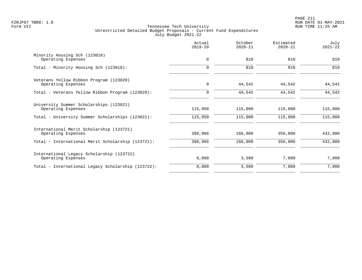|                                                                 | Actual<br>$2019 - 20$ | October<br>$2020 - 21$ | Estimated<br>$2020 - 21$ | July<br>$2021 - 22$ |
|-----------------------------------------------------------------|-----------------------|------------------------|--------------------------|---------------------|
| Minority Housing Sch (123018)<br>Operating Expenses             | $\mathbf 0$           | 810                    | 810                      | 810                 |
| Total - Minority Housing Sch (123018):                          | $\mathbf 0$           | 810                    | 810                      | 810                 |
| Veterans Yellow Ribbon Program (123020)<br>Operating Expenses   | $\mathbf 0$           | 44,542                 | 44,542                   | 44,542              |
| Total - Veterans Yellow Ribbon Program (123020):                | $\Omega$              | 44,542                 | 44,542                   | 44,542              |
| University Summer Scholarships (123021)<br>Operating Expenses   | 115,950               | 115,000                | 115,000                  | 115,000             |
| Total - University Summer Scholarships (123021):                | 115,950               | 115,000                | 115,000                  | 115,000             |
| International Merit Scholarship (123721)<br>Operating Expenses  | 398,966               | 166,000                | 356,000                  | 432,000             |
| Total - International Merit Scholarship (123721):               | 398,966               | 166,000                | 356,000                  | 432,000             |
| International Legacy Scholarship (123722)<br>Operating Expenses | 8,000                 | 3,500                  | 7,000                    | 7,000               |
| Total - International Legacy Scholarship (123722):              | 8,000                 | 3,500                  | 7,000                    | 7,000               |
|                                                                 |                       |                        |                          |                     |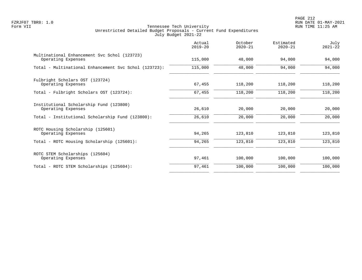| Actual<br>$2019 - 20$ | October<br>$2020 - 21$ | Estimated<br>$2020 - 21$ | July<br>$2021 - 22$ |
|-----------------------|------------------------|--------------------------|---------------------|
| 115,000               | 48,000                 | 94,000                   | 94,000              |
| 115,000               | 48,000                 | 94,000                   | 94,000              |
| 67,455                | 118,200                | 118,200                  | 118,200             |
| 67,455                | 118,200                | 118,200                  | 118,200             |
| 26,610                | 20,000                 | 20,000                   | 20,000              |
| 26,610                | 20,000                 | 20,000                   | 20,000              |
| 94,265                | 123,810                | 123,810                  | 123,810             |
| 94,265                | 123,810                | 123,810                  | 123,810             |
| 97,461                | 100,000                | 100,000                  | 100,000             |
| 97,461                | 100,000                | 100,000                  | 100,000             |
|                       |                        |                          |                     |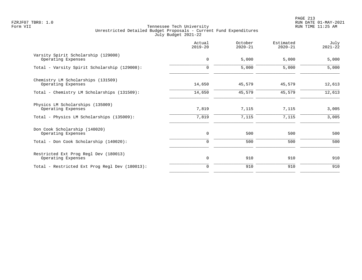PAGE 213 FZRJF07 TBR8: 1.0 RUN DATE 01-MAY-2021

|                                                             | Actual<br>$2019 - 20$ | October<br>$2020 - 21$ | Estimated<br>$2020 - 21$ | July<br>$2021 - 22$ |
|-------------------------------------------------------------|-----------------------|------------------------|--------------------------|---------------------|
| Varsity Spirit Scholarship (129008)<br>Operating Expenses   | $\mathbf 0$           | 5,000                  | 5,000                    | 5,000               |
| Total - Varsity Spirit Scholarship (129008):                | 0                     | 5,000                  | 5,000                    | 5,000               |
| Chemistry LM Scholarships (131509)<br>Operating Expenses    | 14,650                | 45,579                 | 45,579                   | 12,613              |
| Total - Chemistry LM Scholarships (131509):                 | 14,650                | 45,579                 | 45,579                   | 12,613              |
| Physics LM Scholarships (135009)<br>Operating Expenses      | 7,819                 | 7,115                  | 7,115                    | 3,005               |
| Total - Physics LM Scholarships (135009):                   | 7,819                 | 7,115                  | 7,115                    | 3,005               |
| Don Cook Scholarship (140020)<br>Operating Expenses         | $\mathbf 0$           | 500                    | 500                      | 500                 |
| Total - Don Cook Scholarship (140020):                      | $\mathbf 0$           | 500                    | 500                      | 500                 |
| Restricted Ext Prog Regl Dev (180013)<br>Operating Expenses | $\mathbf 0$           | 910                    | 910                      | 910                 |
| Total - Restricted Ext Prog Regl Dev (180013):              | $\Omega$              | 910                    | 910                      | 910                 |
|                                                             |                       |                        |                          |                     |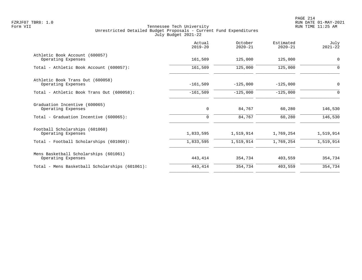|                                                             | Actual<br>$2019 - 20$ | October<br>$2020 - 21$ | Estimated<br>$2020 - 21$ | July<br>$2021 - 22$ |
|-------------------------------------------------------------|-----------------------|------------------------|--------------------------|---------------------|
| Athletic Book Account (600057)<br>Operating Expenses        | 161,509               | 125,000                | 125,000                  | $\mathbf 0$         |
| Total - Athletic Book Account (600057):                     | 161,509               | 125,000                | 125,000                  | $\mathbf 0$         |
| Athletic Book Trans Out (600058)<br>Operating Expenses      | $-161,509$            | $-125,000$             | $-125,000$               | $\mathbf 0$         |
| Total - Athletic Book Trans Out (600058):                   | $-161,509$            | $-125,000$             | $-125,000$               | 0                   |
| Graduation Incentive (600065)<br>Operating Expenses         | 0                     | 84,767                 | 60,280                   | 146,530             |
| Total - Graduation Incentive (600065):                      | 0                     | 84,767                 | 60,280                   | 146,530             |
| Football Scholarships (601060)<br>Operating Expenses        | 1,833,595             | 1,519,914              | 1,769,254                | 1,519,914           |
| Total - Football Scholarships (601060):                     | 1,833,595             | 1,519,914              | 1,769,254                | 1,519,914           |
| Mens Basketball Scholarships (601061)<br>Operating Expenses | 443,414               | 354,734                | 403,559                  | 354,734             |
| Total - Mens Basketball Scholarships (601061):              | 443,414               | 354,734                | 403,559                  | 354,734             |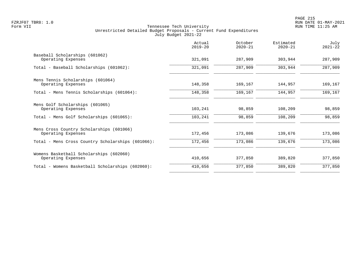|                                                                | Actual<br>$2019 - 20$ | October<br>$2020 - 21$ | Estimated<br>$2020 - 21$ | July<br>$2021 - 22$ |
|----------------------------------------------------------------|-----------------------|------------------------|--------------------------|---------------------|
| Baseball Scholarships (601062)<br>Operating Expenses           | 321,091               | 287,909                | 303,944                  | 287,909             |
| Total - Baseball Scholarships (601062):                        | 321,091               | 287,909                | 303,944                  | 287,909             |
| Mens Tennis Scholarships (601064)<br>Operating Expenses        | 148,358               | 169,167                | 144,957                  | 169,167             |
| Total - Mens Tennis Scholarships (601064):                     | 148,358               | 169,167                | 144,957                  | 169,167             |
| Mens Golf Scholarships (601065)<br>Operating Expenses          | 103,241               | 98,859                 | 108,209                  | 98,859              |
| Total - Mens Golf Scholarships (601065):                       | 103,241               | 98,859                 | 108,209                  | 98,859              |
| Mens Cross Country Scholarships (601066)<br>Operating Expenses | 172,456               | 173,086                | 139,676                  | 173,086             |
| Total - Mens Cross Country Scholarships (601066):              | 172,456               | 173,086                | 139,676                  | 173,086             |
| Womens Basketball Scholarships (602060)<br>Operating Expenses  | 410,656               | 377,850                | 389,820                  | 377,850             |
| Total - Womens Basketball Scholarships (602060):               | 410,656               | 377,850                | 389,820                  | 377,850             |
|                                                                |                       |                        |                          |                     |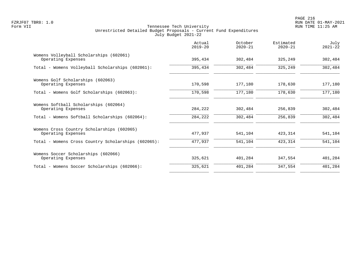PAGE 216 FZRJF07 TBR8: 1.0 RUN DATE 01-MAY-2021

|                                                                  | Actual<br>$2019 - 20$ | October<br>$2020 - 21$ | Estimated<br>$2020 - 21$ | July<br>$2021 - 22$ |
|------------------------------------------------------------------|-----------------------|------------------------|--------------------------|---------------------|
| Womens Volleyball Scholarships (602061)<br>Operating Expenses    | 395,434               | 302,484                | 325,249                  | 302,484             |
| Total - Womens Volleyball Scholarships (602061):                 | 395,434               | 302,484                | 325,249                  | 302,484             |
| Womens Golf Scholarships (602063)<br>Operating Expenses          | 170,598               | 177,180                | 178,630                  | 177,180             |
| Total - Womens Golf Scholarships (602063):                       | 170,598               | 177,180                | 178,630                  | 177,180             |
| Womens Softball Scholarships (602064)<br>Operating Expenses      | 284,222               | 302,484                | 256,839                  | 302,484             |
| Total - Womens Softball Scholarships (602064):                   | 284,222               | 302,484                | 256,839                  | 302,484             |
| Womens Cross Country Scholarships (602065)<br>Operating Expenses | 477,937               | 541,104                | 423,314                  | 541,104             |
| Total - Womens Cross Country Scholarships (602065):              | 477,937               | 541,104                | 423,314                  | 541,104             |
| Womens Soccer Scholarships (602066)<br>Operating Expenses        | 325,621               | 401,284                | 347,554                  | 401,284             |
| Total - Womens Soccer Scholarships (602066):                     | 325,621               | 401,284                | 347,554                  | 401,284             |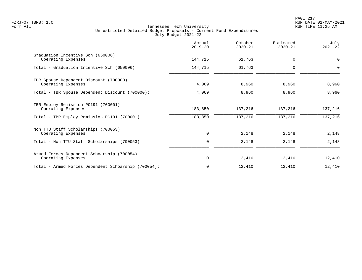|                                                                  | Actual<br>$2019 - 20$ | October<br>$2020 - 21$ | Estimated<br>$2020 - 21$ | July<br>$2021 - 22$ |
|------------------------------------------------------------------|-----------------------|------------------------|--------------------------|---------------------|
| Graduation Incentive Sch (650006)<br>Operating Expenses          | 144,715               | 61,763                 | 0                        | $\mathbf 0$         |
| Total - Graduation Incentive Sch (650006):                       | 144,715               | 61,763                 | 0                        | $\Omega$            |
| TBR Spouse Dependent Discount (700000)<br>Operating Expenses     | 4,069                 | 8,960                  | 8,960                    | 8,960               |
| Total - TBR Spouse Dependent Discount (700000):                  | 4,069                 | 8,960                  | 8,960                    | 8,960               |
| TBR Employ Remission PC191 (700001)<br>Operating Expenses        | 183,850               | 137,216                | 137,216                  | 137,216             |
| Total - TBR Employ Remission PC191 (700001):                     | 183,850               | 137,216                | 137,216                  | 137,216             |
| Non TTU Staff Scholarships (700053)<br>Operating Expenses        | 0                     | 2,148                  | 2,148                    | 2,148               |
| Total - Non TTU Staff Scholarships (700053):                     | 0                     | 2,148                  | 2,148                    | 2,148               |
| Armed Forces Dependent Schoarship (700054)<br>Operating Expenses | 0                     | 12,410                 | 12,410                   | 12,410              |
| Total - Armed Forces Dependent Schoarship (700054):              | $\Omega$              | 12,410                 | 12,410                   | 12,410              |
|                                                                  |                       |                        |                          |                     |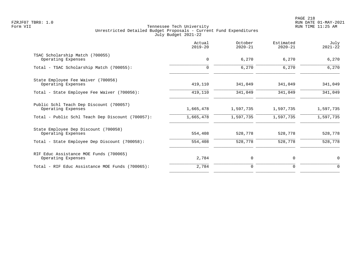|                                                               | Actual<br>$2019 - 20$ | October<br>$2020 - 21$ | Estimated<br>$2020 - 21$ | July<br>$2021 - 22$ |
|---------------------------------------------------------------|-----------------------|------------------------|--------------------------|---------------------|
| TSAC Scholarship Match (700055)<br>Operating Expenses         | $\mathbf 0$           | 6,270                  | 6,270                    | 6,270               |
| Total - TSAC Scholarship Match (700055):                      | $\mathbf 0$           | 6,270                  | 6,270                    | 6,270               |
| State Employee Fee Waiver (700056)<br>Operating Expenses      | 419,110               | 341,049                | 341,049                  | 341,049             |
| Total - State Employee Fee Waiver (700056):                   | 419,110               | 341,049                | 341,049                  | 341,049             |
| Public Schl Teach Dep Discount (700057)<br>Operating Expenses | 1,665,478             | 1,597,735              | 1,597,735                | 1,597,735           |
| Total - Public Schl Teach Dep Discount (700057):              | 1,665,478             | 1,597,735              | 1,597,735                | 1,597,735           |
| State Employee Dep Discount (700058)<br>Operating Expenses    | 554,408               | 528,778                | 528,778                  | 528,778             |
| Total - State Employee Dep Discount (700058):                 | 554,408               | 528,778                | 528,778                  | 528,778             |
| RIF Educ Assistance MOE Funds (700065)<br>Operating Expenses  | 2,784                 | 0                      | 0                        | 0                   |
| Total - RIF Educ Assistance MOE Funds (700065):               | 2,784                 | $\mathbf 0$            | 0                        | $\mathbf 0$         |
|                                                               |                       |                        |                          |                     |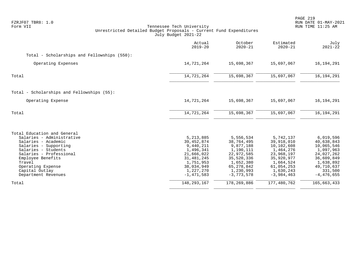| FZRJF07 TBR8: 1.0<br>Form VII                                                                                                                                                                                                                           | Tennessee Tech University<br>Unrestricted Detailed Budget Proposals - Current Fund Expenditures<br>July Budget 2021-22                  |                                                                                                                                         |                                                                                                                                        | PAGE 219<br>RUN DATE 01-MAY-2021<br>RUN TIME 11:25 AM                                                                                |
|---------------------------------------------------------------------------------------------------------------------------------------------------------------------------------------------------------------------------------------------------------|-----------------------------------------------------------------------------------------------------------------------------------------|-----------------------------------------------------------------------------------------------------------------------------------------|----------------------------------------------------------------------------------------------------------------------------------------|--------------------------------------------------------------------------------------------------------------------------------------|
|                                                                                                                                                                                                                                                         | Actual<br>$2019 - 20$                                                                                                                   | October<br>$2020 - 21$                                                                                                                  | Estimated<br>$2020 - 21$                                                                                                               | July<br>$2021 - 22$                                                                                                                  |
| Total - Scholarships and Fellowships (550):                                                                                                                                                                                                             |                                                                                                                                         |                                                                                                                                         |                                                                                                                                        |                                                                                                                                      |
| Operating Expenses                                                                                                                                                                                                                                      | 14,721,264                                                                                                                              | 15,698,367                                                                                                                              | 15,697,067                                                                                                                             | 16, 194, 291                                                                                                                         |
| Total                                                                                                                                                                                                                                                   | 14,721,264                                                                                                                              | 15,698,367                                                                                                                              | 15,697,067                                                                                                                             | 16,194,291                                                                                                                           |
| Total - Scholarships and Fellowships (55):                                                                                                                                                                                                              |                                                                                                                                         |                                                                                                                                         |                                                                                                                                        |                                                                                                                                      |
| Operating Expense                                                                                                                                                                                                                                       | 14,721,264                                                                                                                              | 15,698,367                                                                                                                              | 15,697,067                                                                                                                             | 16, 194, 291                                                                                                                         |
| Total                                                                                                                                                                                                                                                   | 14,721,264                                                                                                                              | 15,698,367                                                                                                                              | 15,697,067                                                                                                                             | 16, 194, 291                                                                                                                         |
| Total Education and General<br>Salaries - Administrative<br>Salaries - Academic<br>Salaries - Supporting<br>Salaries - Students<br>Salaries - Professional<br>Employee Benefits<br>Travel<br>Operating Expense<br>Capital Outlay<br>Department Revenues | 5, 213, 885<br>39,452,874<br>9,440,211<br>1,496,341<br>21,666,022<br>31,481,245<br>1,751,953<br>38,034,949<br>1,227,270<br>$-1,471,583$ | 5,556,534<br>38,764,495<br>9,877,188<br>1,190,111<br>22,972,585<br>35,520,336<br>1,652,380<br>65, 278, 842<br>1,230,993<br>$-3,773,578$ | 5,742,137<br>39,918,010<br>10,102,608<br>1,464,276<br>23,968,197<br>35,920,977<br>1,664,524<br>61,054,253<br>1,630,243<br>$-3,984,463$ | 6,019,596<br>40,638,843<br>10,065,546<br>1,097,963<br>24,027,262<br>36,609,849<br>1,638,892<br>49,710,637<br>331,500<br>$-4,476,655$ |
| Total                                                                                                                                                                                                                                                   | 148, 293, 167                                                                                                                           | 178,269,886                                                                                                                             | 177,480,762                                                                                                                            | 165,663,433                                                                                                                          |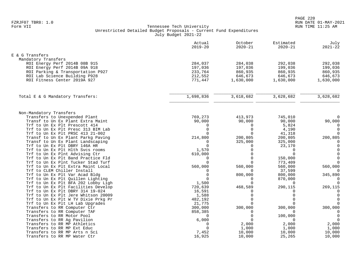|                                                               | Actual<br>$2019 - 20$ | October<br>$2020 - 21$ | Estimated<br>$2020 - 21$ | July<br>$2021 - 22$ |
|---------------------------------------------------------------|-----------------------|------------------------|--------------------------|---------------------|
| E & G Transfers                                               |                       |                        |                          |                     |
| Mandatory Transfers                                           |                       |                        |                          |                     |
| ROI Energy Perf 2014B 08B 915                                 | 284,037               | 284,038                | 292,038                  | 292,038             |
| ROI Energy Perf 2014B 09A 918                                 | 197,036               | 197,036                | 199,036                  | 199,036             |
| ROI Parking & Transportation P927                             | 233,764               | 860,935                | 860,935                  | 860,935             |
| ROI Lab Science Building P928                                 | 212,552               | 646,673                | 646,673                  | 646,673             |
| ROI Fitness Center 2019A 927                                  | 771,447               | 1,630,000              | 1,630,000                | 1,630,000           |
|                                                               |                       |                        |                          |                     |
| Total E & G Mandatory Transfers:                              | 1,698,836             | 3,618,682              | 3,628,682                | 3,628,682           |
| Non-Mandatory Transfers                                       |                       |                        |                          |                     |
| Transfers to Unexpended Plant                                 | 769,273               | 413,973                | 745,010                  | $\Omega$            |
| Transf to Un Ex Plant Extra Maint                             | 90,000                | 90,000                 | 90,000                   | 90,000              |
| Trf to Un Ex Plt Prescott 414                                 | $\Omega$              | $\Omega$               | 5,824                    | $\Omega$            |
| Trf to Un Ex Plt Presc 313 BIM Lab                            | $\Omega$              | $\Omega$               | 4,190                    | $\mathbf 0$         |
| Trf to Un Ex Plt PRSC 413 21-002                              | $\Omega$              | $\Omega$               | 41,318                   | $\Omega$            |
| Transf to Un Ex Plant Parkg Paving                            | 214,800               | 200,805                | 200,805                  | 200,805             |
| Transf to Un Ex Plant Landscaping                             | $\Omega$              | 325,000                | 325,000                  | $\Omega$            |
| Trf to Un Ex Plt DBRY 146A HR                                 | $\Omega$              | $\Omega$               | 23,170                   | $\Omega$            |
| Trf to Un Ex Plt Hlth Svcs rooms                              | 1,570                 | $\Omega$               | $\mathbf 0$              | $\mathbf 0$         |
| Trf to Un Ex Plnt Advising Ctr                                | 610,000               | $\Omega$               | $\Omega$                 | $\mathbf 0$         |
| Trf to Un Ex Plt Band Practice Fld                            | $\Omega$              | $\Omega$               | 150,000                  | $\mathbf 0$         |
| Trf to Un Ex Plnt Tucker Stad Turf                            | $\cap$                | $\Omega$               | 773,409                  | $\Omega$            |
| Trf to Un Ex Plt Extra Maint Local                            | 560,000               | 560,000                | 560,000                  | 560,000             |
| Trf to CLEM Chiller Install<br>Trf to Un Ex Plt Var Acad Bldg | $\Omega$<br>$\Omega$  | 800,000                | 37,599<br>800,000        | 0<br>345,890        |
| Trf to Un Ex Plt Quillen Lighting                             | $\Omega$              | $\Omega$               | 870,000                  | $\Omega$            |
| Trf to Un Ex Plt BFA 202 Lobby Ligh                           | 1,500                 | $\Omega$               | $\mathbf 0$              | $\Omega$            |
| Trf to Un Ex Plt Facilities Develop                           | 720,639               | 468,589                | 290,115                  | 269,115             |
| Trf to Un Ex Plt DBRY 314 19-024                              | 16,591                | $\Omega$               | $\Omega$                 | $\Omega$            |
| Trf to Un Ex Plt Jere Whitson 20009                           | 1,588                 | $\Omega$               | $\Omega$                 | $\mathbf 0$         |
| Trf to Un Ex Plt W TV Dixie Prkg Pr                           | 482,192               | $\Omega$               | $\Omega$                 | $\mathbf 0$         |
| Trf to Un Ex Plt LH Lab Upgrades                              | 21,775                | $\Omega$               | $\Omega$                 | $\mathbf 0$         |
| Transfers to RR Computer Ctr                                  | 300,000               | 300,000                | 300,000                  | 300,000             |
| Transfers to RR Computer TAF                                  | 858,385               | $\Omega$               | $\Omega$                 | $\mathbf 0$         |
| Transfers to RR Motor Pool                                    | $\Omega$              | $\Omega$               | 100,000                  | $\mathbf 0$         |
| Transfers to RR Ag Pavilion                                   | 6,000                 | $\Omega$               | 0                        | $\mathbf 0$         |
| Transfers to RR MP Athletics                                  | 0                     | 2,000                  | 2,000                    | 2,000               |
| Transfers to RR MP Ext Educ                                   | $\Omega$              | 1,000                  | 1,000                    | 1,000               |
| Transfers to RR MP Arts n Sci                                 | 7,452                 | 10,000                 | 10,000                   | 10,000              |
| Transfers to RR MP Water Ctr                                  | 16,925                | 10,000                 | 25,265                   | 10,000              |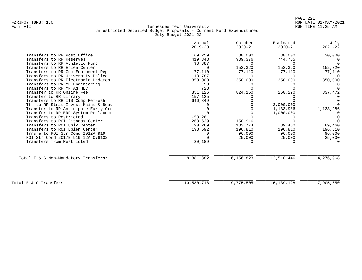|                                      | Actual<br>$2019 - 20$ | October<br>$2020 - 21$ | Estimated<br>$2020 - 21$ | July<br>$2021 - 22$ |
|--------------------------------------|-----------------------|------------------------|--------------------------|---------------------|
| Transfers to RR Post Office          | 69,259                | 30,000                 | 30,000                   | 30,000              |
| Transfers to RR Reserves             | 419,343               | 939,376                | 744,765                  |                     |
| Transfers to RR Athletic Fund        | 93,387                | 0                      | $\cap$                   |                     |
| Transfers to RR Eblen Center         | $\cap$                | 152,320                | 152,320                  | 152,320             |
| Transfers to RR Com Equipment Repl   | 77,110                | 77,110                 | 77,110                   | 77,110              |
| Transfers to RR University Police    | 13,787                | $\Omega$               | $\Omega$                 | $\cap$              |
| Transfers to RR Electronic Updates   | 350,000               | 350,000                | 350,000                  | 350,000             |
| Transfers to RR MP Engineering       | 50                    |                        |                          |                     |
| Transfers to RR MP Aq HEC            | 728                   |                        |                          |                     |
| Transfer to RR Online Fee            | 851,126               | 824,150                | 260,290                  | 337,472             |
| Transfer to RR Library               | 157,125               |                        |                          |                     |
| Transfers to RR ITS Comp Refresh     | 646,849               |                        |                          |                     |
| Tfr to RR Strat Invest Maint & Beau  |                       |                        | 3,000,000                |                     |
| Transfer to RR Anticipate Early Grd  |                       |                        | 1,133,986                | 1,133,986           |
| Transfer to RR ERP System Replaceme  |                       |                        | 1,000,000                |                     |
| Transfers to Restricted              | $-53,261$             |                        |                          |                     |
| Transfers to ROI Fitness Center      | 1,268,639             | 150,916                |                          |                     |
| Transfers to ROI Univ Center         | 90,269                | 133,774                | 89,460                   | 89,460              |
| Transfers to ROI Eblen Center        | 198,592               | 196,810                | 196,810                  | 196,810             |
| Trnsfe to ROI Str Cond 2012A 919     |                       | 96,000                 | 96,000                   | 96,000              |
| ROI Str Cond 2017B 919 12A 076132    |                       | 25,000                 | 25,000                   | 25,000              |
| Transfers from Restricted            | 20,189                | <sup>n</sup>           |                          |                     |
| Total E & G Non-Mandatory Transfers: | 8,881,882             | 6,156,823              | 12,510,446               | 4,276,968           |
|                                      |                       |                        |                          |                     |
| Total E & G Transfers                | 10,580,718            | 9,775,505              | 16, 139, 128             | 7,905,650           |
|                                      |                       |                        |                          |                     |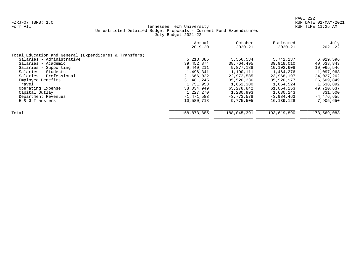|                                                        | Actual<br>$2019 - 20$ | October<br>$2020 - 21$ | Estimated<br>$2020 - 21$ | July<br>$2021 - 22$ |
|--------------------------------------------------------|-----------------------|------------------------|--------------------------|---------------------|
| Total Education and General (Expenditures & Transfers) |                       |                        |                          |                     |
| Salaries - Administrative                              | 5, 213, 885           | 5,556,534              | 5,742,137                | 6,019,596           |
| Salaries - Academic                                    | 39,452,874            | 38,764,495             | 39,918,010               | 40,638,843          |
| Salaries - Supporting                                  | 9,440,211             | 9,877,188              | 10,102,608               | 10,065,546          |
| Salaries - Students                                    | 1,496,341             | 1,190,111              | 1,464,276                | 1,097,963           |
| Salaries - Professional                                | 21,666,022            | 22,972,585             | 23,968,197               | 24,027,262          |
| Employee Benefits                                      | 31,481,245            | 35,520,336             | 35,920,977               | 36,609,849          |
| Travel                                                 | 1,751,953             | 1,652,380              | 1,664,524                | 1,638,892           |
| Operating Expense                                      | 38,034,949            | 65, 278, 842           | 61,054,253               | 49,710,637          |
| Capital Outlay                                         | 1,227,270             | 1,230,993              | 1,630,243                | 331,500             |
| Department Revenues                                    | $-1,471,583$          | $-3,773,578$           | $-3,984,463$             | $-4,476,655$        |
| E & G Transfers                                        | 10,580,718            | 9,775,505              | 16, 139, 128             | 7,905,650           |
| Total                                                  | 158,873,885           | 188,045,391            | 193,619,890              | 173,569,083         |
|                                                        |                       |                        |                          |                     |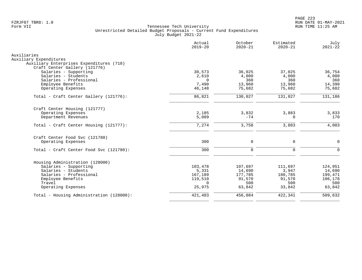|                                                                           | Actual<br>$2019 - 20$ | October<br>$2020 - 21$ | Estimated<br>$2020 - 21$ | July<br>$2021 - 22$ |
|---------------------------------------------------------------------------|-----------------------|------------------------|--------------------------|---------------------|
| Auxiliaries                                                               |                       |                        |                          |                     |
| Auxiliary Expenditures                                                    |                       |                        |                          |                     |
| Auxiliary Enterprises Expenditures (710)<br>Craft Center Gallery (121776) |                       |                        |                          |                     |
| Salaries - Supporting                                                     | 30,573                | 36,025                 | 37,025                   | 36,754              |
| Salaries - Students                                                       | 2,610                 | 4,000                  | 4,000                    | 4,000               |
| Salaries - Professional                                                   | $\Omega$              | 360                    | 360                      | 360                 |
| Employee Benefits                                                         | 7,490                 | 13,960                 | 13,960                   | 14,390              |
| Operating Expenses                                                        | 46,148                | 75,682                 | 75,682                   | 75,682              |
| Total - Craft Center Gallery (121776):                                    | 86,821                | 130,027                | 131,027                  | 131,186             |
| Craft Center Housing (121777)                                             |                       |                        |                          |                     |
| Operating Expenses                                                        | 2,185                 | 3,832                  | 3,883                    | 3,833               |
| Department Revenues                                                       | 5,089                 | $-74$                  | 0                        | 170                 |
| Total - Craft Center Housing (121777):                                    | 7,274                 | 3,758                  | 3,883                    | 4,003               |
| Craft Center Food Svc (121780)                                            |                       |                        |                          |                     |
| Operating Expenses                                                        | 300                   | $\mathbf 0$            | 0                        | $\Omega$            |
| Total - Craft Center Food Svc (121780):                                   | 300                   | $\Omega$               | $\mathbf 0$              | $\Omega$            |
| Housing Administration (128000)                                           |                       |                        |                          |                     |
| Salaries - Supporting                                                     | 103,478               | 107,697                | 111,697                  | 124,951             |
| Salaries - Students                                                       | 5,331                 | 14,690                 | 3,947                    | 14,690              |
| Salaries - Professional                                                   | 167,189               | 177,785                | 180,785                  | 199,471             |
| Employee Benefits                                                         | 119,510               | 91,570                 | 91,570                   | 106,178             |
| Travel                                                                    | $\Omega$              | 500                    | 500                      | 500                 |
| Operating Expenses                                                        | 25,975                | 63,842                 | 33,842                   | 63,842              |
| Total - Housing Administration (128000):                                  | 421,483               | 456,084                | 422,341                  | 509,632             |
|                                                                           |                       |                        |                          |                     |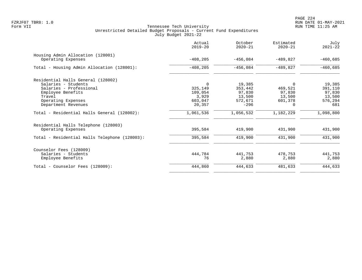|                                               | Actual<br>$2019 - 20$ | October<br>$2020 - 21$ | Estimated<br>$2020 - 21$ | July<br>$2021 - 22$ |
|-----------------------------------------------|-----------------------|------------------------|--------------------------|---------------------|
| Housing Admin Allocation (128001)             |                       |                        |                          |                     |
| Operating Expenses                            | $-408, 205$           | $-456.084$             | $-489.827$               | $-460,685$          |
| Total - Housing Admin Allocation (128001):    | $-408, 205$           | $-456,084$             | $-489,827$               | $-460,685$          |
| Residential Halls General (128002)            |                       |                        |                          |                     |
| Salaries - Students                           | $\Omega$              | 19,385                 | $\Omega$                 | 19,385              |
| Salaries - Professional                       | 325,149               | 353,442                | 469,521                  | 391,110             |
| Employee Benefits                             | 109,054               | 97,830                 | 97,830                   | 97,830              |
| Travel                                        | 3,929                 | 13,500                 | 13,500                   | 13,500              |
| Operating Expenses                            | 603,047               | 572,671                | 601,378                  | 576,294             |
| Department Revenues                           | 20,357                | $-296$                 | $\Omega$                 | 681                 |
| Total - Residential Halls General (128002):   | 1,061,536             | 1,056,532              | 1,182,229                | 1,098,800           |
| Residential Halls Telephone (128003)          |                       |                        |                          |                     |
| Operating Expenses                            | 395,584               | 419,900                | 431,900                  | 431,900             |
| Total - Residential Halls Telephone (128003): | 395,584               | 419,900                | 431,900                  | 431,900             |
| Counselor Fees (128009)                       |                       |                        |                          |                     |
| Salaries - Students                           | 444,784               | 441,753                | 478,753                  | 441,753             |
| Employee Benefits                             | 76                    | 2,880                  | 2,880                    | 2,880               |
| Total - Counselor Fees (128009):              | 444,860               | 444,633                | 481,633                  | 444,633             |
|                                               |                       |                        |                          |                     |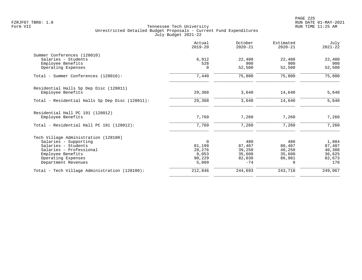|                                                 | Actual<br>$2019 - 20$ | October<br>$2020 - 21$ | Estimated<br>$2020 - 21$ | July<br>$2021 - 22$ |
|-------------------------------------------------|-----------------------|------------------------|--------------------------|---------------------|
| Summer Conferences (128010)                     |                       |                        |                          |                     |
| Salaries - Students                             | 6,912                 | 22,400                 | 22,400                   | 22,400              |
| Employee Benefits                               | 528                   | 900                    | 900                      | 900                 |
| Operating Expenses                              | $\Omega$              | 52,500                 | 52,500                   | 52,500              |
| Total - Summer Conferences (128010):            | 7,440                 | 75,800                 | 75,800                   | 75,800              |
| Residential Halls Sp Dep Disc (128011)          |                       |                        |                          |                     |
| Employee Benefits                               | 29,368                | 3,640                  | 14,640                   | 5,640               |
| Total - Residential Halls Sp Dep Disc (128011): | 29,368                | 3,640                  | 14,640                   | 5,640               |
| Residential Hall PC 191 (128012)                |                       |                        |                          |                     |
| Employee Benefits                               | 7,769                 | 7,260                  | 7,260                    | 7,260               |
| Total - Residential Hall PC 191 (128012):       | 7,769                 | 7,260                  | 7,260                    | 7,260               |
| Tech Village Administration (128100)            |                       |                        |                          |                     |
| Salaries - Supporting                           | $\mathbf 0$           | 480                    | 480                      | 1,884               |
| Salaries - Students                             | 81,199                | 87,407                 | 80,407                   | 87,407              |
| Salaries - Professional                         | 28,276                | 39,250                 | 40,250                   | 40,308              |
| Employee Benefits                               | 8,053                 | 35,600                 | 35,600                   | 36,625              |
| Operating Expenses                              | 90,229                | 82,030                 | 86,981                   | 82,673              |
| Department Revenues                             | 5,089                 | $-74$                  | $\Omega$                 | 170                 |
| Total - Tech Village Administration (128100):   | 212,846               | 244,693                | 243,718                  | 249,067             |
|                                                 |                       |                        |                          |                     |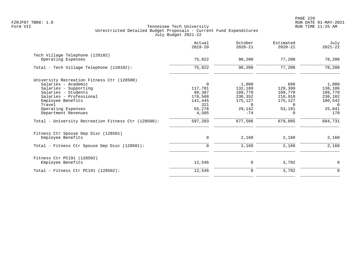|                                                     | Actual<br>$2019 - 20$ | October<br>$2020 - 21$ | Estimated<br>$2020 - 21$ | July<br>$2021 - 22$ |
|-----------------------------------------------------|-----------------------|------------------------|--------------------------|---------------------|
| Tech Village Telephone (128102)                     |                       |                        |                          |                     |
| Operating Expenses                                  | 75,822                | 90,200                 | 77,200                   | 78,200              |
| Total - Tech Village Telephone (128102):            | 75,822                | 90,200                 | 77,200                   | 78,200              |
| University Recreation Fitness Ctr (128500)          |                       |                        |                          |                     |
| Salaries - Academic                                 | $\Omega$              | 1,000                  | 688                      | 1,000               |
| Salaries - Supporting                               | 117,781               | 132,189                | 129,399                  | 138,106             |
| Salaries - Students                                 | 99,387                | 109,770                | 109,770                  | 109,770             |
| Salaries - Professional                             | 178,568               | 230,352                | 210,910                  | 230,102             |
| Employee Benefits                                   | 141,445               | 175,127                | 175,127                  | 180,542             |
| Travel                                              | 321                   | $\Omega$               | $\Omega$                 | $\Omega$            |
| Operating Expenses                                  | 55,276                | 29,142                 | 53,191                   | 25,041              |
| Department Revenues                                 | 4,505                 | $-74$                  | $\Omega$                 | 170                 |
| Total - University Recreation Fitness Ctr (128500): | 597,283               | 677,506                | 679,085                  | 684,731             |
| Fitness Ctr Spouse Dep Disc (128501)                |                       |                        |                          |                     |
| Employee Benefits                                   | 0                     | 2,160                  | 2,160                    | 2,160               |
| Total - Fitness Ctr Spouse Dep Disc (128501):       | $\mathbf 0$           | 2,160                  | 2,160                    | 2,160               |
| Fitness Ctr PC191 (128502)                          |                       |                        |                          |                     |
| Employee Benefits                                   | 12,546                | 0                      | 3,792                    | $\mathbf 0$         |
| Total - Fitness Ctr PC191 $(128502)$ :              | 12,546                | $\mathbf 0$            | 3,792                    | $\mathbf 0$         |
|                                                     |                       |                        |                          |                     |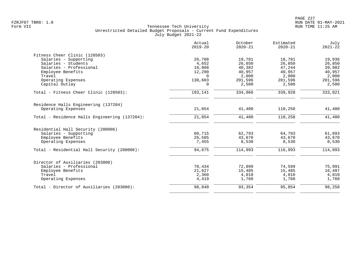| Actual<br>$2019 - 20$ | October<br>$2020 - 21$              | Estimated<br>$2020 - 21$            | July<br>$2021 - 22$                  |
|-----------------------|-------------------------------------|-------------------------------------|--------------------------------------|
|                       |                                     |                                     |                                      |
| 26,788                | 19,781                              | 18,781                              | 19,936                               |
| 4,652                 | 26,850                              | 26,850                              | 26,850                               |
| 18,808                | 40,382                              | 47,244                              | 39,982                               |
| 12,290                | 40,957                              | 40,957                              | 40,957                               |
| $\Omega$              | 2,000                               | 2,000                               | 2,000                                |
| 130,603               | 201,596                             | 201,596                             | 201,596                              |
| $\Omega$              | 2,500                               | 2,500                               | 2,500                                |
| 193,141               | 334,066                             | 339,928                             | 333,821                              |
|                       |                                     |                                     |                                      |
| 21,054                | 41,400                              | 110,258                             | 41,400                               |
|                       |                                     |                                     | 41,400                               |
|                       |                                     |                                     |                                      |
|                       |                                     |                                     |                                      |
| 60,715                | 62,793                              | 64,793                              | 61,893                               |
| 26,505                | 43,670                              | 43,670                              | 43,670                               |
| 7,455                 | 8,530                               | 8,530                               | 8,530                                |
| 94,675                | 114,993                             | 116,993                             | 114,093                              |
|                       |                                     |                                     |                                      |
|                       |                                     |                                     | 75,991                               |
|                       |                                     |                                     | 16,497                               |
|                       |                                     |                                     | 4,010                                |
| 4,419                 | 1,760                               | 1,760                               | 1,760                                |
| 98,840                | 93,354                              | 95,854                              | 98,258                               |
|                       | 21,054<br>70,434<br>21,627<br>2,360 | 41,400<br>72,099<br>15,485<br>4,010 | 110,258<br>74,599<br>15,485<br>4,010 |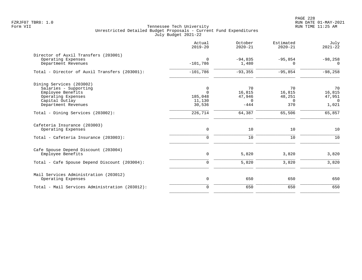PAGE 228 FZRJF07 TBR8: 1.0 RUN DATE 01-MAY-2021

|                                                                                                                                       | Actual<br>$2019 - 20$                        | October<br>$2020 - 21$                | Estimated<br>$2020 - 21$           | July<br>$2021 - 22$                         |
|---------------------------------------------------------------------------------------------------------------------------------------|----------------------------------------------|---------------------------------------|------------------------------------|---------------------------------------------|
| Director of Auxil Transfers (203001)<br>Operating Expenses<br>Department Revenues                                                     | $\Omega$<br>$-101,786$                       | $-94,835$<br>1,480                    | $-95,854$<br>$\Omega$              | $-98,258$<br>$\Omega$                       |
| Total - Director of Auxil Transfers (203001):                                                                                         | $-101,786$                                   | $-93, 355$                            | $-95,854$                          | $-98,258$                                   |
| Dining Services (203002)<br>Salaries - Supporting<br>Employee Benefits<br>Operating Expenses<br>Capital Outlay<br>Department Revenues | 0<br>$\Omega$<br>185,048<br>11,130<br>30,536 | 70<br>16,815<br>47,946<br>0<br>$-444$ | 70<br>16,815<br>48,251<br>0<br>370 | 70<br>16,815<br>47,951<br>$\Omega$<br>1,021 |
| Total - Dining Services (203002):                                                                                                     | 226,714                                      | 64,387                                | 65,506                             | 65,857                                      |
| Cafeteria Insurance (203003)<br>Operating Expenses<br>Total - Cafeteria Insurance (203003):                                           | $\mathsf{O}$<br>$\mathbf 0$                  | 10<br>10                              | 10<br>10                           | 10<br>10                                    |
| Cafe Spouse Depend Discount (203004)<br>Employee Benefits<br>Total - Cafe Spouse Depend Discount (203004):                            | $\mathsf{O}$<br>0                            | 5,820<br>5,820                        | 3,820<br>3,820                     | 3,820<br>3,820                              |
| Mail Services Administration (203012)<br>Operating Expenses                                                                           | $\mathsf{O}$                                 | 650                                   | 650                                | 650                                         |
| Total - Mail Services Administration (203012):                                                                                        | $\overline{0}$                               | 650                                   | 650                                | 650                                         |
|                                                                                                                                       |                                              |                                       |                                    |                                             |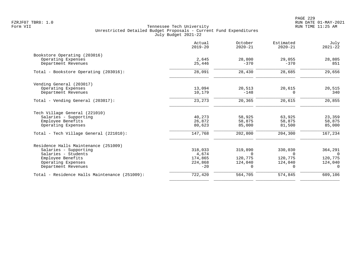PAGE 229 FZRJF07 TBR8: 1.0 RUN DATE 01-MAY-2021

| Actual<br>$2019 - 20$ | October<br>$2020 - 21$ | Estimated<br>$2020 - 21$ | July<br>$2021 - 22$ |
|-----------------------|------------------------|--------------------------|---------------------|
|                       |                        |                          |                     |
| 2,645                 | 28,800                 | 29,055                   | 28,805              |
| 25,446                | $-370$                 | $-370$                   | 851                 |
| 28,091                | 28,430                 | 28,685                   | 29,656              |
|                       |                        |                          |                     |
|                       |                        |                          | 20,515              |
| 10,179                | $-148$                 | $\Omega$                 | 340                 |
| 23,273                | 20,365                 | 20,615                   | 20,855              |
|                       |                        |                          |                     |
| 40,273                | 58,925                 | 63,925                   | 23,359              |
| 26,872                | 58,875                 | 58,875                   | 58,875              |
| 80,623                | 85,000                 | 81,500                   | 85,000              |
| 147,768               | 202,800                | 204,300                  | 167,234             |
|                       |                        |                          |                     |
| 318,033               | 319,890                | 330,030                  | 364,291             |
| 4,674                 | $\Omega$               | $\Omega$                 | $\Omega$            |
| 174,865               | 120,775                | 120,775                  | 120,775             |
| 224,868               | 124,040                | 124,040                  | 124,040             |
| $-20$                 | $\Omega$               | $\Omega$                 | $\Omega$            |
| 722,420               | 564,705                | 574,845                  | 609,106             |
|                       | 13,094                 | 20,513                   | 20,615              |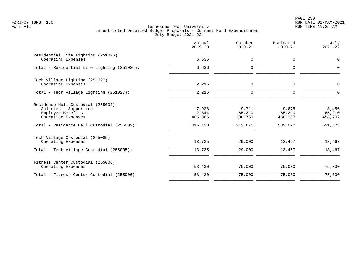PAGE 230 FZRJF07 TBR8: 1.0 RUN DATE 01-MAY-2021

|                                                                                                                                                     | Actual<br>$2019 - 20$                | October<br>$2020 - 21$                | Estimated<br>$2020 - 21$              | July<br>$2021 - 22$                   |
|-----------------------------------------------------------------------------------------------------------------------------------------------------|--------------------------------------|---------------------------------------|---------------------------------------|---------------------------------------|
| Residential Life Lighting (251026)<br>Operating Expenses                                                                                            | 6,636                                | $\mathbf 0$                           | $\mathbf 0$                           | $\Omega$                              |
| Total - Residential Life Lighting (251026):                                                                                                         | 6,636                                | $\mathbf 0$                           | $\Omega$                              | $\Omega$                              |
| Tech Village Lighting (251027)<br>Operating Expenses                                                                                                | 2,215                                | 0                                     | $\mathbf 0$                           | 0                                     |
| Total - Tech Village Lighting (251027):                                                                                                             | 2,215                                | 0                                     | $\mathbf 0$                           | $\mathbf 0$                           |
| Residence Hall Custodial (255002)<br>Salaries - Supporting<br>Employee Benefits<br>Operating Expenses<br>Total - Residence Hall Custodial (255002): | 7,928<br>2,844<br>405,366<br>416,138 | 9,711<br>65,210<br>238,750<br>313,671 | 9,675<br>65,210<br>458,207<br>533,092 | 8,456<br>65,210<br>458,207<br>531,873 |
| Tech Village Custodial (255005)<br>Operating Expenses<br>Total - Tech Village Custodial (255005):                                                   | 13,735<br>13,735                     | 29,000<br>29,000                      | 13,467<br>13,467                      | 13,467<br>13,467                      |
| Fitness Center Custodial (255006)<br>Operating Expenses                                                                                             | 58,430                               | 75,000                                | 75,000                                | 75,000                                |
| Total - Fitness Center Custodial (255006):                                                                                                          | 58,430                               | 75,000                                | 75,000                                | 75,000                                |
|                                                                                                                                                     |                                      |                                       |                                       |                                       |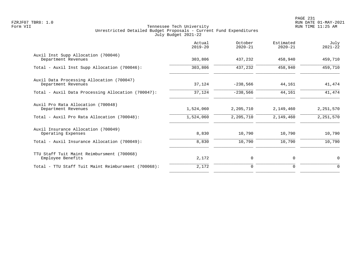|                                                                  | Actual<br>$2019 - 20$ | October<br>$2020 - 21$ | Estimated<br>$2020 - 21$ | July<br>$2021 - 22$ |
|------------------------------------------------------------------|-----------------------|------------------------|--------------------------|---------------------|
| Auxil Inst Supp Allocation (700046)<br>Department Revenues       | 303,806               | 437,232                | 458,940                  | 459,710             |
| Total - Auxil Inst Supp Allocation (700046):                     | 303,806               | 437,232                | 458,940                  | 459,710             |
| Auxil Data Processing Allocation (700047)<br>Department Revenues | 37,124                | $-238,566$             | 44,161                   | 41,474              |
| Total - Auxil Data Processing Allocation (700047):               | 37,124                | $-238,566$             | 44,161                   | 41,474              |
| Auxil Pro Rata Allocation (700048)<br>Department Revenues        | 1,524,060             | 2,205,710              | 2,149,460                | 2, 251, 570         |
| Total - Auxil Pro Rata Allocation (700048):                      | 1,524,060             | 2,205,710              | 2,149,460                | 2,251,570           |
| Auxil Insurance Allocation (700049)<br>Operating Expenses        | 8,830                 | 10,790                 | 10,790                   | 10,790              |
| Total - Auxil Insurance Allocation (700049):                     | 8,830                 | 10,790                 | 10,790                   | 10,790              |
| TTU Staff Tuit Maint Reimbursment (700068)<br>Employee Benefits  | 2,172                 | 0                      | 0                        | 0                   |
| Total - TTU Staff Tuit Maint Reimbursment (700068):              | 2,172                 | $\mathbf 0$            | 0                        | $\Omega$            |
|                                                                  |                       |                        |                          |                     |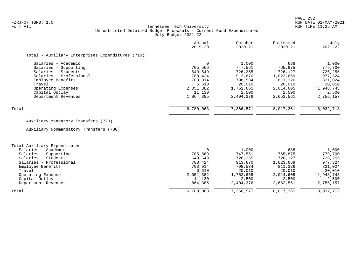### FZRJF07 TBR8: 1.0 RUN DATE 01-MAY-2021 Tennessee Tech University Unrestricted Detailed Budget Proposals - Current Fund Expenditures July Budget 2021-22

|                                                   | Actual<br>$2019 - 20$ | October<br>$2020 - 21$ | Estimated<br>$2020 - 21$ | July<br>$2021 - 22$ |
|---------------------------------------------------|-----------------------|------------------------|--------------------------|---------------------|
| Total - Auxiliary Enterprises Expenditures (710): |                       |                        |                          |                     |
| Salaries - Academic                               |                       | 1,000                  | 688                      | 1,000               |
| Salaries - Supporting                             | 705,569               | 747.561                | 765,875                  | 779,700             |
| Salaries - Students                               | 649,549               | 726,255                | 726,127                  | 726,255             |
| Salaries - Professional                           | 788,424               | 913,670                | 1,023,669                | 977,324             |
| Employee Benefits                                 | 703,014               | 798,534                | 811,326                  | 821,024             |
| Travel                                            | 6,610                 | 20,010                 | 20,010                   | 20,010              |
| Operating Expenses                                | 2,051,382             | 1,752,665              | 2,014,605                | 1,948,743           |
| Capital Outlay                                    | 11,130                | 2,500                  | 2,500                    | 2,500               |
| Department Revenues                               | 1,864,385             | 2,404,376              | 2,652,561                | 2,756,157           |
| Total                                             | 6,780,063             | 7,366,571              | 8,017,361                | 8,032,713           |

# Auxiliary Mandatory Transfers (720)

Auxiliary Nonmandatory Transfers (730)

| Total Auxiliary Expenditures |           |           |           |           |
|------------------------------|-----------|-----------|-----------|-----------|
| Salaries - Academic          |           | 1,000     | 688       | 1,000     |
| Salaries - Supporting        | 705,569   | 747,561   | 765,875   | 779,700   |
| Salaries - Students          | 649,549   | 726,255   | 726,127   | 726,255   |
| Salaries - Professional      | 788,424   | 913,670   | 1,023,669 | 977,324   |
| Employee Benefits            | 703,014   | 798,534   | 811,326   | 821,024   |
| Travel                       | 6,610     | 20,010    | 20,010    | 20,010    |
| Operating Expense            | 2,051,382 | 1,752,665 | 2,014,605 | 1,948,743 |
| Capital Outlay               | 11,130    | 2,500     | 2,500     | 2,500     |
| Department Revenues          | 1,864,385 | 2,404,376 | 2,652,561 | 2,756,157 |
| Total                        | 6,780,063 | 7,366,571 | 8,017,361 | 8,032,713 |
|                              |           |           |           |           |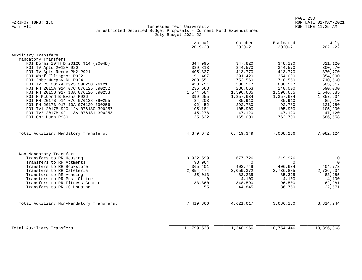|                                          | Actual<br>$2019 - 20$ | October<br>$2020 - 21$ | Estimated<br>$2020 - 21$ | July<br>$2021 - 22$ |
|------------------------------------------|-----------------------|------------------------|--------------------------|---------------------|
| Auxiliary Transfers                      |                       |                        |                          |                     |
| Mandatory Transfers                      |                       |                        |                          |                     |
| ROI Dorms 10TH D 2012C 914 (2004B)       | 344,995               | 347,820                | 348,120                  | 321,120             |
| ROI TV Apts 2012A 920                    | 339,813               | 344,570                | 344,570                  | 300,570             |
| ROI TV Apts Renov PH2 P921               | 405,327               | 413,770                | 413,770                  | 370,770             |
| ROI Warf Ellington P922                  | 91,487                | 391,420                | 354,000                  | 354,000             |
| ROI Jobe Murphy RH P924                  | 200,551               | 753,560                | 710,560                  | 710,560             |
| ROI TV P3 2017A P923 390250 76121        | 423,751               | 580,517                | 608,517                  | 583,517             |
| ROI RH 2015A 914 07C 076125 390252       | 236,663               | 236,663                | 240,000                  | 590,000             |
| ROI RH 2015B 917 10A 076126 390253       | 1,574,684             | 1,596,685              | 1,596,685                | 1,546,685           |
| ROI M McCord B Evans P926                | 399,655               | 1,357,634              | 1,357,634                | 1,357,634           |
| ROI RH 2017B 914 07C 076128 390255       | 84,203                | 85,910                 | 85,910                   | 85,910              |
| ROI RH 2017B 917 10A 076129 390256       | 92,452                | 292,780                | 92,780                   | 121,780             |
| ROI TV1 2017B 920 12A 076130 390257      | 105,181               | 105,900                | 105,900                  | 105,900             |
| ROI TV2 2017B 921 13A 076131 390258      | 45,278                | 47,120                 | 47,120                   | 47,120              |
| ROI Cpr Dunn P930                        | 35,632                | 165,000                | 762,700                  | 586,558             |
|                                          |                       |                        |                          |                     |
| Total Auxiliary Mandatory Transfers:     | 4,379,672             | 6,719,349              | 7,068,266                | 7,082,124           |
| Non-Mandatory Transfers                  |                       |                        |                          |                     |
| Transfers to RR Housing                  | 3,932,599             | 677,726                | 319,976                  | $\mathbf 0$         |
| Transfers to RR Aptments                 | 98,964                | $\Omega$               | $\Omega$                 | $\mathbf 0$         |
| Transfers to RR Bookstore                | 365,401               | 403,749                | 406,634                  | 404,773             |
| Transfers to RR Cafeteria                | 2,854,474             | 3,059,372              | 2,736,885                | 2,736,534           |
| Transfers to RR Vending                  | 85,013                | 83,235                 | 85,325                   | 83,285              |
| Transfers to RR Post Office              | $\cap$                | 4,100                  | 4,100                    | 4,100               |
| Transfers to RR Fitness Center           | 83,360                | 348,590                | 96,500                   | 62,981              |
| Transfers to RR CC Housing               | 55                    | 44,845                 | 36,760                   | 22,571              |
|                                          |                       |                        |                          |                     |
| Total Auxiliary Non-Mandatory Transfers: | 7,419,866             | 4,621,617              | 3,686,180                | 3, 314, 244         |
|                                          |                       |                        |                          |                     |
| Total Auxiliary Transfers                | 11,799,538            | 11,340,966             | 10,754,446               | 10,396,368          |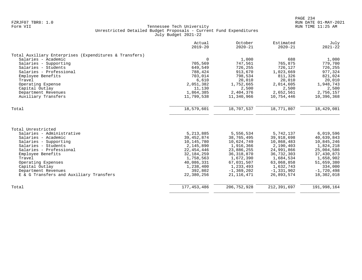|                                                        | Actual<br>$2019 - 20$ | October<br>$2020 - 21$ | Estimated<br>$2020 - 21$ | July<br>$2021 - 22$ |
|--------------------------------------------------------|-----------------------|------------------------|--------------------------|---------------------|
| Total Auxiliary Enterprises (Expenditures & Transfers) |                       |                        |                          |                     |
| Salaries - Academic                                    | $\Omega$              | 1,000                  | 688                      | 1,000               |
| Salaries - Supporting                                  | 705,569               | 747,561                | 765,875                  | 779,700             |
| Salaries - Students                                    | 649,549               | 726,255                | 726,127                  | 726,255             |
| Salaries - Professional                                | 788,424               | 913,670                | 1,023,669                | 977,324             |
| Employee Benefits                                      | 703,014               | 798,534                | 811,326                  | 821,024             |
| Travel                                                 | 6,610                 | 20,010                 | 20,010                   | 20,010              |
| Operating Expense                                      | 2,051,382             | 1,752,665              | 2,014,605                | 1,948,743           |
| Capital Outlay                                         | 11,130                | 2,500                  | 2,500                    | 2,500               |
| Department Revenues                                    | 1,864,385             | 2,404,376              | 2,652,561                | 2,756,157           |
| Auxiliary Transfers                                    | 11,799,538            | 11,340,966             | 10,754,446               | 10,396,368          |
| Total                                                  | 18,579,601            | 18,707,537             | 18,771,807               | 18,429,081          |
|                                                        |                       |                        |                          |                     |
| Total Unrestricted                                     |                       |                        |                          |                     |
| Salaries - Administrative                              | 5, 213, 885           | 5,556,534              | 5,742,137                | 6,019,596           |
| Salaries - Academic                                    | 39, 452, 874          | 38,765,495             | 39,918,698               | 40,639,843          |
| Salaries - Supporting                                  | 10,145,780            | 10,624,749             | 10,868,483               | 10,845,246          |
| Salaries - Students                                    | 2,145,890             | 1,916,366              | 2,190,403                | 1,824,218           |
| Salaries - Professional                                | 22,454,446            | 23,886,255             | 24,991,866               | 25,004,586          |
| Employee Benefits                                      | 32, 184, 259          | 36, 318, 870           | 36,732,303               | 37,430,873          |
| Travel                                                 | 1,758,563             | 1,672,390              | 1,684,534                | 1,658,902           |
| Operating Expenses                                     | 40,086,331            | 67,031,507             | 63,068,858               | 51,659,380          |
| Capital Outlay                                         | 1,238,400             | 1,233,493              | 1,632,743                | 334,000             |
| Department Revenues                                    | 392,802               | $-1, 369, 202$         | $-1, 331, 902$           | $-1,720,498$        |
| E & G Transfers and Auxiliary Transfers                | 22,380,256            | 21, 116, 471           | 26,893,574               | 18,302,018          |
| Total                                                  | 177, 453, 486         | 206, 752, 928          | 212,391,697              | 191,998,164         |
|                                                        |                       |                        |                          |                     |